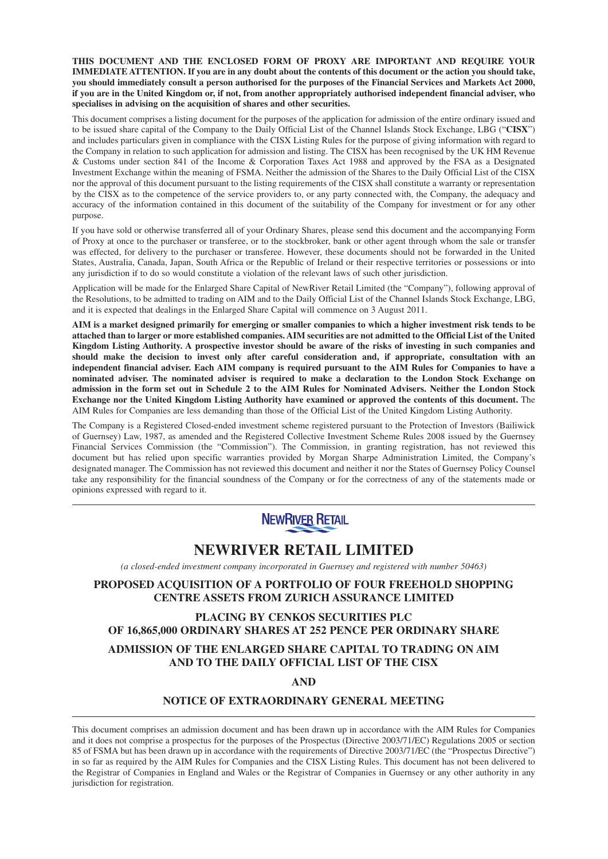**THIS DOCUMENT AND THE ENCLOSED FORM OF PROXY ARE IMPORTANT AND REQUIRE YOUR IMMEDIATE ATTENTION. If you are in any doubt about the contents of this document or the action you should take, you should immediately consult a person authorised for the purposes of the Financial Services and Markets Act 2000, if you are in the United Kingdom or, if not, from another appropriately authorised independent financial adviser, who specialises in advising on the acquisition of shares and other securities.**

This document comprises a listing document for the purposes of the application for admission of the entire ordinary issued and to be issued share capital of the Company to the Daily Official List of the Channel Islands Stock Exchange, LBG ("**CISX**") and includes particulars given in compliance with the CISX Listing Rules for the purpose of giving information with regard to the Company in relation to such application for admission and listing. The CISX has been recognised by the UK HM Revenue & Customs under section 841 of the Income & Corporation Taxes Act 1988 and approved by the FSA as a Designated Investment Exchange within the meaning of FSMA. Neither the admission of the Shares to the Daily Official List of the CISX nor the approval of this document pursuant to the listing requirements of the CISX shall constitute a warranty or representation by the CISX as to the competence of the service providers to, or any party connected with, the Company, the adequacy and accuracy of the information contained in this document of the suitability of the Company for investment or for any other purpose.

If you have sold or otherwise transferred all of your Ordinary Shares, please send this document and the accompanying Form of Proxy at once to the purchaser or transferee, or to the stockbroker, bank or other agent through whom the sale or transfer was effected, for delivery to the purchaser or transferee. However, these documents should not be forwarded in the United States, Australia, Canada, Japan, South Africa or the Republic of Ireland or their respective territories or possessions or into any jurisdiction if to do so would constitute a violation of the relevant laws of such other jurisdiction.

Application will be made for the Enlarged Share Capital of NewRiver Retail Limited (the "Company"), following approval of the Resolutions, to be admitted to trading on AIM and to the Daily Official List of the Channel Islands Stock Exchange, LBG, and it is expected that dealings in the Enlarged Share Capital will commence on 3 August 2011.

**AIM is a market designed primarily for emerging or smaller companies to which a higher investment risk tends to be attached than to larger or more established companies. AIM securities are not admitted to the Official List of the United Kingdom Listing Authority. A prospective investor should be aware of the risks of investing in such companies and should make the decision to invest only after careful consideration and, if appropriate, consultation with an independent financial adviser. Each AIM company is required pursuant to the AIM Rules for Companies to have a nominated adviser. The nominated adviser is required to make a declaration to the London Stock Exchange on admission in the form set out in Schedule 2 to the AIM Rules for Nominated Advisers. Neither the London Stock Exchange nor the United Kingdom Listing Authority have examined or approved the contents of this document.** The AIM Rules for Companies are less demanding than those of the Official List of the United Kingdom Listing Authority.

The Company is a Registered Closed-ended investment scheme registered pursuant to the Protection of Investors (Bailiwick of Guernsey) Law, 1987, as amended and the Registered Collective Investment Scheme Rules 2008 issued by the Guernsey Financial Services Commission (the "Commission"). The Commission, in granting registration, has not reviewed this document but has relied upon specific warranties provided by Morgan Sharpe Administration Limited, the Company's designated manager. The Commission has not reviewed this document and neither it nor the States of Guernsey Policy Counsel take any responsibility for the financial soundness of the Company or for the correctness of any of the statements made or opinions expressed with regard to it.



# **NEWRIVER RETAIL LIMITED**

*(a closed-ended investment company incorporated in Guernsey and registered with number 50463)*

# **PROPOSED ACQUISITION OF A PORTFOLIO OF FOUR FREEHOLD SHOPPING CENTRE ASSETS FROM ZURICH ASSURANCE LIMITED**

# **PLACING BY CENKOS SECURITIES PLC OF 16,865,000 ORDINARY SHARES AT 252 PENCE PER ORDINARY SHARE ADMISSION OF THE ENLARGED SHARE CAPITAL TO TRADING ON AIM AND TO THE DAILY OFFICIAL LIST OF THE CISX**

**AND**

#### **NOTICE OF EXTRAORDINARY GENERAL MEETING**

This document comprises an admission document and has been drawn up in accordance with the AIM Rules for Companies and it does not comprise a prospectus for the purposes of the Prospectus (Directive 2003/71/EC) Regulations 2005 or section 85 of FSMA but has been drawn up in accordance with the requirements of Directive 2003/71/EC (the "Prospectus Directive") in so far as required by the AIM Rules for Companies and the CISX Listing Rules. This document has not been delivered to the Registrar of Companies in England and Wales or the Registrar of Companies in Guernsey or any other authority in any jurisdiction for registration.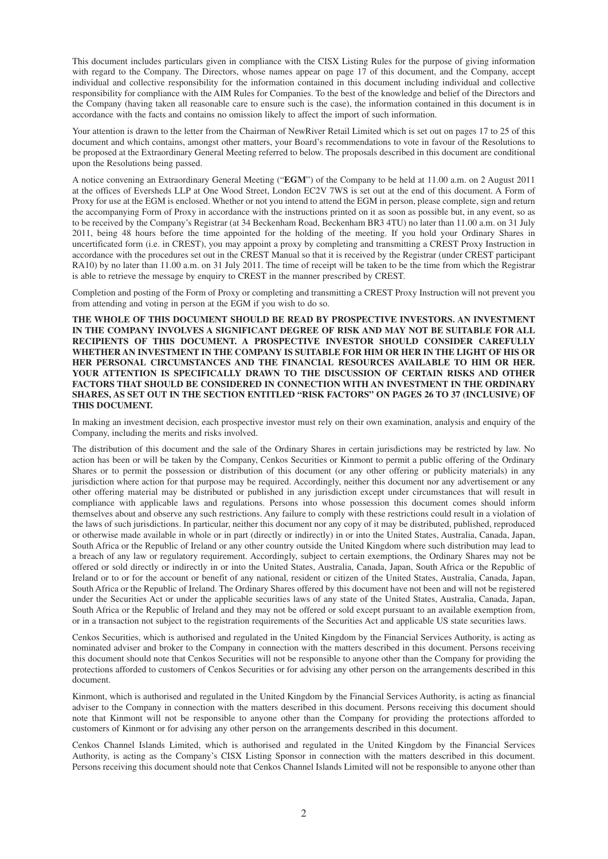This document includes particulars given in compliance with the CISX Listing Rules for the purpose of giving information with regard to the Company. The Directors, whose names appear on page 17 of this document, and the Company, accept individual and collective responsibility for the information contained in this document including individual and collective responsibility for compliance with the AIM Rules for Companies. To the best of the knowledge and belief of the Directors and the Company (having taken all reasonable care to ensure such is the case), the information contained in this document is in accordance with the facts and contains no omission likely to affect the import of such information.

Your attention is drawn to the letter from the Chairman of NewRiver Retail Limited which is set out on pages 17 to 25 of this document and which contains, amongst other matters, your Board's recommendations to vote in favour of the Resolutions to be proposed at the Extraordinary General Meeting referred to below. The proposals described in this document are conditional upon the Resolutions being passed.

A notice convening an Extraordinary General Meeting ("**EGM**") of the Company to be held at 11.00 a.m. on 2 August 2011 at the offices of Eversheds LLP at One Wood Street, London EC2V 7WS is set out at the end of this document. A Form of Proxy for use at the EGM is enclosed. Whether or not you intend to attend the EGM in person, please complete, sign and return the accompanying Form of Proxy in accordance with the instructions printed on it as soon as possible but, in any event, so as to be received by the Company's Registrar (at 34 Beckenham Road, Beckenham BR3 4TU) no later than 11.00 a.m. on 31 July 2011, being 48 hours before the time appointed for the holding of the meeting. If you hold your Ordinary Shares in uncertificated form (i.e. in CREST), you may appoint a proxy by completing and transmitting a CREST Proxy Instruction in accordance with the procedures set out in the CREST Manual so that it is received by the Registrar (under CREST participant RA10) by no later than 11.00 a.m. on 31 July 2011. The time of receipt will be taken to be the time from which the Registrar is able to retrieve the message by enquiry to CREST in the manner prescribed by CREST.

Completion and posting of the Form of Proxy or completing and transmitting a CREST Proxy Instruction will not prevent you from attending and voting in person at the EGM if you wish to do so.

**THE WHOLE OF THIS DOCUMENT SHOULD BE READ BY PROSPECTIVE INVESTORS. AN INVESTMENT IN THE COMPANY INVOLVES A SIGNIFICANT DEGREE OF RISK AND MAY NOT BE SUITABLE FOR ALL RECIPIENTS OF THIS DOCUMENT. A PROSPECTIVE INVESTOR SHOULD CONSIDER CAREFULLY WHETHER AN INVESTMENT IN THE COMPANY IS SUITABLE FOR HIM OR HER IN THE LIGHT OF HIS OR HER PERSONAL CIRCUMSTANCES AND THE FINANCIAL RESOURCES AVAILABLE TO HIM OR HER. YOUR ATTENTION IS SPECIFICALLY DRAWN TO THE DISCUSSION OF CERTAIN RISKS AND OTHER FACTORS THAT SHOULD BE CONSIDERED IN CONNECTION WITH AN INVESTMENT IN THE ORDINARY SHARES, AS SET OUT IN THE SECTION ENTITLED "RISK FACTORS" ON PAGES 26 TO 37 (INCLUSIVE) OF THIS DOCUMENT.**

In making an investment decision, each prospective investor must rely on their own examination, analysis and enquiry of the Company, including the merits and risks involved.

The distribution of this document and the sale of the Ordinary Shares in certain jurisdictions may be restricted by law. No action has been or will be taken by the Company, Cenkos Securities or Kinmont to permit a public offering of the Ordinary Shares or to permit the possession or distribution of this document (or any other offering or publicity materials) in any jurisdiction where action for that purpose may be required. Accordingly, neither this document nor any advertisement or any other offering material may be distributed or published in any jurisdiction except under circumstances that will result in compliance with applicable laws and regulations. Persons into whose possession this document comes should inform themselves about and observe any such restrictions. Any failure to comply with these restrictions could result in a violation of the laws of such jurisdictions. In particular, neither this document nor any copy of it may be distributed, published, reproduced or otherwise made available in whole or in part (directly or indirectly) in or into the United States, Australia, Canada, Japan, South Africa or the Republic of Ireland or any other country outside the United Kingdom where such distribution may lead to a breach of any law or regulatory requirement. Accordingly, subject to certain exemptions, the Ordinary Shares may not be offered or sold directly or indirectly in or into the United States, Australia, Canada, Japan, South Africa or the Republic of Ireland or to or for the account or benefit of any national, resident or citizen of the United States, Australia, Canada, Japan, South Africa or the Republic of Ireland. The Ordinary Shares offered by this document have not been and will not be registered under the Securities Act or under the applicable securities laws of any state of the United States, Australia, Canada, Japan, South Africa or the Republic of Ireland and they may not be offered or sold except pursuant to an available exemption from, or in a transaction not subject to the registration requirements of the Securities Act and applicable US state securities laws.

Cenkos Securities, which is authorised and regulated in the United Kingdom by the Financial Services Authority, is acting as nominated adviser and broker to the Company in connection with the matters described in this document. Persons receiving this document should note that Cenkos Securities will not be responsible to anyone other than the Company for providing the protections afforded to customers of Cenkos Securities or for advising any other person on the arrangements described in this document.

Kinmont, which is authorised and regulated in the United Kingdom by the Financial Services Authority, is acting as financial adviser to the Company in connection with the matters described in this document. Persons receiving this document should note that Kinmont will not be responsible to anyone other than the Company for providing the protections afforded to customers of Kinmont or for advising any other person on the arrangements described in this document.

Cenkos Channel Islands Limited, which is authorised and regulated in the United Kingdom by the Financial Services Authority, is acting as the Company's CISX Listing Sponsor in connection with the matters described in this document. Persons receiving this document should note that Cenkos Channel Islands Limited will not be responsible to anyone other than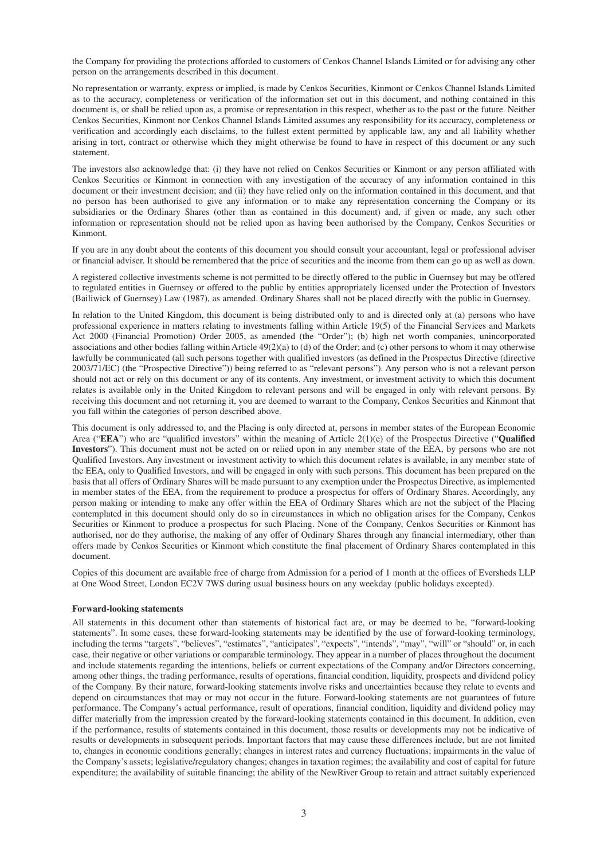the Company for providing the protections afforded to customers of Cenkos Channel Islands Limited or for advising any other person on the arrangements described in this document.

No representation or warranty, express or implied, is made by Cenkos Securities, Kinmont or Cenkos Channel Islands Limited as to the accuracy, completeness or verification of the information set out in this document, and nothing contained in this document is, or shall be relied upon as, a promise or representation in this respect, whether as to the past or the future. Neither Cenkos Securities, Kinmont nor Cenkos Channel Islands Limited assumes any responsibility for its accuracy, completeness or verification and accordingly each disclaims, to the fullest extent permitted by applicable law, any and all liability whether arising in tort, contract or otherwise which they might otherwise be found to have in respect of this document or any such statement.

The investors also acknowledge that: (i) they have not relied on Cenkos Securities or Kinmont or any person affiliated with Cenkos Securities or Kinmont in connection with any investigation of the accuracy of any information contained in this document or their investment decision; and (ii) they have relied only on the information contained in this document, and that no person has been authorised to give any information or to make any representation concerning the Company or its subsidiaries or the Ordinary Shares (other than as contained in this document) and, if given or made, any such other information or representation should not be relied upon as having been authorised by the Company, Cenkos Securities or Kinmont.

If you are in any doubt about the contents of this document you should consult your accountant, legal or professional adviser or financial adviser. It should be remembered that the price of securities and the income from them can go up as well as down.

A registered collective investments scheme is not permitted to be directly offered to the public in Guernsey but may be offered to regulated entities in Guernsey or offered to the public by entities appropriately licensed under the Protection of Investors (Bailiwick of Guernsey) Law (1987), as amended. Ordinary Shares shall not be placed directly with the public in Guernsey.

In relation to the United Kingdom, this document is being distributed only to and is directed only at (a) persons who have professional experience in matters relating to investments falling within Article 19(5) of the Financial Services and Markets Act 2000 (Financial Promotion) Order 2005, as amended (the "Order"); (b) high net worth companies, unincorporated associations and other bodies falling within Article 49(2)(a) to (d) of the Order; and (c) other persons to whom it may otherwise lawfully be communicated (all such persons together with qualified investors (as defined in the Prospectus Directive (directive 2003/71/EC) (the "Prospective Directive")) being referred to as "relevant persons"). Any person who is not a relevant person should not act or rely on this document or any of its contents. Any investment, or investment activity to which this document relates is available only in the United Kingdom to relevant persons and will be engaged in only with relevant persons. By receiving this document and not returning it, you are deemed to warrant to the Company, Cenkos Securities and Kinmont that you fall within the categories of person described above.

This document is only addressed to, and the Placing is only directed at, persons in member states of the European Economic Area ("**EEA**") who are "qualified investors" within the meaning of Article 2(1)(e) of the Prospectus Directive ("**Qualified Investors**"). This document must not be acted on or relied upon in any member state of the EEA, by persons who are not Qualified Investors. Any investment or investment activity to which this document relates is available, in any member state of the EEA, only to Qualified Investors, and will be engaged in only with such persons. This document has been prepared on the basis that all offers of Ordinary Shares will be made pursuant to any exemption under the Prospectus Directive, as implemented in member states of the EEA, from the requirement to produce a prospectus for offers of Ordinary Shares. Accordingly, any person making or intending to make any offer within the EEA of Ordinary Shares which are not the subject of the Placing contemplated in this document should only do so in circumstances in which no obligation arises for the Company, Cenkos Securities or Kinmont to produce a prospectus for such Placing. None of the Company, Cenkos Securities or Kinmont has authorised, nor do they authorise, the making of any offer of Ordinary Shares through any financial intermediary, other than offers made by Cenkos Securities or Kinmont which constitute the final placement of Ordinary Shares contemplated in this document.

Copies of this document are available free of charge from Admission for a period of 1 month at the offices of Eversheds LLP at One Wood Street, London EC2V 7WS during usual business hours on any weekday (public holidays excepted).

#### **Forward-looking statements**

All statements in this document other than statements of historical fact are, or may be deemed to be, "forward-looking statements". In some cases, these forward-looking statements may be identified by the use of forward-looking terminology, including the terms "targets", "believes", "estimates", "anticipates", "expects", "intends", "may", "will" or "should" or, in each case, their negative or other variations or comparable terminology. They appear in a number of places throughout the document and include statements regarding the intentions, beliefs or current expectations of the Company and/or Directors concerning, among other things, the trading performance, results of operations, financial condition, liquidity, prospects and dividend policy of the Company. By their nature, forward-looking statements involve risks and uncertainties because they relate to events and depend on circumstances that may or may not occur in the future. Forward-looking statements are not guarantees of future performance. The Company's actual performance, result of operations, financial condition, liquidity and dividend policy may differ materially from the impression created by the forward-looking statements contained in this document. In addition, even if the performance, results of statements contained in this document, those results or developments may not be indicative of results or developments in subsequent periods. Important factors that may cause these differences include, but are not limited to, changes in economic conditions generally; changes in interest rates and currency fluctuations; impairments in the value of the Company's assets; legislative/regulatory changes; changes in taxation regimes; the availability and cost of capital for future expenditure; the availability of suitable financing; the ability of the NewRiver Group to retain and attract suitably experienced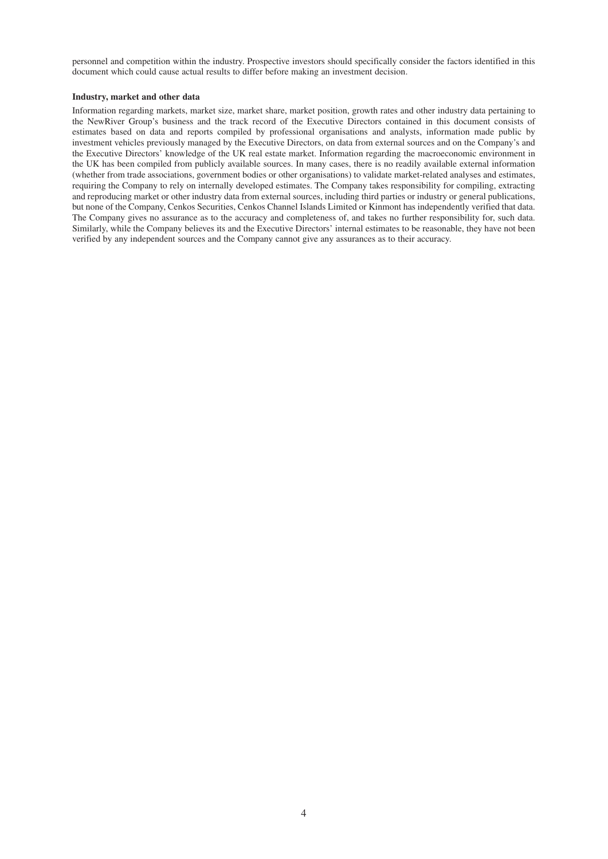personnel and competition within the industry. Prospective investors should specifically consider the factors identified in this document which could cause actual results to differ before making an investment decision.

#### **Industry, market and other data**

Information regarding markets, market size, market share, market position, growth rates and other industry data pertaining to the NewRiver Group's business and the track record of the Executive Directors contained in this document consists of estimates based on data and reports compiled by professional organisations and analysts, information made public by investment vehicles previously managed by the Executive Directors, on data from external sources and on the Company's and the Executive Directors' knowledge of the UK real estate market. Information regarding the macroeconomic environment in the UK has been compiled from publicly available sources. In many cases, there is no readily available external information (whether from trade associations, government bodies or other organisations) to validate market-related analyses and estimates, requiring the Company to rely on internally developed estimates. The Company takes responsibility for compiling, extracting and reproducing market or other industry data from external sources, including third parties or industry or general publications, but none of the Company, Cenkos Securities, Cenkos Channel Islands Limited or Kinmont has independently verified that data. The Company gives no assurance as to the accuracy and completeness of, and takes no further responsibility for, such data. Similarly, while the Company believes its and the Executive Directors' internal estimates to be reasonable, they have not been verified by any independent sources and the Company cannot give any assurances as to their accuracy.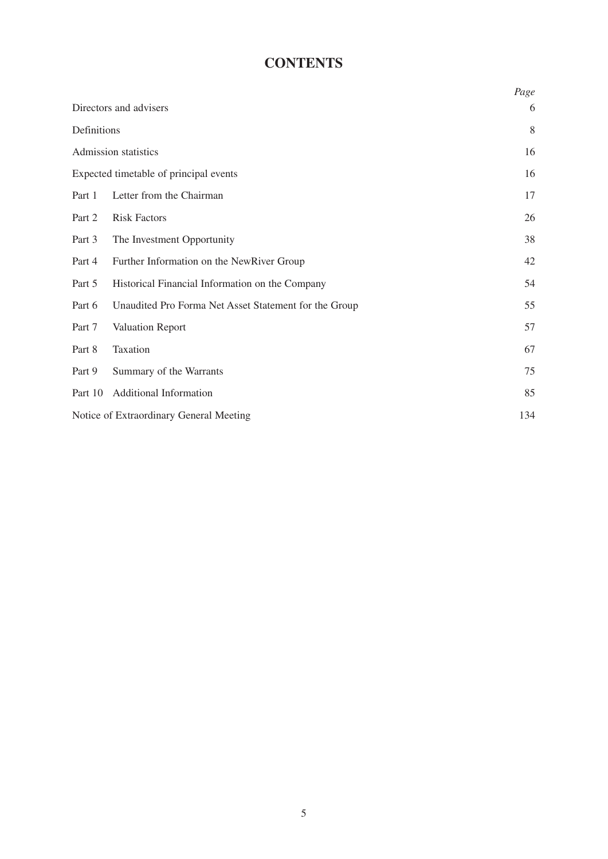# **CONTENTS**

|             |                                                       | Page |
|-------------|-------------------------------------------------------|------|
|             | Directors and advisers                                | 6    |
| Definitions |                                                       | 8    |
|             | Admission statistics                                  | 16   |
|             | Expected timetable of principal events                | 16   |
| Part 1      | Letter from the Chairman                              | 17   |
| Part 2      | <b>Risk Factors</b>                                   | 26   |
| Part 3      | The Investment Opportunity                            | 38   |
| Part 4      | Further Information on the NewRiver Group             | 42   |
| Part 5      | Historical Financial Information on the Company       | 54   |
| Part 6      | Unaudited Pro Forma Net Asset Statement for the Group | 55   |
| Part 7      | Valuation Report                                      | 57   |
| Part 8      | Taxation                                              | 67   |
| Part 9      | Summary of the Warrants                               | 75   |
| Part 10     | Additional Information                                | 85   |
|             | Notice of Extraordinary General Meeting               | 134  |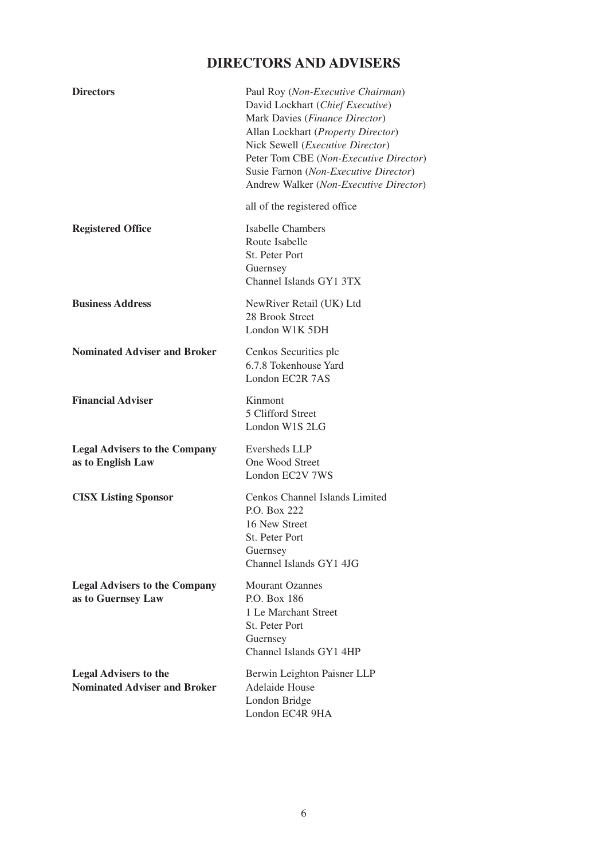# **DIRECTORS AND ADVISERS**

| <b>Directors</b>                                                    | Paul Roy (Non-Executive Chairman)<br>David Lockhart (Chief Executive)<br>Mark Davies (Finance Director)<br>Allan Lockhart (Property Director)<br>Nick Sewell ( <i>Executive Director</i> )<br>Peter Tom CBE (Non-Executive Director)<br>Susie Farnon (Non-Executive Director)<br>Andrew Walker (Non-Executive Director) |
|---------------------------------------------------------------------|-------------------------------------------------------------------------------------------------------------------------------------------------------------------------------------------------------------------------------------------------------------------------------------------------------------------------|
|                                                                     | all of the registered office                                                                                                                                                                                                                                                                                            |
| <b>Registered Office</b>                                            | <b>Isabelle Chambers</b><br>Route Isabelle<br>St. Peter Port<br>Guernsey<br>Channel Islands GY1 3TX                                                                                                                                                                                                                     |
| <b>Business Address</b>                                             | NewRiver Retail (UK) Ltd<br>28 Brook Street<br>London W1K 5DH                                                                                                                                                                                                                                                           |
| <b>Nominated Adviser and Broker</b>                                 | Cenkos Securities plc<br>6.7.8 Tokenhouse Yard<br>London EC2R 7AS                                                                                                                                                                                                                                                       |
| <b>Financial Adviser</b>                                            | Kinmont<br>5 Clifford Street<br>London W1S 2LG                                                                                                                                                                                                                                                                          |
| <b>Legal Advisers to the Company</b><br>as to English Law           | Eversheds LLP<br>One Wood Street<br>London EC2V 7WS                                                                                                                                                                                                                                                                     |
| <b>CISX Listing Sponsor</b>                                         | Cenkos Channel Islands Limited<br>P.O. Box 222<br>16 New Street<br>St. Peter Port<br>Guernsey<br>Channel Islands GY1 4JG                                                                                                                                                                                                |
| <b>Legal Advisers to the Company</b><br>as to Guernsey Law          | <b>Mourant Ozannes</b><br>P.O. Box 186<br>1 Le Marchant Street<br>St. Peter Port<br>Guernsey<br>Channel Islands GY1 4HP                                                                                                                                                                                                 |
| <b>Legal Advisers to the</b><br><b>Nominated Adviser and Broker</b> | Berwin Leighton Paisner LLP<br>Adelaide House<br>London Bridge<br>London EC4R 9HA                                                                                                                                                                                                                                       |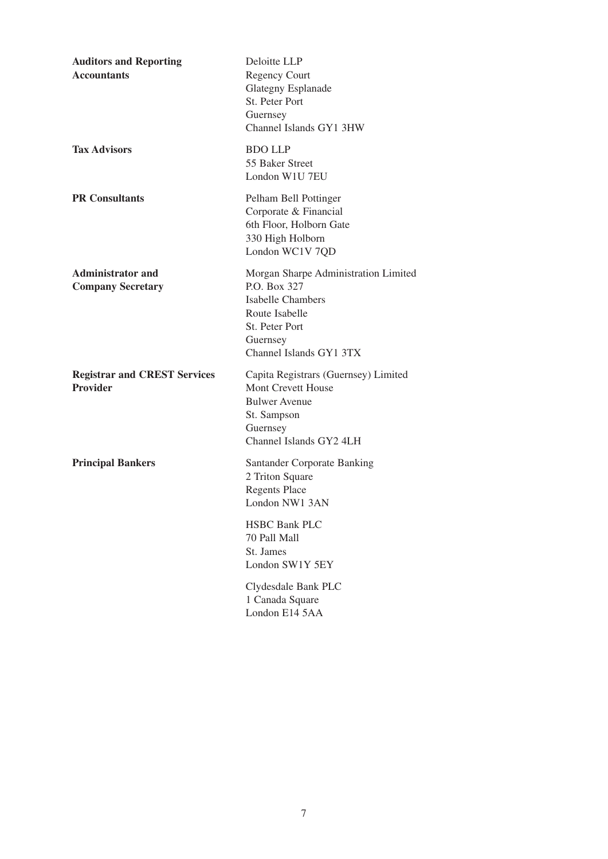| <b>Auditors and Reporting</b><br><b>Accountants</b>    | Deloitte LLP<br><b>Regency Court</b><br><b>Glategny Esplanade</b><br>St. Peter Port<br>Guernsey<br>Channel Islands GY1 3HW                                  |
|--------------------------------------------------------|-------------------------------------------------------------------------------------------------------------------------------------------------------------|
| <b>Tax Advisors</b>                                    | <b>BDO LLP</b><br>55 Baker Street<br>London W1U 7EU                                                                                                         |
| <b>PR</b> Consultants                                  | Pelham Bell Pottinger<br>Corporate & Financial<br>6th Floor, Holborn Gate<br>330 High Holborn<br>London WC1V 7QD                                            |
| <b>Administrator and</b><br><b>Company Secretary</b>   | Morgan Sharpe Administration Limited<br>P.O. Box 327<br><b>Isabelle Chambers</b><br>Route Isabelle<br>St. Peter Port<br>Guernsey<br>Channel Islands GY1 3TX |
| <b>Registrar and CREST Services</b><br><b>Provider</b> | Capita Registrars (Guernsey) Limited<br>Mont Crevett House<br><b>Bulwer Avenue</b><br>St. Sampson<br>Guernsey<br>Channel Islands GY2 4LH                    |
| <b>Principal Bankers</b>                               | <b>Santander Corporate Banking</b><br>2 Triton Square<br><b>Regents Place</b><br>London NW1 3AN                                                             |
|                                                        | <b>HSBC Bank PLC</b><br>70 Pall Mall<br>St. James<br>London SW1Y 5EY                                                                                        |
|                                                        | Clydesdale Bank PLC<br>1 Canada Square<br>London E14 5AA                                                                                                    |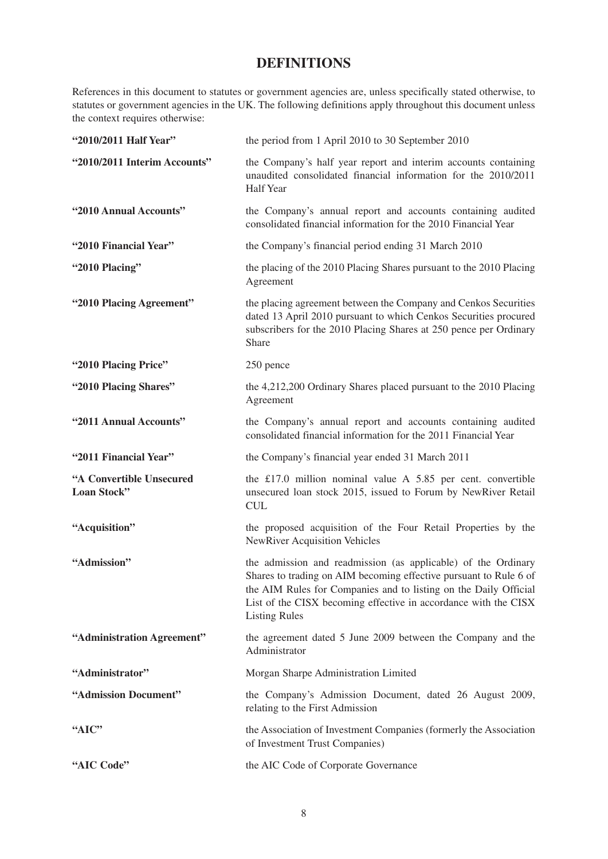# **DEFINITIONS**

References in this document to statutes or government agencies are, unless specifically stated otherwise, to statutes or government agencies in the UK. The following definitions apply throughout this document unless the context requires otherwise:

| "2010/2011 Half Year"                   | the period from 1 April 2010 to 30 September 2010                                                                                                                                                                                                                                                 |
|-----------------------------------------|---------------------------------------------------------------------------------------------------------------------------------------------------------------------------------------------------------------------------------------------------------------------------------------------------|
| "2010/2011 Interim Accounts"            | the Company's half year report and interim accounts containing<br>unaudited consolidated financial information for the 2010/2011<br><b>Half Year</b>                                                                                                                                              |
| "2010 Annual Accounts"                  | the Company's annual report and accounts containing audited<br>consolidated financial information for the 2010 Financial Year                                                                                                                                                                     |
| "2010 Financial Year"                   | the Company's financial period ending 31 March 2010                                                                                                                                                                                                                                               |
| "2010 Placing"                          | the placing of the 2010 Placing Shares pursuant to the 2010 Placing<br>Agreement                                                                                                                                                                                                                  |
| "2010 Placing Agreement"                | the placing agreement between the Company and Cenkos Securities<br>dated 13 April 2010 pursuant to which Cenkos Securities procured<br>subscribers for the 2010 Placing Shares at 250 pence per Ordinary<br>Share                                                                                 |
| "2010 Placing Price"                    | 250 pence                                                                                                                                                                                                                                                                                         |
| "2010 Placing Shares"                   | the 4,212,200 Ordinary Shares placed pursuant to the 2010 Placing<br>Agreement                                                                                                                                                                                                                    |
| "2011 Annual Accounts"                  | the Company's annual report and accounts containing audited<br>consolidated financial information for the 2011 Financial Year                                                                                                                                                                     |
| "2011 Financial Year"                   | the Company's financial year ended 31 March 2011                                                                                                                                                                                                                                                  |
| "A Convertible Unsecured<br>Loan Stock" | the £17.0 million nominal value A $5.85$ per cent. convertible<br>unsecured loan stock 2015, issued to Forum by NewRiver Retail<br><b>CUL</b>                                                                                                                                                     |
| "Acquisition"                           | the proposed acquisition of the Four Retail Properties by the<br><b>NewRiver Acquisition Vehicles</b>                                                                                                                                                                                             |
| "Admission"                             | the admission and readmission (as applicable) of the Ordinary<br>Shares to trading on AIM becoming effective pursuant to Rule 6 of<br>the AIM Rules for Companies and to listing on the Daily Official<br>List of the CISX becoming effective in accordance with the CISX<br><b>Listing Rules</b> |
| "Administration Agreement"              | the agreement dated 5 June 2009 between the Company and the<br>Administrator                                                                                                                                                                                                                      |
| "Administrator"                         | Morgan Sharpe Administration Limited                                                                                                                                                                                                                                                              |
| "Admission Document"                    | the Company's Admission Document, dated 26 August 2009,<br>relating to the First Admission                                                                                                                                                                                                        |
| "AIC"                                   | the Association of Investment Companies (formerly the Association<br>of Investment Trust Companies)                                                                                                                                                                                               |
| "AIC Code"                              | the AIC Code of Corporate Governance                                                                                                                                                                                                                                                              |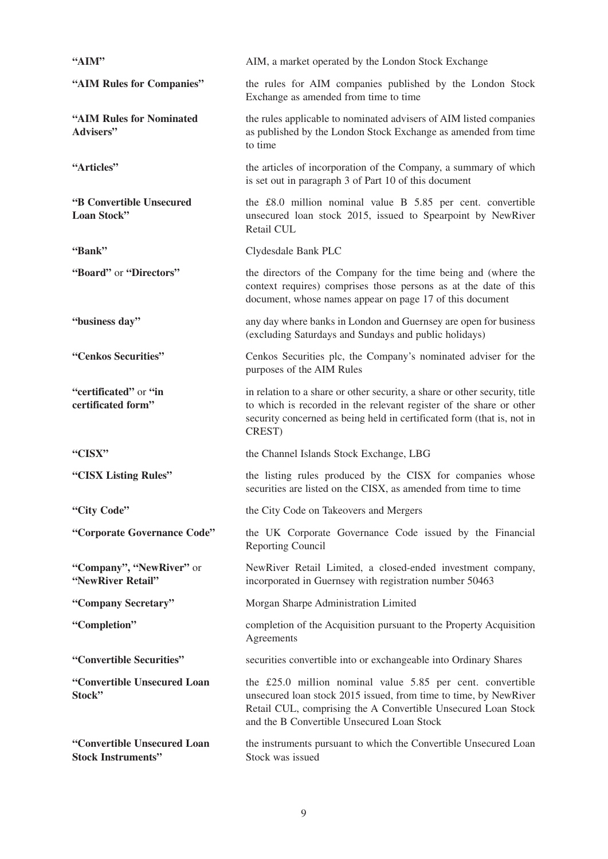| "AIM"                                                    | AIM, a market operated by the London Stock Exchange                                                                                                                                                                                           |
|----------------------------------------------------------|-----------------------------------------------------------------------------------------------------------------------------------------------------------------------------------------------------------------------------------------------|
| "AIM Rules for Companies"                                | the rules for AIM companies published by the London Stock<br>Exchange as amended from time to time                                                                                                                                            |
| "AIM Rules for Nominated<br>Advisers"                    | the rules applicable to nominated advisers of AIM listed companies<br>as published by the London Stock Exchange as amended from time<br>to time                                                                                               |
| "Articles"                                               | the articles of incorporation of the Company, a summary of which<br>is set out in paragraph 3 of Part 10 of this document                                                                                                                     |
| "B Convertible Unsecured<br>Loan Stock"                  | the £8.0 million nominal value B 5.85 per cent. convertible<br>unsecured loan stock 2015, issued to Spearpoint by NewRiver<br>Retail CUL                                                                                                      |
| "Bank"                                                   | Clydesdale Bank PLC                                                                                                                                                                                                                           |
| "Board" or "Directors"                                   | the directors of the Company for the time being and (where the<br>context requires) comprises those persons as at the date of this<br>document, whose names appear on page 17 of this document                                                |
| "business day"                                           | any day where banks in London and Guernsey are open for business<br>(excluding Saturdays and Sundays and public holidays)                                                                                                                     |
| "Cenkos Securities"                                      | Cenkos Securities plc, the Company's nominated adviser for the<br>purposes of the AIM Rules                                                                                                                                                   |
| "certificated" or "in<br>certificated form"              | in relation to a share or other security, a share or other security, title<br>to which is recorded in the relevant register of the share or other<br>security concerned as being held in certificated form (that is, not in<br>CREST)         |
| "CISX"                                                   | the Channel Islands Stock Exchange, LBG                                                                                                                                                                                                       |
| "CISX Listing Rules"                                     | the listing rules produced by the CISX for companies whose<br>securities are listed on the CISX, as amended from time to time                                                                                                                 |
| "City Code"                                              | the City Code on Takeovers and Mergers                                                                                                                                                                                                        |
| "Corporate Governance Code"                              | the UK Corporate Governance Code issued by the Financial<br>Reporting Council                                                                                                                                                                 |
| "Company", "NewRiver" or<br>"NewRiver Retail"            | NewRiver Retail Limited, a closed-ended investment company,<br>incorporated in Guernsey with registration number 50463                                                                                                                        |
| "Company Secretary"                                      | Morgan Sharpe Administration Limited                                                                                                                                                                                                          |
| "Completion"                                             | completion of the Acquisition pursuant to the Property Acquisition<br>Agreements                                                                                                                                                              |
| "Convertible Securities"                                 | securities convertible into or exchangeable into Ordinary Shares                                                                                                                                                                              |
| "Convertible Unsecured Loan<br>Stock"                    | the £25.0 million nominal value 5.85 per cent. convertible<br>unsecured loan stock 2015 issued, from time to time, by NewRiver<br>Retail CUL, comprising the A Convertible Unsecured Loan Stock<br>and the B Convertible Unsecured Loan Stock |
| "Convertible Unsecured Loan<br><b>Stock Instruments"</b> | the instruments pursuant to which the Convertible Unsecured Loan<br>Stock was issued                                                                                                                                                          |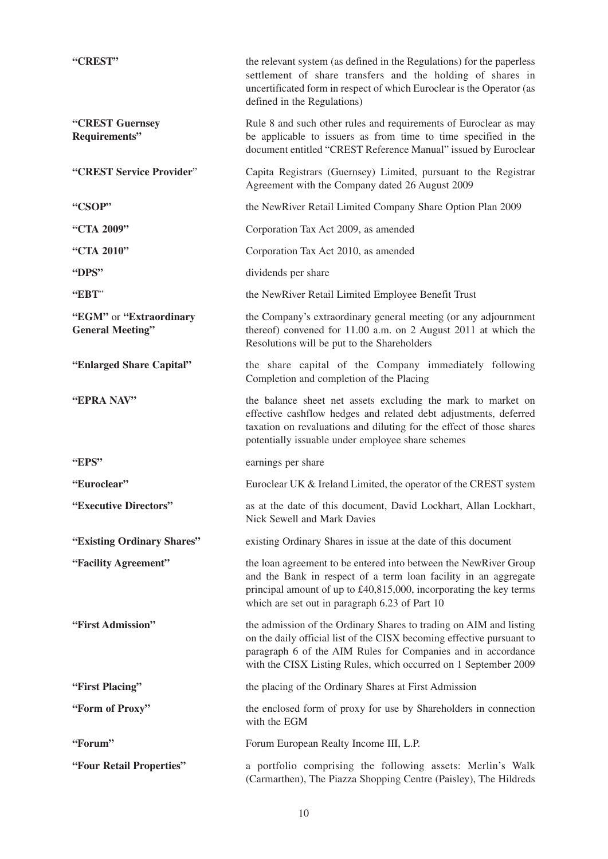| "CREST"                                            | the relevant system (as defined in the Regulations) for the paperless<br>settlement of share transfers and the holding of shares in<br>uncertificated form in respect of which Euroclear is the Operator (as<br>defined in the Regulations)                                    |
|----------------------------------------------------|--------------------------------------------------------------------------------------------------------------------------------------------------------------------------------------------------------------------------------------------------------------------------------|
| "CREST Guernsey<br>Requirements"                   | Rule 8 and such other rules and requirements of Euroclear as may<br>be applicable to issuers as from time to time specified in the<br>document entitled "CREST Reference Manual" issued by Euroclear                                                                           |
| "CREST Service Provider"                           | Capita Registrars (Guernsey) Limited, pursuant to the Registrar<br>Agreement with the Company dated 26 August 2009                                                                                                                                                             |
| "CSOP"                                             | the NewRiver Retail Limited Company Share Option Plan 2009                                                                                                                                                                                                                     |
| "CTA 2009"                                         | Corporation Tax Act 2009, as amended                                                                                                                                                                                                                                           |
| "CTA 2010"                                         | Corporation Tax Act 2010, as amended                                                                                                                                                                                                                                           |
| "DPS"                                              | dividends per share                                                                                                                                                                                                                                                            |
| "EBT"                                              | the NewRiver Retail Limited Employee Benefit Trust                                                                                                                                                                                                                             |
| "EGM" or "Extraordinary<br><b>General Meeting"</b> | the Company's extraordinary general meeting (or any adjournment<br>thereof) convened for 11.00 a.m. on 2 August 2011 at which the<br>Resolutions will be put to the Shareholders                                                                                               |
| "Enlarged Share Capital"                           | the share capital of the Company immediately following<br>Completion and completion of the Placing                                                                                                                                                                             |
| "EPRA NAV"                                         | the balance sheet net assets excluding the mark to market on<br>effective cashflow hedges and related debt adjustments, deferred<br>taxation on revaluations and diluting for the effect of those shares<br>potentially issuable under employee share schemes                  |
| "EPS"                                              | earnings per share                                                                                                                                                                                                                                                             |
| "Euroclear"                                        | Euroclear UK & Ireland Limited, the operator of the CREST system                                                                                                                                                                                                               |
| "Executive Directors"                              | as at the date of this document, David Lockhart, Allan Lockhart,<br>Nick Sewell and Mark Davies                                                                                                                                                                                |
| "Existing Ordinary Shares"                         | existing Ordinary Shares in issue at the date of this document                                                                                                                                                                                                                 |
| "Facility Agreement"                               | the loan agreement to be entered into between the NewRiver Group<br>and the Bank in respect of a term loan facility in an aggregate<br>principal amount of up to £40,815,000, incorporating the key terms<br>which are set out in paragraph 6.23 of Part 10                    |
| "First Admission"                                  | the admission of the Ordinary Shares to trading on AIM and listing<br>on the daily official list of the CISX becoming effective pursuant to<br>paragraph 6 of the AIM Rules for Companies and in accordance<br>with the CISX Listing Rules, which occurred on 1 September 2009 |
| "First Placing"                                    | the placing of the Ordinary Shares at First Admission                                                                                                                                                                                                                          |
| "Form of Proxy"                                    | the enclosed form of proxy for use by Shareholders in connection<br>with the EGM                                                                                                                                                                                               |
| "Forum"                                            | Forum European Realty Income III, L.P.                                                                                                                                                                                                                                         |
| "Four Retail Properties"                           | a portfolio comprising the following assets: Merlin's Walk<br>(Carmarthen), The Piazza Shopping Centre (Paisley), The Hildreds                                                                                                                                                 |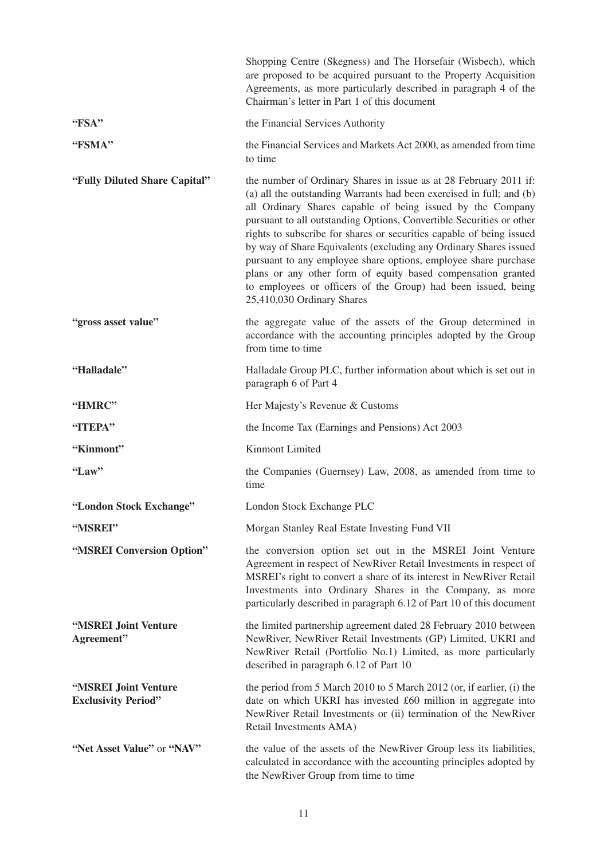|                                                    | Shopping Centre (Skegness) and The Horsefair (Wisbech), which<br>are proposed to be acquired pursuant to the Property Acquisition<br>Agreements, as more particularly described in paragraph 4 of the<br>Chairman's letter in Part 1 of this document                                                                                                                                                                                                                                                                                                                                                                                                          |
|----------------------------------------------------|----------------------------------------------------------------------------------------------------------------------------------------------------------------------------------------------------------------------------------------------------------------------------------------------------------------------------------------------------------------------------------------------------------------------------------------------------------------------------------------------------------------------------------------------------------------------------------------------------------------------------------------------------------------|
| "FSA"                                              | the Financial Services Authority                                                                                                                                                                                                                                                                                                                                                                                                                                                                                                                                                                                                                               |
| "FSMA"                                             | the Financial Services and Markets Act 2000, as amended from time<br>to time                                                                                                                                                                                                                                                                                                                                                                                                                                                                                                                                                                                   |
| "Fully Diluted Share Capital"                      | the number of Ordinary Shares in issue as at 28 February 2011 if:<br>(a) all the outstanding Warrants had been exercised in full; and (b)<br>all Ordinary Shares capable of being issued by the Company<br>pursuant to all outstanding Options, Convertible Securities or other<br>rights to subscribe for shares or securities capable of being issued<br>by way of Share Equivalents (excluding any Ordinary Shares issued<br>pursuant to any employee share options, employee share purchase<br>plans or any other form of equity based compensation granted<br>to employees or officers of the Group) had been issued, being<br>25,410,030 Ordinary Shares |
| "gross asset value"                                | the aggregate value of the assets of the Group determined in<br>accordance with the accounting principles adopted by the Group<br>from time to time                                                                                                                                                                                                                                                                                                                                                                                                                                                                                                            |
| "Halladale"                                        | Halladale Group PLC, further information about which is set out in<br>paragraph 6 of Part 4                                                                                                                                                                                                                                                                                                                                                                                                                                                                                                                                                                    |
| "HMRC"                                             | Her Majesty's Revenue & Customs                                                                                                                                                                                                                                                                                                                                                                                                                                                                                                                                                                                                                                |
| "ITEPA"                                            | the Income Tax (Earnings and Pensions) Act 2003                                                                                                                                                                                                                                                                                                                                                                                                                                                                                                                                                                                                                |
| "Kinmont"                                          | Kinmont Limited                                                                                                                                                                                                                                                                                                                                                                                                                                                                                                                                                                                                                                                |
| "Law"                                              | the Companies (Guernsey) Law, 2008, as amended from time to<br>time                                                                                                                                                                                                                                                                                                                                                                                                                                                                                                                                                                                            |
| "London Stock Exchange"                            | London Stock Exchange PLC                                                                                                                                                                                                                                                                                                                                                                                                                                                                                                                                                                                                                                      |
| "MSREI"                                            | Morgan Stanley Real Estate Investing Fund VII                                                                                                                                                                                                                                                                                                                                                                                                                                                                                                                                                                                                                  |
| "MSREI Conversion Option"                          | the conversion option set out in the MSREI Joint Venture<br>Agreement in respect of NewRiver Retail Investments in respect of<br>MSREI's right to convert a share of its interest in NewRiver Retail<br>Investments into Ordinary Shares in the Company, as more<br>particularly described in paragraph 6.12 of Part 10 of this document                                                                                                                                                                                                                                                                                                                       |
| "MSREI Joint Venture<br>Agreement"                 | the limited partnership agreement dated 28 February 2010 between<br>NewRiver, NewRiver Retail Investments (GP) Limited, UKRI and<br>NewRiver Retail (Portfolio No.1) Limited, as more particularly<br>described in paragraph 6.12 of Part 10                                                                                                                                                                                                                                                                                                                                                                                                                   |
| "MSREI Joint Venture<br><b>Exclusivity Period"</b> | the period from 5 March 2010 to 5 March 2012 (or, if earlier, (i) the<br>date on which UKRI has invested £60 million in aggregate into<br>NewRiver Retail Investments or (ii) termination of the NewRiver<br>Retail Investments AMA)                                                                                                                                                                                                                                                                                                                                                                                                                           |
| "Net Asset Value" or "NAV"                         | the value of the assets of the NewRiver Group less its liabilities,<br>calculated in accordance with the accounting principles adopted by<br>the NewRiver Group from time to time                                                                                                                                                                                                                                                                                                                                                                                                                                                                              |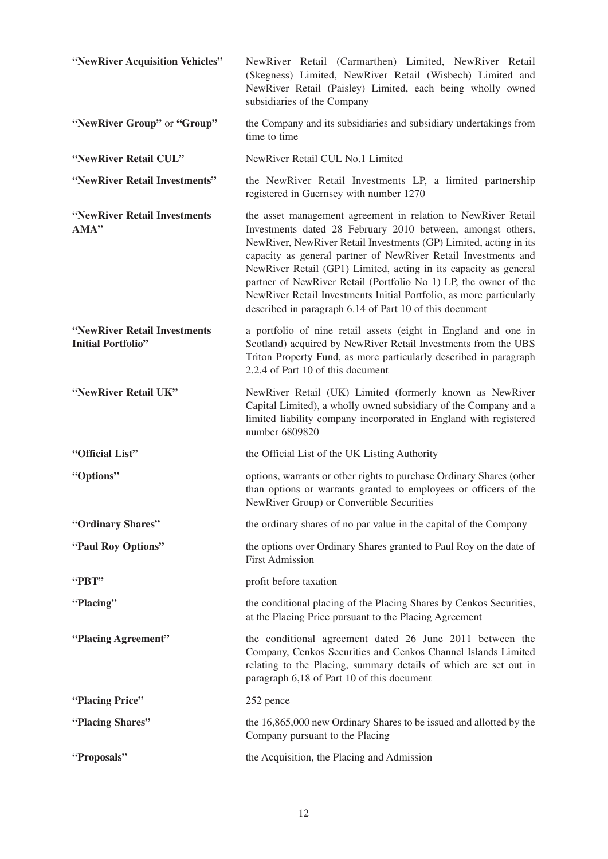| "NewRiver Acquisition Vehicles"                           | NewRiver Retail (Carmarthen) Limited, NewRiver Retail<br>(Skegness) Limited, NewRiver Retail (Wisbech) Limited and<br>NewRiver Retail (Paisley) Limited, each being wholly owned<br>subsidiaries of the Company                                                                                                                                                                                                                                                                                                                               |
|-----------------------------------------------------------|-----------------------------------------------------------------------------------------------------------------------------------------------------------------------------------------------------------------------------------------------------------------------------------------------------------------------------------------------------------------------------------------------------------------------------------------------------------------------------------------------------------------------------------------------|
| "NewRiver Group" or "Group"                               | the Company and its subsidiaries and subsidiary undertakings from<br>time to time                                                                                                                                                                                                                                                                                                                                                                                                                                                             |
| "NewRiver Retail CUL"                                     | NewRiver Retail CUL No.1 Limited                                                                                                                                                                                                                                                                                                                                                                                                                                                                                                              |
| "NewRiver Retail Investments"                             | the NewRiver Retail Investments LP, a limited partnership<br>registered in Guernsey with number 1270                                                                                                                                                                                                                                                                                                                                                                                                                                          |
| "NewRiver Retail Investments<br>AMA"                      | the asset management agreement in relation to NewRiver Retail<br>Investments dated 28 February 2010 between, amongst others,<br>NewRiver, NewRiver Retail Investments (GP) Limited, acting in its<br>capacity as general partner of NewRiver Retail Investments and<br>NewRiver Retail (GP1) Limited, acting in its capacity as general<br>partner of NewRiver Retail (Portfolio No 1) LP, the owner of the<br>NewRiver Retail Investments Initial Portfolio, as more particularly<br>described in paragraph 6.14 of Part 10 of this document |
| "NewRiver Retail Investments<br><b>Initial Portfolio"</b> | a portfolio of nine retail assets (eight in England and one in<br>Scotland) acquired by NewRiver Retail Investments from the UBS<br>Triton Property Fund, as more particularly described in paragraph<br>2.2.4 of Part 10 of this document                                                                                                                                                                                                                                                                                                    |
| "NewRiver Retail UK"                                      | NewRiver Retail (UK) Limited (formerly known as NewRiver<br>Capital Limited), a wholly owned subsidiary of the Company and a<br>limited liability company incorporated in England with registered<br>number 6809820                                                                                                                                                                                                                                                                                                                           |
| "Official List"                                           | the Official List of the UK Listing Authority                                                                                                                                                                                                                                                                                                                                                                                                                                                                                                 |
| "Options"                                                 | options, warrants or other rights to purchase Ordinary Shares (other<br>than options or warrants granted to employees or officers of the<br>NewRiver Group) or Convertible Securities                                                                                                                                                                                                                                                                                                                                                         |
| "Ordinary Shares"                                         | the ordinary shares of no par value in the capital of the Company                                                                                                                                                                                                                                                                                                                                                                                                                                                                             |
| "Paul Roy Options"                                        | the options over Ordinary Shares granted to Paul Roy on the date of<br><b>First Admission</b>                                                                                                                                                                                                                                                                                                                                                                                                                                                 |
| "PBT"                                                     | profit before taxation                                                                                                                                                                                                                                                                                                                                                                                                                                                                                                                        |
| "Placing"                                                 | the conditional placing of the Placing Shares by Cenkos Securities,<br>at the Placing Price pursuant to the Placing Agreement                                                                                                                                                                                                                                                                                                                                                                                                                 |
| "Placing Agreement"                                       | the conditional agreement dated 26 June 2011 between the<br>Company, Cenkos Securities and Cenkos Channel Islands Limited<br>relating to the Placing, summary details of which are set out in<br>paragraph 6,18 of Part 10 of this document                                                                                                                                                                                                                                                                                                   |
| "Placing Price"                                           | 252 pence                                                                                                                                                                                                                                                                                                                                                                                                                                                                                                                                     |
| "Placing Shares"                                          | the 16,865,000 new Ordinary Shares to be issued and allotted by the<br>Company pursuant to the Placing                                                                                                                                                                                                                                                                                                                                                                                                                                        |
| "Proposals"                                               | the Acquisition, the Placing and Admission                                                                                                                                                                                                                                                                                                                                                                                                                                                                                                    |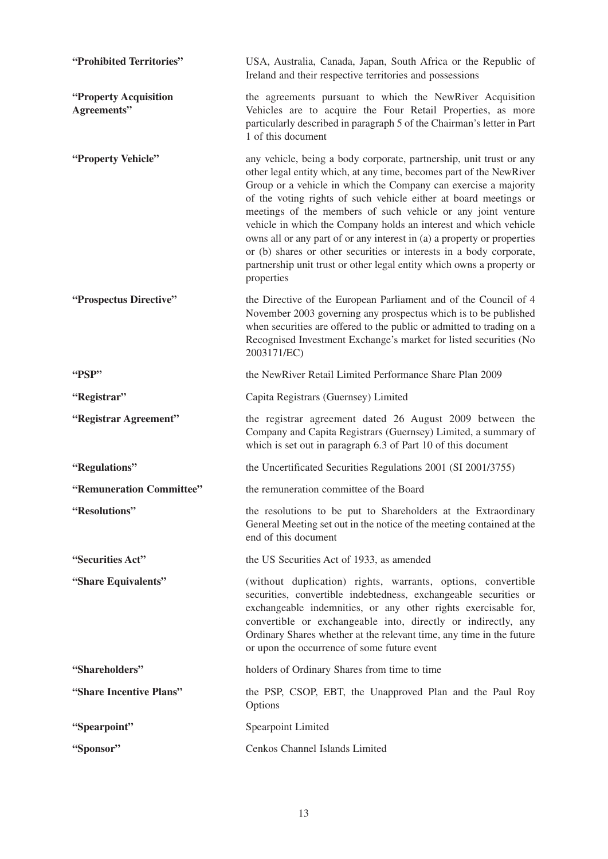| "Prohibited Territories"             | USA, Australia, Canada, Japan, South Africa or the Republic of<br>Ireland and their respective territories and possessions                                                                                                                                                                                                                                                                                                                                                                                                                                                                                                                                     |
|--------------------------------------|----------------------------------------------------------------------------------------------------------------------------------------------------------------------------------------------------------------------------------------------------------------------------------------------------------------------------------------------------------------------------------------------------------------------------------------------------------------------------------------------------------------------------------------------------------------------------------------------------------------------------------------------------------------|
| "Property Acquisition<br>Agreements" | the agreements pursuant to which the NewRiver Acquisition<br>Vehicles are to acquire the Four Retail Properties, as more<br>particularly described in paragraph 5 of the Chairman's letter in Part<br>1 of this document                                                                                                                                                                                                                                                                                                                                                                                                                                       |
| "Property Vehicle"                   | any vehicle, being a body corporate, partnership, unit trust or any<br>other legal entity which, at any time, becomes part of the NewRiver<br>Group or a vehicle in which the Company can exercise a majority<br>of the voting rights of such vehicle either at board meetings or<br>meetings of the members of such vehicle or any joint venture<br>vehicle in which the Company holds an interest and which vehicle<br>owns all or any part of or any interest in (a) a property or properties<br>or (b) shares or other securities or interests in a body corporate,<br>partnership unit trust or other legal entity which owns a property or<br>properties |
| "Prospectus Directive"               | the Directive of the European Parliament and of the Council of 4<br>November 2003 governing any prospectus which is to be published<br>when securities are offered to the public or admitted to trading on a<br>Recognised Investment Exchange's market for listed securities (No<br>2003171/EC)                                                                                                                                                                                                                                                                                                                                                               |
| "PSP"                                | the NewRiver Retail Limited Performance Share Plan 2009                                                                                                                                                                                                                                                                                                                                                                                                                                                                                                                                                                                                        |
| "Registrar"                          | Capita Registrars (Guernsey) Limited                                                                                                                                                                                                                                                                                                                                                                                                                                                                                                                                                                                                                           |
| "Registrar Agreement"                | the registrar agreement dated 26 August 2009 between the<br>Company and Capita Registrars (Guernsey) Limited, a summary of<br>which is set out in paragraph 6.3 of Part 10 of this document                                                                                                                                                                                                                                                                                                                                                                                                                                                                    |
| "Regulations"                        | the Uncertificated Securities Regulations 2001 (SI 2001/3755)                                                                                                                                                                                                                                                                                                                                                                                                                                                                                                                                                                                                  |
| "Remuneration Committee"             | the remuneration committee of the Board                                                                                                                                                                                                                                                                                                                                                                                                                                                                                                                                                                                                                        |
| "Resolutions"                        | the resolutions to be put to Shareholders at the Extraordinary<br>General Meeting set out in the notice of the meeting contained at the<br>end of this document                                                                                                                                                                                                                                                                                                                                                                                                                                                                                                |
| "Securities Act"                     | the US Securities Act of 1933, as amended                                                                                                                                                                                                                                                                                                                                                                                                                                                                                                                                                                                                                      |
| "Share Equivalents"                  | (without duplication) rights, warrants, options, convertible<br>securities, convertible indebtedness, exchangeable securities or<br>exchangeable indemnities, or any other rights exercisable for,<br>convertible or exchangeable into, directly or indirectly, any<br>Ordinary Shares whether at the relevant time, any time in the future<br>or upon the occurrence of some future event                                                                                                                                                                                                                                                                     |
| "Shareholders"                       | holders of Ordinary Shares from time to time                                                                                                                                                                                                                                                                                                                                                                                                                                                                                                                                                                                                                   |
| "Share Incentive Plans"              | the PSP, CSOP, EBT, the Unapproved Plan and the Paul Roy<br>Options                                                                                                                                                                                                                                                                                                                                                                                                                                                                                                                                                                                            |
| "Spearpoint"                         | <b>Spearpoint Limited</b>                                                                                                                                                                                                                                                                                                                                                                                                                                                                                                                                                                                                                                      |
| "Sponsor"                            | Cenkos Channel Islands Limited                                                                                                                                                                                                                                                                                                                                                                                                                                                                                                                                                                                                                                 |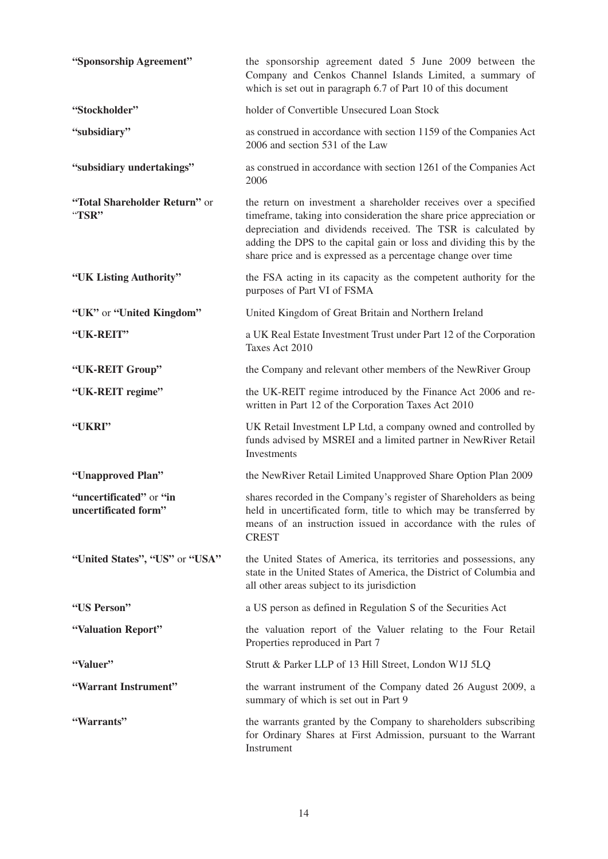| "Sponsorship Agreement"                         | the sponsorship agreement dated 5 June 2009 between the<br>Company and Cenkos Channel Islands Limited, a summary of<br>which is set out in paragraph 6.7 of Part 10 of this document                                                                                                                                                              |
|-------------------------------------------------|---------------------------------------------------------------------------------------------------------------------------------------------------------------------------------------------------------------------------------------------------------------------------------------------------------------------------------------------------|
| "Stockholder"                                   | holder of Convertible Unsecured Loan Stock                                                                                                                                                                                                                                                                                                        |
| "subsidiary"                                    | as construed in accordance with section 1159 of the Companies Act<br>2006 and section 531 of the Law                                                                                                                                                                                                                                              |
| "subsidiary undertakings"                       | as construed in accordance with section 1261 of the Companies Act<br>2006                                                                                                                                                                                                                                                                         |
| "Total Shareholder Return" or<br>"TSR"          | the return on investment a shareholder receives over a specified<br>timeframe, taking into consideration the share price appreciation or<br>depreciation and dividends received. The TSR is calculated by<br>adding the DPS to the capital gain or loss and dividing this by the<br>share price and is expressed as a percentage change over time |
| "UK Listing Authority"                          | the FSA acting in its capacity as the competent authority for the<br>purposes of Part VI of FSMA                                                                                                                                                                                                                                                  |
| "UK" or "United Kingdom"                        | United Kingdom of Great Britain and Northern Ireland                                                                                                                                                                                                                                                                                              |
| "UK-REIT"                                       | a UK Real Estate Investment Trust under Part 12 of the Corporation<br>Taxes Act 2010                                                                                                                                                                                                                                                              |
| "UK-REIT Group"                                 | the Company and relevant other members of the NewRiver Group                                                                                                                                                                                                                                                                                      |
| "UK-REIT regime"                                | the UK-REIT regime introduced by the Finance Act 2006 and re-<br>written in Part 12 of the Corporation Taxes Act 2010                                                                                                                                                                                                                             |
| "UKRI"                                          | UK Retail Investment LP Ltd, a company owned and controlled by<br>funds advised by MSREI and a limited partner in NewRiver Retail<br><b>Investments</b>                                                                                                                                                                                           |
| "Unapproved Plan"                               | the NewRiver Retail Limited Unapproved Share Option Plan 2009                                                                                                                                                                                                                                                                                     |
| "uncertificated" or "in<br>uncertificated form" | shares recorded in the Company's register of Shareholders as being<br>held in uncertificated form, title to which may be transferred by<br>means of an instruction issued in accordance with the rules of<br><b>CREST</b>                                                                                                                         |
| "United States", "US" or "USA"                  | the United States of America, its territories and possessions, any<br>state in the United States of America, the District of Columbia and<br>all other areas subject to its jurisdiction                                                                                                                                                          |
| "US Person"                                     | a US person as defined in Regulation S of the Securities Act                                                                                                                                                                                                                                                                                      |
| "Valuation Report"                              | the valuation report of the Valuer relating to the Four Retail<br>Properties reproduced in Part 7                                                                                                                                                                                                                                                 |
| "Valuer"                                        | Strutt & Parker LLP of 13 Hill Street, London W1J 5LQ                                                                                                                                                                                                                                                                                             |
| "Warrant Instrument"                            | the warrant instrument of the Company dated 26 August 2009, a<br>summary of which is set out in Part 9                                                                                                                                                                                                                                            |
| "Warrants"                                      | the warrants granted by the Company to shareholders subscribing<br>for Ordinary Shares at First Admission, pursuant to the Warrant<br>Instrument                                                                                                                                                                                                  |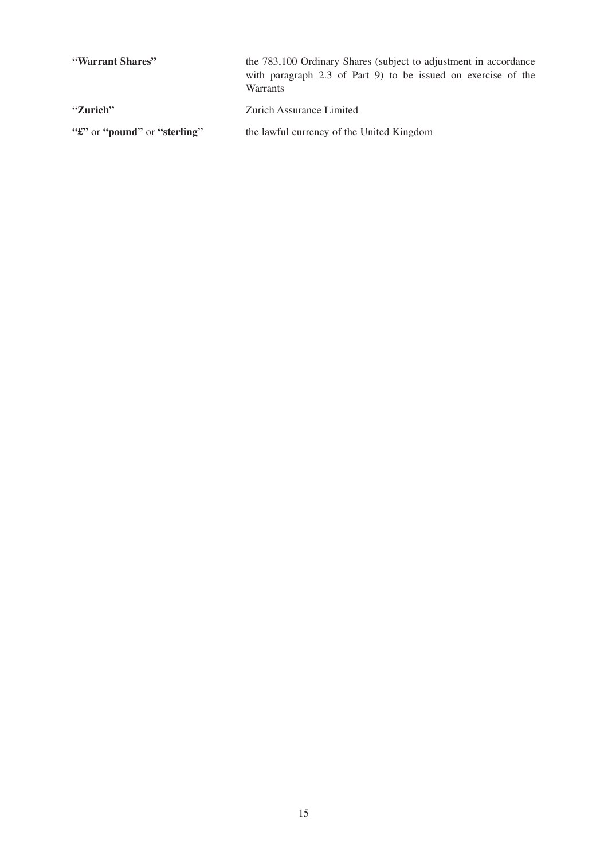| "Warrant Shares"                                       | the 783,100 Ordinary Shares (subject to adjustment in accordance)<br>with paragraph 2.3 of Part 9) to be issued on exercise of the<br><b>Warrants</b> |
|--------------------------------------------------------|-------------------------------------------------------------------------------------------------------------------------------------------------------|
| "Zurich"                                               | Zurich Assurance Limited                                                                                                                              |
| " <i>f"</i> or " <b>pound</b> " or " <b>sterling</b> " | the lawful currency of the United Kingdom                                                                                                             |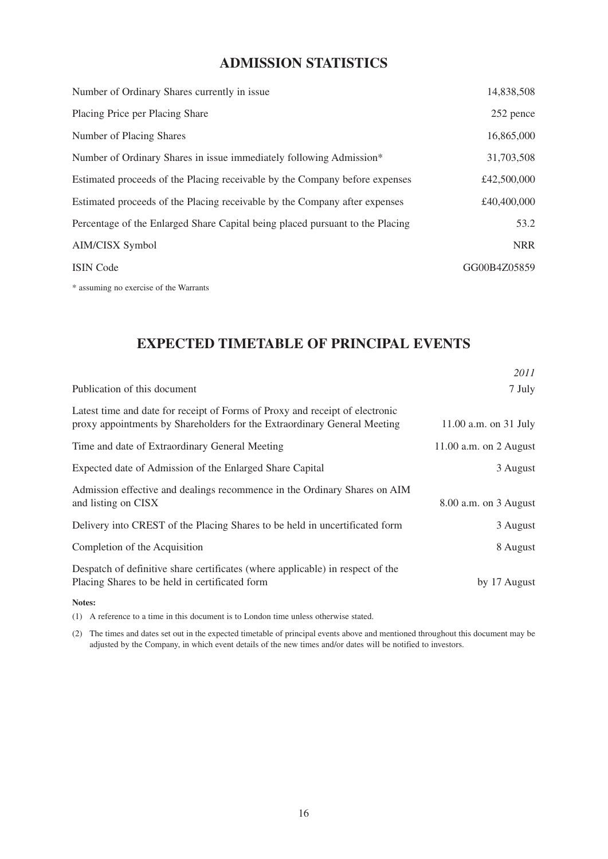# **ADMISSION STATISTICS**

| Number of Ordinary Shares currently in issue                                  | 14,838,508   |
|-------------------------------------------------------------------------------|--------------|
| Placing Price per Placing Share                                               | 252 pence    |
| Number of Placing Shares                                                      | 16,865,000   |
| Number of Ordinary Shares in issue immediately following Admission*           | 31,703,508   |
| Estimated proceeds of the Placing receivable by the Company before expenses   | £42,500,000  |
| Estimated proceeds of the Placing receivable by the Company after expenses    | £40,400,000  |
| Percentage of the Enlarged Share Capital being placed pursuant to the Placing | 53.2         |
| AIM/CISX Symbol                                                               | <b>NRR</b>   |
| <b>ISIN</b> Code                                                              | GG00B4Z05859 |
|                                                                               |              |

\* assuming no exercise of the Warrants

# **EXPECTED TIMETABLE OF PRINCIPAL EVENTS**

|                                                                                                                                                          | 2011                     |
|----------------------------------------------------------------------------------------------------------------------------------------------------------|--------------------------|
| Publication of this document                                                                                                                             | 7 July                   |
| Latest time and date for receipt of Forms of Proxy and receipt of electronic<br>proxy appointments by Shareholders for the Extraordinary General Meeting | 11.00 a.m. on 31 July    |
| Time and date of Extraordinary General Meeting                                                                                                           | 11.00 a.m. on $2$ August |
| Expected date of Admission of the Enlarged Share Capital                                                                                                 | 3 August                 |
| Admission effective and dealings recommence in the Ordinary Shares on AIM<br>and listing on CISX                                                         | 8.00 a.m. on 3 August    |
| Delivery into CREST of the Placing Shares to be held in uncertificated form                                                                              | 3 August                 |
| Completion of the Acquisition                                                                                                                            | 8 August                 |
| Despatch of definitive share certificates (where applicable) in respect of the<br>Placing Shares to be held in certificated form                         | by 17 August             |
| Notes:                                                                                                                                                   |                          |

(1) A reference to a time in this document is to London time unless otherwise stated.

(2) The times and dates set out in the expected timetable of principal events above and mentioned throughout this document may be adjusted by the Company, in which event details of the new times and/or dates will be notified to investors.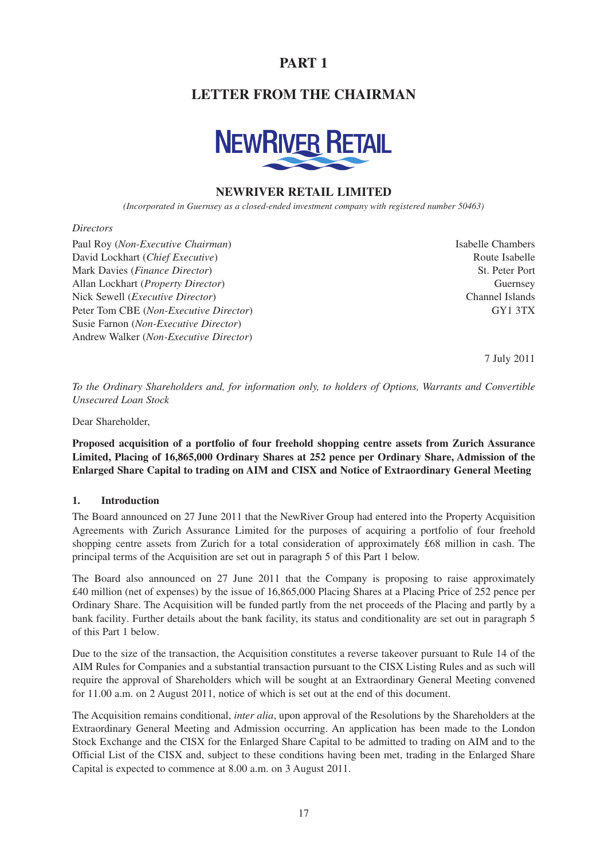# **PART 1**

# **LETTER FROM THE CHAIRMAN**



# **NEWRIVER RETAIL LIMITED**

*(Incorporated in Guernsey as a closed-ended investment company with registered number 50463)*

#### *Directors*

Paul Roy (*Non-Executive Chairman*) Isabelle Chambers David Lockhart (*Chief Executive*) and the state of the *Route Isabelle* Route Isabelle Mark Davies (*Finance Director*) St. Peter Port Allan Lockhart (*Property Director*) Guernsey Nick Sewell (*Executive Director*) Channel Islands Peter Tom CBE (*Non-Executive Director*) GY1 3TX Susie Farnon (*Non-Executive Director*) Andrew Walker (*Non-Executive Director*)

7 July 2011

*To the Ordinary Shareholders and, for information only, to holders of Options, Warrants and Convertible Unsecured Loan Stock*

Dear Shareholder,

**Proposed acquisition of a portfolio of four freehold shopping centre assets from Zurich Assurance Limited, Placing of 16,865,000 Ordinary Shares at 252 pence per Ordinary Share, Admission of the Enlarged Share Capital to trading on AIM and CISX and Notice of Extraordinary General Meeting**

#### **1. Introduction**

The Board announced on 27 June 2011 that the NewRiver Group had entered into the Property Acquisition Agreements with Zurich Assurance Limited for the purposes of acquiring a portfolio of four freehold shopping centre assets from Zurich for a total consideration of approximately £68 million in cash. The principal terms of the Acquisition are set out in paragraph 5 of this Part 1 below.

The Board also announced on 27 June 2011 that the Company is proposing to raise approximately £40 million (net of expenses) by the issue of 16,865,000 Placing Shares at a Placing Price of 252 pence per Ordinary Share. The Acquisition will be funded partly from the net proceeds of the Placing and partly by a bank facility. Further details about the bank facility, its status and conditionality are set out in paragraph 5 of this Part 1 below.

Due to the size of the transaction, the Acquisition constitutes a reverse takeover pursuant to Rule 14 of the AIM Rules for Companies and a substantial transaction pursuant to the CISX Listing Rules and as such will require the approval of Shareholders which will be sought at an Extraordinary General Meeting convened for 11.00 a.m. on 2 August 2011, notice of which is set out at the end of this document.

The Acquisition remains conditional, *inter alia*, upon approval of the Resolutions by the Shareholders at the Extraordinary General Meeting and Admission occurring. An application has been made to the London Stock Exchange and the CISX for the Enlarged Share Capital to be admitted to trading on AIM and to the Official List of the CISX and, subject to these conditions having been met, trading in the Enlarged Share Capital is expected to commence at 8.00 a.m. on 3 August 2011.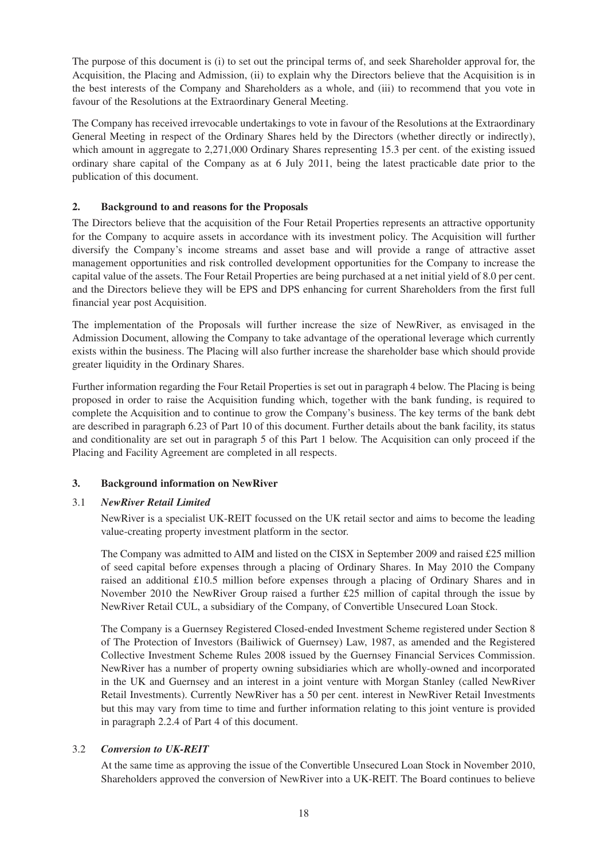The purpose of this document is (i) to set out the principal terms of, and seek Shareholder approval for, the Acquisition, the Placing and Admission, (ii) to explain why the Directors believe that the Acquisition is in the best interests of the Company and Shareholders as a whole, and (iii) to recommend that you vote in favour of the Resolutions at the Extraordinary General Meeting.

The Company has received irrevocable undertakings to vote in favour of the Resolutions at the Extraordinary General Meeting in respect of the Ordinary Shares held by the Directors (whether directly or indirectly), which amount in aggregate to 2,271,000 Ordinary Shares representing 15.3 per cent. of the existing issued ordinary share capital of the Company as at 6 July 2011, being the latest practicable date prior to the publication of this document.

# **2. Background to and reasons for the Proposals**

The Directors believe that the acquisition of the Four Retail Properties represents an attractive opportunity for the Company to acquire assets in accordance with its investment policy. The Acquisition will further diversify the Company's income streams and asset base and will provide a range of attractive asset management opportunities and risk controlled development opportunities for the Company to increase the capital value of the assets. The Four Retail Properties are being purchased at a net initial yield of 8.0 per cent. and the Directors believe they will be EPS and DPS enhancing for current Shareholders from the first full financial year post Acquisition.

The implementation of the Proposals will further increase the size of NewRiver, as envisaged in the Admission Document, allowing the Company to take advantage of the operational leverage which currently exists within the business. The Placing will also further increase the shareholder base which should provide greater liquidity in the Ordinary Shares.

Further information regarding the Four Retail Properties is set out in paragraph 4 below. The Placing is being proposed in order to raise the Acquisition funding which, together with the bank funding, is required to complete the Acquisition and to continue to grow the Company's business. The key terms of the bank debt are described in paragraph 6.23 of Part 10 of this document. Further details about the bank facility, its status and conditionality are set out in paragraph 5 of this Part 1 below. The Acquisition can only proceed if the Placing and Facility Agreement are completed in all respects.

# **3. Background information on NewRiver**

# 3.1 *NewRiver Retail Limited*

NewRiver is a specialist UK-REIT focussed on the UK retail sector and aims to become the leading value-creating property investment platform in the sector.

The Company was admitted to AIM and listed on the CISX in September 2009 and raised £25 million of seed capital before expenses through a placing of Ordinary Shares. In May 2010 the Company raised an additional £10.5 million before expenses through a placing of Ordinary Shares and in November 2010 the NewRiver Group raised a further £25 million of capital through the issue by NewRiver Retail CUL, a subsidiary of the Company, of Convertible Unsecured Loan Stock.

The Company is a Guernsey Registered Closed-ended Investment Scheme registered under Section 8 of The Protection of Investors (Bailiwick of Guernsey) Law, 1987, as amended and the Registered Collective Investment Scheme Rules 2008 issued by the Guernsey Financial Services Commission. NewRiver has a number of property owning subsidiaries which are wholly-owned and incorporated in the UK and Guernsey and an interest in a joint venture with Morgan Stanley (called NewRiver Retail Investments). Currently NewRiver has a 50 per cent. interest in NewRiver Retail Investments but this may vary from time to time and further information relating to this joint venture is provided in paragraph 2.2.4 of Part 4 of this document.

# 3.2 *Conversion to UK-REIT*

At the same time as approving the issue of the Convertible Unsecured Loan Stock in November 2010, Shareholders approved the conversion of NewRiver into a UK-REIT. The Board continues to believe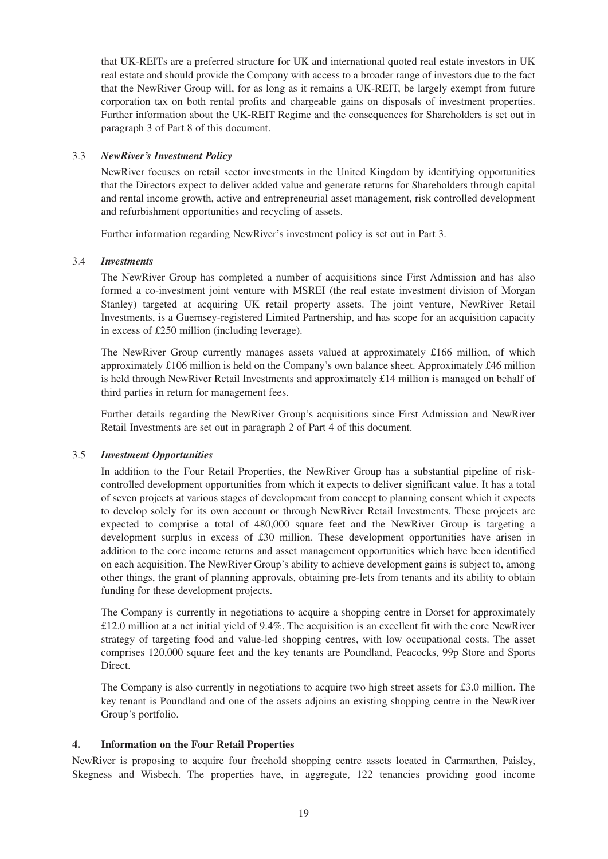that UK-REITs are a preferred structure for UK and international quoted real estate investors in UK real estate and should provide the Company with access to a broader range of investors due to the fact that the NewRiver Group will, for as long as it remains a UK-REIT, be largely exempt from future corporation tax on both rental profits and chargeable gains on disposals of investment properties. Further information about the UK-REIT Regime and the consequences for Shareholders is set out in paragraph 3 of Part 8 of this document.

# 3.3 *NewRiver's Investment Policy*

NewRiver focuses on retail sector investments in the United Kingdom by identifying opportunities that the Directors expect to deliver added value and generate returns for Shareholders through capital and rental income growth, active and entrepreneurial asset management, risk controlled development and refurbishment opportunities and recycling of assets.

Further information regarding NewRiver's investment policy is set out in Part 3.

#### 3.4 *Investments*

The NewRiver Group has completed a number of acquisitions since First Admission and has also formed a co-investment joint venture with MSREI (the real estate investment division of Morgan Stanley) targeted at acquiring UK retail property assets. The joint venture, NewRiver Retail Investments, is a Guernsey-registered Limited Partnership, and has scope for an acquisition capacity in excess of £250 million (including leverage).

The NewRiver Group currently manages assets valued at approximately £166 million, of which approximately £106 million is held on the Company's own balance sheet. Approximately £46 million is held through NewRiver Retail Investments and approximately £14 million is managed on behalf of third parties in return for management fees.

Further details regarding the NewRiver Group's acquisitions since First Admission and NewRiver Retail Investments are set out in paragraph 2 of Part 4 of this document.

#### 3.5 *Investment Opportunities*

In addition to the Four Retail Properties, the NewRiver Group has a substantial pipeline of riskcontrolled development opportunities from which it expects to deliver significant value. It has a total of seven projects at various stages of development from concept to planning consent which it expects to develop solely for its own account or through NewRiver Retail Investments. These projects are expected to comprise a total of 480,000 square feet and the NewRiver Group is targeting a development surplus in excess of £30 million. These development opportunities have arisen in addition to the core income returns and asset management opportunities which have been identified on each acquisition. The NewRiver Group's ability to achieve development gains is subject to, among other things, the grant of planning approvals, obtaining pre-lets from tenants and its ability to obtain funding for these development projects.

The Company is currently in negotiations to acquire a shopping centre in Dorset for approximately £12.0 million at a net initial yield of 9.4%. The acquisition is an excellent fit with the core NewRiver strategy of targeting food and value-led shopping centres, with low occupational costs. The asset comprises 120,000 square feet and the key tenants are Poundland, Peacocks, 99p Store and Sports Direct.

The Company is also currently in negotiations to acquire two high street assets for £3.0 million. The key tenant is Poundland and one of the assets adjoins an existing shopping centre in the NewRiver Group's portfolio.

#### **4. Information on the Four Retail Properties**

NewRiver is proposing to acquire four freehold shopping centre assets located in Carmarthen, Paisley, Skegness and Wisbech. The properties have, in aggregate, 122 tenancies providing good income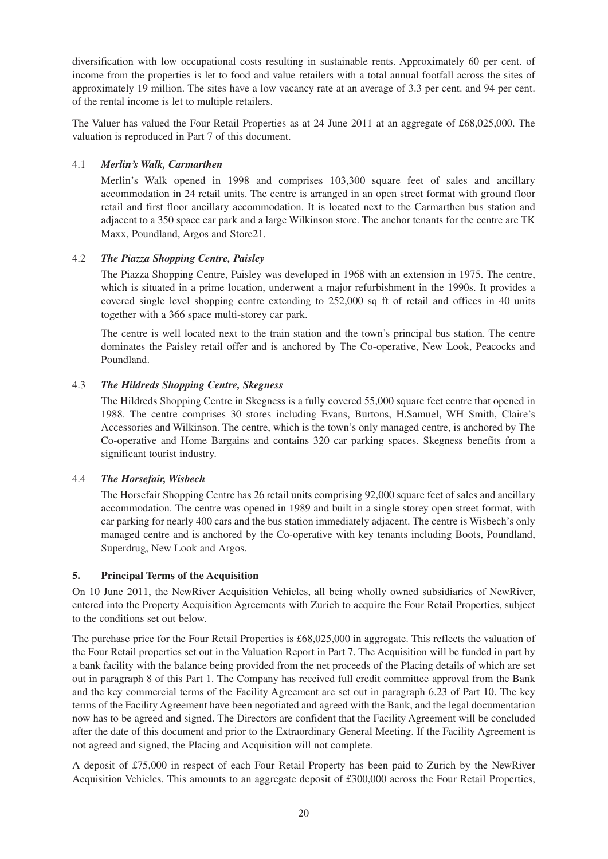diversification with low occupational costs resulting in sustainable rents. Approximately 60 per cent. of income from the properties is let to food and value retailers with a total annual footfall across the sites of approximately 19 million. The sites have a low vacancy rate at an average of 3.3 per cent. and 94 per cent. of the rental income is let to multiple retailers.

The Valuer has valued the Four Retail Properties as at 24 June 2011 at an aggregate of £68,025,000. The valuation is reproduced in Part 7 of this document.

#### 4.1 *Merlin's Walk, Carmarthen*

Merlin's Walk opened in 1998 and comprises 103,300 square feet of sales and ancillary accommodation in 24 retail units. The centre is arranged in an open street format with ground floor retail and first floor ancillary accommodation. It is located next to the Carmarthen bus station and adjacent to a 350 space car park and a large Wilkinson store. The anchor tenants for the centre are TK Maxx, Poundland, Argos and Store21.

#### 4.2 *The Piazza Shopping Centre, Paisley*

The Piazza Shopping Centre, Paisley was developed in 1968 with an extension in 1975. The centre, which is situated in a prime location, underwent a major refurbishment in the 1990s. It provides a covered single level shopping centre extending to 252,000 sq ft of retail and offices in 40 units together with a 366 space multi-storey car park.

The centre is well located next to the train station and the town's principal bus station. The centre dominates the Paisley retail offer and is anchored by The Co-operative, New Look, Peacocks and Poundland.

#### 4.3 *The Hildreds Shopping Centre, Skegness*

The Hildreds Shopping Centre in Skegness is a fully covered 55,000 square feet centre that opened in 1988. The centre comprises 30 stores including Evans, Burtons, H.Samuel, WH Smith, Claire's Accessories and Wilkinson. The centre, which is the town's only managed centre, is anchored by The Co-operative and Home Bargains and contains 320 car parking spaces. Skegness benefits from a significant tourist industry.

#### 4.4 *The Horsefair, Wisbech*

The Horsefair Shopping Centre has 26 retail units comprising 92,000 square feet of sales and ancillary accommodation. The centre was opened in 1989 and built in a single storey open street format, with car parking for nearly 400 cars and the bus station immediately adjacent. The centre is Wisbech's only managed centre and is anchored by the Co-operative with key tenants including Boots, Poundland, Superdrug, New Look and Argos.

#### **5. Principal Terms of the Acquisition**

On 10 June 2011, the NewRiver Acquisition Vehicles, all being wholly owned subsidiaries of NewRiver, entered into the Property Acquisition Agreements with Zurich to acquire the Four Retail Properties, subject to the conditions set out below.

The purchase price for the Four Retail Properties is £68,025,000 in aggregate. This reflects the valuation of the Four Retail properties set out in the Valuation Report in Part 7. The Acquisition will be funded in part by a bank facility with the balance being provided from the net proceeds of the Placing details of which are set out in paragraph 8 of this Part 1. The Company has received full credit committee approval from the Bank and the key commercial terms of the Facility Agreement are set out in paragraph 6.23 of Part 10. The key terms of the Facility Agreement have been negotiated and agreed with the Bank, and the legal documentation now has to be agreed and signed. The Directors are confident that the Facility Agreement will be concluded after the date of this document and prior to the Extraordinary General Meeting. If the Facility Agreement is not agreed and signed, the Placing and Acquisition will not complete.

A deposit of £75,000 in respect of each Four Retail Property has been paid to Zurich by the NewRiver Acquisition Vehicles. This amounts to an aggregate deposit of £300,000 across the Four Retail Properties,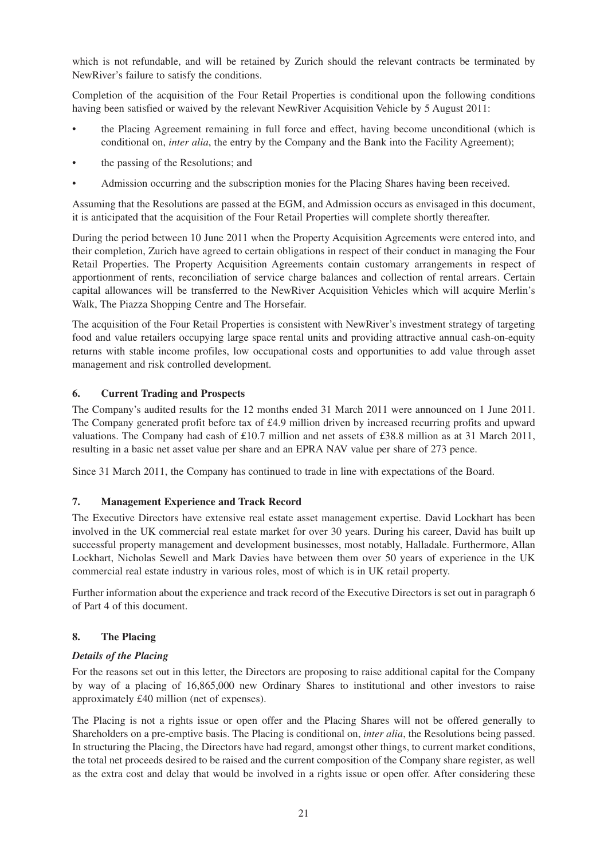which is not refundable, and will be retained by Zurich should the relevant contracts be terminated by NewRiver's failure to satisfy the conditions.

Completion of the acquisition of the Four Retail Properties is conditional upon the following conditions having been satisfied or waived by the relevant NewRiver Acquisition Vehicle by 5 August 2011:

- the Placing Agreement remaining in full force and effect, having become unconditional (which is conditional on, *inter alia*, the entry by the Company and the Bank into the Facility Agreement);
- the passing of the Resolutions; and
- Admission occurring and the subscription monies for the Placing Shares having been received.

Assuming that the Resolutions are passed at the EGM, and Admission occurs as envisaged in this document, it is anticipated that the acquisition of the Four Retail Properties will complete shortly thereafter.

During the period between 10 June 2011 when the Property Acquisition Agreements were entered into, and their completion, Zurich have agreed to certain obligations in respect of their conduct in managing the Four Retail Properties. The Property Acquisition Agreements contain customary arrangements in respect of apportionment of rents, reconciliation of service charge balances and collection of rental arrears. Certain capital allowances will be transferred to the NewRiver Acquisition Vehicles which will acquire Merlin's Walk, The Piazza Shopping Centre and The Horsefair.

The acquisition of the Four Retail Properties is consistent with NewRiver's investment strategy of targeting food and value retailers occupying large space rental units and providing attractive annual cash-on-equity returns with stable income profiles, low occupational costs and opportunities to add value through asset management and risk controlled development.

# **6. Current Trading and Prospects**

The Company's audited results for the 12 months ended 31 March 2011 were announced on 1 June 2011. The Company generated profit before tax of £4.9 million driven by increased recurring profits and upward valuations. The Company had cash of £10.7 million and net assets of £38.8 million as at 31 March 2011, resulting in a basic net asset value per share and an EPRA NAV value per share of 273 pence.

Since 31 March 2011, the Company has continued to trade in line with expectations of the Board.

#### **7. Management Experience and Track Record**

The Executive Directors have extensive real estate asset management expertise. David Lockhart has been involved in the UK commercial real estate market for over 30 years. During his career, David has built up successful property management and development businesses, most notably, Halladale. Furthermore, Allan Lockhart, Nicholas Sewell and Mark Davies have between them over 50 years of experience in the UK commercial real estate industry in various roles, most of which is in UK retail property.

Further information about the experience and track record of the Executive Directors is set out in paragraph 6 of Part 4 of this document.

#### **8. The Placing**

#### *Details of the Placing*

For the reasons set out in this letter, the Directors are proposing to raise additional capital for the Company by way of a placing of 16,865,000 new Ordinary Shares to institutional and other investors to raise approximately £40 million (net of expenses).

The Placing is not a rights issue or open offer and the Placing Shares will not be offered generally to Shareholders on a pre-emptive basis. The Placing is conditional on, *inter alia*, the Resolutions being passed. In structuring the Placing, the Directors have had regard, amongst other things, to current market conditions, the total net proceeds desired to be raised and the current composition of the Company share register, as well as the extra cost and delay that would be involved in a rights issue or open offer. After considering these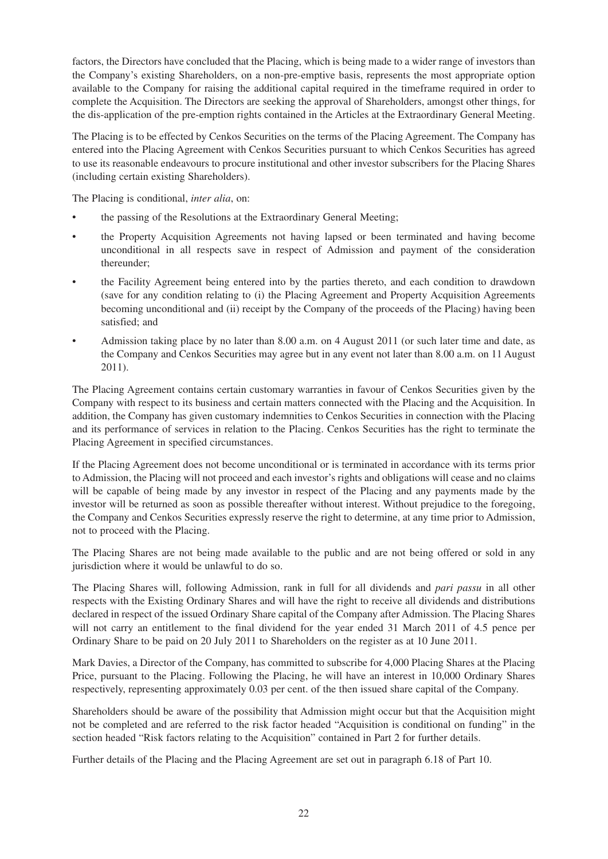factors, the Directors have concluded that the Placing, which is being made to a wider range of investors than the Company's existing Shareholders, on a non-pre-emptive basis, represents the most appropriate option available to the Company for raising the additional capital required in the timeframe required in order to complete the Acquisition. The Directors are seeking the approval of Shareholders, amongst other things, for the dis-application of the pre-emption rights contained in the Articles at the Extraordinary General Meeting.

The Placing is to be effected by Cenkos Securities on the terms of the Placing Agreement. The Company has entered into the Placing Agreement with Cenkos Securities pursuant to which Cenkos Securities has agreed to use its reasonable endeavours to procure institutional and other investor subscribers for the Placing Shares (including certain existing Shareholders).

The Placing is conditional, *inter alia*, on:

- the passing of the Resolutions at the Extraordinary General Meeting;
- the Property Acquisition Agreements not having lapsed or been terminated and having become unconditional in all respects save in respect of Admission and payment of the consideration thereunder;
- the Facility Agreement being entered into by the parties thereto, and each condition to drawdown (save for any condition relating to (i) the Placing Agreement and Property Acquisition Agreements becoming unconditional and (ii) receipt by the Company of the proceeds of the Placing) having been satisfied; and
- Admission taking place by no later than 8.00 a.m. on 4 August 2011 (or such later time and date, as the Company and Cenkos Securities may agree but in any event not later than 8.00 a.m. on 11 August 2011).

The Placing Agreement contains certain customary warranties in favour of Cenkos Securities given by the Company with respect to its business and certain matters connected with the Placing and the Acquisition. In addition, the Company has given customary indemnities to Cenkos Securities in connection with the Placing and its performance of services in relation to the Placing. Cenkos Securities has the right to terminate the Placing Agreement in specified circumstances.

If the Placing Agreement does not become unconditional or is terminated in accordance with its terms prior to Admission, the Placing will not proceed and each investor's rights and obligations will cease and no claims will be capable of being made by any investor in respect of the Placing and any payments made by the investor will be returned as soon as possible thereafter without interest. Without prejudice to the foregoing, the Company and Cenkos Securities expressly reserve the right to determine, at any time prior to Admission, not to proceed with the Placing.

The Placing Shares are not being made available to the public and are not being offered or sold in any jurisdiction where it would be unlawful to do so.

The Placing Shares will, following Admission, rank in full for all dividends and *pari passu* in all other respects with the Existing Ordinary Shares and will have the right to receive all dividends and distributions declared in respect of the issued Ordinary Share capital of the Company after Admission. The Placing Shares will not carry an entitlement to the final dividend for the year ended 31 March 2011 of 4.5 pence per Ordinary Share to be paid on 20 July 2011 to Shareholders on the register as at 10 June 2011.

Mark Davies, a Director of the Company, has committed to subscribe for 4,000 Placing Shares at the Placing Price, pursuant to the Placing. Following the Placing, he will have an interest in 10,000 Ordinary Shares respectively, representing approximately 0.03 per cent. of the then issued share capital of the Company.

Shareholders should be aware of the possibility that Admission might occur but that the Acquisition might not be completed and are referred to the risk factor headed "Acquisition is conditional on funding" in the section headed "Risk factors relating to the Acquisition" contained in Part 2 for further details.

Further details of the Placing and the Placing Agreement are set out in paragraph 6.18 of Part 10.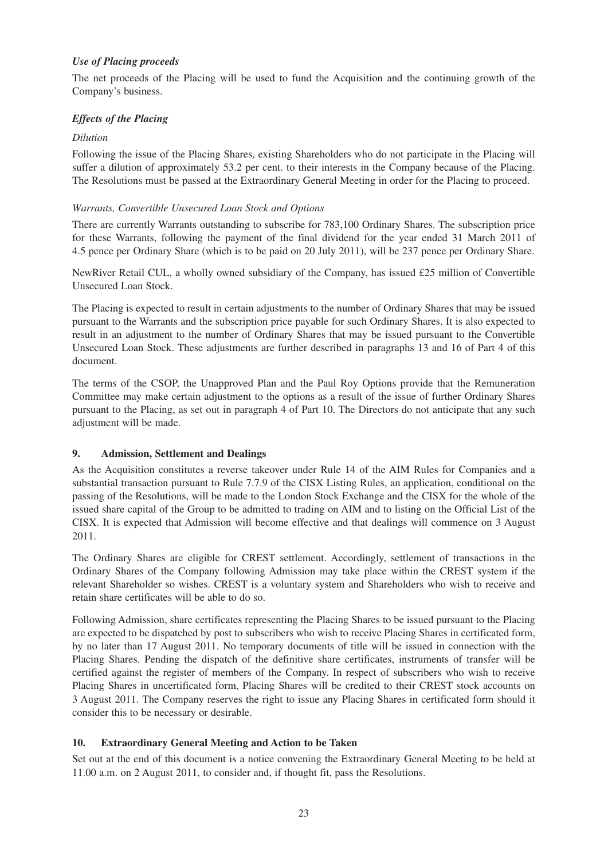## *Use of Placing proceeds*

The net proceeds of the Placing will be used to fund the Acquisition and the continuing growth of the Company's business.

# *Effects of the Placing*

### *Dilution*

Following the issue of the Placing Shares, existing Shareholders who do not participate in the Placing will suffer a dilution of approximately 53.2 per cent. to their interests in the Company because of the Placing. The Resolutions must be passed at the Extraordinary General Meeting in order for the Placing to proceed.

### *Warrants, Convertible Unsecured Loan Stock and Options*

There are currently Warrants outstanding to subscribe for 783,100 Ordinary Shares. The subscription price for these Warrants, following the payment of the final dividend for the year ended 31 March 2011 of 4.5 pence per Ordinary Share (which is to be paid on 20 July 2011), will be 237 pence per Ordinary Share.

NewRiver Retail CUL, a wholly owned subsidiary of the Company, has issued £25 million of Convertible Unsecured Loan Stock.

The Placing is expected to result in certain adjustments to the number of Ordinary Shares that may be issued pursuant to the Warrants and the subscription price payable for such Ordinary Shares. It is also expected to result in an adjustment to the number of Ordinary Shares that may be issued pursuant to the Convertible Unsecured Loan Stock. These adjustments are further described in paragraphs 13 and 16 of Part 4 of this document.

The terms of the CSOP, the Unapproved Plan and the Paul Roy Options provide that the Remuneration Committee may make certain adjustment to the options as a result of the issue of further Ordinary Shares pursuant to the Placing, as set out in paragraph 4 of Part 10. The Directors do not anticipate that any such adjustment will be made.

# **9. Admission, Settlement and Dealings**

As the Acquisition constitutes a reverse takeover under Rule 14 of the AIM Rules for Companies and a substantial transaction pursuant to Rule 7.7.9 of the CISX Listing Rules, an application, conditional on the passing of the Resolutions, will be made to the London Stock Exchange and the CISX for the whole of the issued share capital of the Group to be admitted to trading on AIM and to listing on the Official List of the CISX. It is expected that Admission will become effective and that dealings will commence on 3 August 2011.

The Ordinary Shares are eligible for CREST settlement. Accordingly, settlement of transactions in the Ordinary Shares of the Company following Admission may take place within the CREST system if the relevant Shareholder so wishes. CREST is a voluntary system and Shareholders who wish to receive and retain share certificates will be able to do so.

Following Admission, share certificates representing the Placing Shares to be issued pursuant to the Placing are expected to be dispatched by post to subscribers who wish to receive Placing Shares in certificated form, by no later than 17 August 2011. No temporary documents of title will be issued in connection with the Placing Shares. Pending the dispatch of the definitive share certificates, instruments of transfer will be certified against the register of members of the Company. In respect of subscribers who wish to receive Placing Shares in uncertificated form, Placing Shares will be credited to their CREST stock accounts on 3 August 2011. The Company reserves the right to issue any Placing Shares in certificated form should it consider this to be necessary or desirable.

# **10. Extraordinary General Meeting and Action to be Taken**

Set out at the end of this document is a notice convening the Extraordinary General Meeting to be held at 11.00 a.m. on 2 August 2011, to consider and, if thought fit, pass the Resolutions.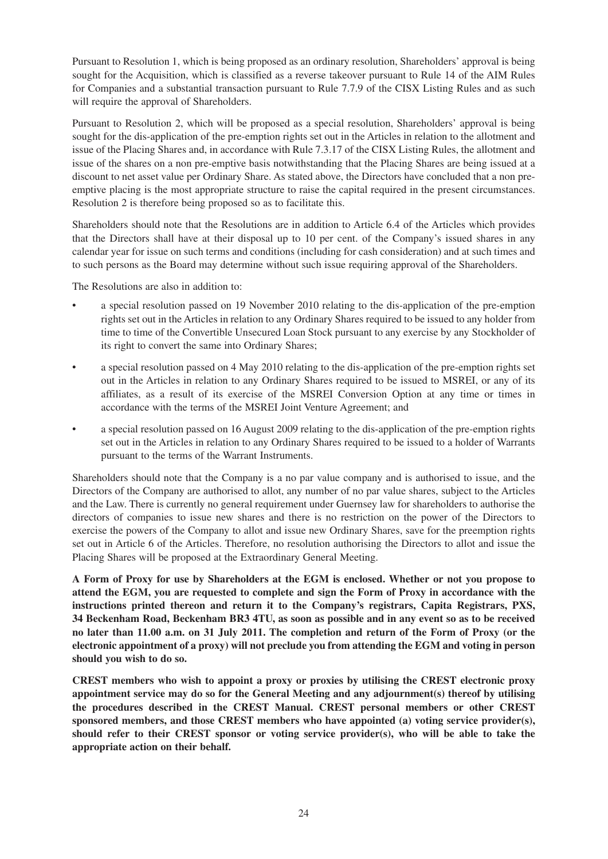Pursuant to Resolution 1, which is being proposed as an ordinary resolution, Shareholders' approval is being sought for the Acquisition, which is classified as a reverse takeover pursuant to Rule 14 of the AIM Rules for Companies and a substantial transaction pursuant to Rule 7.7.9 of the CISX Listing Rules and as such will require the approval of Shareholders.

Pursuant to Resolution 2, which will be proposed as a special resolution, Shareholders' approval is being sought for the dis-application of the pre-emption rights set out in the Articles in relation to the allotment and issue of the Placing Shares and, in accordance with Rule 7.3.17 of the CISX Listing Rules, the allotment and issue of the shares on a non pre-emptive basis notwithstanding that the Placing Shares are being issued at a discount to net asset value per Ordinary Share. As stated above, the Directors have concluded that a non preemptive placing is the most appropriate structure to raise the capital required in the present circumstances. Resolution 2 is therefore being proposed so as to facilitate this.

Shareholders should note that the Resolutions are in addition to Article 6.4 of the Articles which provides that the Directors shall have at their disposal up to 10 per cent. of the Company's issued shares in any calendar year for issue on such terms and conditions (including for cash consideration) and at such times and to such persons as the Board may determine without such issue requiring approval of the Shareholders.

The Resolutions are also in addition to:

- a special resolution passed on 19 November 2010 relating to the dis-application of the pre-emption rights set out in the Articles in relation to any Ordinary Shares required to be issued to any holder from time to time of the Convertible Unsecured Loan Stock pursuant to any exercise by any Stockholder of its right to convert the same into Ordinary Shares;
- a special resolution passed on 4 May 2010 relating to the dis-application of the pre-emption rights set out in the Articles in relation to any Ordinary Shares required to be issued to MSREI, or any of its affiliates, as a result of its exercise of the MSREI Conversion Option at any time or times in accordance with the terms of the MSREI Joint Venture Agreement; and
- a special resolution passed on 16 August 2009 relating to the dis-application of the pre-emption rights set out in the Articles in relation to any Ordinary Shares required to be issued to a holder of Warrants pursuant to the terms of the Warrant Instruments.

Shareholders should note that the Company is a no par value company and is authorised to issue, and the Directors of the Company are authorised to allot, any number of no par value shares, subject to the Articles and the Law. There is currently no general requirement under Guernsey law for shareholders to authorise the directors of companies to issue new shares and there is no restriction on the power of the Directors to exercise the powers of the Company to allot and issue new Ordinary Shares, save for the preemption rights set out in Article 6 of the Articles. Therefore, no resolution authorising the Directors to allot and issue the Placing Shares will be proposed at the Extraordinary General Meeting.

**A Form of Proxy for use by Shareholders at the EGM is enclosed. Whether or not you propose to attend the EGM, you are requested to complete and sign the Form of Proxy in accordance with the instructions printed thereon and return it to the Company's registrars, Capita Registrars, PXS, 34 Beckenham Road, Beckenham BR3 4TU, as soon as possible and in any event so as to be received no later than 11.00 a.m. on 31 July 2011. The completion and return of the Form of Proxy (or the electronic appointment of a proxy) will not preclude you from attending the EGM and voting in person should you wish to do so.**

**CREST members who wish to appoint a proxy or proxies by utilising the CREST electronic proxy appointment service may do so for the General Meeting and any adjournment(s) thereof by utilising the procedures described in the CREST Manual. CREST personal members or other CREST sponsored members, and those CREST members who have appointed (a) voting service provider(s), should refer to their CREST sponsor or voting service provider(s), who will be able to take the appropriate action on their behalf.**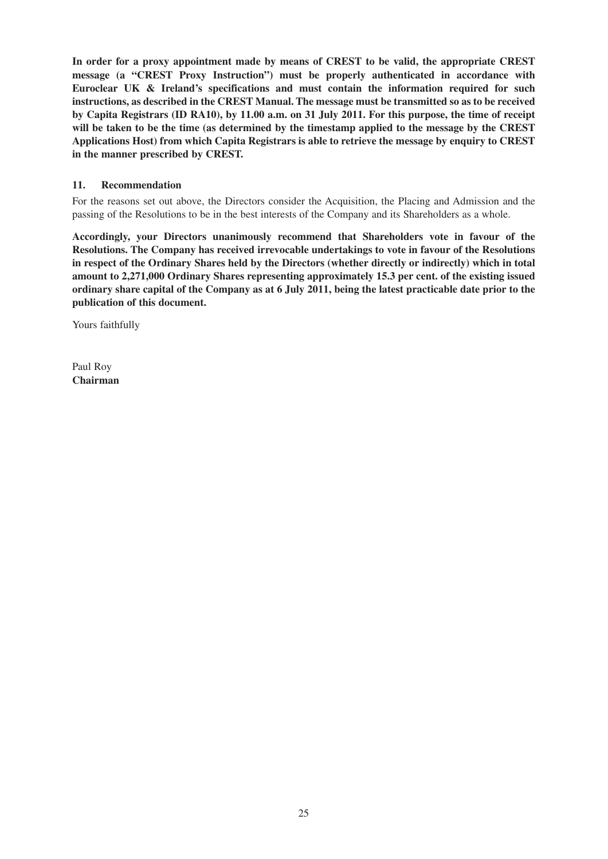**In order for a proxy appointment made by means of CREST to be valid, the appropriate CREST message (a "CREST Proxy Instruction") must be properly authenticated in accordance with Euroclear UK & Ireland's specifications and must contain the information required for such instructions, as described in the CREST Manual. The message must be transmitted so as to be received by Capita Registrars (ID RA10), by 11.00 a.m. on 31 July 2011. For this purpose, the time of receipt will be taken to be the time (as determined by the timestamp applied to the message by the CREST Applications Host) from which Capita Registrars is able to retrieve the message by enquiry to CREST in the manner prescribed by CREST.**

### **11. Recommendation**

For the reasons set out above, the Directors consider the Acquisition, the Placing and Admission and the passing of the Resolutions to be in the best interests of the Company and its Shareholders as a whole.

**Accordingly, your Directors unanimously recommend that Shareholders vote in favour of the Resolutions. The Company has received irrevocable undertakings to vote in favour of the Resolutions in respect of the Ordinary Shares held by the Directors (whether directly or indirectly) which in total amount to 2,271,000 Ordinary Shares representing approximately 15.3 per cent. of the existing issued ordinary share capital of the Company as at 6 July 2011, being the latest practicable date prior to the publication of this document.**

Yours faithfully

Paul Roy **Chairman**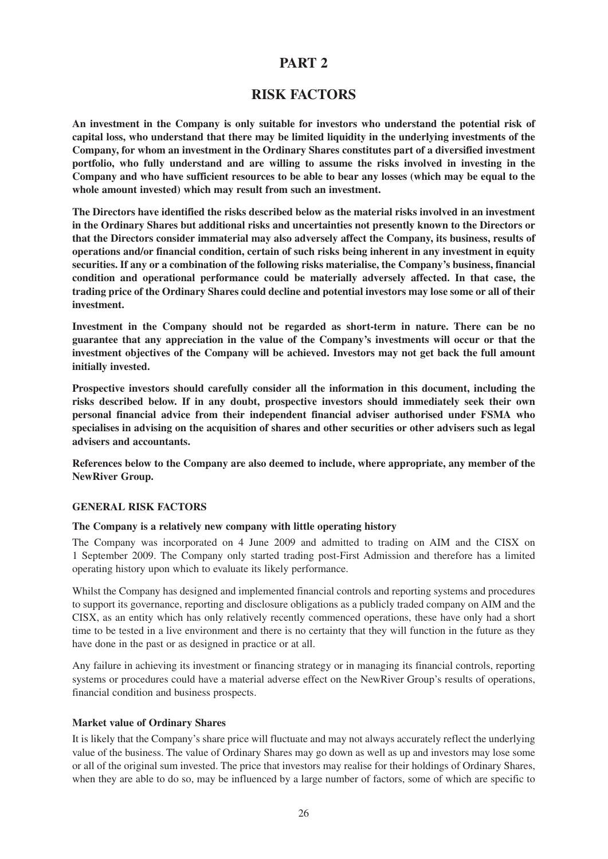# **PART 2**

# **RISK FACTORS**

**An investment in the Company is only suitable for investors who understand the potential risk of capital loss, who understand that there may be limited liquidity in the underlying investments of the Company, for whom an investment in the Ordinary Shares constitutes part of a diversified investment portfolio, who fully understand and are willing to assume the risks involved in investing in the Company and who have sufficient resources to be able to bear any losses (which may be equal to the whole amount invested) which may result from such an investment.**

**The Directors have identified the risks described below as the material risks involved in an investment in the Ordinary Shares but additional risks and uncertainties not presently known to the Directors or that the Directors consider immaterial may also adversely affect the Company, its business, results of operations and/or financial condition, certain of such risks being inherent in any investment in equity securities. If any or a combination of the following risks materialise, the Company's business, financial condition and operational performance could be materially adversely affected. In that case, the trading price of the Ordinary Shares could decline and potential investors may lose some or all of their investment.**

**Investment in the Company should not be regarded as short-term in nature. There can be no guarantee that any appreciation in the value of the Company's investments will occur or that the investment objectives of the Company will be achieved. Investors may not get back the full amount initially invested.**

**Prospective investors should carefully consider all the information in this document, including the risks described below. If in any doubt, prospective investors should immediately seek their own personal financial advice from their independent financial adviser authorised under FSMA who specialises in advising on the acquisition of shares and other securities or other advisers such as legal advisers and accountants.**

**References below to the Company are also deemed to include, where appropriate, any member of the NewRiver Group.**

#### **GENERAL RISK FACTORS**

#### **The Company is a relatively new company with little operating history**

The Company was incorporated on 4 June 2009 and admitted to trading on AIM and the CISX on 1 September 2009. The Company only started trading post-First Admission and therefore has a limited operating history upon which to evaluate its likely performance.

Whilst the Company has designed and implemented financial controls and reporting systems and procedures to support its governance, reporting and disclosure obligations as a publicly traded company on AIM and the CISX, as an entity which has only relatively recently commenced operations, these have only had a short time to be tested in a live environment and there is no certainty that they will function in the future as they have done in the past or as designed in practice or at all.

Any failure in achieving its investment or financing strategy or in managing its financial controls, reporting systems or procedures could have a material adverse effect on the NewRiver Group's results of operations, financial condition and business prospects.

#### **Market value of Ordinary Shares**

It is likely that the Company's share price will fluctuate and may not always accurately reflect the underlying value of the business. The value of Ordinary Shares may go down as well as up and investors may lose some or all of the original sum invested. The price that investors may realise for their holdings of Ordinary Shares, when they are able to do so, may be influenced by a large number of factors, some of which are specific to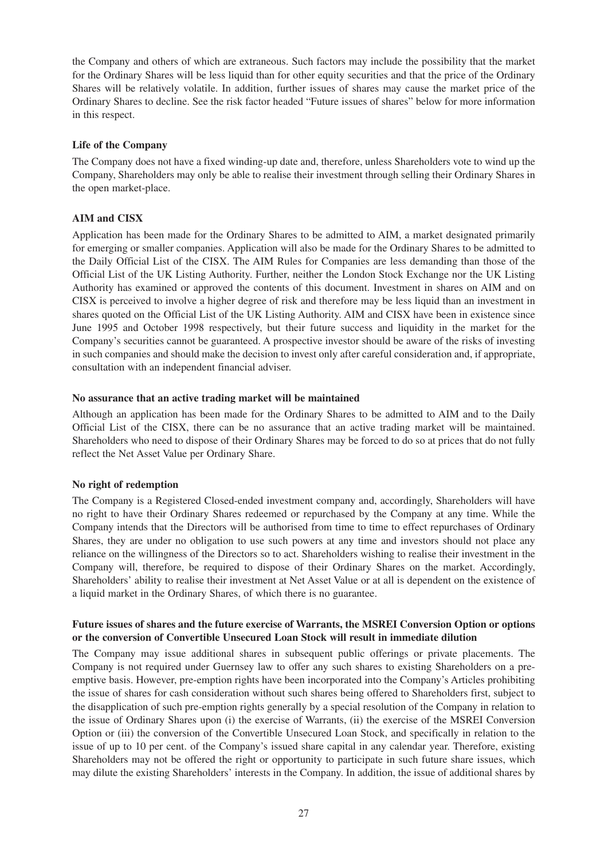the Company and others of which are extraneous. Such factors may include the possibility that the market for the Ordinary Shares will be less liquid than for other equity securities and that the price of the Ordinary Shares will be relatively volatile. In addition, further issues of shares may cause the market price of the Ordinary Shares to decline. See the risk factor headed "Future issues of shares" below for more information in this respect.

#### **Life of the Company**

The Company does not have a fixed winding-up date and, therefore, unless Shareholders vote to wind up the Company, Shareholders may only be able to realise their investment through selling their Ordinary Shares in the open market-place.

# **AIM and CISX**

Application has been made for the Ordinary Shares to be admitted to AIM, a market designated primarily for emerging or smaller companies. Application will also be made for the Ordinary Shares to be admitted to the Daily Official List of the CISX. The AIM Rules for Companies are less demanding than those of the Official List of the UK Listing Authority. Further, neither the London Stock Exchange nor the UK Listing Authority has examined or approved the contents of this document. Investment in shares on AIM and on CISX is perceived to involve a higher degree of risk and therefore may be less liquid than an investment in shares quoted on the Official List of the UK Listing Authority. AIM and CISX have been in existence since June 1995 and October 1998 respectively, but their future success and liquidity in the market for the Company's securities cannot be guaranteed. A prospective investor should be aware of the risks of investing in such companies and should make the decision to invest only after careful consideration and, if appropriate, consultation with an independent financial adviser.

#### **No assurance that an active trading market will be maintained**

Although an application has been made for the Ordinary Shares to be admitted to AIM and to the Daily Official List of the CISX, there can be no assurance that an active trading market will be maintained. Shareholders who need to dispose of their Ordinary Shares may be forced to do so at prices that do not fully reflect the Net Asset Value per Ordinary Share.

#### **No right of redemption**

The Company is a Registered Closed-ended investment company and, accordingly, Shareholders will have no right to have their Ordinary Shares redeemed or repurchased by the Company at any time. While the Company intends that the Directors will be authorised from time to time to effect repurchases of Ordinary Shares, they are under no obligation to use such powers at any time and investors should not place any reliance on the willingness of the Directors so to act. Shareholders wishing to realise their investment in the Company will, therefore, be required to dispose of their Ordinary Shares on the market. Accordingly, Shareholders' ability to realise their investment at Net Asset Value or at all is dependent on the existence of a liquid market in the Ordinary Shares, of which there is no guarantee.

#### **Future issues of shares and the future exercise of Warrants, the MSREI Conversion Option or options or the conversion of Convertible Unsecured Loan Stock will result in immediate dilution**

The Company may issue additional shares in subsequent public offerings or private placements. The Company is not required under Guernsey law to offer any such shares to existing Shareholders on a preemptive basis. However, pre-emption rights have been incorporated into the Company's Articles prohibiting the issue of shares for cash consideration without such shares being offered to Shareholders first, subject to the disapplication of such pre-emption rights generally by a special resolution of the Company in relation to the issue of Ordinary Shares upon (i) the exercise of Warrants, (ii) the exercise of the MSREI Conversion Option or (iii) the conversion of the Convertible Unsecured Loan Stock, and specifically in relation to the issue of up to 10 per cent. of the Company's issued share capital in any calendar year. Therefore, existing Shareholders may not be offered the right or opportunity to participate in such future share issues, which may dilute the existing Shareholders' interests in the Company. In addition, the issue of additional shares by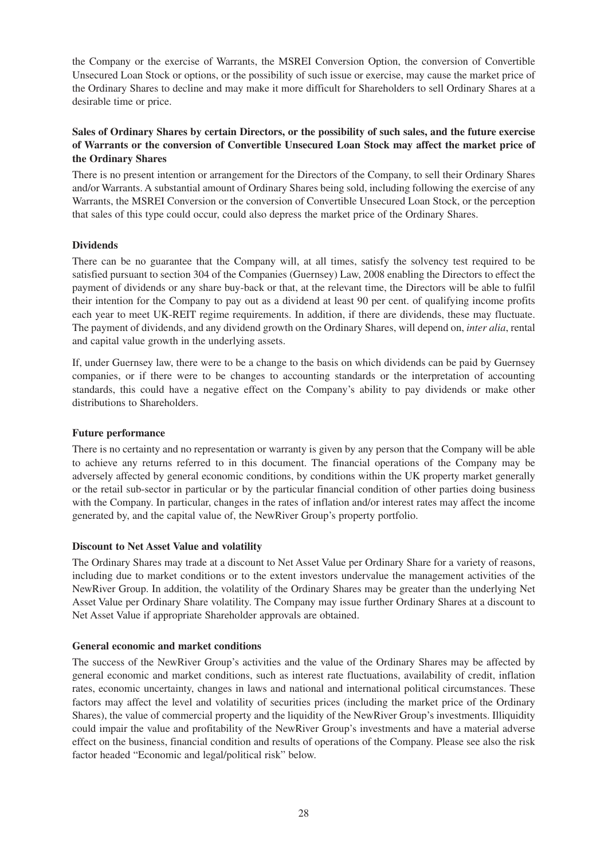the Company or the exercise of Warrants, the MSREI Conversion Option, the conversion of Convertible Unsecured Loan Stock or options, or the possibility of such issue or exercise, may cause the market price of the Ordinary Shares to decline and may make it more difficult for Shareholders to sell Ordinary Shares at a desirable time or price.

# **Sales of Ordinary Shares by certain Directors, or the possibility of such sales, and the future exercise of Warrants or the conversion of Convertible Unsecured Loan Stock may affect the market price of the Ordinary Shares**

There is no present intention or arrangement for the Directors of the Company, to sell their Ordinary Shares and/or Warrants. A substantial amount of Ordinary Shares being sold, including following the exercise of any Warrants, the MSREI Conversion or the conversion of Convertible Unsecured Loan Stock, or the perception that sales of this type could occur, could also depress the market price of the Ordinary Shares.

# **Dividends**

There can be no guarantee that the Company will, at all times, satisfy the solvency test required to be satisfied pursuant to section 304 of the Companies (Guernsey) Law, 2008 enabling the Directors to effect the payment of dividends or any share buy-back or that, at the relevant time, the Directors will be able to fulfil their intention for the Company to pay out as a dividend at least 90 per cent. of qualifying income profits each year to meet UK-REIT regime requirements. In addition, if there are dividends, these may fluctuate. The payment of dividends, and any dividend growth on the Ordinary Shares, will depend on, *inter alia*, rental and capital value growth in the underlying assets.

If, under Guernsey law, there were to be a change to the basis on which dividends can be paid by Guernsey companies, or if there were to be changes to accounting standards or the interpretation of accounting standards, this could have a negative effect on the Company's ability to pay dividends or make other distributions to Shareholders.

### **Future performance**

There is no certainty and no representation or warranty is given by any person that the Company will be able to achieve any returns referred to in this document. The financial operations of the Company may be adversely affected by general economic conditions, by conditions within the UK property market generally or the retail sub-sector in particular or by the particular financial condition of other parties doing business with the Company. In particular, changes in the rates of inflation and/or interest rates may affect the income generated by, and the capital value of, the NewRiver Group's property portfolio.

#### **Discount to Net Asset Value and volatility**

The Ordinary Shares may trade at a discount to Net Asset Value per Ordinary Share for a variety of reasons, including due to market conditions or to the extent investors undervalue the management activities of the NewRiver Group. In addition, the volatility of the Ordinary Shares may be greater than the underlying Net Asset Value per Ordinary Share volatility. The Company may issue further Ordinary Shares at a discount to Net Asset Value if appropriate Shareholder approvals are obtained.

#### **General economic and market conditions**

The success of the NewRiver Group's activities and the value of the Ordinary Shares may be affected by general economic and market conditions, such as interest rate fluctuations, availability of credit, inflation rates, economic uncertainty, changes in laws and national and international political circumstances. These factors may affect the level and volatility of securities prices (including the market price of the Ordinary Shares), the value of commercial property and the liquidity of the NewRiver Group's investments. Illiquidity could impair the value and profitability of the NewRiver Group's investments and have a material adverse effect on the business, financial condition and results of operations of the Company. Please see also the risk factor headed "Economic and legal/political risk" below.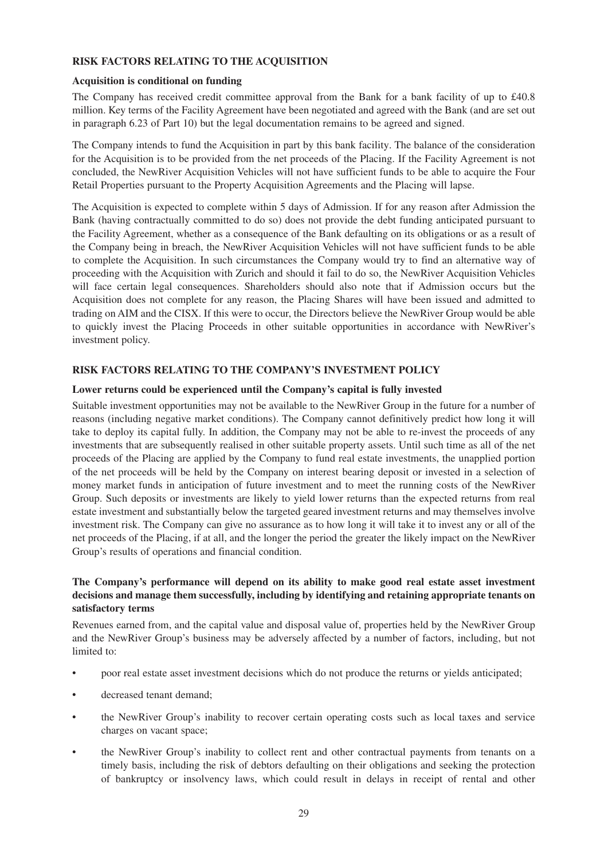# **RISK FACTORS RELATING TO THE ACQUISITION**

#### **Acquisition is conditional on funding**

The Company has received credit committee approval from the Bank for a bank facility of up to £40.8 million. Key terms of the Facility Agreement have been negotiated and agreed with the Bank (and are set out in paragraph 6.23 of Part 10) but the legal documentation remains to be agreed and signed.

The Company intends to fund the Acquisition in part by this bank facility. The balance of the consideration for the Acquisition is to be provided from the net proceeds of the Placing. If the Facility Agreement is not concluded, the NewRiver Acquisition Vehicles will not have sufficient funds to be able to acquire the Four Retail Properties pursuant to the Property Acquisition Agreements and the Placing will lapse.

The Acquisition is expected to complete within 5 days of Admission. If for any reason after Admission the Bank (having contractually committed to do so) does not provide the debt funding anticipated pursuant to the Facility Agreement, whether as a consequence of the Bank defaulting on its obligations or as a result of the Company being in breach, the NewRiver Acquisition Vehicles will not have sufficient funds to be able to complete the Acquisition. In such circumstances the Company would try to find an alternative way of proceeding with the Acquisition with Zurich and should it fail to do so, the NewRiver Acquisition Vehicles will face certain legal consequences. Shareholders should also note that if Admission occurs but the Acquisition does not complete for any reason, the Placing Shares will have been issued and admitted to trading on AIM and the CISX. If this were to occur, the Directors believe the NewRiver Group would be able to quickly invest the Placing Proceeds in other suitable opportunities in accordance with NewRiver's investment policy.

# **RISK FACTORS RELATING TO THE COMPANY'S INVESTMENT POLICY**

#### **Lower returns could be experienced until the Company's capital is fully invested**

Suitable investment opportunities may not be available to the NewRiver Group in the future for a number of reasons (including negative market conditions). The Company cannot definitively predict how long it will take to deploy its capital fully. In addition, the Company may not be able to re-invest the proceeds of any investments that are subsequently realised in other suitable property assets. Until such time as all of the net proceeds of the Placing are applied by the Company to fund real estate investments, the unapplied portion of the net proceeds will be held by the Company on interest bearing deposit or invested in a selection of money market funds in anticipation of future investment and to meet the running costs of the NewRiver Group. Such deposits or investments are likely to yield lower returns than the expected returns from real estate investment and substantially below the targeted geared investment returns and may themselves involve investment risk. The Company can give no assurance as to how long it will take it to invest any or all of the net proceeds of the Placing, if at all, and the longer the period the greater the likely impact on the NewRiver Group's results of operations and financial condition.

# **The Company's performance will depend on its ability to make good real estate asset investment decisions and manage them successfully, including by identifying and retaining appropriate tenants on satisfactory terms**

Revenues earned from, and the capital value and disposal value of, properties held by the NewRiver Group and the NewRiver Group's business may be adversely affected by a number of factors, including, but not limited to:

- poor real estate asset investment decisions which do not produce the returns or yields anticipated;
- decreased tenant demand;
- the NewRiver Group's inability to recover certain operating costs such as local taxes and service charges on vacant space;
- the NewRiver Group's inability to collect rent and other contractual payments from tenants on a timely basis, including the risk of debtors defaulting on their obligations and seeking the protection of bankruptcy or insolvency laws, which could result in delays in receipt of rental and other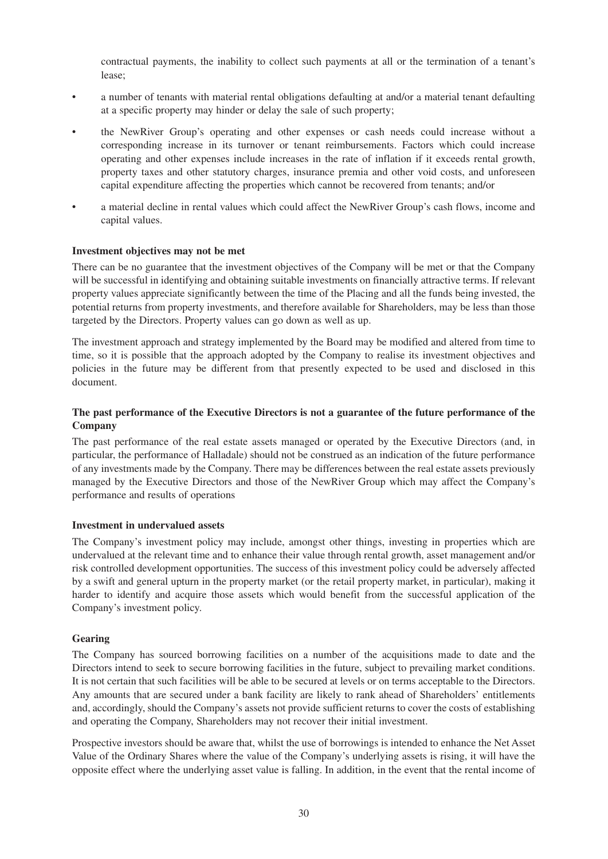contractual payments, the inability to collect such payments at all or the termination of a tenant's lease;

- a number of tenants with material rental obligations defaulting at and/or a material tenant defaulting at a specific property may hinder or delay the sale of such property;
- the NewRiver Group's operating and other expenses or cash needs could increase without a corresponding increase in its turnover or tenant reimbursements. Factors which could increase operating and other expenses include increases in the rate of inflation if it exceeds rental growth, property taxes and other statutory charges, insurance premia and other void costs, and unforeseen capital expenditure affecting the properties which cannot be recovered from tenants; and/or
- a material decline in rental values which could affect the NewRiver Group's cash flows, income and capital values.

#### **Investment objectives may not be met**

There can be no guarantee that the investment objectives of the Company will be met or that the Company will be successful in identifying and obtaining suitable investments on financially attractive terms. If relevant property values appreciate significantly between the time of the Placing and all the funds being invested, the potential returns from property investments, and therefore available for Shareholders, may be less than those targeted by the Directors. Property values can go down as well as up.

The investment approach and strategy implemented by the Board may be modified and altered from time to time, so it is possible that the approach adopted by the Company to realise its investment objectives and policies in the future may be different from that presently expected to be used and disclosed in this document.

#### **The past performance of the Executive Directors is not a guarantee of the future performance of the Company**

The past performance of the real estate assets managed or operated by the Executive Directors (and, in particular, the performance of Halladale) should not be construed as an indication of the future performance of any investments made by the Company. There may be differences between the real estate assets previously managed by the Executive Directors and those of the NewRiver Group which may affect the Company's performance and results of operations

#### **Investment in undervalued assets**

The Company's investment policy may include, amongst other things, investing in properties which are undervalued at the relevant time and to enhance their value through rental growth, asset management and/or risk controlled development opportunities. The success of this investment policy could be adversely affected by a swift and general upturn in the property market (or the retail property market, in particular), making it harder to identify and acquire those assets which would benefit from the successful application of the Company's investment policy.

#### **Gearing**

The Company has sourced borrowing facilities on a number of the acquisitions made to date and the Directors intend to seek to secure borrowing facilities in the future, subject to prevailing market conditions. It is not certain that such facilities will be able to be secured at levels or on terms acceptable to the Directors. Any amounts that are secured under a bank facility are likely to rank ahead of Shareholders' entitlements and, accordingly, should the Company's assets not provide sufficient returns to cover the costs of establishing and operating the Company, Shareholders may not recover their initial investment.

Prospective investors should be aware that, whilst the use of borrowings is intended to enhance the Net Asset Value of the Ordinary Shares where the value of the Company's underlying assets is rising, it will have the opposite effect where the underlying asset value is falling. In addition, in the event that the rental income of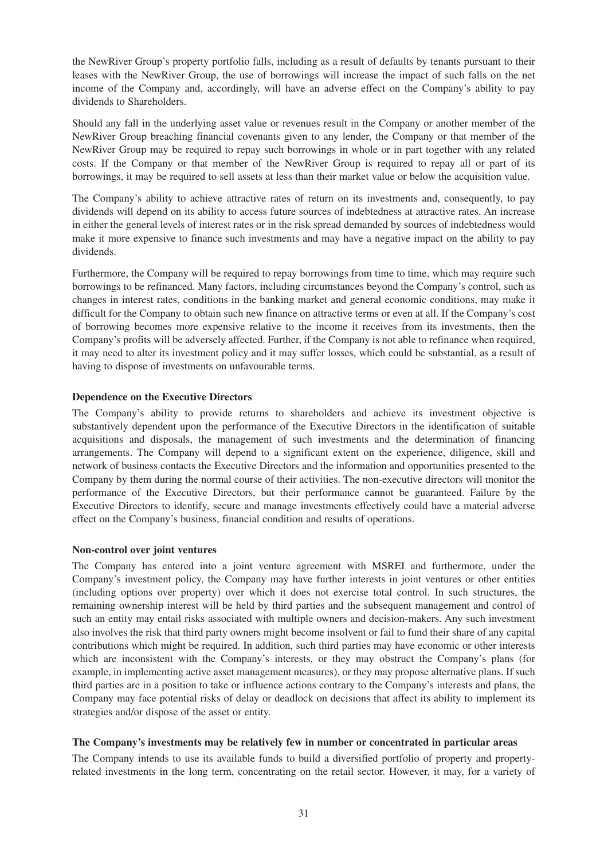the NewRiver Group's property portfolio falls, including as a result of defaults by tenants pursuant to their leases with the NewRiver Group, the use of borrowings will increase the impact of such falls on the net income of the Company and, accordingly, will have an adverse effect on the Company's ability to pay dividends to Shareholders.

Should any fall in the underlying asset value or revenues result in the Company or another member of the NewRiver Group breaching financial covenants given to any lender, the Company or that member of the NewRiver Group may be required to repay such borrowings in whole or in part together with any related costs. If the Company or that member of the NewRiver Group is required to repay all or part of its borrowings, it may be required to sell assets at less than their market value or below the acquisition value.

The Company's ability to achieve attractive rates of return on its investments and, consequently, to pay dividends will depend on its ability to access future sources of indebtedness at attractive rates. An increase in either the general levels of interest rates or in the risk spread demanded by sources of indebtedness would make it more expensive to finance such investments and may have a negative impact on the ability to pay dividends.

Furthermore, the Company will be required to repay borrowings from time to time, which may require such borrowings to be refinanced. Many factors, including circumstances beyond the Company's control, such as changes in interest rates, conditions in the banking market and general economic conditions, may make it difficult for the Company to obtain such new finance on attractive terms or even at all. If the Company's cost of borrowing becomes more expensive relative to the income it receives from its investments, then the Company's profits will be adversely affected. Further, if the Company is not able to refinance when required, it may need to alter its investment policy and it may suffer losses, which could be substantial, as a result of having to dispose of investments on unfavourable terms.

#### **Dependence on the Executive Directors**

The Company's ability to provide returns to shareholders and achieve its investment objective is substantively dependent upon the performance of the Executive Directors in the identification of suitable acquisitions and disposals, the management of such investments and the determination of financing arrangements. The Company will depend to a significant extent on the experience, diligence, skill and network of business contacts the Executive Directors and the information and opportunities presented to the Company by them during the normal course of their activities. The non-executive directors will monitor the performance of the Executive Directors, but their performance cannot be guaranteed. Failure by the Executive Directors to identify, secure and manage investments effectively could have a material adverse effect on the Company's business, financial condition and results of operations.

#### **Non-control over joint ventures**

The Company has entered into a joint venture agreement with MSREI and furthermore, under the Company's investment policy, the Company may have further interests in joint ventures or other entities (including options over property) over which it does not exercise total control. In such structures, the remaining ownership interest will be held by third parties and the subsequent management and control of such an entity may entail risks associated with multiple owners and decision-makers. Any such investment also involves the risk that third party owners might become insolvent or fail to fund their share of any capital contributions which might be required. In addition, such third parties may have economic or other interests which are inconsistent with the Company's interests, or they may obstruct the Company's plans (for example, in implementing active asset management measures), or they may propose alternative plans. If such third parties are in a position to take or influence actions contrary to the Company's interests and plans, the Company may face potential risks of delay or deadlock on decisions that affect its ability to implement its strategies and/or dispose of the asset or entity.

### **The Company's investments may be relatively few in number or concentrated in particular areas**

The Company intends to use its available funds to build a diversified portfolio of property and propertyrelated investments in the long term, concentrating on the retail sector. However, it may, for a variety of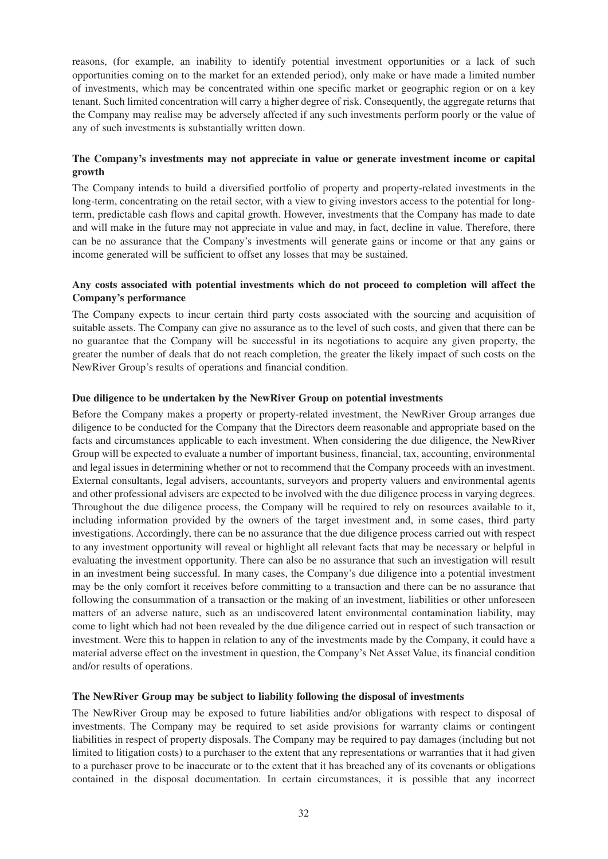reasons, (for example, an inability to identify potential investment opportunities or a lack of such opportunities coming on to the market for an extended period), only make or have made a limited number of investments, which may be concentrated within one specific market or geographic region or on a key tenant. Such limited concentration will carry a higher degree of risk. Consequently, the aggregate returns that the Company may realise may be adversely affected if any such investments perform poorly or the value of any of such investments is substantially written down.

# **The Company's investments may not appreciate in value or generate investment income or capital growth**

The Company intends to build a diversified portfolio of property and property-related investments in the long-term, concentrating on the retail sector, with a view to giving investors access to the potential for longterm, predictable cash flows and capital growth. However, investments that the Company has made to date and will make in the future may not appreciate in value and may, in fact, decline in value. Therefore, there can be no assurance that the Company's investments will generate gains or income or that any gains or income generated will be sufficient to offset any losses that may be sustained.

### **Any costs associated with potential investments which do not proceed to completion will affect the Company's performance**

The Company expects to incur certain third party costs associated with the sourcing and acquisition of suitable assets. The Company can give no assurance as to the level of such costs, and given that there can be no guarantee that the Company will be successful in its negotiations to acquire any given property, the greater the number of deals that do not reach completion, the greater the likely impact of such costs on the NewRiver Group's results of operations and financial condition.

#### **Due diligence to be undertaken by the NewRiver Group on potential investments**

Before the Company makes a property or property-related investment, the NewRiver Group arranges due diligence to be conducted for the Company that the Directors deem reasonable and appropriate based on the facts and circumstances applicable to each investment. When considering the due diligence, the NewRiver Group will be expected to evaluate a number of important business, financial, tax, accounting, environmental and legal issues in determining whether or not to recommend that the Company proceeds with an investment. External consultants, legal advisers, accountants, surveyors and property valuers and environmental agents and other professional advisers are expected to be involved with the due diligence process in varying degrees. Throughout the due diligence process, the Company will be required to rely on resources available to it, including information provided by the owners of the target investment and, in some cases, third party investigations. Accordingly, there can be no assurance that the due diligence process carried out with respect to any investment opportunity will reveal or highlight all relevant facts that may be necessary or helpful in evaluating the investment opportunity. There can also be no assurance that such an investigation will result in an investment being successful. In many cases, the Company's due diligence into a potential investment may be the only comfort it receives before committing to a transaction and there can be no assurance that following the consummation of a transaction or the making of an investment, liabilities or other unforeseen matters of an adverse nature, such as an undiscovered latent environmental contamination liability, may come to light which had not been revealed by the due diligence carried out in respect of such transaction or investment. Were this to happen in relation to any of the investments made by the Company, it could have a material adverse effect on the investment in question, the Company's Net Asset Value, its financial condition and/or results of operations.

#### **The NewRiver Group may be subject to liability following the disposal of investments**

The NewRiver Group may be exposed to future liabilities and/or obligations with respect to disposal of investments. The Company may be required to set aside provisions for warranty claims or contingent liabilities in respect of property disposals. The Company may be required to pay damages (including but not limited to litigation costs) to a purchaser to the extent that any representations or warranties that it had given to a purchaser prove to be inaccurate or to the extent that it has breached any of its covenants or obligations contained in the disposal documentation. In certain circumstances, it is possible that any incorrect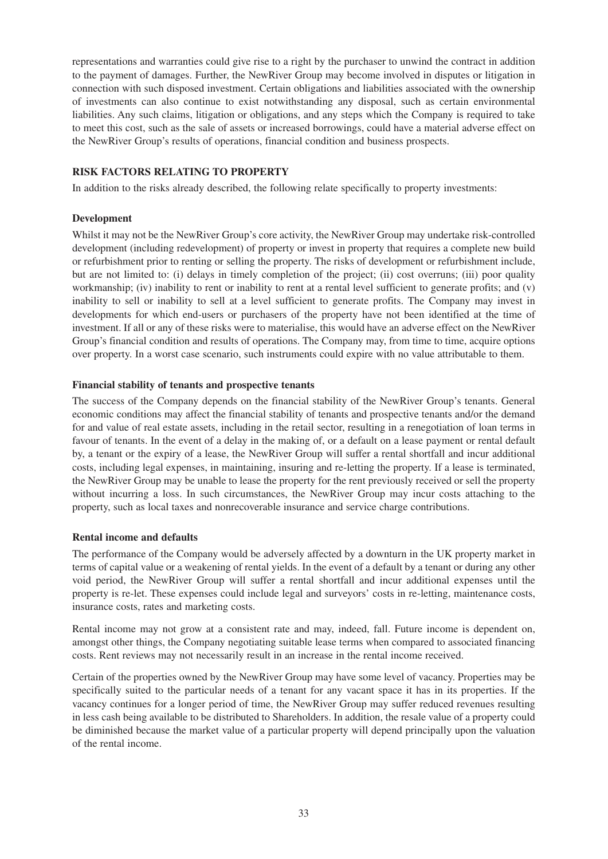representations and warranties could give rise to a right by the purchaser to unwind the contract in addition to the payment of damages. Further, the NewRiver Group may become involved in disputes or litigation in connection with such disposed investment. Certain obligations and liabilities associated with the ownership of investments can also continue to exist notwithstanding any disposal, such as certain environmental liabilities. Any such claims, litigation or obligations, and any steps which the Company is required to take to meet this cost, such as the sale of assets or increased borrowings, could have a material adverse effect on the NewRiver Group's results of operations, financial condition and business prospects.

#### **RISK FACTORS RELATING TO PROPERTY**

In addition to the risks already described, the following relate specifically to property investments:

#### **Development**

Whilst it may not be the NewRiver Group's core activity, the NewRiver Group may undertake risk-controlled development (including redevelopment) of property or invest in property that requires a complete new build or refurbishment prior to renting or selling the property. The risks of development or refurbishment include, but are not limited to: (i) delays in timely completion of the project; (ii) cost overruns; (iii) poor quality workmanship; (iv) inability to rent or inability to rent at a rental level sufficient to generate profits; and (v) inability to sell or inability to sell at a level sufficient to generate profits. The Company may invest in developments for which end-users or purchasers of the property have not been identified at the time of investment. If all or any of these risks were to materialise, this would have an adverse effect on the NewRiver Group's financial condition and results of operations. The Company may, from time to time, acquire options over property. In a worst case scenario, such instruments could expire with no value attributable to them.

#### **Financial stability of tenants and prospective tenants**

The success of the Company depends on the financial stability of the NewRiver Group's tenants. General economic conditions may affect the financial stability of tenants and prospective tenants and/or the demand for and value of real estate assets, including in the retail sector, resulting in a renegotiation of loan terms in favour of tenants. In the event of a delay in the making of, or a default on a lease payment or rental default by, a tenant or the expiry of a lease, the NewRiver Group will suffer a rental shortfall and incur additional costs, including legal expenses, in maintaining, insuring and re-letting the property. If a lease is terminated, the NewRiver Group may be unable to lease the property for the rent previously received or sell the property without incurring a loss. In such circumstances, the NewRiver Group may incur costs attaching to the property, such as local taxes and nonrecoverable insurance and service charge contributions.

#### **Rental income and defaults**

The performance of the Company would be adversely affected by a downturn in the UK property market in terms of capital value or a weakening of rental yields. In the event of a default by a tenant or during any other void period, the NewRiver Group will suffer a rental shortfall and incur additional expenses until the property is re-let. These expenses could include legal and surveyors' costs in re-letting, maintenance costs, insurance costs, rates and marketing costs.

Rental income may not grow at a consistent rate and may, indeed, fall. Future income is dependent on, amongst other things, the Company negotiating suitable lease terms when compared to associated financing costs. Rent reviews may not necessarily result in an increase in the rental income received.

Certain of the properties owned by the NewRiver Group may have some level of vacancy. Properties may be specifically suited to the particular needs of a tenant for any vacant space it has in its properties. If the vacancy continues for a longer period of time, the NewRiver Group may suffer reduced revenues resulting in less cash being available to be distributed to Shareholders. In addition, the resale value of a property could be diminished because the market value of a particular property will depend principally upon the valuation of the rental income.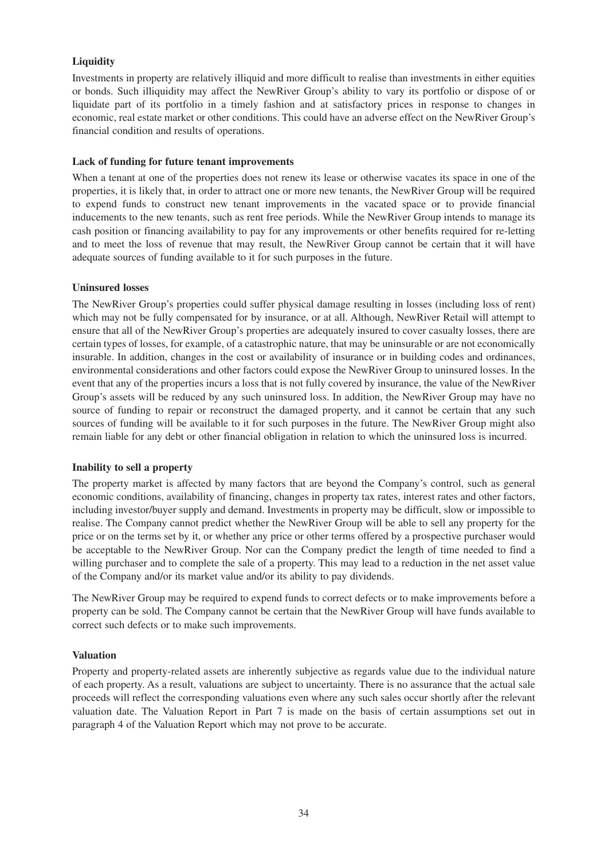# **Liquidity**

Investments in property are relatively illiquid and more difficult to realise than investments in either equities or bonds. Such illiquidity may affect the NewRiver Group's ability to vary its portfolio or dispose of or liquidate part of its portfolio in a timely fashion and at satisfactory prices in response to changes in economic, real estate market or other conditions. This could have an adverse effect on the NewRiver Group's financial condition and results of operations.

#### **Lack of funding for future tenant improvements**

When a tenant at one of the properties does not renew its lease or otherwise vacates its space in one of the properties, it is likely that, in order to attract one or more new tenants, the NewRiver Group will be required to expend funds to construct new tenant improvements in the vacated space or to provide financial inducements to the new tenants, such as rent free periods. While the NewRiver Group intends to manage its cash position or financing availability to pay for any improvements or other benefits required for re-letting and to meet the loss of revenue that may result, the NewRiver Group cannot be certain that it will have adequate sources of funding available to it for such purposes in the future.

#### **Uninsured losses**

The NewRiver Group's properties could suffer physical damage resulting in losses (including loss of rent) which may not be fully compensated for by insurance, or at all. Although, NewRiver Retail will attempt to ensure that all of the NewRiver Group's properties are adequately insured to cover casualty losses, there are certain types of losses, for example, of a catastrophic nature, that may be uninsurable or are not economically insurable. In addition, changes in the cost or availability of insurance or in building codes and ordinances, environmental considerations and other factors could expose the NewRiver Group to uninsured losses. In the event that any of the properties incurs a loss that is not fully covered by insurance, the value of the NewRiver Group's assets will be reduced by any such uninsured loss. In addition, the NewRiver Group may have no source of funding to repair or reconstruct the damaged property, and it cannot be certain that any such sources of funding will be available to it for such purposes in the future. The NewRiver Group might also remain liable for any debt or other financial obligation in relation to which the uninsured loss is incurred.

#### **Inability to sell a property**

The property market is affected by many factors that are beyond the Company's control, such as general economic conditions, availability of financing, changes in property tax rates, interest rates and other factors, including investor/buyer supply and demand. Investments in property may be difficult, slow or impossible to realise. The Company cannot predict whether the NewRiver Group will be able to sell any property for the price or on the terms set by it, or whether any price or other terms offered by a prospective purchaser would be acceptable to the NewRiver Group. Nor can the Company predict the length of time needed to find a willing purchaser and to complete the sale of a property. This may lead to a reduction in the net asset value of the Company and/or its market value and/or its ability to pay dividends.

The NewRiver Group may be required to expend funds to correct defects or to make improvements before a property can be sold. The Company cannot be certain that the NewRiver Group will have funds available to correct such defects or to make such improvements.

#### **Valuation**

Property and property-related assets are inherently subjective as regards value due to the individual nature of each property. As a result, valuations are subject to uncertainty. There is no assurance that the actual sale proceeds will reflect the corresponding valuations even where any such sales occur shortly after the relevant valuation date. The Valuation Report in Part 7 is made on the basis of certain assumptions set out in paragraph 4 of the Valuation Report which may not prove to be accurate.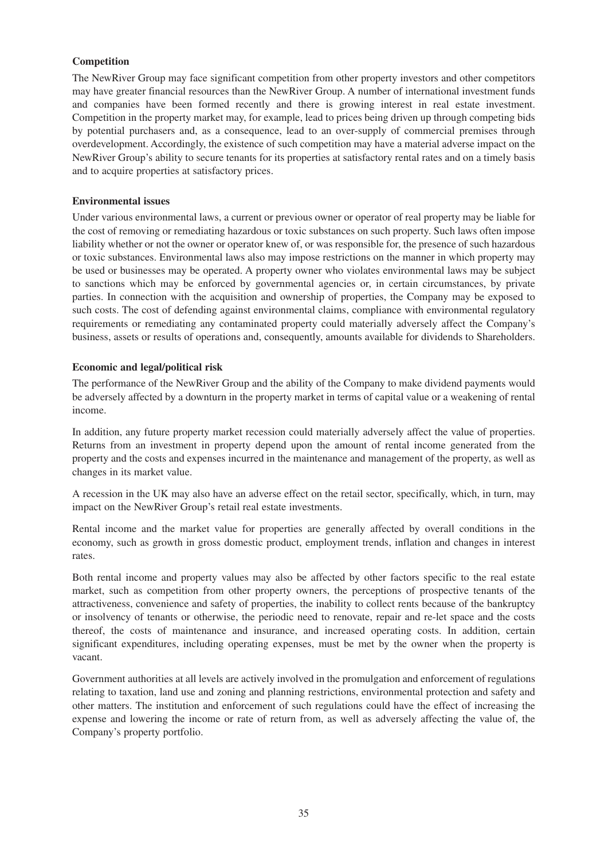# **Competition**

The NewRiver Group may face significant competition from other property investors and other competitors may have greater financial resources than the NewRiver Group. A number of international investment funds and companies have been formed recently and there is growing interest in real estate investment. Competition in the property market may, for example, lead to prices being driven up through competing bids by potential purchasers and, as a consequence, lead to an over-supply of commercial premises through overdevelopment. Accordingly, the existence of such competition may have a material adverse impact on the NewRiver Group's ability to secure tenants for its properties at satisfactory rental rates and on a timely basis and to acquire properties at satisfactory prices.

#### **Environmental issues**

Under various environmental laws, a current or previous owner or operator of real property may be liable for the cost of removing or remediating hazardous or toxic substances on such property. Such laws often impose liability whether or not the owner or operator knew of, or was responsible for, the presence of such hazardous or toxic substances. Environmental laws also may impose restrictions on the manner in which property may be used or businesses may be operated. A property owner who violates environmental laws may be subject to sanctions which may be enforced by governmental agencies or, in certain circumstances, by private parties. In connection with the acquisition and ownership of properties, the Company may be exposed to such costs. The cost of defending against environmental claims, compliance with environmental regulatory requirements or remediating any contaminated property could materially adversely affect the Company's business, assets or results of operations and, consequently, amounts available for dividends to Shareholders.

#### **Economic and legal/political risk**

The performance of the NewRiver Group and the ability of the Company to make dividend payments would be adversely affected by a downturn in the property market in terms of capital value or a weakening of rental income.

In addition, any future property market recession could materially adversely affect the value of properties. Returns from an investment in property depend upon the amount of rental income generated from the property and the costs and expenses incurred in the maintenance and management of the property, as well as changes in its market value.

A recession in the UK may also have an adverse effect on the retail sector, specifically, which, in turn, may impact on the NewRiver Group's retail real estate investments.

Rental income and the market value for properties are generally affected by overall conditions in the economy, such as growth in gross domestic product, employment trends, inflation and changes in interest rates.

Both rental income and property values may also be affected by other factors specific to the real estate market, such as competition from other property owners, the perceptions of prospective tenants of the attractiveness, convenience and safety of properties, the inability to collect rents because of the bankruptcy or insolvency of tenants or otherwise, the periodic need to renovate, repair and re-let space and the costs thereof, the costs of maintenance and insurance, and increased operating costs. In addition, certain significant expenditures, including operating expenses, must be met by the owner when the property is vacant.

Government authorities at all levels are actively involved in the promulgation and enforcement of regulations relating to taxation, land use and zoning and planning restrictions, environmental protection and safety and other matters. The institution and enforcement of such regulations could have the effect of increasing the expense and lowering the income or rate of return from, as well as adversely affecting the value of, the Company's property portfolio.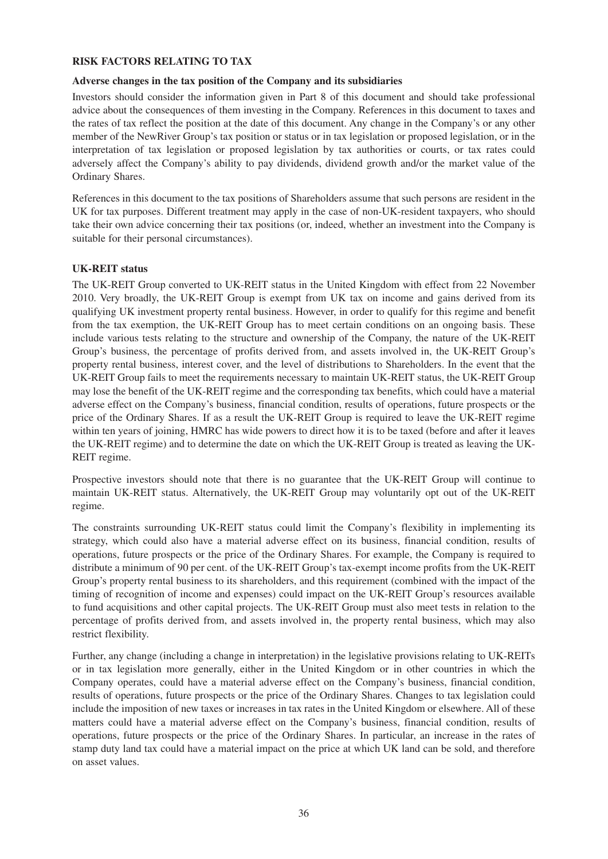#### **RISK FACTORS RELATING TO TAX**

#### **Adverse changes in the tax position of the Company and its subsidiaries**

Investors should consider the information given in Part 8 of this document and should take professional advice about the consequences of them investing in the Company. References in this document to taxes and the rates of tax reflect the position at the date of this document. Any change in the Company's or any other member of the NewRiver Group's tax position or status or in tax legislation or proposed legislation, or in the interpretation of tax legislation or proposed legislation by tax authorities or courts, or tax rates could adversely affect the Company's ability to pay dividends, dividend growth and/or the market value of the Ordinary Shares.

References in this document to the tax positions of Shareholders assume that such persons are resident in the UK for tax purposes. Different treatment may apply in the case of non-UK-resident taxpayers, who should take their own advice concerning their tax positions (or, indeed, whether an investment into the Company is suitable for their personal circumstances).

#### **UK-REIT status**

The UK-REIT Group converted to UK-REIT status in the United Kingdom with effect from 22 November 2010. Very broadly, the UK-REIT Group is exempt from UK tax on income and gains derived from its qualifying UK investment property rental business. However, in order to qualify for this regime and benefit from the tax exemption, the UK-REIT Group has to meet certain conditions on an ongoing basis. These include various tests relating to the structure and ownership of the Company, the nature of the UK-REIT Group's business, the percentage of profits derived from, and assets involved in, the UK-REIT Group's property rental business, interest cover, and the level of distributions to Shareholders. In the event that the UK-REIT Group fails to meet the requirements necessary to maintain UK-REIT status, the UK-REIT Group may lose the benefit of the UK-REIT regime and the corresponding tax benefits, which could have a material adverse effect on the Company's business, financial condition, results of operations, future prospects or the price of the Ordinary Shares. If as a result the UK-REIT Group is required to leave the UK-REIT regime within ten years of joining, HMRC has wide powers to direct how it is to be taxed (before and after it leaves the UK-REIT regime) and to determine the date on which the UK-REIT Group is treated as leaving the UK-REIT regime.

Prospective investors should note that there is no guarantee that the UK-REIT Group will continue to maintain UK-REIT status. Alternatively, the UK-REIT Group may voluntarily opt out of the UK-REIT regime.

The constraints surrounding UK-REIT status could limit the Company's flexibility in implementing its strategy, which could also have a material adverse effect on its business, financial condition, results of operations, future prospects or the price of the Ordinary Shares. For example, the Company is required to distribute a minimum of 90 per cent. of the UK-REIT Group's tax-exempt income profits from the UK-REIT Group's property rental business to its shareholders, and this requirement (combined with the impact of the timing of recognition of income and expenses) could impact on the UK-REIT Group's resources available to fund acquisitions and other capital projects. The UK-REIT Group must also meet tests in relation to the percentage of profits derived from, and assets involved in, the property rental business, which may also restrict flexibility.

Further, any change (including a change in interpretation) in the legislative provisions relating to UK-REITs or in tax legislation more generally, either in the United Kingdom or in other countries in which the Company operates, could have a material adverse effect on the Company's business, financial condition, results of operations, future prospects or the price of the Ordinary Shares. Changes to tax legislation could include the imposition of new taxes or increases in tax rates in the United Kingdom or elsewhere. All of these matters could have a material adverse effect on the Company's business, financial condition, results of operations, future prospects or the price of the Ordinary Shares. In particular, an increase in the rates of stamp duty land tax could have a material impact on the price at which UK land can be sold, and therefore on asset values.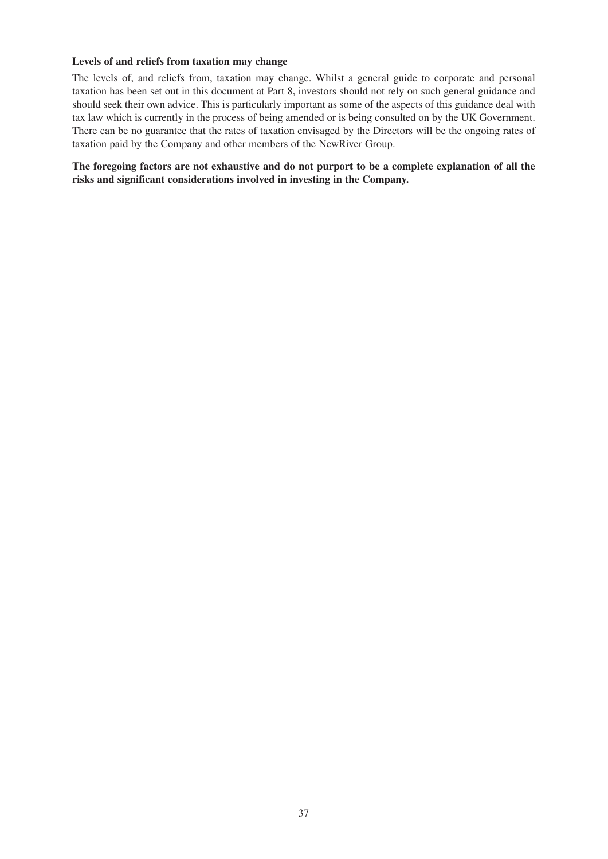# **Levels of and reliefs from taxation may change**

The levels of, and reliefs from, taxation may change. Whilst a general guide to corporate and personal taxation has been set out in this document at Part 8, investors should not rely on such general guidance and should seek their own advice. This is particularly important as some of the aspects of this guidance deal with tax law which is currently in the process of being amended or is being consulted on by the UK Government. There can be no guarantee that the rates of taxation envisaged by the Directors will be the ongoing rates of taxation paid by the Company and other members of the NewRiver Group.

**The foregoing factors are not exhaustive and do not purport to be a complete explanation of all the risks and significant considerations involved in investing in the Company.**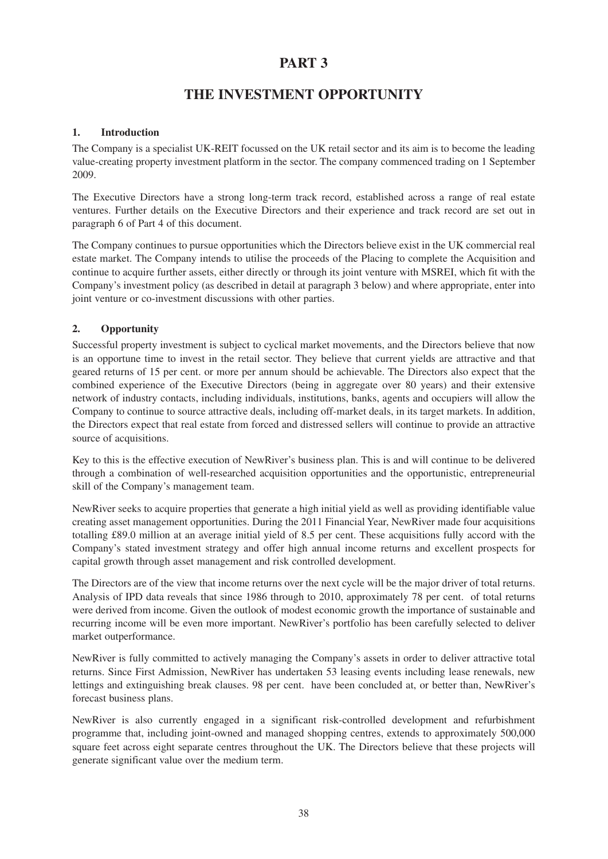# **THE INVESTMENT OPPORTUNITY**

# **1. Introduction**

The Company is a specialist UK-REIT focussed on the UK retail sector and its aim is to become the leading value-creating property investment platform in the sector. The company commenced trading on 1 September 2009.

The Executive Directors have a strong long-term track record, established across a range of real estate ventures. Further details on the Executive Directors and their experience and track record are set out in paragraph 6 of Part 4 of this document.

The Company continues to pursue opportunities which the Directors believe exist in the UK commercial real estate market. The Company intends to utilise the proceeds of the Placing to complete the Acquisition and continue to acquire further assets, either directly or through its joint venture with MSREI, which fit with the Company's investment policy (as described in detail at paragraph 3 below) and where appropriate, enter into joint venture or co-investment discussions with other parties.

# **2. Opportunity**

Successful property investment is subject to cyclical market movements, and the Directors believe that now is an opportune time to invest in the retail sector. They believe that current yields are attractive and that geared returns of 15 per cent. or more per annum should be achievable. The Directors also expect that the combined experience of the Executive Directors (being in aggregate over 80 years) and their extensive network of industry contacts, including individuals, institutions, banks, agents and occupiers will allow the Company to continue to source attractive deals, including off-market deals, in its target markets. In addition, the Directors expect that real estate from forced and distressed sellers will continue to provide an attractive source of acquisitions.

Key to this is the effective execution of NewRiver's business plan. This is and will continue to be delivered through a combination of well-researched acquisition opportunities and the opportunistic, entrepreneurial skill of the Company's management team.

NewRiver seeks to acquire properties that generate a high initial yield as well as providing identifiable value creating asset management opportunities. During the 2011 Financial Year, NewRiver made four acquisitions totalling £89.0 million at an average initial yield of 8.5 per cent. These acquisitions fully accord with the Company's stated investment strategy and offer high annual income returns and excellent prospects for capital growth through asset management and risk controlled development.

The Directors are of the view that income returns over the next cycle will be the major driver of total returns. Analysis of IPD data reveals that since 1986 through to 2010, approximately 78 per cent. of total returns were derived from income. Given the outlook of modest economic growth the importance of sustainable and recurring income will be even more important. NewRiver's portfolio has been carefully selected to deliver market outperformance.

NewRiver is fully committed to actively managing the Company's assets in order to deliver attractive total returns. Since First Admission, NewRiver has undertaken 53 leasing events including lease renewals, new lettings and extinguishing break clauses. 98 per cent. have been concluded at, or better than, NewRiver's forecast business plans.

NewRiver is also currently engaged in a significant risk-controlled development and refurbishment programme that, including joint-owned and managed shopping centres, extends to approximately 500,000 square feet across eight separate centres throughout the UK. The Directors believe that these projects will generate significant value over the medium term.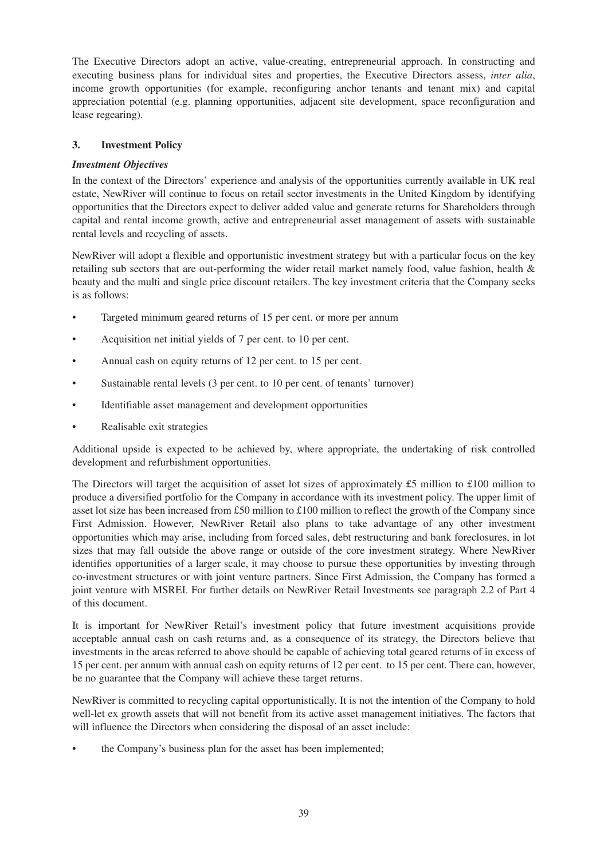The Executive Directors adopt an active, value-creating, entrepreneurial approach. In constructing and executing business plans for individual sites and properties, the Executive Directors assess, *inter alia*, income growth opportunities (for example, reconfiguring anchor tenants and tenant mix) and capital appreciation potential (e.g. planning opportunities, adjacent site development, space reconfiguration and lease regearing).

# **3. Investment Policy**

# *Investment Objectives*

In the context of the Directors' experience and analysis of the opportunities currently available in UK real estate, NewRiver will continue to focus on retail sector investments in the United Kingdom by identifying opportunities that the Directors expect to deliver added value and generate returns for Shareholders through capital and rental income growth, active and entrepreneurial asset management of assets with sustainable rental levels and recycling of assets.

NewRiver will adopt a flexible and opportunistic investment strategy but with a particular focus on the key retailing sub sectors that are out-performing the wider retail market namely food, value fashion, health & beauty and the multi and single price discount retailers. The key investment criteria that the Company seeks is as follows:

- Targeted minimum geared returns of 15 per cent. or more per annum
- Acquisition net initial yields of 7 per cent. to 10 per cent.
- Annual cash on equity returns of 12 per cent. to 15 per cent.
- Sustainable rental levels (3 per cent. to 10 per cent. of tenants' turnover)
- Identifiable asset management and development opportunities
- Realisable exit strategies

Additional upside is expected to be achieved by, where appropriate, the undertaking of risk controlled development and refurbishment opportunities.

The Directors will target the acquisition of asset lot sizes of approximately £5 million to £100 million to produce a diversified portfolio for the Company in accordance with its investment policy. The upper limit of asset lot size has been increased from £50 million to £100 million to reflect the growth of the Company since First Admission. However, NewRiver Retail also plans to take advantage of any other investment opportunities which may arise, including from forced sales, debt restructuring and bank foreclosures, in lot sizes that may fall outside the above range or outside of the core investment strategy. Where NewRiver identifies opportunities of a larger scale, it may choose to pursue these opportunities by investing through co-investment structures or with joint venture partners. Since First Admission, the Company has formed a joint venture with MSREI. For further details on NewRiver Retail Investments see paragraph 2.2 of Part 4 of this document.

It is important for NewRiver Retail's investment policy that future investment acquisitions provide acceptable annual cash on cash returns and, as a consequence of its strategy, the Directors believe that investments in the areas referred to above should be capable of achieving total geared returns of in excess of 15 per cent. per annum with annual cash on equity returns of 12 per cent. to 15 per cent. There can, however, be no guarantee that the Company will achieve these target returns.

NewRiver is committed to recycling capital opportunistically. It is not the intention of the Company to hold well-let ex growth assets that will not benefit from its active asset management initiatives. The factors that will influence the Directors when considering the disposal of an asset include:

• the Company's business plan for the asset has been implemented;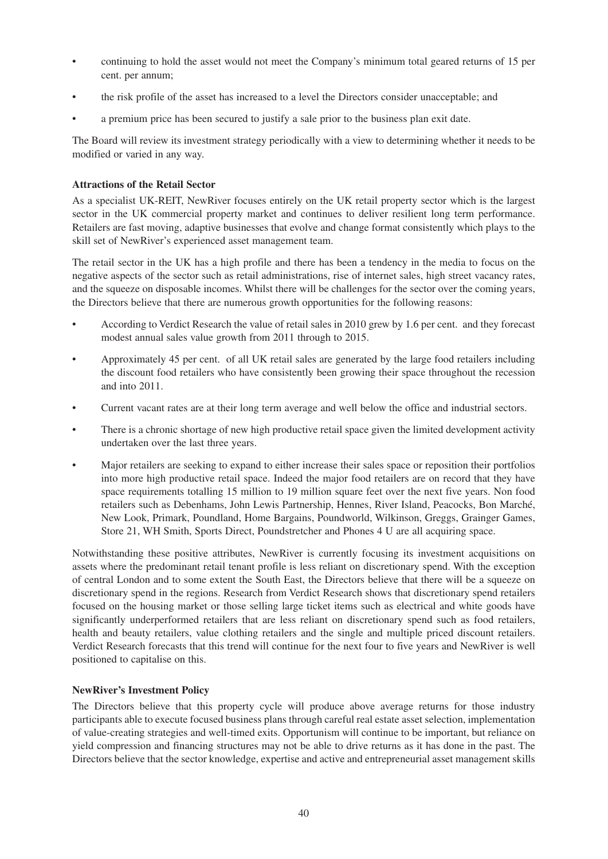- continuing to hold the asset would not meet the Company's minimum total geared returns of 15 per cent. per annum;
- the risk profile of the asset has increased to a level the Directors consider unacceptable; and
- a premium price has been secured to justify a sale prior to the business plan exit date.

The Board will review its investment strategy periodically with a view to determining whether it needs to be modified or varied in any way.

# **Attractions of the Retail Sector**

As a specialist UK-REIT, NewRiver focuses entirely on the UK retail property sector which is the largest sector in the UK commercial property market and continues to deliver resilient long term performance. Retailers are fast moving, adaptive businesses that evolve and change format consistently which plays to the skill set of NewRiver's experienced asset management team.

The retail sector in the UK has a high profile and there has been a tendency in the media to focus on the negative aspects of the sector such as retail administrations, rise of internet sales, high street vacancy rates, and the squeeze on disposable incomes. Whilst there will be challenges for the sector over the coming years, the Directors believe that there are numerous growth opportunities for the following reasons:

- According to Verdict Research the value of retail sales in 2010 grew by 1.6 per cent. and they forecast modest annual sales value growth from 2011 through to 2015.
- Approximately 45 per cent. of all UK retail sales are generated by the large food retailers including the discount food retailers who have consistently been growing their space throughout the recession and into 2011.
- Current vacant rates are at their long term average and well below the office and industrial sectors.
- There is a chronic shortage of new high productive retail space given the limited development activity undertaken over the last three years.
- Major retailers are seeking to expand to either increase their sales space or reposition their portfolios into more high productive retail space. Indeed the major food retailers are on record that they have space requirements totalling 15 million to 19 million square feet over the next five years. Non food retailers such as Debenhams, John Lewis Partnership, Hennes, River Island, Peacocks, Bon Marché, New Look, Primark, Poundland, Home Bargains, Poundworld, Wilkinson, Greggs, Grainger Games, Store 21, WH Smith, Sports Direct, Poundstretcher and Phones 4 U are all acquiring space.

Notwithstanding these positive attributes, NewRiver is currently focusing its investment acquisitions on assets where the predominant retail tenant profile is less reliant on discretionary spend. With the exception of central London and to some extent the South East, the Directors believe that there will be a squeeze on discretionary spend in the regions. Research from Verdict Research shows that discretionary spend retailers focused on the housing market or those selling large ticket items such as electrical and white goods have significantly underperformed retailers that are less reliant on discretionary spend such as food retailers, health and beauty retailers, value clothing retailers and the single and multiple priced discount retailers. Verdict Research forecasts that this trend will continue for the next four to five years and NewRiver is well positioned to capitalise on this.

# **NewRiver's Investment Policy**

The Directors believe that this property cycle will produce above average returns for those industry participants able to execute focused business plans through careful real estate asset selection, implementation of value-creating strategies and well-timed exits. Opportunism will continue to be important, but reliance on yield compression and financing structures may not be able to drive returns as it has done in the past. The Directors believe that the sector knowledge, expertise and active and entrepreneurial asset management skills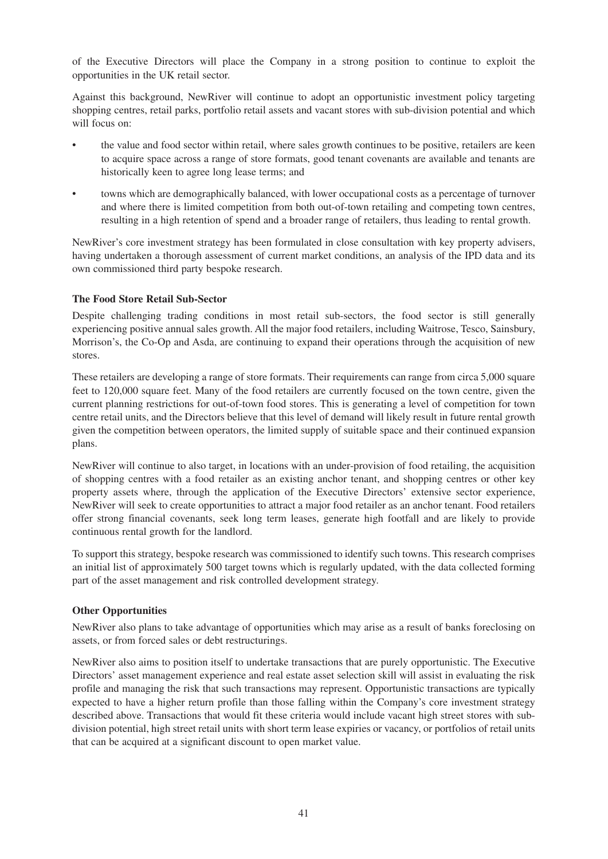of the Executive Directors will place the Company in a strong position to continue to exploit the opportunities in the UK retail sector.

Against this background, NewRiver will continue to adopt an opportunistic investment policy targeting shopping centres, retail parks, portfolio retail assets and vacant stores with sub-division potential and which will focus on:

- the value and food sector within retail, where sales growth continues to be positive, retailers are keen to acquire space across a range of store formats, good tenant covenants are available and tenants are historically keen to agree long lease terms; and
- towns which are demographically balanced, with lower occupational costs as a percentage of turnover and where there is limited competition from both out-of-town retailing and competing town centres, resulting in a high retention of spend and a broader range of retailers, thus leading to rental growth.

NewRiver's core investment strategy has been formulated in close consultation with key property advisers, having undertaken a thorough assessment of current market conditions, an analysis of the IPD data and its own commissioned third party bespoke research.

# **The Food Store Retail Sub-Sector**

Despite challenging trading conditions in most retail sub-sectors, the food sector is still generally experiencing positive annual sales growth. All the major food retailers, including Waitrose, Tesco, Sainsbury, Morrison's, the Co-Op and Asda, are continuing to expand their operations through the acquisition of new stores.

These retailers are developing a range of store formats. Their requirements can range from circa 5,000 square feet to 120,000 square feet. Many of the food retailers are currently focused on the town centre, given the current planning restrictions for out-of-town food stores. This is generating a level of competition for town centre retail units, and the Directors believe that this level of demand will likely result in future rental growth given the competition between operators, the limited supply of suitable space and their continued expansion plans.

NewRiver will continue to also target, in locations with an under-provision of food retailing, the acquisition of shopping centres with a food retailer as an existing anchor tenant, and shopping centres or other key property assets where, through the application of the Executive Directors' extensive sector experience, NewRiver will seek to create opportunities to attract a major food retailer as an anchor tenant. Food retailers offer strong financial covenants, seek long term leases, generate high footfall and are likely to provide continuous rental growth for the landlord.

To support this strategy, bespoke research was commissioned to identify such towns. This research comprises an initial list of approximately 500 target towns which is regularly updated, with the data collected forming part of the asset management and risk controlled development strategy.

# **Other Opportunities**

NewRiver also plans to take advantage of opportunities which may arise as a result of banks foreclosing on assets, or from forced sales or debt restructurings.

NewRiver also aims to position itself to undertake transactions that are purely opportunistic. The Executive Directors' asset management experience and real estate asset selection skill will assist in evaluating the risk profile and managing the risk that such transactions may represent. Opportunistic transactions are typically expected to have a higher return profile than those falling within the Company's core investment strategy described above. Transactions that would fit these criteria would include vacant high street stores with subdivision potential, high street retail units with short term lease expiries or vacancy, or portfolios of retail units that can be acquired at a significant discount to open market value.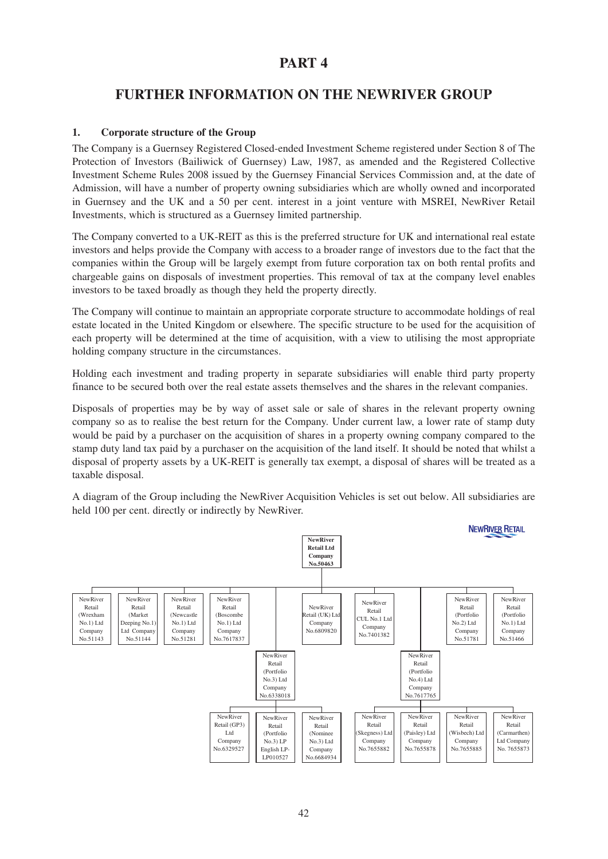# **FURTHER INFORMATION ON THE NEWRIVER GROUP**

# **1. Corporate structure of the Group**

The Company is a Guernsey Registered Closed-ended Investment Scheme registered under Section 8 of The Protection of Investors (Bailiwick of Guernsey) Law, 1987, as amended and the Registered Collective Investment Scheme Rules 2008 issued by the Guernsey Financial Services Commission and, at the date of Admission, will have a number of property owning subsidiaries which are wholly owned and incorporated in Guernsey and the UK and a 50 per cent. interest in a joint venture with MSREI, NewRiver Retail Investments, which is structured as a Guernsey limited partnership.

The Company converted to a UK-REIT as this is the preferred structure for UK and international real estate investors and helps provide the Company with access to a broader range of investors due to the fact that the companies within the Group will be largely exempt from future corporation tax on both rental profits and chargeable gains on disposals of investment properties. This removal of tax at the company level enables investors to be taxed broadly as though they held the property directly.

The Company will continue to maintain an appropriate corporate structure to accommodate holdings of real estate located in the United Kingdom or elsewhere. The specific structure to be used for the acquisition of each property will be determined at the time of acquisition, with a view to utilising the most appropriate holding company structure in the circumstances.

Holding each investment and trading property in separate subsidiaries will enable third party property finance to be secured both over the real estate assets themselves and the shares in the relevant companies.

Disposals of properties may be by way of asset sale or sale of shares in the relevant property owning company so as to realise the best return for the Company. Under current law, a lower rate of stamp duty would be paid by a purchaser on the acquisition of shares in a property owning company compared to the stamp duty land tax paid by a purchaser on the acquisition of the land itself. It should be noted that whilst a disposal of property assets by a UK-REIT is generally tax exempt, a disposal of shares will be treated as a taxable disposal.

A diagram of the Group including the NewRiver Acquisition Vehicles is set out below. All subsidiaries are held 100 per cent. directly or indirectly by NewRiver.

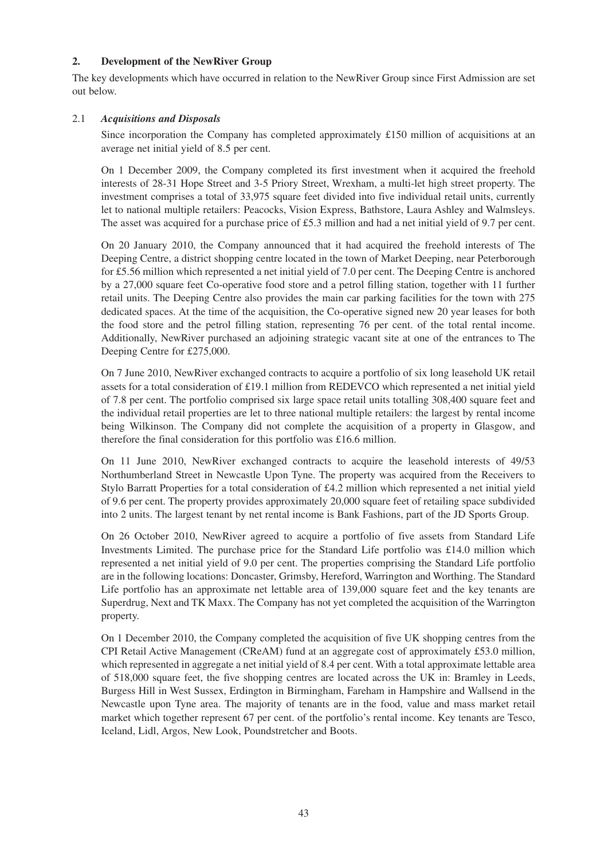# **2. Development of the NewRiver Group**

The key developments which have occurred in relation to the NewRiver Group since First Admission are set out below.

# 2.1 *Acquisitions and Disposals*

Since incorporation the Company has completed approximately £150 million of acquisitions at an average net initial yield of 8.5 per cent.

On 1 December 2009, the Company completed its first investment when it acquired the freehold interests of 28-31 Hope Street and 3-5 Priory Street, Wrexham, a multi-let high street property. The investment comprises a total of 33,975 square feet divided into five individual retail units, currently let to national multiple retailers: Peacocks, Vision Express, Bathstore, Laura Ashley and Walmsleys. The asset was acquired for a purchase price of £5.3 million and had a net initial yield of 9.7 per cent.

On 20 January 2010, the Company announced that it had acquired the freehold interests of The Deeping Centre, a district shopping centre located in the town of Market Deeping, near Peterborough for £5.56 million which represented a net initial yield of 7.0 per cent. The Deeping Centre is anchored by a 27,000 square feet Co-operative food store and a petrol filling station, together with 11 further retail units. The Deeping Centre also provides the main car parking facilities for the town with 275 dedicated spaces. At the time of the acquisition, the Co-operative signed new 20 year leases for both the food store and the petrol filling station, representing 76 per cent. of the total rental income. Additionally, NewRiver purchased an adjoining strategic vacant site at one of the entrances to The Deeping Centre for £275,000.

On 7 June 2010, NewRiver exchanged contracts to acquire a portfolio of six long leasehold UK retail assets for a total consideration of £19.1 million from REDEVCO which represented a net initial yield of 7.8 per cent. The portfolio comprised six large space retail units totalling 308,400 square feet and the individual retail properties are let to three national multiple retailers: the largest by rental income being Wilkinson. The Company did not complete the acquisition of a property in Glasgow, and therefore the final consideration for this portfolio was £16.6 million.

On 11 June 2010, NewRiver exchanged contracts to acquire the leasehold interests of 49/53 Northumberland Street in Newcastle Upon Tyne. The property was acquired from the Receivers to Stylo Barratt Properties for a total consideration of £4.2 million which represented a net initial yield of 9.6 per cent. The property provides approximately 20,000 square feet of retailing space subdivided into 2 units. The largest tenant by net rental income is Bank Fashions, part of the JD Sports Group.

On 26 October 2010, NewRiver agreed to acquire a portfolio of five assets from Standard Life Investments Limited. The purchase price for the Standard Life portfolio was £14.0 million which represented a net initial yield of 9.0 per cent. The properties comprising the Standard Life portfolio are in the following locations: Doncaster, Grimsby, Hereford, Warrington and Worthing. The Standard Life portfolio has an approximate net lettable area of 139,000 square feet and the key tenants are Superdrug, Next and TK Maxx. The Company has not yet completed the acquisition of the Warrington property.

On 1 December 2010, the Company completed the acquisition of five UK shopping centres from the CPI Retail Active Management (CReAM) fund at an aggregate cost of approximately £53.0 million, which represented in aggregate a net initial yield of 8.4 per cent. With a total approximate lettable area of 518,000 square feet, the five shopping centres are located across the UK in: Bramley in Leeds, Burgess Hill in West Sussex, Erdington in Birmingham, Fareham in Hampshire and Wallsend in the Newcastle upon Tyne area. The majority of tenants are in the food, value and mass market retail market which together represent 67 per cent. of the portfolio's rental income. Key tenants are Tesco, Iceland, Lidl, Argos, New Look, Poundstretcher and Boots.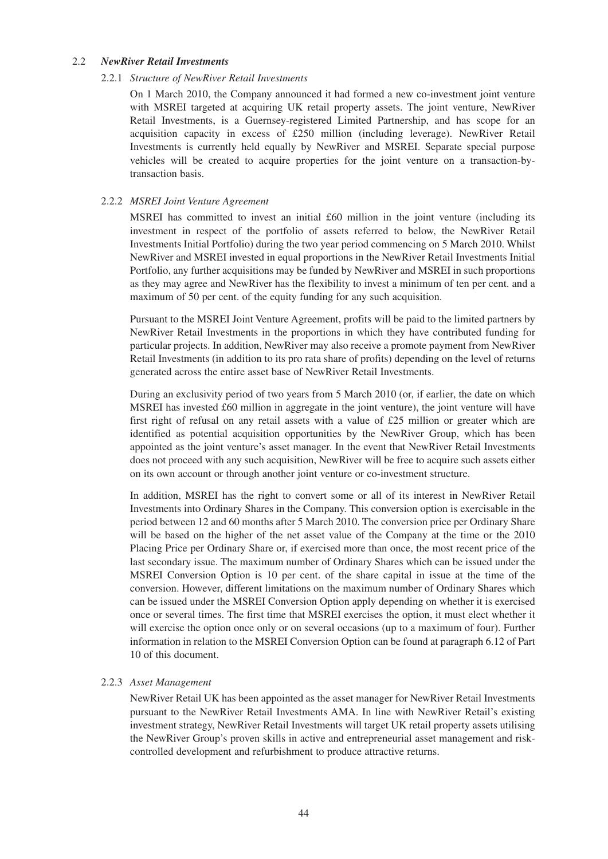### 2.2 *NewRiver Retail Investments*

### 2.2.1 *Structure of NewRiver Retail Investments*

On 1 March 2010, the Company announced it had formed a new co-investment joint venture with MSREI targeted at acquiring UK retail property assets. The joint venture, NewRiver Retail Investments, is a Guernsey-registered Limited Partnership, and has scope for an acquisition capacity in excess of £250 million (including leverage). NewRiver Retail Investments is currently held equally by NewRiver and MSREI. Separate special purpose vehicles will be created to acquire properties for the joint venture on a transaction-bytransaction basis.

# 2.2.2 *MSREI Joint Venture Agreement*

MSREI has committed to invest an initial £60 million in the joint venture (including its investment in respect of the portfolio of assets referred to below, the NewRiver Retail Investments Initial Portfolio) during the two year period commencing on 5 March 2010. Whilst NewRiver and MSREI invested in equal proportions in the NewRiver Retail Investments Initial Portfolio, any further acquisitions may be funded by NewRiver and MSREI in such proportions as they may agree and NewRiver has the flexibility to invest a minimum of ten per cent. and a maximum of 50 per cent. of the equity funding for any such acquisition.

Pursuant to the MSREI Joint Venture Agreement, profits will be paid to the limited partners by NewRiver Retail Investments in the proportions in which they have contributed funding for particular projects. In addition, NewRiver may also receive a promote payment from NewRiver Retail Investments (in addition to its pro rata share of profits) depending on the level of returns generated across the entire asset base of NewRiver Retail Investments.

During an exclusivity period of two years from 5 March 2010 (or, if earlier, the date on which MSREI has invested £60 million in aggregate in the joint venture), the joint venture will have first right of refusal on any retail assets with a value of £25 million or greater which are identified as potential acquisition opportunities by the NewRiver Group, which has been appointed as the joint venture's asset manager. In the event that NewRiver Retail Investments does not proceed with any such acquisition, NewRiver will be free to acquire such assets either on its own account or through another joint venture or co-investment structure.

In addition, MSREI has the right to convert some or all of its interest in NewRiver Retail Investments into Ordinary Shares in the Company. This conversion option is exercisable in the period between 12 and 60 months after 5 March 2010. The conversion price per Ordinary Share will be based on the higher of the net asset value of the Company at the time or the 2010 Placing Price per Ordinary Share or, if exercised more than once, the most recent price of the last secondary issue. The maximum number of Ordinary Shares which can be issued under the MSREI Conversion Option is 10 per cent. of the share capital in issue at the time of the conversion. However, different limitations on the maximum number of Ordinary Shares which can be issued under the MSREI Conversion Option apply depending on whether it is exercised once or several times. The first time that MSREI exercises the option, it must elect whether it will exercise the option once only or on several occasions (up to a maximum of four). Further information in relation to the MSREI Conversion Option can be found at paragraph 6.12 of Part 10 of this document.

# 2.2.3 *Asset Management*

NewRiver Retail UK has been appointed as the asset manager for NewRiver Retail Investments pursuant to the NewRiver Retail Investments AMA. In line with NewRiver Retail's existing investment strategy, NewRiver Retail Investments will target UK retail property assets utilising the NewRiver Group's proven skills in active and entrepreneurial asset management and riskcontrolled development and refurbishment to produce attractive returns.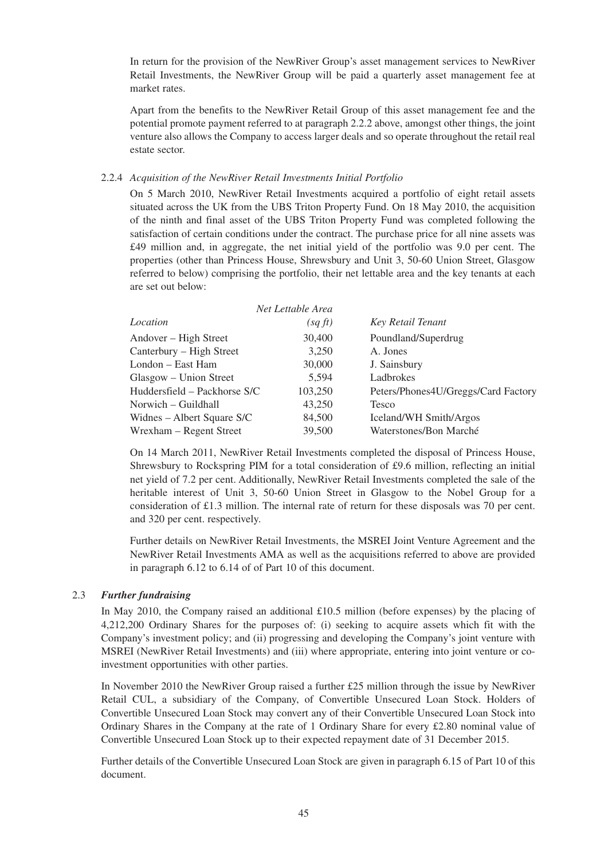In return for the provision of the NewRiver Group's asset management services to NewRiver Retail Investments, the NewRiver Group will be paid a quarterly asset management fee at market rates.

Apart from the benefits to the NewRiver Retail Group of this asset management fee and the potential promote payment referred to at paragraph 2.2.2 above, amongst other things, the joint venture also allows the Company to access larger deals and so operate throughout the retail real estate sector.

#### 2.2.4 *Acquisition of the NewRiver Retail Investments Initial Portfolio*

On 5 March 2010, NewRiver Retail Investments acquired a portfolio of eight retail assets situated across the UK from the UBS Triton Property Fund. On 18 May 2010, the acquisition of the ninth and final asset of the UBS Triton Property Fund was completed following the satisfaction of certain conditions under the contract. The purchase price for all nine assets was £49 million and, in aggregate, the net initial yield of the portfolio was 9.0 per cent. The properties (other than Princess House, Shrewsbury and Unit 3, 50-60 Union Street, Glasgow referred to below) comprising the portfolio, their net lettable area and the key tenants at each are set out below:

|                              | Net Lettable Area |                                     |
|------------------------------|-------------------|-------------------------------------|
| Location                     | (sqft)            | Key Retail Tenant                   |
| Andover – High Street        | 30,400            | Poundland/Superdrug                 |
| Canterbury – High Street     | 3.250             | A. Jones                            |
| London – East Ham            | 30,000            | J. Sainsbury                        |
| Glasgow – Union Street       | 5.594             | Ladbrokes                           |
| Huddersfield – Packhorse S/C | 103,250           | Peters/Phones4U/Greggs/Card Factory |
| Norwich – Guildhall          | 43,250            | Tesco                               |
| Widnes – Albert Square S/C   | 84,500            | Iceland/WH Smith/Argos              |
| Wrexham – Regent Street      | 39,500            | Waterstones/Bon Marché              |

On 14 March 2011, NewRiver Retail Investments completed the disposal of Princess House, Shrewsbury to Rockspring PIM for a total consideration of £9.6 million, reflecting an initial net yield of 7.2 per cent. Additionally, NewRiver Retail Investments completed the sale of the heritable interest of Unit 3, 50-60 Union Street in Glasgow to the Nobel Group for a consideration of £1.3 million. The internal rate of return for these disposals was 70 per cent. and 320 per cent. respectively.

Further details on NewRiver Retail Investments, the MSREI Joint Venture Agreement and the NewRiver Retail Investments AMA as well as the acquisitions referred to above are provided in paragraph 6.12 to 6.14 of of Part 10 of this document.

# 2.3 *Further fundraising*

In May 2010, the Company raised an additional £10.5 million (before expenses) by the placing of 4,212,200 Ordinary Shares for the purposes of: (i) seeking to acquire assets which fit with the Company's investment policy; and (ii) progressing and developing the Company's joint venture with MSREI (NewRiver Retail Investments) and (iii) where appropriate, entering into joint venture or coinvestment opportunities with other parties.

In November 2010 the NewRiver Group raised a further £25 million through the issue by NewRiver Retail CUL, a subsidiary of the Company, of Convertible Unsecured Loan Stock. Holders of Convertible Unsecured Loan Stock may convert any of their Convertible Unsecured Loan Stock into Ordinary Shares in the Company at the rate of 1 Ordinary Share for every  $\text{\pounds}2.80$  nominal value of Convertible Unsecured Loan Stock up to their expected repayment date of 31 December 2015.

Further details of the Convertible Unsecured Loan Stock are given in paragraph 6.15 of Part 10 of this document.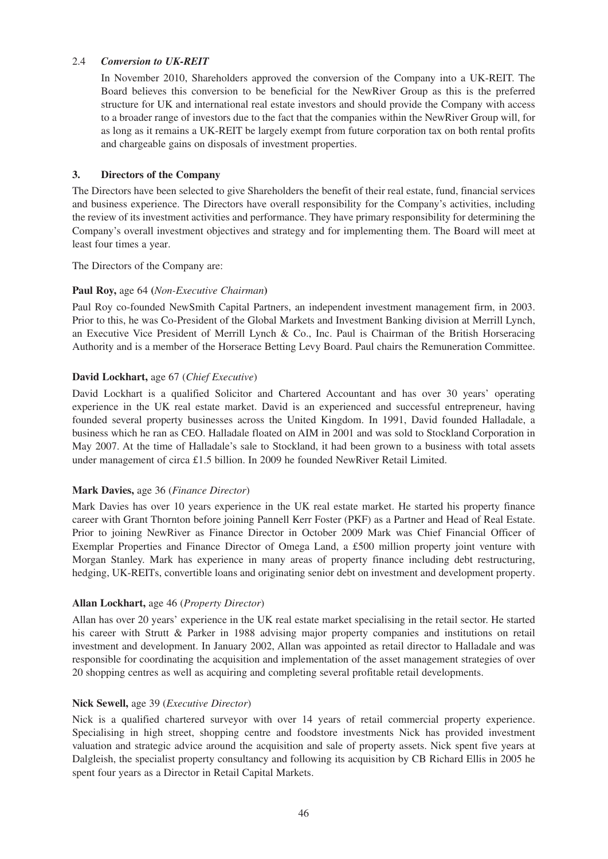# 2.4 *Conversion to UK-REIT*

In November 2010, Shareholders approved the conversion of the Company into a UK-REIT. The Board believes this conversion to be beneficial for the NewRiver Group as this is the preferred structure for UK and international real estate investors and should provide the Company with access to a broader range of investors due to the fact that the companies within the NewRiver Group will, for as long as it remains a UK-REIT be largely exempt from future corporation tax on both rental profits and chargeable gains on disposals of investment properties.

### **3. Directors of the Company**

The Directors have been selected to give Shareholders the benefit of their real estate, fund, financial services and business experience. The Directors have overall responsibility for the Company's activities, including the review of its investment activities and performance. They have primary responsibility for determining the Company's overall investment objectives and strategy and for implementing them. The Board will meet at least four times a year.

The Directors of the Company are:

### **Paul Roy,** age 64 **(***Non-Executive Chairman***)**

Paul Roy co-founded NewSmith Capital Partners, an independent investment management firm, in 2003. Prior to this, he was Co-President of the Global Markets and Investment Banking division at Merrill Lynch, an Executive Vice President of Merrill Lynch & Co., Inc. Paul is Chairman of the British Horseracing Authority and is a member of the Horserace Betting Levy Board. Paul chairs the Remuneration Committee.

# **David Lockhart,** age 67 (*Chief Executive*)

David Lockhart is a qualified Solicitor and Chartered Accountant and has over 30 years' operating experience in the UK real estate market. David is an experienced and successful entrepreneur, having founded several property businesses across the United Kingdom. In 1991, David founded Halladale, a business which he ran as CEO. Halladale floated on AIM in 2001 and was sold to Stockland Corporation in May 2007. At the time of Halladale's sale to Stockland, it had been grown to a business with total assets under management of circa £1.5 billion. In 2009 he founded NewRiver Retail Limited.

# **Mark Davies,** age 36 (*Finance Director*)

Mark Davies has over 10 years experience in the UK real estate market. He started his property finance career with Grant Thornton before joining Pannell Kerr Foster (PKF) as a Partner and Head of Real Estate. Prior to joining NewRiver as Finance Director in October 2009 Mark was Chief Financial Officer of Exemplar Properties and Finance Director of Omega Land, a £500 million property joint venture with Morgan Stanley. Mark has experience in many areas of property finance including debt restructuring, hedging, UK-REITs, convertible loans and originating senior debt on investment and development property.

# **Allan Lockhart,** age 46 (*Property Director*)

Allan has over 20 years' experience in the UK real estate market specialising in the retail sector. He started his career with Strutt & Parker in 1988 advising major property companies and institutions on retail investment and development. In January 2002, Allan was appointed as retail director to Halladale and was responsible for coordinating the acquisition and implementation of the asset management strategies of over 20 shopping centres as well as acquiring and completing several profitable retail developments.

# **Nick Sewell,** age 39 (*Executive Director*)

Nick is a qualified chartered surveyor with over 14 years of retail commercial property experience. Specialising in high street, shopping centre and foodstore investments Nick has provided investment valuation and strategic advice around the acquisition and sale of property assets. Nick spent five years at Dalgleish, the specialist property consultancy and following its acquisition by CB Richard Ellis in 2005 he spent four years as a Director in Retail Capital Markets.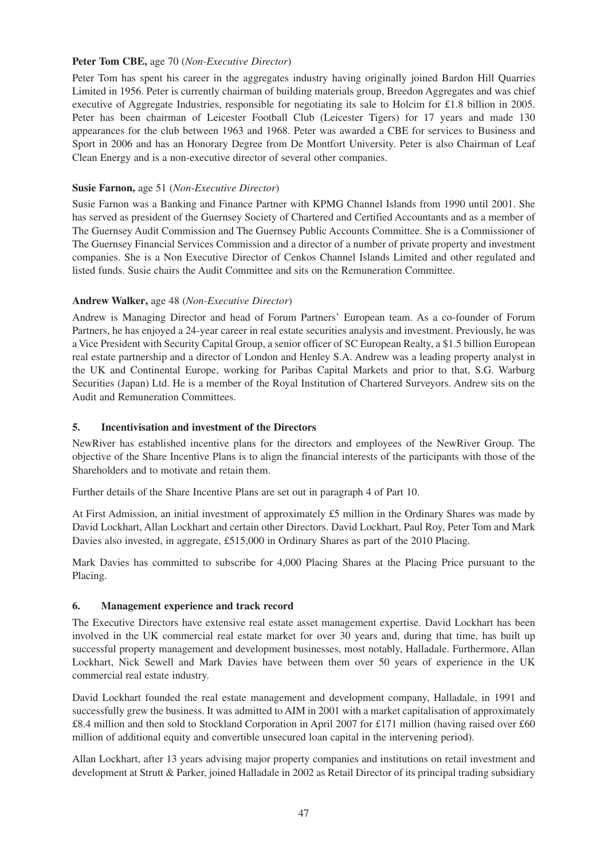# **Peter Tom CBE,** age 70 (*Non-Executive Director*)

Peter Tom has spent his career in the aggregates industry having originally joined Bardon Hill Quarries Limited in 1956. Peter is currently chairman of building materials group, Breedon Aggregates and was chief executive of Aggregate Industries, responsible for negotiating its sale to Holcim for £1.8 billion in 2005. Peter has been chairman of Leicester Football Club (Leicester Tigers) for 17 years and made 130 appearances for the club between 1963 and 1968. Peter was awarded a CBE for services to Business and Sport in 2006 and has an Honorary Degree from De Montfort University. Peter is also Chairman of Leaf Clean Energy and is a non-executive director of several other companies.

### **Susie Farnon,** age 51 (*Non-Executive Director*)

Susie Farnon was a Banking and Finance Partner with KPMG Channel Islands from 1990 until 2001. She has served as president of the Guernsey Society of Chartered and Certified Accountants and as a member of The Guernsey Audit Commission and The Guernsey Public Accounts Committee. She is a Commissioner of The Guernsey Financial Services Commission and a director of a number of private property and investment companies. She is a Non Executive Director of Cenkos Channel Islands Limited and other regulated and listed funds. Susie chairs the Audit Committee and sits on the Remuneration Committee.

# **Andrew Walker,** age 48 (*Non-Executive Director*)

Andrew is Managing Director and head of Forum Partners' European team. As a co-founder of Forum Partners, he has enjoyed a 24-year career in real estate securities analysis and investment. Previously, he was a Vice President with Security Capital Group, a senior officer of SC European Realty, a \$1.5 billion European real estate partnership and a director of London and Henley S.A. Andrew was a leading property analyst in the UK and Continental Europe, working for Paribas Capital Markets and prior to that, S.G. Warburg Securities (Japan) Ltd. He is a member of the Royal Institution of Chartered Surveyors. Andrew sits on the Audit and Remuneration Committees.

### **5. Incentivisation and investment of the Directors**

NewRiver has established incentive plans for the directors and employees of the NewRiver Group. The objective of the Share Incentive Plans is to align the financial interests of the participants with those of the Shareholders and to motivate and retain them.

Further details of the Share Incentive Plans are set out in paragraph 4 of Part 10.

At First Admission, an initial investment of approximately £5 million in the Ordinary Shares was made by David Lockhart, Allan Lockhart and certain other Directors. David Lockhart, Paul Roy, Peter Tom and Mark Davies also invested, in aggregate, £515,000 in Ordinary Shares as part of the 2010 Placing.

Mark Davies has committed to subscribe for 4,000 Placing Shares at the Placing Price pursuant to the Placing.

#### **6. Management experience and track record**

The Executive Directors have extensive real estate asset management expertise. David Lockhart has been involved in the UK commercial real estate market for over 30 years and, during that time, has built up successful property management and development businesses, most notably, Halladale. Furthermore, Allan Lockhart, Nick Sewell and Mark Davies have between them over 50 years of experience in the UK commercial real estate industry.

David Lockhart founded the real estate management and development company, Halladale, in 1991 and successfully grew the business. It was admitted to AIM in 2001 with a market capitalisation of approximately £8.4 million and then sold to Stockland Corporation in April 2007 for £171 million (having raised over £60 million of additional equity and convertible unsecured loan capital in the intervening period).

Allan Lockhart, after 13 years advising major property companies and institutions on retail investment and development at Strutt & Parker, joined Halladale in 2002 as Retail Director of its principal trading subsidiary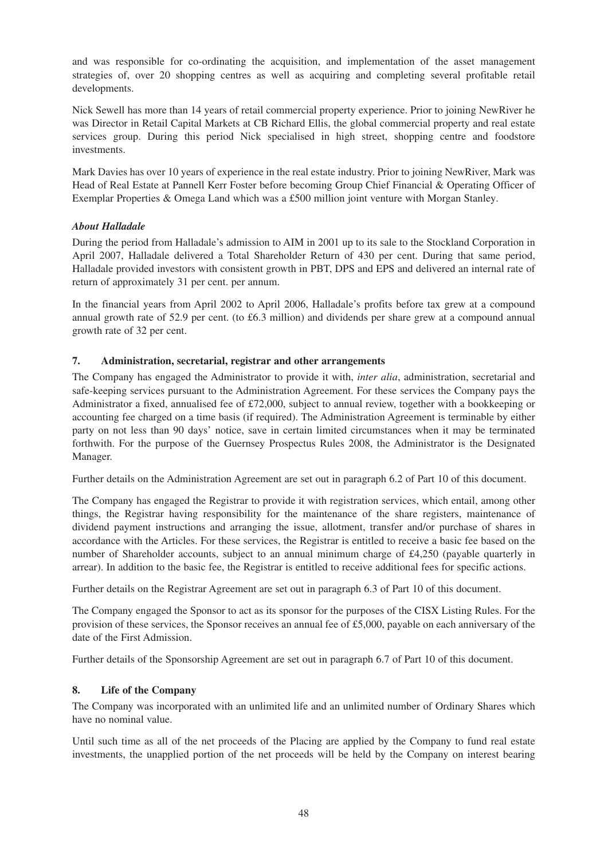and was responsible for co-ordinating the acquisition, and implementation of the asset management strategies of, over 20 shopping centres as well as acquiring and completing several profitable retail developments.

Nick Sewell has more than 14 years of retail commercial property experience. Prior to joining NewRiver he was Director in Retail Capital Markets at CB Richard Ellis, the global commercial property and real estate services group. During this period Nick specialised in high street, shopping centre and foodstore investments.

Mark Davies has over 10 years of experience in the real estate industry. Prior to joining NewRiver, Mark was Head of Real Estate at Pannell Kerr Foster before becoming Group Chief Financial & Operating Officer of Exemplar Properties & Omega Land which was a £500 million joint venture with Morgan Stanley.

# *About Halladale*

During the period from Halladale's admission to AIM in 2001 up to its sale to the Stockland Corporation in April 2007, Halladale delivered a Total Shareholder Return of 430 per cent. During that same period, Halladale provided investors with consistent growth in PBT, DPS and EPS and delivered an internal rate of return of approximately 31 per cent. per annum.

In the financial years from April 2002 to April 2006, Halladale's profits before tax grew at a compound annual growth rate of 52.9 per cent. (to £6.3 million) and dividends per share grew at a compound annual growth rate of 32 per cent.

# **7. Administration, secretarial, registrar and other arrangements**

The Company has engaged the Administrator to provide it with, *inter alia*, administration, secretarial and safe-keeping services pursuant to the Administration Agreement. For these services the Company pays the Administrator a fixed, annualised fee of £72,000, subject to annual review, together with a bookkeeping or accounting fee charged on a time basis (if required). The Administration Agreement is terminable by either party on not less than 90 days' notice, save in certain limited circumstances when it may be terminated forthwith. For the purpose of the Guernsey Prospectus Rules 2008, the Administrator is the Designated Manager.

Further details on the Administration Agreement are set out in paragraph 6.2 of Part 10 of this document.

The Company has engaged the Registrar to provide it with registration services, which entail, among other things, the Registrar having responsibility for the maintenance of the share registers, maintenance of dividend payment instructions and arranging the issue, allotment, transfer and/or purchase of shares in accordance with the Articles. For these services, the Registrar is entitled to receive a basic fee based on the number of Shareholder accounts, subject to an annual minimum charge of £4,250 (payable quarterly in arrear). In addition to the basic fee, the Registrar is entitled to receive additional fees for specific actions.

Further details on the Registrar Agreement are set out in paragraph 6.3 of Part 10 of this document.

The Company engaged the Sponsor to act as its sponsor for the purposes of the CISX Listing Rules. For the provision of these services, the Sponsor receives an annual fee of £5,000, payable on each anniversary of the date of the First Admission.

Further details of the Sponsorship Agreement are set out in paragraph 6.7 of Part 10 of this document.

# **8. Life of the Company**

The Company was incorporated with an unlimited life and an unlimited number of Ordinary Shares which have no nominal value.

Until such time as all of the net proceeds of the Placing are applied by the Company to fund real estate investments, the unapplied portion of the net proceeds will be held by the Company on interest bearing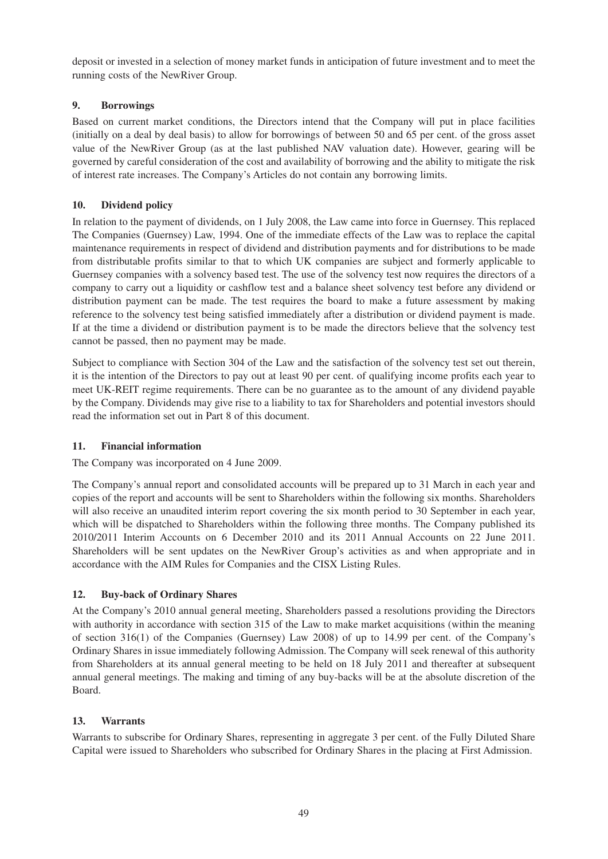deposit or invested in a selection of money market funds in anticipation of future investment and to meet the running costs of the NewRiver Group.

# **9. Borrowings**

Based on current market conditions, the Directors intend that the Company will put in place facilities (initially on a deal by deal basis) to allow for borrowings of between 50 and 65 per cent. of the gross asset value of the NewRiver Group (as at the last published NAV valuation date). However, gearing will be governed by careful consideration of the cost and availability of borrowing and the ability to mitigate the risk of interest rate increases. The Company's Articles do not contain any borrowing limits.

# **10. Dividend policy**

In relation to the payment of dividends, on 1 July 2008, the Law came into force in Guernsey. This replaced The Companies (Guernsey) Law, 1994. One of the immediate effects of the Law was to replace the capital maintenance requirements in respect of dividend and distribution payments and for distributions to be made from distributable profits similar to that to which UK companies are subject and formerly applicable to Guernsey companies with a solvency based test. The use of the solvency test now requires the directors of a company to carry out a liquidity or cashflow test and a balance sheet solvency test before any dividend or distribution payment can be made. The test requires the board to make a future assessment by making reference to the solvency test being satisfied immediately after a distribution or dividend payment is made. If at the time a dividend or distribution payment is to be made the directors believe that the solvency test cannot be passed, then no payment may be made.

Subject to compliance with Section 304 of the Law and the satisfaction of the solvency test set out therein, it is the intention of the Directors to pay out at least 90 per cent. of qualifying income profits each year to meet UK-REIT regime requirements. There can be no guarantee as to the amount of any dividend payable by the Company. Dividends may give rise to a liability to tax for Shareholders and potential investors should read the information set out in Part 8 of this document.

# **11. Financial information**

The Company was incorporated on 4 June 2009.

The Company's annual report and consolidated accounts will be prepared up to 31 March in each year and copies of the report and accounts will be sent to Shareholders within the following six months. Shareholders will also receive an unaudited interim report covering the six month period to 30 September in each year, which will be dispatched to Shareholders within the following three months. The Company published its 2010/2011 Interim Accounts on 6 December 2010 and its 2011 Annual Accounts on 22 June 2011. Shareholders will be sent updates on the NewRiver Group's activities as and when appropriate and in accordance with the AIM Rules for Companies and the CISX Listing Rules.

# **12. Buy-back of Ordinary Shares**

At the Company's 2010 annual general meeting, Shareholders passed a resolutions providing the Directors with authority in accordance with section 315 of the Law to make market acquisitions (within the meaning of section 316(1) of the Companies (Guernsey) Law 2008) of up to 14.99 per cent. of the Company's Ordinary Shares in issue immediately following Admission. The Company will seek renewal of this authority from Shareholders at its annual general meeting to be held on 18 July 2011 and thereafter at subsequent annual general meetings. The making and timing of any buy-backs will be at the absolute discretion of the Board.

# **13. Warrants**

Warrants to subscribe for Ordinary Shares, representing in aggregate 3 per cent. of the Fully Diluted Share Capital were issued to Shareholders who subscribed for Ordinary Shares in the placing at First Admission.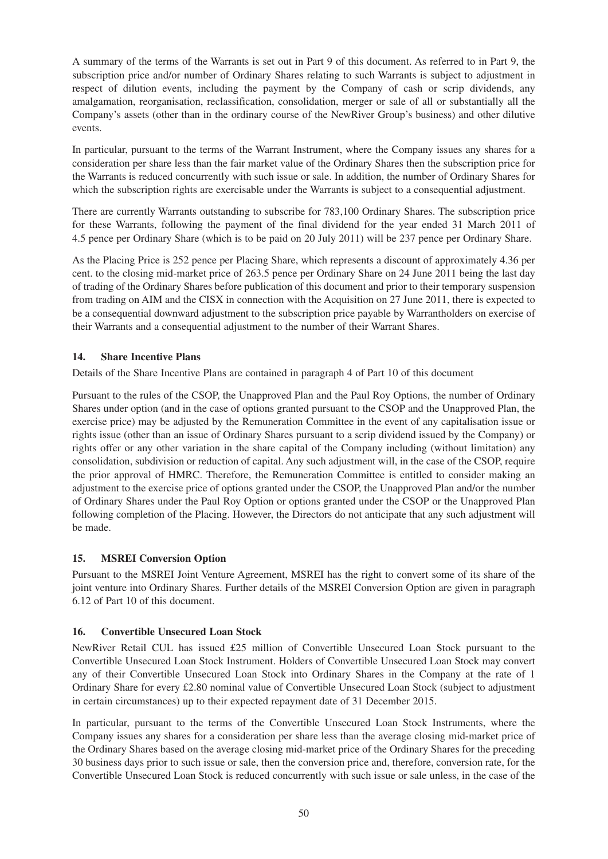A summary of the terms of the Warrants is set out in Part 9 of this document. As referred to in Part 9, the subscription price and/or number of Ordinary Shares relating to such Warrants is subject to adjustment in respect of dilution events, including the payment by the Company of cash or scrip dividends, any amalgamation, reorganisation, reclassification, consolidation, merger or sale of all or substantially all the Company's assets (other than in the ordinary course of the NewRiver Group's business) and other dilutive events.

In particular, pursuant to the terms of the Warrant Instrument, where the Company issues any shares for a consideration per share less than the fair market value of the Ordinary Shares then the subscription price for the Warrants is reduced concurrently with such issue or sale. In addition, the number of Ordinary Shares for which the subscription rights are exercisable under the Warrants is subject to a consequential adjustment.

There are currently Warrants outstanding to subscribe for 783,100 Ordinary Shares. The subscription price for these Warrants, following the payment of the final dividend for the year ended 31 March 2011 of 4.5 pence per Ordinary Share (which is to be paid on 20 July 2011) will be 237 pence per Ordinary Share.

As the Placing Price is 252 pence per Placing Share, which represents a discount of approximately 4.36 per cent. to the closing mid-market price of 263.5 pence per Ordinary Share on 24 June 2011 being the last day of trading of the Ordinary Shares before publication of this document and prior to their temporary suspension from trading on AIM and the CISX in connection with the Acquisition on 27 June 2011, there is expected to be a consequential downward adjustment to the subscription price payable by Warrantholders on exercise of their Warrants and a consequential adjustment to the number of their Warrant Shares.

# **14. Share Incentive Plans**

Details of the Share Incentive Plans are contained in paragraph 4 of Part 10 of this document

Pursuant to the rules of the CSOP, the Unapproved Plan and the Paul Roy Options, the number of Ordinary Shares under option (and in the case of options granted pursuant to the CSOP and the Unapproved Plan, the exercise price) may be adjusted by the Remuneration Committee in the event of any capitalisation issue or rights issue (other than an issue of Ordinary Shares pursuant to a scrip dividend issued by the Company) or rights offer or any other variation in the share capital of the Company including (without limitation) any consolidation, subdivision or reduction of capital. Any such adjustment will, in the case of the CSOP, require the prior approval of HMRC. Therefore, the Remuneration Committee is entitled to consider making an adjustment to the exercise price of options granted under the CSOP, the Unapproved Plan and/or the number of Ordinary Shares under the Paul Roy Option or options granted under the CSOP or the Unapproved Plan following completion of the Placing. However, the Directors do not anticipate that any such adjustment will be made.

# **15. MSREI Conversion Option**

Pursuant to the MSREI Joint Venture Agreement, MSREI has the right to convert some of its share of the joint venture into Ordinary Shares. Further details of the MSREI Conversion Option are given in paragraph 6.12 of Part 10 of this document.

# **16. Convertible Unsecured Loan Stock**

NewRiver Retail CUL has issued £25 million of Convertible Unsecured Loan Stock pursuant to the Convertible Unsecured Loan Stock Instrument. Holders of Convertible Unsecured Loan Stock may convert any of their Convertible Unsecured Loan Stock into Ordinary Shares in the Company at the rate of 1 Ordinary Share for every £2.80 nominal value of Convertible Unsecured Loan Stock (subject to adjustment in certain circumstances) up to their expected repayment date of 31 December 2015.

In particular, pursuant to the terms of the Convertible Unsecured Loan Stock Instruments, where the Company issues any shares for a consideration per share less than the average closing mid-market price of the Ordinary Shares based on the average closing mid-market price of the Ordinary Shares for the preceding 30 business days prior to such issue or sale, then the conversion price and, therefore, conversion rate, for the Convertible Unsecured Loan Stock is reduced concurrently with such issue or sale unless, in the case of the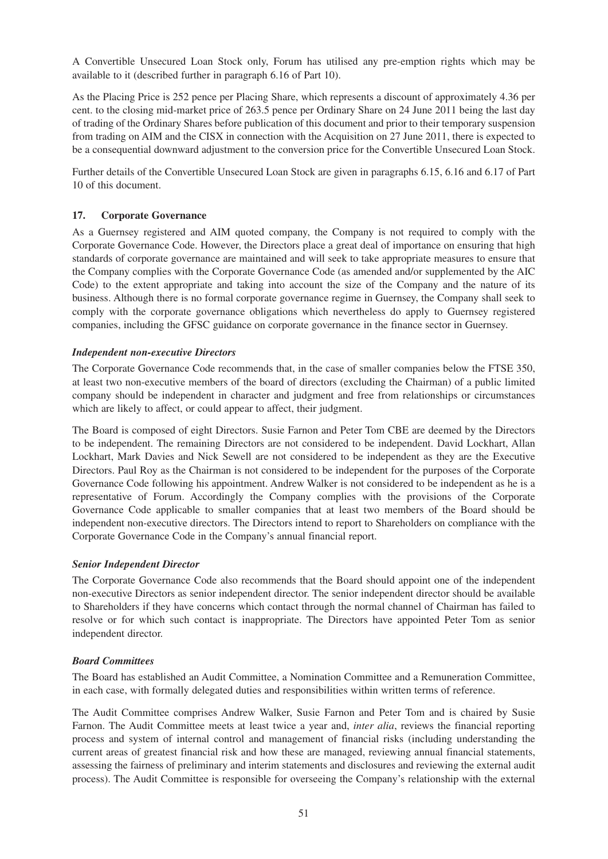A Convertible Unsecured Loan Stock only, Forum has utilised any pre-emption rights which may be available to it (described further in paragraph 6.16 of Part 10).

As the Placing Price is 252 pence per Placing Share, which represents a discount of approximately 4.36 per cent. to the closing mid-market price of 263.5 pence per Ordinary Share on 24 June 2011 being the last day of trading of the Ordinary Shares before publication of this document and prior to their temporary suspension from trading on AIM and the CISX in connection with the Acquisition on 27 June 2011, there is expected to be a consequential downward adjustment to the conversion price for the Convertible Unsecured Loan Stock.

Further details of the Convertible Unsecured Loan Stock are given in paragraphs 6.15, 6.16 and 6.17 of Part 10 of this document.

# **17. Corporate Governance**

As a Guernsey registered and AIM quoted company, the Company is not required to comply with the Corporate Governance Code. However, the Directors place a great deal of importance on ensuring that high standards of corporate governance are maintained and will seek to take appropriate measures to ensure that the Company complies with the Corporate Governance Code (as amended and/or supplemented by the AIC Code) to the extent appropriate and taking into account the size of the Company and the nature of its business. Although there is no formal corporate governance regime in Guernsey, the Company shall seek to comply with the corporate governance obligations which nevertheless do apply to Guernsey registered companies, including the GFSC guidance on corporate governance in the finance sector in Guernsey.

# *Independent non-executive Directors*

The Corporate Governance Code recommends that, in the case of smaller companies below the FTSE 350, at least two non-executive members of the board of directors (excluding the Chairman) of a public limited company should be independent in character and judgment and free from relationships or circumstances which are likely to affect, or could appear to affect, their judgment.

The Board is composed of eight Directors. Susie Farnon and Peter Tom CBE are deemed by the Directors to be independent. The remaining Directors are not considered to be independent. David Lockhart, Allan Lockhart, Mark Davies and Nick Sewell are not considered to be independent as they are the Executive Directors. Paul Roy as the Chairman is not considered to be independent for the purposes of the Corporate Governance Code following his appointment. Andrew Walker is not considered to be independent as he is a representative of Forum. Accordingly the Company complies with the provisions of the Corporate Governance Code applicable to smaller companies that at least two members of the Board should be independent non-executive directors. The Directors intend to report to Shareholders on compliance with the Corporate Governance Code in the Company's annual financial report.

# *Senior Independent Director*

The Corporate Governance Code also recommends that the Board should appoint one of the independent non-executive Directors as senior independent director. The senior independent director should be available to Shareholders if they have concerns which contact through the normal channel of Chairman has failed to resolve or for which such contact is inappropriate. The Directors have appointed Peter Tom as senior independent director.

# *Board Committees*

The Board has established an Audit Committee, a Nomination Committee and a Remuneration Committee, in each case, with formally delegated duties and responsibilities within written terms of reference.

The Audit Committee comprises Andrew Walker, Susie Farnon and Peter Tom and is chaired by Susie Farnon. The Audit Committee meets at least twice a year and, *inter alia*, reviews the financial reporting process and system of internal control and management of financial risks (including understanding the current areas of greatest financial risk and how these are managed, reviewing annual financial statements, assessing the fairness of preliminary and interim statements and disclosures and reviewing the external audit process). The Audit Committee is responsible for overseeing the Company's relationship with the external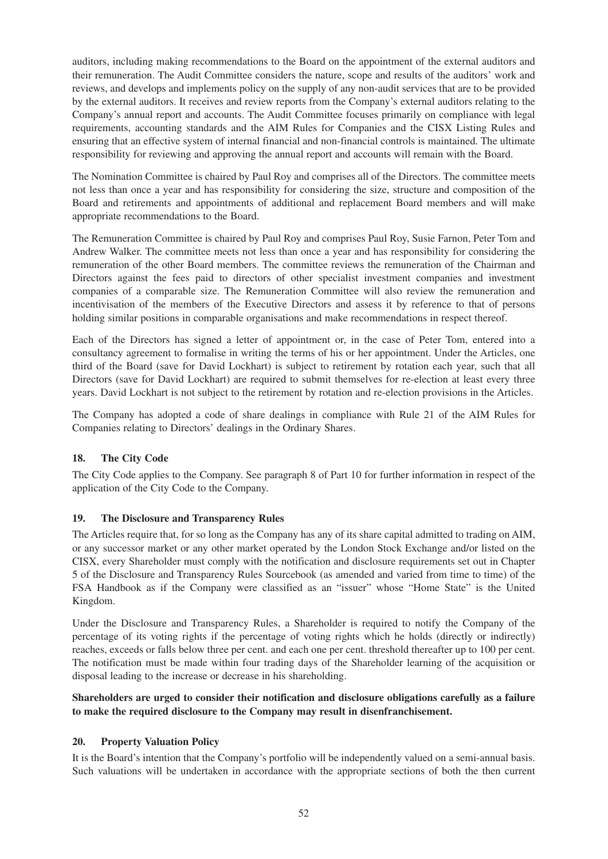auditors, including making recommendations to the Board on the appointment of the external auditors and their remuneration. The Audit Committee considers the nature, scope and results of the auditors' work and reviews, and develops and implements policy on the supply of any non-audit services that are to be provided by the external auditors. It receives and review reports from the Company's external auditors relating to the Company's annual report and accounts. The Audit Committee focuses primarily on compliance with legal requirements, accounting standards and the AIM Rules for Companies and the CISX Listing Rules and ensuring that an effective system of internal financial and non-financial controls is maintained. The ultimate responsibility for reviewing and approving the annual report and accounts will remain with the Board.

The Nomination Committee is chaired by Paul Roy and comprises all of the Directors. The committee meets not less than once a year and has responsibility for considering the size, structure and composition of the Board and retirements and appointments of additional and replacement Board members and will make appropriate recommendations to the Board.

The Remuneration Committee is chaired by Paul Roy and comprises Paul Roy, Susie Farnon, Peter Tom and Andrew Walker. The committee meets not less than once a year and has responsibility for considering the remuneration of the other Board members. The committee reviews the remuneration of the Chairman and Directors against the fees paid to directors of other specialist investment companies and investment companies of a comparable size. The Remuneration Committee will also review the remuneration and incentivisation of the members of the Executive Directors and assess it by reference to that of persons holding similar positions in comparable organisations and make recommendations in respect thereof.

Each of the Directors has signed a letter of appointment or, in the case of Peter Tom, entered into a consultancy agreement to formalise in writing the terms of his or her appointment. Under the Articles, one third of the Board (save for David Lockhart) is subject to retirement by rotation each year, such that all Directors (save for David Lockhart) are required to submit themselves for re-election at least every three years. David Lockhart is not subject to the retirement by rotation and re-election provisions in the Articles.

The Company has adopted a code of share dealings in compliance with Rule 21 of the AIM Rules for Companies relating to Directors' dealings in the Ordinary Shares.

# **18. The City Code**

The City Code applies to the Company. See paragraph 8 of Part 10 for further information in respect of the application of the City Code to the Company.

# **19. The Disclosure and Transparency Rules**

The Articles require that, for so long as the Company has any of its share capital admitted to trading on AIM, or any successor market or any other market operated by the London Stock Exchange and/or listed on the CISX, every Shareholder must comply with the notification and disclosure requirements set out in Chapter 5 of the Disclosure and Transparency Rules Sourcebook (as amended and varied from time to time) of the FSA Handbook as if the Company were classified as an "issuer" whose "Home State" is the United Kingdom.

Under the Disclosure and Transparency Rules, a Shareholder is required to notify the Company of the percentage of its voting rights if the percentage of voting rights which he holds (directly or indirectly) reaches, exceeds or falls below three per cent. and each one per cent. threshold thereafter up to 100 per cent. The notification must be made within four trading days of the Shareholder learning of the acquisition or disposal leading to the increase or decrease in his shareholding.

# **Shareholders are urged to consider their notification and disclosure obligations carefully as a failure to make the required disclosure to the Company may result in disenfranchisement.**

# **20. Property Valuation Policy**

It is the Board's intention that the Company's portfolio will be independently valued on a semi-annual basis. Such valuations will be undertaken in accordance with the appropriate sections of both the then current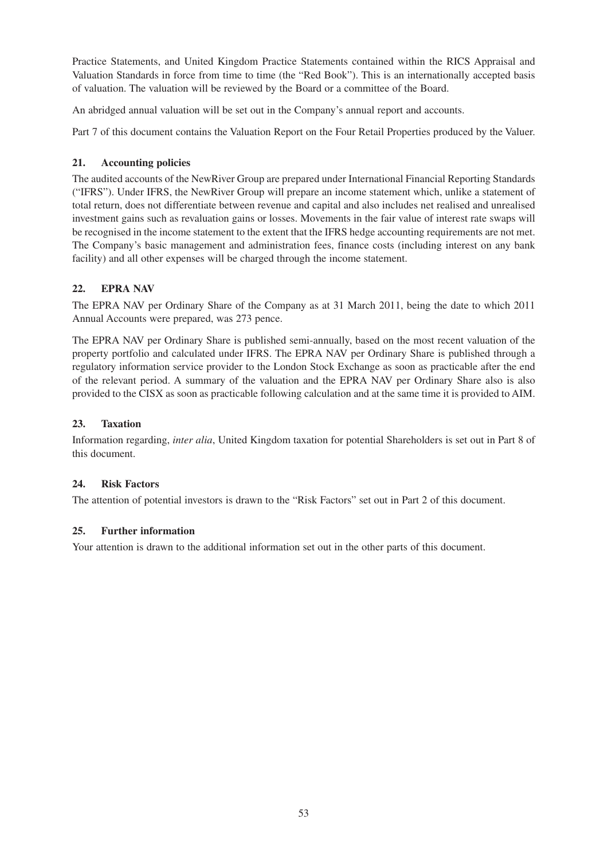Practice Statements, and United Kingdom Practice Statements contained within the RICS Appraisal and Valuation Standards in force from time to time (the "Red Book"). This is an internationally accepted basis of valuation. The valuation will be reviewed by the Board or a committee of the Board.

An abridged annual valuation will be set out in the Company's annual report and accounts.

Part 7 of this document contains the Valuation Report on the Four Retail Properties produced by the Valuer.

# **21. Accounting policies**

The audited accounts of the NewRiver Group are prepared under International Financial Reporting Standards ("IFRS"). Under IFRS, the NewRiver Group will prepare an income statement which, unlike a statement of total return, does not differentiate between revenue and capital and also includes net realised and unrealised investment gains such as revaluation gains or losses. Movements in the fair value of interest rate swaps will be recognised in the income statement to the extent that the IFRS hedge accounting requirements are not met. The Company's basic management and administration fees, finance costs (including interest on any bank facility) and all other expenses will be charged through the income statement.

# **22. EPRA NAV**

The EPRA NAV per Ordinary Share of the Company as at 31 March 2011, being the date to which 2011 Annual Accounts were prepared, was 273 pence.

The EPRA NAV per Ordinary Share is published semi-annually, based on the most recent valuation of the property portfolio and calculated under IFRS. The EPRA NAV per Ordinary Share is published through a regulatory information service provider to the London Stock Exchange as soon as practicable after the end of the relevant period. A summary of the valuation and the EPRA NAV per Ordinary Share also is also provided to the CISX as soon as practicable following calculation and at the same time it is provided to AIM.

# **23. Taxation**

Information regarding, *inter alia*, United Kingdom taxation for potential Shareholders is set out in Part 8 of this document.

# **24. Risk Factors**

The attention of potential investors is drawn to the "Risk Factors" set out in Part 2 of this document.

# **25. Further information**

Your attention is drawn to the additional information set out in the other parts of this document.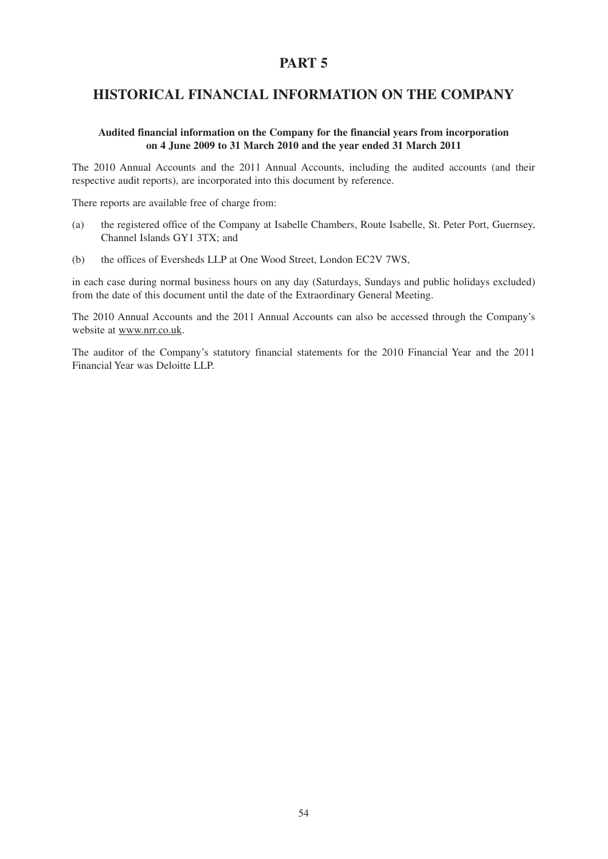# **HISTORICAL FINANCIAL INFORMATION ON THE COMPANY**

### **Audited financial information on the Company for the financial years from incorporation on 4 June 2009 to 31 March 2010 and the year ended 31 March 2011**

The 2010 Annual Accounts and the 2011 Annual Accounts, including the audited accounts (and their respective audit reports), are incorporated into this document by reference.

There reports are available free of charge from:

- (a) the registered office of the Company at Isabelle Chambers, Route Isabelle, St. Peter Port, Guernsey, Channel Islands GY1 3TX; and
- (b) the offices of Eversheds LLP at One Wood Street, London EC2V 7WS,

in each case during normal business hours on any day (Saturdays, Sundays and public holidays excluded) from the date of this document until the date of the Extraordinary General Meeting.

The 2010 Annual Accounts and the 2011 Annual Accounts can also be accessed through the Company's website at www.nrr.co.uk.

The auditor of the Company's statutory financial statements for the 2010 Financial Year and the 2011 Financial Year was Deloitte LLP.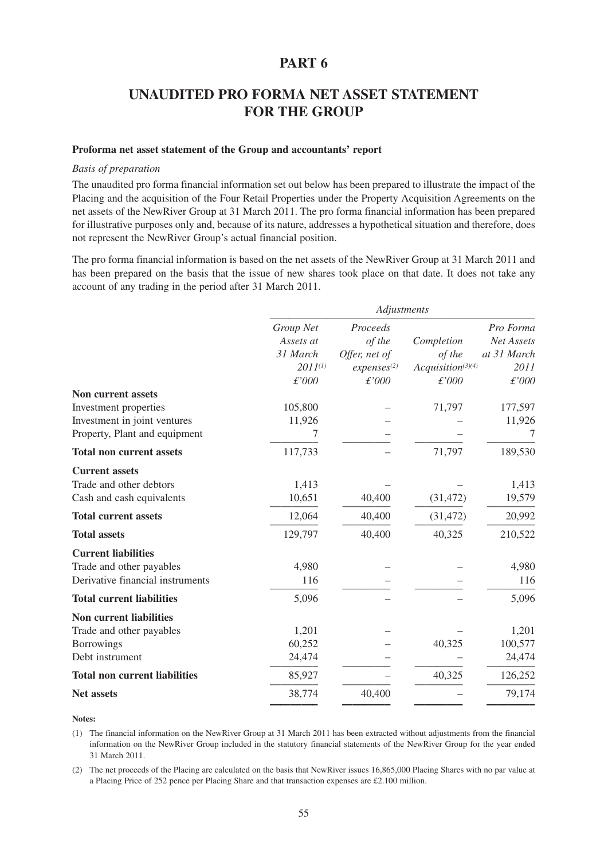# **UNAUDITED PRO FORMA NET ASSET STATEMENT FOR THE GROUP**

#### **Proforma net asset statement of the Group and accountants' report**

#### *Basis of preparation*

The unaudited pro forma financial information set out below has been prepared to illustrate the impact of the Placing and the acquisition of the Four Retail Properties under the Property Acquisition Agreements on the net assets of the NewRiver Group at 31 March 2011. The pro forma financial information has been prepared for illustrative purposes only and, because of its nature, addresses a hypothetical situation and therefore, does not represent the NewRiver Group's actual financial position.

The pro forma financial information is based on the net assets of the NewRiver Group at 31 March 2011 and has been prepared on the basis that the issue of new shares took place on that date. It does not take any account of any trading in the period after 31 March 2011.

|                                      | Adjustments  |                          |                       |             |
|--------------------------------------|--------------|--------------------------|-----------------------|-------------|
|                                      | Group Net    | Proceeds                 |                       | Pro Forma   |
|                                      | Assets at    | of the                   | Completion            | Net Assets  |
|                                      | 31 March     | Offer, net of            | of the                | at 31 March |
|                                      | $2011^{(1)}$ | expresses <sup>(2)</sup> | $Acquistion^{(3)(4)}$ | 2011        |
|                                      | £'000        | £'000                    | £'000                 | £'000       |
| <b>Non current assets</b>            |              |                          |                       |             |
| Investment properties                | 105,800      |                          | 71,797                | 177,597     |
| Investment in joint ventures         | 11,926       |                          |                       | 11,926      |
| Property, Plant and equipment        | 7            |                          |                       | 7           |
| <b>Total non current assets</b>      | 117,733      |                          | 71,797                | 189,530     |
| <b>Current assets</b>                |              |                          |                       |             |
| Trade and other debtors              | 1,413        |                          |                       | 1,413       |
| Cash and cash equivalents            | 10,651       | 40,400                   | (31, 472)             | 19,579      |
| <b>Total current assets</b>          | 12,064       | 40,400                   | (31, 472)             | 20,992      |
| <b>Total assets</b>                  | 129,797      | 40,400                   | 40,325                | 210,522     |
| <b>Current liabilities</b>           |              |                          |                       |             |
| Trade and other payables             | 4,980        |                          |                       | 4,980       |
| Derivative financial instruments     | 116          |                          |                       | 116         |
| <b>Total current liabilities</b>     | 5,096        |                          |                       | 5,096       |
| <b>Non current liabilities</b>       |              |                          |                       |             |
| Trade and other payables             | 1,201        |                          |                       | 1,201       |
| <b>Borrowings</b>                    | 60,252       |                          | 40,325                | 100,577     |
| Debt instrument                      | 24,474       |                          |                       | 24,474      |
| <b>Total non current liabilities</b> | 85,927       |                          | 40,325                | 126,252     |
| <b>Net assets</b>                    | 38,774       | 40,400                   |                       | 79,174      |

**Notes:**

(1) The financial information on the NewRiver Group at 31 March 2011 has been extracted without adjustments from the financial information on the NewRiver Group included in the statutory financial statements of the NewRiver Group for the year ended 31 March 2011.

(2) The net proceeds of the Placing are calculated on the basis that NewRiver issues 16,865,000 Placing Shares with no par value at a Placing Price of 252 pence per Placing Share and that transaction expenses are £2.100 million.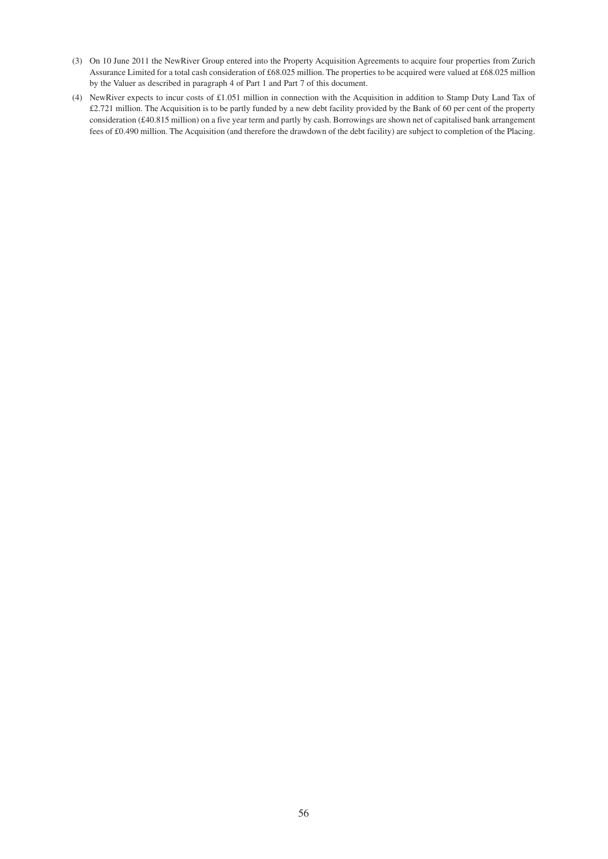- (3) On 10 June 2011 the NewRiver Group entered into the Property Acquisition Agreements to acquire four properties from Zurich Assurance Limited for a total cash consideration of £68.025 million. The properties to be acquired were valued at £68.025 million by the Valuer as described in paragraph 4 of Part 1 and Part 7 of this document.
- (4) NewRiver expects to incur costs of £1.051 million in connection with the Acquisition in addition to Stamp Duty Land Tax of £2.721 million. The Acquisition is to be partly funded by a new debt facility provided by the Bank of 60 per cent of the property consideration (£40.815 million) on a five year term and partly by cash. Borrowings are shown net of capitalised bank arrangement fees of £0.490 million. The Acquisition (and therefore the drawdown of the debt facility) are subject to completion of the Placing.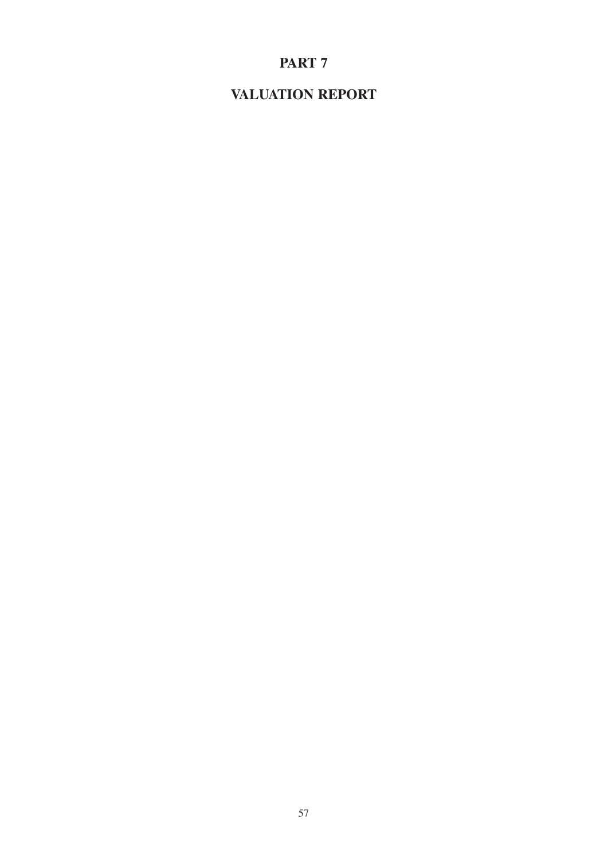# **VALUATION REPORT**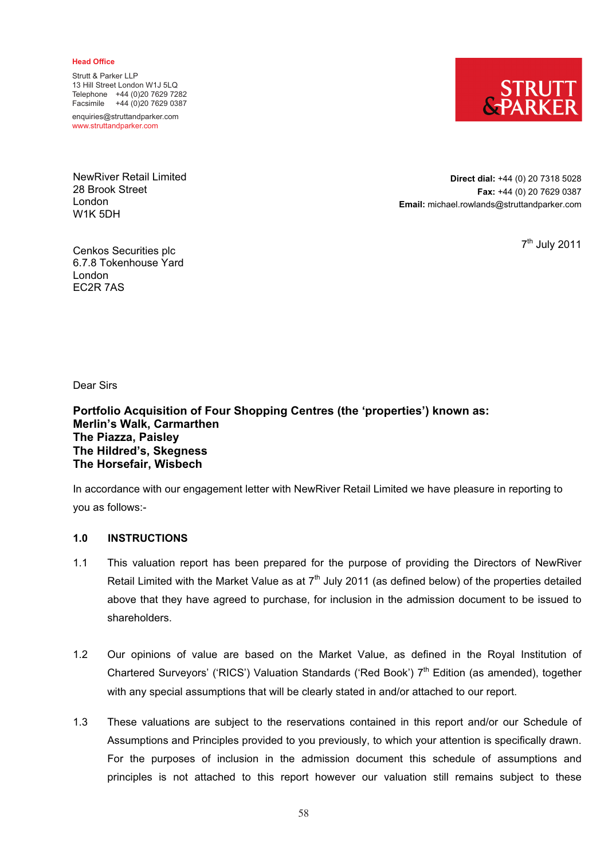#### **Head Office**

Strutt & Parker LLP 13 Hill Street London W1J 5LQ Telephone +44 (0)20 7629 7282 Facsimile +44 (0)20 7629 0387

enquiries@struttandparker.com www.struttandparker.com

NewRiver Retail Limited 28 Brook Street London W1K 5DH

**Direct dial:** +44 (0) 20 7318 5028 **Fax:** +44 (0) 20 7629 0387 **Email:** michael.rowlands@struttandparker.com

7th July 2011

Cenkos Securities plc 6.7.8 Tokenhouse Yard London EC2R 7AS

Dear Sirs

**Portfolio Acquisition of Four Shopping Centres (the 'properties') known as: Merlin's Walk, Carmarthen The Piazza, Paisley The Hildred's, Skegness The Horsefair, Wisbech** 

In accordance with our engagement letter with NewRiver Retail Limited we have pleasure in reporting to you as follows:-

**1.0 INSTRUCTIONS** 

- 1.1 This valuation report has been prepared for the purpose of providing the Directors of NewRiver Retail Limited with the Market Value as at  $7<sup>th</sup>$  July 2011 (as defined below) of the properties detailed above that they have agreed to purchase, for inclusion in the admission document to be issued to shareholders.
- 1.2 Our opinions of value are based on the Market Value, as defined in the Royal Institution of Chartered Surveyors' ('RICS') Valuation Standards ('Red Book') 7<sup>th</sup> Edition (as amended), together with any special assumptions that will be clearly stated in and/or attached to our report.
- 1.3 These valuations are subject to the reservations contained in this report and/or our Schedule of Assumptions and Principles provided to you previously, to which your attention is specifically drawn. For the purposes of inclusion in the admission document this schedule of assumptions and principles is not attached to this report however our valuation still remains subject to these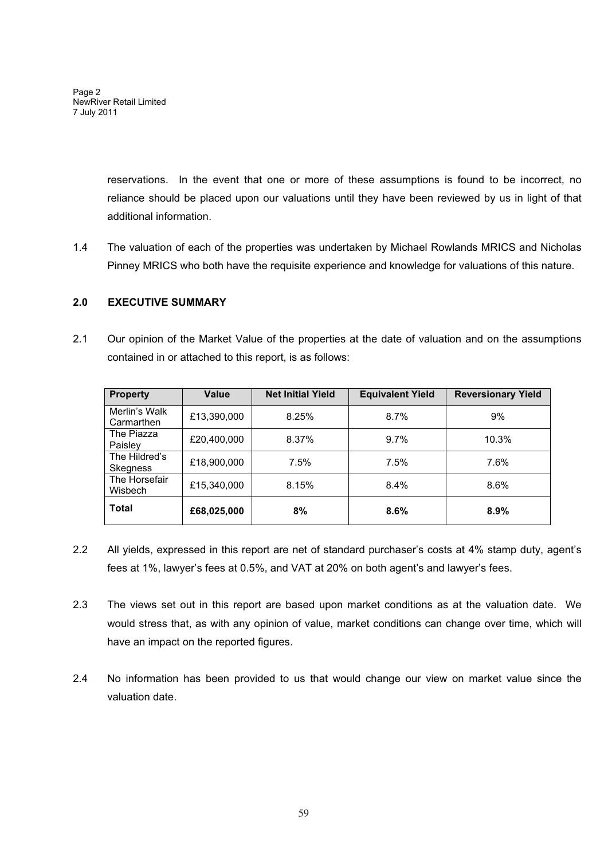Page 2 NewRiver Retail Limited 7 July 2011

> reservations. In the event that one or more of these assumptions is found to be incorrect, no reliance should be placed upon our valuations until they have been reviewed by us in light of that additional information.

1.4 The valuation of each of the properties was undertaken by Michael Rowlands MRICS and Nicholas Pinney MRICS who both have the requisite experience and knowledge for valuations of this nature.

# **2.0 EXECUTIVE SUMMARY**

2.1 Our opinion of the Market Value of the properties at the date of valuation and on the assumptions contained in or attached to this report, is as follows:

| <b>Property</b>                 | Value       | <b>Net Initial Yield</b> | <b>Equivalent Yield</b> | <b>Reversionary Yield</b> |  |
|---------------------------------|-------------|--------------------------|-------------------------|---------------------------|--|
| Merlin's Walk<br>Carmarthen     | £13,390,000 | 8.25%                    | 8.7%                    | 9%                        |  |
| The Piazza<br>Paislev           | £20,400,000 | 8.37%                    | 9.7%                    | 10.3%                     |  |
| The Hildred's<br>Skegness       | £18,900,000 | 7.5%                     | 7.5%                    | 7.6%                      |  |
| The Horsefair<br><b>Wisbech</b> | £15,340,000 | 8.15%                    | 8.4%                    | 8.6%                      |  |
| <b>Total</b>                    | £68,025,000 | 8%                       | 8.6%                    | 8.9%                      |  |

- 2.2 All yields, expressed in this report are net of standard purchaser's costs at 4% stamp duty, agent's fees at 1%, lawyer's fees at 0.5%, and VAT at 20% on both agent's and lawyer's fees.
- 2.3 The views set out in this report are based upon market conditions as at the valuation date. We would stress that, as with any opinion of value, market conditions can change over time, which will have an impact on the reported figures.
- 2.4 No information has been provided to us that would change our view on market value since the valuation date.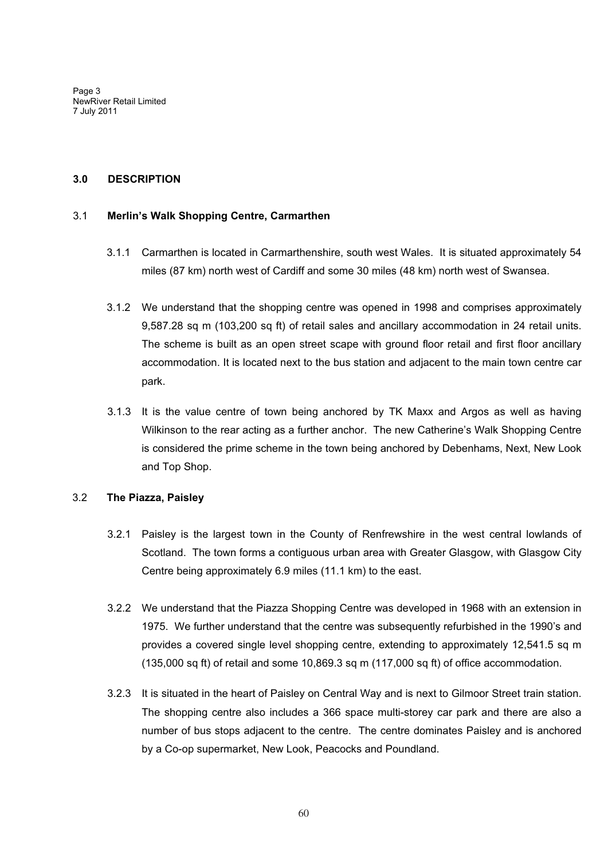Page 3 NewRiver Retail Limited 7 July 2011

### **3.0 DESCRIPTION**

### 3.1 **Merlin's Walk Shopping Centre, Carmarthen**

- 3.1.1 Carmarthen is located in Carmarthenshire, south west Wales. It is situated approximately 54 miles (87 km) north west of Cardiff and some 30 miles (48 km) north west of Swansea.
- 3.1.2 We understand that the shopping centre was opened in 1998 and comprises approximately 9,587.28 sq m (103,200 sq ft) of retail sales and ancillary accommodation in 24 retail units. The scheme is built as an open street scape with ground floor retail and first floor ancillary accommodation. It is located next to the bus station and adjacent to the main town centre car park.
- 3.1.3 It is the value centre of town being anchored by TK Maxx and Argos as well as having Wilkinson to the rear acting as a further anchor. The new Catherine's Walk Shopping Centre is considered the prime scheme in the town being anchored by Debenhams, Next, New Look and Top Shop.

# 3.2 **The Piazza, Paisley**

- 3.2.1 Paisley is the largest town in the County of Renfrewshire in the west central lowlands of Scotland. The town forms a contiguous urban area with Greater Glasgow, with Glasgow City Centre being approximately 6.9 miles (11.1 km) to the east.
- 3.2.2 We understand that the Piazza Shopping Centre was developed in 1968 with an extension in 1975. We further understand that the centre was subsequently refurbished in the 1990's and provides a covered single level shopping centre, extending to approximately 12,541.5 sq m (135,000 sq ft) of retail and some 10,869.3 sq m (117,000 sq ft) of office accommodation.
- 3.2.3 It is situated in the heart of Paisley on Central Way and is next to Gilmoor Street train station. The shopping centre also includes a 366 space multi-storey car park and there are also a number of bus stops adjacent to the centre. The centre dominates Paisley and is anchored by a Co-op supermarket, New Look, Peacocks and Poundland.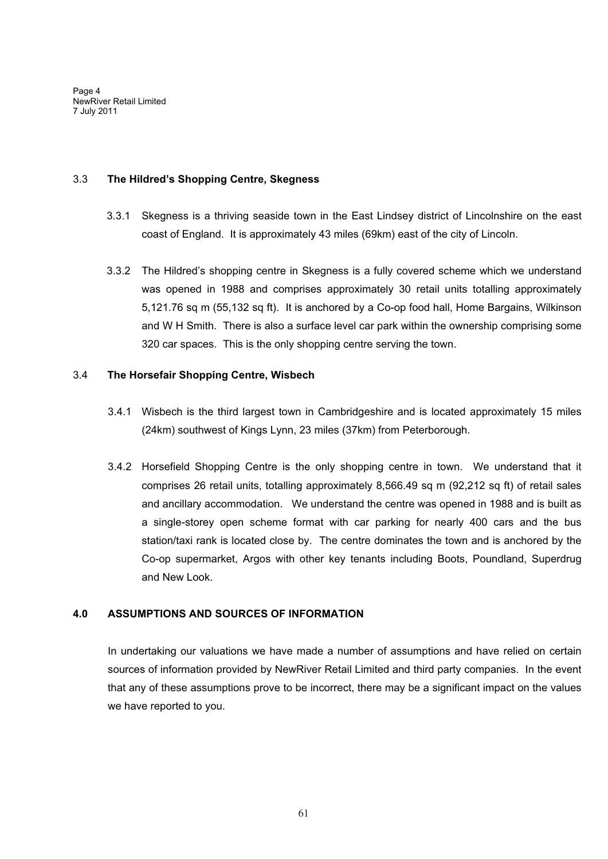Page 4 NewRiver Retail Limited 7 July 2011

# 3.3 **The Hildred's Shopping Centre, Skegness**

- 3.3.1 Skegness is a thriving seaside town in the East Lindsey district of Lincolnshire on the east coast of England. It is approximately 43 miles (69km) east of the city of Lincoln.
- 3.3.2 The Hildred's shopping centre in Skegness is a fully covered scheme which we understand was opened in 1988 and comprises approximately 30 retail units totalling approximately 5,121.76 sq m (55,132 sq ft). It is anchored by a Co-op food hall, Home Bargains, Wilkinson and W H Smith. There is also a surface level car park within the ownership comprising some 320 car spaces. This is the only shopping centre serving the town.

# 3.4 **The Horsefair Shopping Centre, Wisbech**

- 3.4.1 Wisbech is the third largest town in Cambridgeshire and is located approximately 15 miles (24km) southwest of Kings Lynn, 23 miles (37km) from Peterborough.
- 3.4.2 Horsefield Shopping Centre is the only shopping centre in town. We understand that it comprises 26 retail units, totalling approximately 8,566.49 sq m (92,212 sq ft) of retail sales and ancillary accommodation. We understand the centre was opened in 1988 and is built as a single-storey open scheme format with car parking for nearly 400 cars and the bus station/taxi rank is located close by. The centre dominates the town and is anchored by the Co-op supermarket, Argos with other key tenants including Boots, Poundland, Superdrug and New Look.

# **4.0 ASSUMPTIONS AND SOURCES OF INFORMATION**

In undertaking our valuations we have made a number of assumptions and have relied on certain sources of information provided by NewRiver Retail Limited and third party companies. In the event that any of these assumptions prove to be incorrect, there may be a significant impact on the values we have reported to you.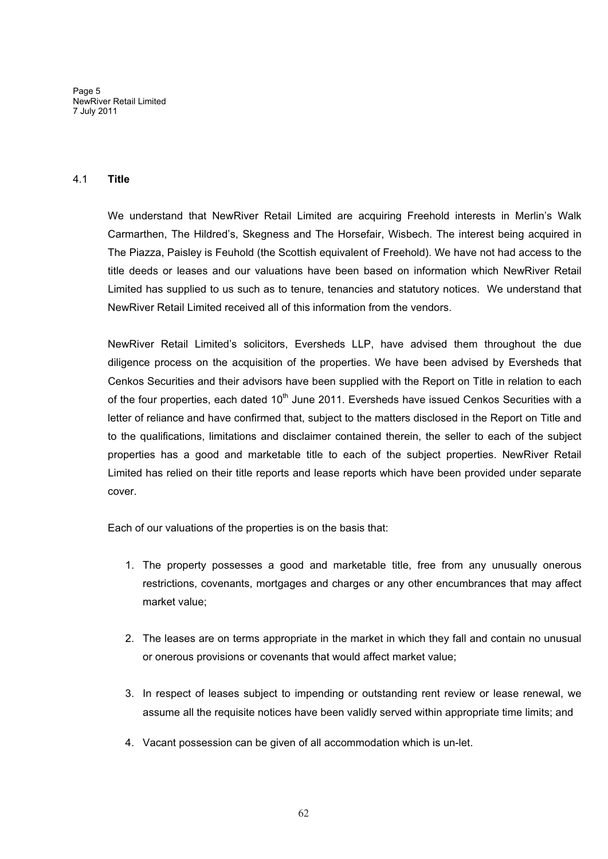Page 5 NewRiver Retail Limited 7 July 2011

# 4.1 **Title**

We understand that NewRiver Retail Limited are acquiring Freehold interests in Merlin's Walk Carmarthen, The Hildred's, Skegness and The Horsefair, Wisbech. The interest being acquired in The Piazza, Paisley is Feuhold (the Scottish equivalent of Freehold). We have not had access to the title deeds or leases and our valuations have been based on information which NewRiver Retail Limited has supplied to us such as to tenure, tenancies and statutory notices. We understand that NewRiver Retail Limited received all of this information from the vendors.

NewRiver Retail Limited's solicitors, Eversheds LLP, have advised them throughout the due diligence process on the acquisition of the properties. We have been advised by Eversheds that Cenkos Securities and their advisors have been supplied with the Report on Title in relation to each of the four properties, each dated  $10<sup>th</sup>$  June 2011. Eversheds have issued Cenkos Securities with a letter of reliance and have confirmed that, subject to the matters disclosed in the Report on Title and to the qualifications, limitations and disclaimer contained therein, the seller to each of the subject properties has a good and marketable title to each of the subject properties. NewRiver Retail Limited has relied on their title reports and lease reports which have been provided under separate cover.

Each of our valuations of the properties is on the basis that:

- 1. The property possesses a good and marketable title, free from any unusually onerous restrictions, covenants, mortgages and charges or any other encumbrances that may affect market value;
- 2. The leases are on terms appropriate in the market in which they fall and contain no unusual or onerous provisions or covenants that would affect market value;
- 3. In respect of leases subject to impending or outstanding rent review or lease renewal, we assume all the requisite notices have been validly served within appropriate time limits; and
- 4. Vacant possession can be given of all accommodation which is un-let.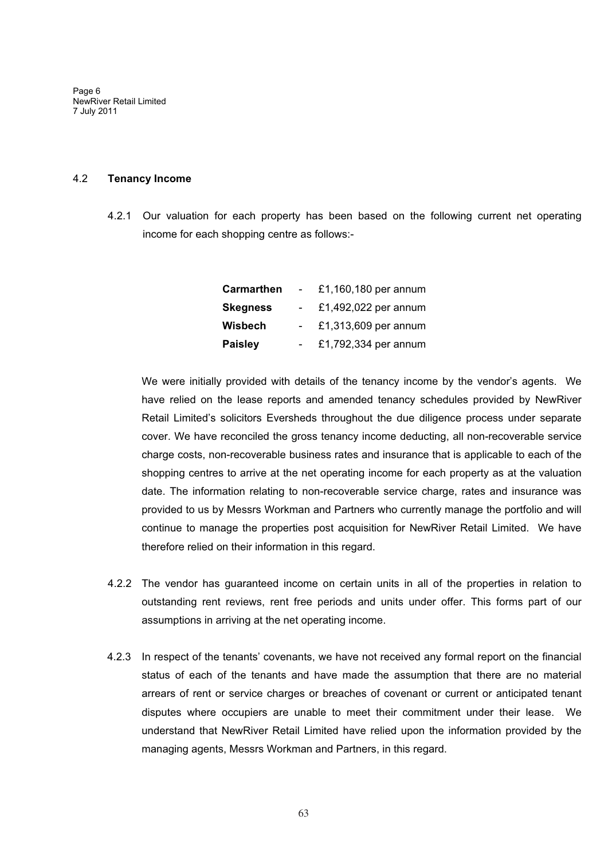Page 6 NewRiver Retail Limited 7 July 2011

#### 4.2 **Tenancy Income**

4.2.1 Our valuation for each property has been based on the following current net operating income for each shopping centre as follows:-

| <b>Carmarthen</b> | £1,160,180 per annum |
|-------------------|----------------------|
| <b>Skegness</b>   | £1,492,022 per annum |
| Wisbech           | £1,313,609 per annum |
| <b>Paisley</b>    | £1,792,334 per annum |

We were initially provided with details of the tenancy income by the vendor's agents. We have relied on the lease reports and amended tenancy schedules provided by NewRiver Retail Limited's solicitors Eversheds throughout the due diligence process under separate cover. We have reconciled the gross tenancy income deducting, all non-recoverable service charge costs, non-recoverable business rates and insurance that is applicable to each of the shopping centres to arrive at the net operating income for each property as at the valuation date. The information relating to non-recoverable service charge, rates and insurance was provided to us by Messrs Workman and Partners who currently manage the portfolio and will continue to manage the properties post acquisition for NewRiver Retail Limited. We have therefore relied on their information in this regard.

- 4.2.2 The vendor has guaranteed income on certain units in all of the properties in relation to outstanding rent reviews, rent free periods and units under offer. This forms part of our assumptions in arriving at the net operating income.
- 4.2.3 In respect of the tenants' covenants, we have not received any formal report on the financial status of each of the tenants and have made the assumption that there are no material arrears of rent or service charges or breaches of covenant or current or anticipated tenant disputes where occupiers are unable to meet their commitment under their lease. We understand that NewRiver Retail Limited have relied upon the information provided by the managing agents, Messrs Workman and Partners, in this regard.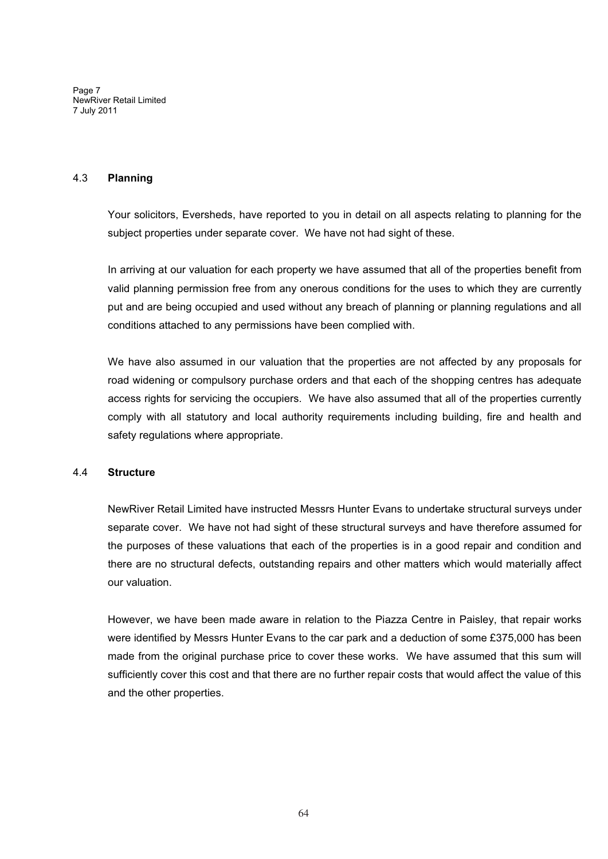Page 7 NewRiver Retail Limited 7 July 2011

### 4.3 **Planning**

Your solicitors, Eversheds, have reported to you in detail on all aspects relating to planning for the subject properties under separate cover. We have not had sight of these.

In arriving at our valuation for each property we have assumed that all of the properties benefit from valid planning permission free from any onerous conditions for the uses to which they are currently put and are being occupied and used without any breach of planning or planning regulations and all conditions attached to any permissions have been complied with.

We have also assumed in our valuation that the properties are not affected by any proposals for road widening or compulsory purchase orders and that each of the shopping centres has adequate access rights for servicing the occupiers. We have also assumed that all of the properties currently comply with all statutory and local authority requirements including building, fire and health and safety regulations where appropriate.

# 4.4 **Structure**

NewRiver Retail Limited have instructed Messrs Hunter Evans to undertake structural surveys under separate cover. We have not had sight of these structural surveys and have therefore assumed for the purposes of these valuations that each of the properties is in a good repair and condition and there are no structural defects, outstanding repairs and other matters which would materially affect our valuation.

However, we have been made aware in relation to the Piazza Centre in Paisley, that repair works were identified by Messrs Hunter Evans to the car park and a deduction of some £375,000 has been made from the original purchase price to cover these works. We have assumed that this sum will sufficiently cover this cost and that there are no further repair costs that would affect the value of this and the other properties.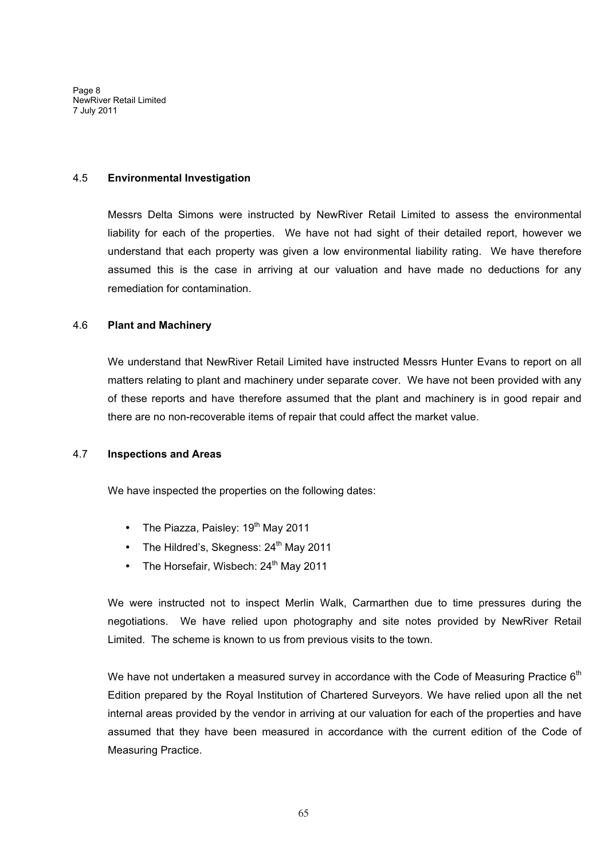Page 8 NewRiver Retail Limited 7 July 2011

#### 4.5 **Environmental Investigation**

Messrs Delta Simons were instructed by NewRiver Retail Limited to assess the environmental liability for each of the properties. We have not had sight of their detailed report, however we understand that each property was given a low environmental liability rating. We have therefore assumed this is the case in arriving at our valuation and have made no deductions for any remediation for contamination.

# 4.6 **Plant and Machinery**

We understand that NewRiver Retail Limited have instructed Messrs Hunter Evans to report on all matters relating to plant and machinery under separate cover. We have not been provided with any of these reports and have therefore assumed that the plant and machinery is in good repair and there are no non-recoverable items of repair that could affect the market value.

# 4.7 **Inspections and Areas**

We have inspected the properties on the following dates:

- The Piazza, Paisley: 19<sup>th</sup> May 2011
- The Hildred's, Skegness: 24<sup>th</sup> May 2011
- The Horsefair, Wisbech: 24<sup>th</sup> May 2011

We were instructed not to inspect Merlin Walk, Carmarthen due to time pressures during the negotiations. We have relied upon photography and site notes provided by NewRiver Retail Limited. The scheme is known to us from previous visits to the town.

We have not undertaken a measured survey in accordance with the Code of Measuring Practice  $6<sup>th</sup>$ Edition prepared by the Royal Institution of Chartered Surveyors. We have relied upon all the net internal areas provided by the vendor in arriving at our valuation for each of the properties and have assumed that they have been measured in accordance with the current edition of the Code of Measuring Practice.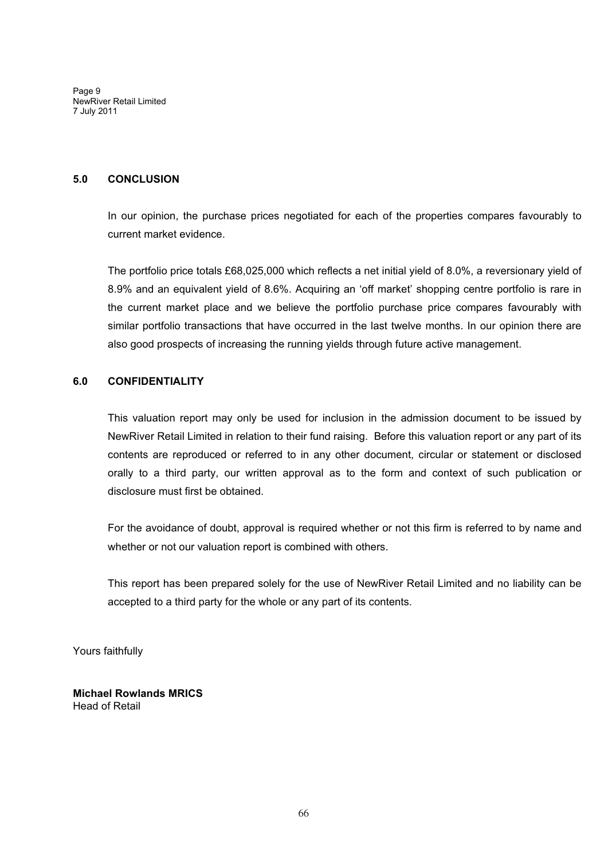Page 9 NewRiver Retail Limited 7 July 2011

### **5.0 CONCLUSION**

In our opinion, the purchase prices negotiated for each of the properties compares favourably to current market evidence.

The portfolio price totals £68,025,000 which reflects a net initial yield of 8.0%, a reversionary yield of 8.9% and an equivalent yield of 8.6%. Acquiring an 'off market' shopping centre portfolio is rare in the current market place and we believe the portfolio purchase price compares favourably with similar portfolio transactions that have occurred in the last twelve months. In our opinion there are also good prospects of increasing the running yields through future active management.

# **6.0 CONFIDENTIALITY**

This valuation report may only be used for inclusion in the admission document to be issued by NewRiver Retail Limited in relation to their fund raising. Before this valuation report or any part of its contents are reproduced or referred to in any other document, circular or statement or disclosed orally to a third party, our written approval as to the form and context of such publication or disclosure must first be obtained.

For the avoidance of doubt, approval is required whether or not this firm is referred to by name and whether or not our valuation report is combined with others.

This report has been prepared solely for the use of NewRiver Retail Limited and no liability can be accepted to a third party for the whole or any part of its contents.

Yours faithfully

**Michael Rowlands MRICS** Head of Retail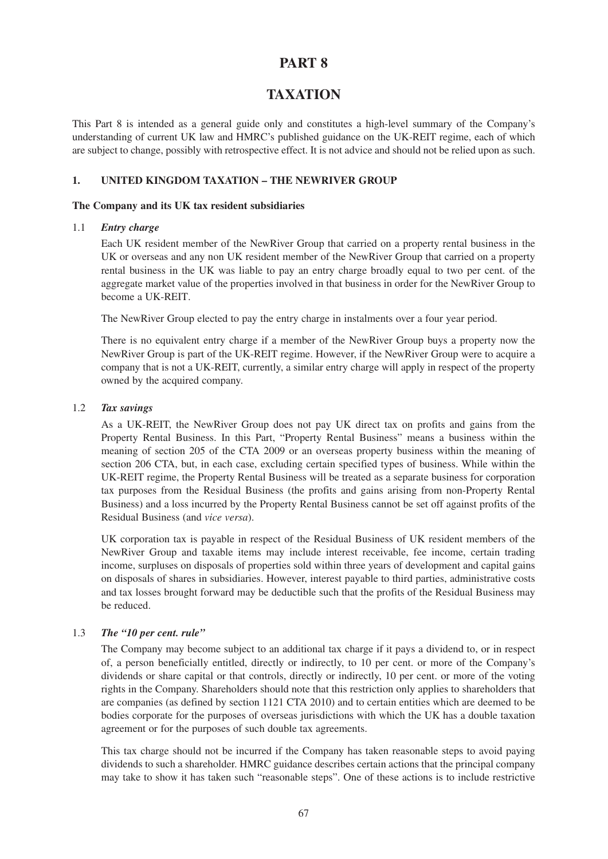# **TAXATION**

This Part 8 is intended as a general guide only and constitutes a high-level summary of the Company's understanding of current UK law and HMRC's published guidance on the UK-REIT regime, each of which are subject to change, possibly with retrospective effect. It is not advice and should not be relied upon as such.

# **1. UNITED KINGDOM TAXATION – THE NEWRIVER GROUP**

### **The Company and its UK tax resident subsidiaries**

# 1.1 *Entry charge*

Each UK resident member of the NewRiver Group that carried on a property rental business in the UK or overseas and any non UK resident member of the NewRiver Group that carried on a property rental business in the UK was liable to pay an entry charge broadly equal to two per cent. of the aggregate market value of the properties involved in that business in order for the NewRiver Group to become a UK-REIT.

The NewRiver Group elected to pay the entry charge in instalments over a four year period.

There is no equivalent entry charge if a member of the NewRiver Group buys a property now the NewRiver Group is part of the UK-REIT regime. However, if the NewRiver Group were to acquire a company that is not a UK-REIT, currently, a similar entry charge will apply in respect of the property owned by the acquired company.

# 1.2 *Tax savings*

As a UK-REIT, the NewRiver Group does not pay UK direct tax on profits and gains from the Property Rental Business. In this Part, "Property Rental Business" means a business within the meaning of section 205 of the CTA 2009 or an overseas property business within the meaning of section 206 CTA, but, in each case, excluding certain specified types of business. While within the UK-REIT regime, the Property Rental Business will be treated as a separate business for corporation tax purposes from the Residual Business (the profits and gains arising from non-Property Rental Business) and a loss incurred by the Property Rental Business cannot be set off against profits of the Residual Business (and *vice versa*).

UK corporation tax is payable in respect of the Residual Business of UK resident members of the NewRiver Group and taxable items may include interest receivable, fee income, certain trading income, surpluses on disposals of properties sold within three years of development and capital gains on disposals of shares in subsidiaries. However, interest payable to third parties, administrative costs and tax losses brought forward may be deductible such that the profits of the Residual Business may be reduced.

# 1.3 *The "10 per cent. rule"*

The Company may become subject to an additional tax charge if it pays a dividend to, or in respect of, a person beneficially entitled, directly or indirectly, to 10 per cent. or more of the Company's dividends or share capital or that controls, directly or indirectly, 10 per cent. or more of the voting rights in the Company. Shareholders should note that this restriction only applies to shareholders that are companies (as defined by section 1121 CTA 2010) and to certain entities which are deemed to be bodies corporate for the purposes of overseas jurisdictions with which the UK has a double taxation agreement or for the purposes of such double tax agreements.

This tax charge should not be incurred if the Company has taken reasonable steps to avoid paying dividends to such a shareholder. HMRC guidance describes certain actions that the principal company may take to show it has taken such "reasonable steps". One of these actions is to include restrictive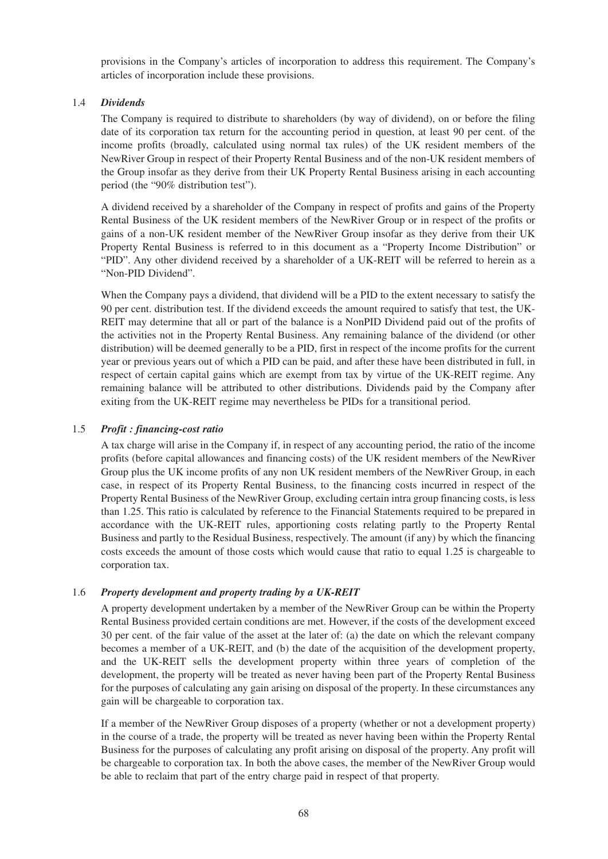provisions in the Company's articles of incorporation to address this requirement. The Company's articles of incorporation include these provisions.

# 1.4 *Dividends*

The Company is required to distribute to shareholders (by way of dividend), on or before the filing date of its corporation tax return for the accounting period in question, at least 90 per cent. of the income profits (broadly, calculated using normal tax rules) of the UK resident members of the NewRiver Group in respect of their Property Rental Business and of the non-UK resident members of the Group insofar as they derive from their UK Property Rental Business arising in each accounting period (the "90% distribution test").

A dividend received by a shareholder of the Company in respect of profits and gains of the Property Rental Business of the UK resident members of the NewRiver Group or in respect of the profits or gains of a non-UK resident member of the NewRiver Group insofar as they derive from their UK Property Rental Business is referred to in this document as a "Property Income Distribution" or "PID". Any other dividend received by a shareholder of a UK-REIT will be referred to herein as a "Non-PID Dividend".

When the Company pays a dividend, that dividend will be a PID to the extent necessary to satisfy the 90 per cent. distribution test. If the dividend exceeds the amount required to satisfy that test, the UK-REIT may determine that all or part of the balance is a NonPID Dividend paid out of the profits of the activities not in the Property Rental Business. Any remaining balance of the dividend (or other distribution) will be deemed generally to be a PID, first in respect of the income profits for the current year or previous years out of which a PID can be paid, and after these have been distributed in full, in respect of certain capital gains which are exempt from tax by virtue of the UK-REIT regime. Any remaining balance will be attributed to other distributions. Dividends paid by the Company after exiting from the UK-REIT regime may nevertheless be PIDs for a transitional period.

### 1.5 *Profit : financing-cost ratio*

A tax charge will arise in the Company if, in respect of any accounting period, the ratio of the income profits (before capital allowances and financing costs) of the UK resident members of the NewRiver Group plus the UK income profits of any non UK resident members of the NewRiver Group, in each case, in respect of its Property Rental Business, to the financing costs incurred in respect of the Property Rental Business of the NewRiver Group, excluding certain intra group financing costs, is less than 1.25. This ratio is calculated by reference to the Financial Statements required to be prepared in accordance with the UK-REIT rules, apportioning costs relating partly to the Property Rental Business and partly to the Residual Business, respectively. The amount (if any) by which the financing costs exceeds the amount of those costs which would cause that ratio to equal 1.25 is chargeable to corporation tax.

# 1.6 *Property development and property trading by a UK-REIT*

A property development undertaken by a member of the NewRiver Group can be within the Property Rental Business provided certain conditions are met. However, if the costs of the development exceed 30 per cent. of the fair value of the asset at the later of: (a) the date on which the relevant company becomes a member of a UK-REIT, and (b) the date of the acquisition of the development property, and the UK-REIT sells the development property within three years of completion of the development, the property will be treated as never having been part of the Property Rental Business for the purposes of calculating any gain arising on disposal of the property. In these circumstances any gain will be chargeable to corporation tax.

If a member of the NewRiver Group disposes of a property (whether or not a development property) in the course of a trade, the property will be treated as never having been within the Property Rental Business for the purposes of calculating any profit arising on disposal of the property. Any profit will be chargeable to corporation tax. In both the above cases, the member of the NewRiver Group would be able to reclaim that part of the entry charge paid in respect of that property.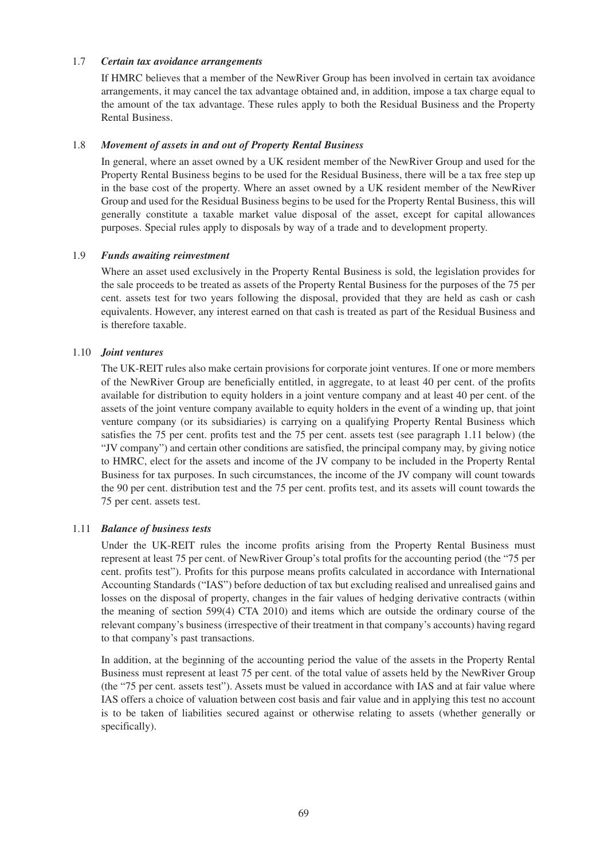# 1.7 *Certain tax avoidance arrangements*

If HMRC believes that a member of the NewRiver Group has been involved in certain tax avoidance arrangements, it may cancel the tax advantage obtained and, in addition, impose a tax charge equal to the amount of the tax advantage. These rules apply to both the Residual Business and the Property Rental Business.

### 1.8 *Movement of assets in and out of Property Rental Business*

In general, where an asset owned by a UK resident member of the NewRiver Group and used for the Property Rental Business begins to be used for the Residual Business, there will be a tax free step up in the base cost of the property. Where an asset owned by a UK resident member of the NewRiver Group and used for the Residual Business begins to be used for the Property Rental Business, this will generally constitute a taxable market value disposal of the asset, except for capital allowances purposes. Special rules apply to disposals by way of a trade and to development property.

### 1.9 *Funds awaiting reinvestment*

Where an asset used exclusively in the Property Rental Business is sold, the legislation provides for the sale proceeds to be treated as assets of the Property Rental Business for the purposes of the 75 per cent. assets test for two years following the disposal, provided that they are held as cash or cash equivalents. However, any interest earned on that cash is treated as part of the Residual Business and is therefore taxable.

### 1.10 *Joint ventures*

The UK-REIT rules also make certain provisions for corporate joint ventures. If one or more members of the NewRiver Group are beneficially entitled, in aggregate, to at least 40 per cent. of the profits available for distribution to equity holders in a joint venture company and at least 40 per cent. of the assets of the joint venture company available to equity holders in the event of a winding up, that joint venture company (or its subsidiaries) is carrying on a qualifying Property Rental Business which satisfies the 75 per cent. profits test and the 75 per cent. assets test (see paragraph 1.11 below) (the "JV company") and certain other conditions are satisfied, the principal company may, by giving notice to HMRC, elect for the assets and income of the JV company to be included in the Property Rental Business for tax purposes. In such circumstances, the income of the JV company will count towards the 90 per cent. distribution test and the 75 per cent. profits test, and its assets will count towards the 75 per cent. assets test.

# 1.11 *Balance of business tests*

Under the UK-REIT rules the income profits arising from the Property Rental Business must represent at least 75 per cent. of NewRiver Group's total profits for the accounting period (the "75 per cent. profits test"). Profits for this purpose means profits calculated in accordance with International Accounting Standards ("IAS") before deduction of tax but excluding realised and unrealised gains and losses on the disposal of property, changes in the fair values of hedging derivative contracts (within the meaning of section 599(4) CTA 2010) and items which are outside the ordinary course of the relevant company's business (irrespective of their treatment in that company's accounts) having regard to that company's past transactions.

In addition, at the beginning of the accounting period the value of the assets in the Property Rental Business must represent at least 75 per cent. of the total value of assets held by the NewRiver Group (the "75 per cent. assets test"). Assets must be valued in accordance with IAS and at fair value where IAS offers a choice of valuation between cost basis and fair value and in applying this test no account is to be taken of liabilities secured against or otherwise relating to assets (whether generally or specifically).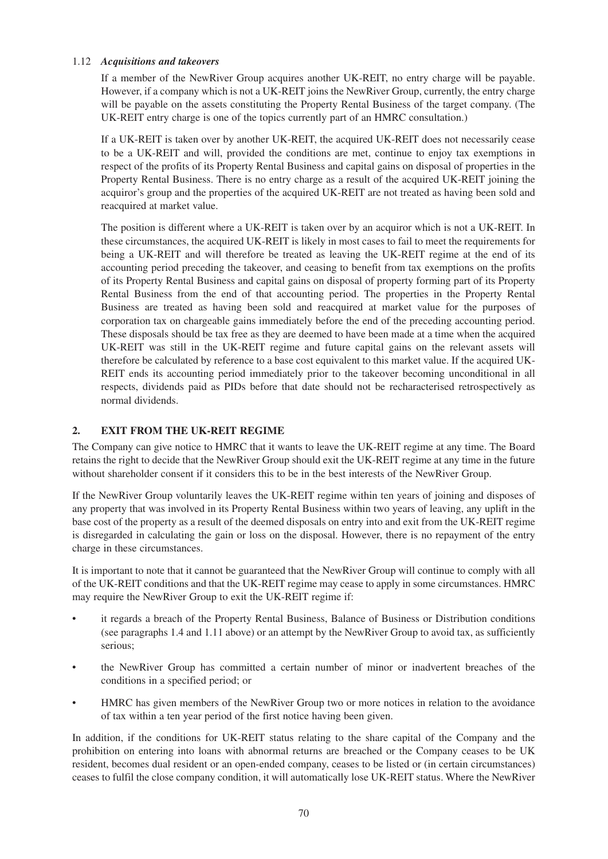# 1.12 *Acquisitions and takeovers*

If a member of the NewRiver Group acquires another UK-REIT, no entry charge will be payable. However, if a company which is not a UK-REIT joins the NewRiver Group, currently, the entry charge will be payable on the assets constituting the Property Rental Business of the target company. (The UK-REIT entry charge is one of the topics currently part of an HMRC consultation.)

If a UK-REIT is taken over by another UK-REIT, the acquired UK-REIT does not necessarily cease to be a UK-REIT and will, provided the conditions are met, continue to enjoy tax exemptions in respect of the profits of its Property Rental Business and capital gains on disposal of properties in the Property Rental Business. There is no entry charge as a result of the acquired UK-REIT joining the acquiror's group and the properties of the acquired UK-REIT are not treated as having been sold and reacquired at market value.

The position is different where a UK-REIT is taken over by an acquiror which is not a UK-REIT. In these circumstances, the acquired UK-REIT is likely in most cases to fail to meet the requirements for being a UK-REIT and will therefore be treated as leaving the UK-REIT regime at the end of its accounting period preceding the takeover, and ceasing to benefit from tax exemptions on the profits of its Property Rental Business and capital gains on disposal of property forming part of its Property Rental Business from the end of that accounting period. The properties in the Property Rental Business are treated as having been sold and reacquired at market value for the purposes of corporation tax on chargeable gains immediately before the end of the preceding accounting period. These disposals should be tax free as they are deemed to have been made at a time when the acquired UK-REIT was still in the UK-REIT regime and future capital gains on the relevant assets will therefore be calculated by reference to a base cost equivalent to this market value. If the acquired UK-REIT ends its accounting period immediately prior to the takeover becoming unconditional in all respects, dividends paid as PIDs before that date should not be recharacterised retrospectively as normal dividends.

# **2. EXIT FROM THE UK-REIT REGIME**

The Company can give notice to HMRC that it wants to leave the UK-REIT regime at any time. The Board retains the right to decide that the NewRiver Group should exit the UK-REIT regime at any time in the future without shareholder consent if it considers this to be in the best interests of the NewRiver Group.

If the NewRiver Group voluntarily leaves the UK-REIT regime within ten years of joining and disposes of any property that was involved in its Property Rental Business within two years of leaving, any uplift in the base cost of the property as a result of the deemed disposals on entry into and exit from the UK-REIT regime is disregarded in calculating the gain or loss on the disposal. However, there is no repayment of the entry charge in these circumstances.

It is important to note that it cannot be guaranteed that the NewRiver Group will continue to comply with all of the UK-REIT conditions and that the UK-REIT regime may cease to apply in some circumstances. HMRC may require the NewRiver Group to exit the UK-REIT regime if:

- it regards a breach of the Property Rental Business, Balance of Business or Distribution conditions (see paragraphs 1.4 and 1.11 above) or an attempt by the NewRiver Group to avoid tax, as sufficiently serious;
- the NewRiver Group has committed a certain number of minor or inadvertent breaches of the conditions in a specified period; or
- HMRC has given members of the NewRiver Group two or more notices in relation to the avoidance of tax within a ten year period of the first notice having been given.

In addition, if the conditions for UK-REIT status relating to the share capital of the Company and the prohibition on entering into loans with abnormal returns are breached or the Company ceases to be UK resident, becomes dual resident or an open-ended company, ceases to be listed or (in certain circumstances) ceases to fulfil the close company condition, it will automatically lose UK-REIT status. Where the NewRiver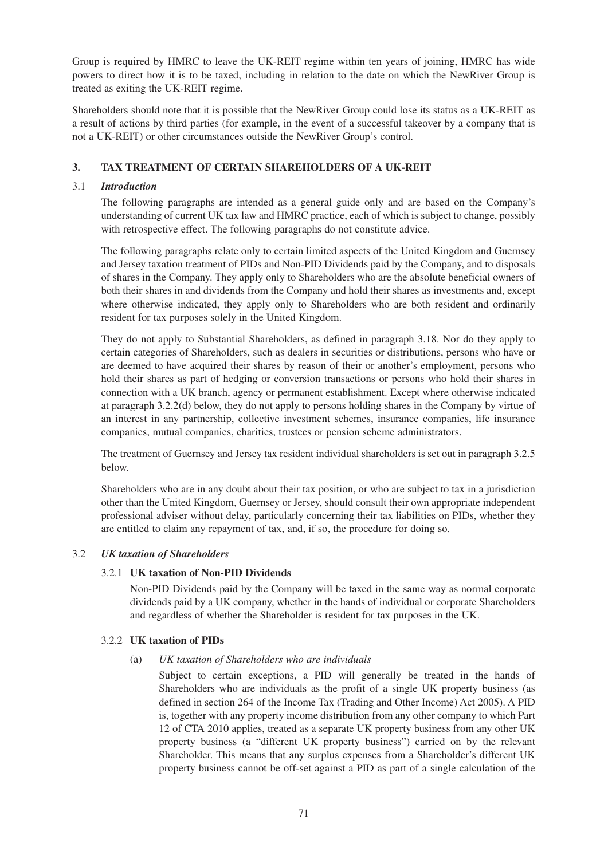Group is required by HMRC to leave the UK-REIT regime within ten years of joining, HMRC has wide powers to direct how it is to be taxed, including in relation to the date on which the NewRiver Group is treated as exiting the UK-REIT regime.

Shareholders should note that it is possible that the NewRiver Group could lose its status as a UK-REIT as a result of actions by third parties (for example, in the event of a successful takeover by a company that is not a UK-REIT) or other circumstances outside the NewRiver Group's control.

# **3. TAX TREATMENT OF CERTAIN SHAREHOLDERS OF A UK-REIT**

# 3.1 *Introduction*

The following paragraphs are intended as a general guide only and are based on the Company's understanding of current UK tax law and HMRC practice, each of which is subject to change, possibly with retrospective effect. The following paragraphs do not constitute advice.

The following paragraphs relate only to certain limited aspects of the United Kingdom and Guernsey and Jersey taxation treatment of PIDs and Non-PID Dividends paid by the Company, and to disposals of shares in the Company. They apply only to Shareholders who are the absolute beneficial owners of both their shares in and dividends from the Company and hold their shares as investments and, except where otherwise indicated, they apply only to Shareholders who are both resident and ordinarily resident for tax purposes solely in the United Kingdom.

They do not apply to Substantial Shareholders, as defined in paragraph 3.18. Nor do they apply to certain categories of Shareholders, such as dealers in securities or distributions, persons who have or are deemed to have acquired their shares by reason of their or another's employment, persons who hold their shares as part of hedging or conversion transactions or persons who hold their shares in connection with a UK branch, agency or permanent establishment. Except where otherwise indicated at paragraph 3.2.2(d) below, they do not apply to persons holding shares in the Company by virtue of an interest in any partnership, collective investment schemes, insurance companies, life insurance companies, mutual companies, charities, trustees or pension scheme administrators.

The treatment of Guernsey and Jersey tax resident individual shareholders is set out in paragraph 3.2.5 below.

Shareholders who are in any doubt about their tax position, or who are subject to tax in a jurisdiction other than the United Kingdom, Guernsey or Jersey, should consult their own appropriate independent professional adviser without delay, particularly concerning their tax liabilities on PIDs, whether they are entitled to claim any repayment of tax, and, if so, the procedure for doing so.

# 3.2 *UK taxation of Shareholders*

# 3.2.1 **UK taxation of Non-PID Dividends**

Non-PID Dividends paid by the Company will be taxed in the same way as normal corporate dividends paid by a UK company, whether in the hands of individual or corporate Shareholders and regardless of whether the Shareholder is resident for tax purposes in the UK.

# 3.2.2 **UK taxation of PIDs**

# (a) *UK taxation of Shareholders who are individuals*

Subject to certain exceptions, a PID will generally be treated in the hands of Shareholders who are individuals as the profit of a single UK property business (as defined in section 264 of the Income Tax (Trading and Other Income) Act 2005). A PID is, together with any property income distribution from any other company to which Part 12 of CTA 2010 applies, treated as a separate UK property business from any other UK property business (a "different UK property business") carried on by the relevant Shareholder. This means that any surplus expenses from a Shareholder's different UK property business cannot be off-set against a PID as part of a single calculation of the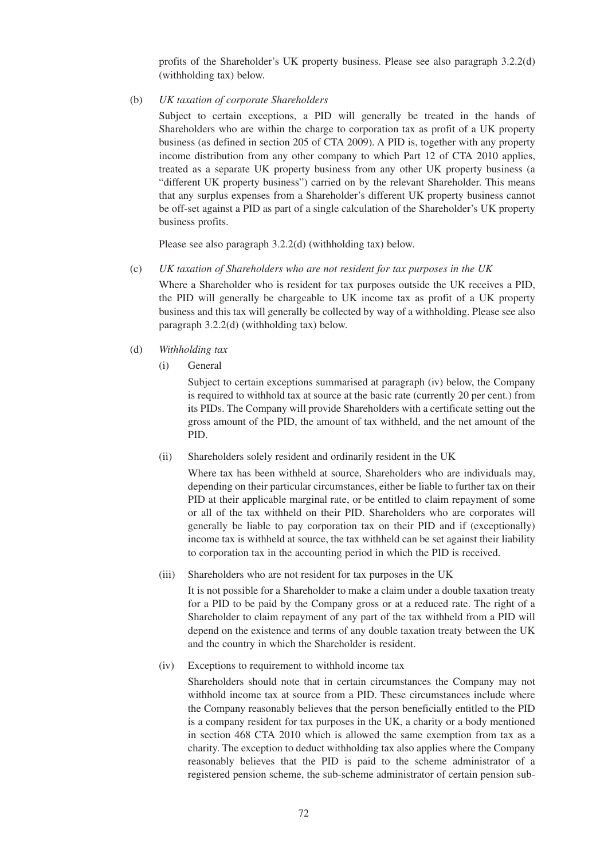profits of the Shareholder's UK property business. Please see also paragraph 3.2.2(d) (withholding tax) below.

(b) *UK taxation of corporate Shareholders*

Subject to certain exceptions, a PID will generally be treated in the hands of Shareholders who are within the charge to corporation tax as profit of a UK property business (as defined in section 205 of CTA 2009). A PID is, together with any property income distribution from any other company to which Part 12 of CTA 2010 applies, treated as a separate UK property business from any other UK property business (a "different UK property business") carried on by the relevant Shareholder. This means that any surplus expenses from a Shareholder's different UK property business cannot be off-set against a PID as part of a single calculation of the Shareholder's UK property business profits.

Please see also paragraph 3.2.2(d) (withholding tax) below.

(c) *UK taxation of Shareholders who are not resident for tax purposes in the UK*

Where a Shareholder who is resident for tax purposes outside the UK receives a PID, the PID will generally be chargeable to UK income tax as profit of a UK property business and this tax will generally be collected by way of a withholding. Please see also paragraph 3.2.2(d) (withholding tax) below.

- (d) *Withholding tax*
	- (i) General

Subject to certain exceptions summarised at paragraph (iv) below, the Company is required to withhold tax at source at the basic rate (currently 20 per cent.) from its PIDs. The Company will provide Shareholders with a certificate setting out the gross amount of the PID, the amount of tax withheld, and the net amount of the PID.

(ii) Shareholders solely resident and ordinarily resident in the UK

Where tax has been withheld at source, Shareholders who are individuals may, depending on their particular circumstances, either be liable to further tax on their PID at their applicable marginal rate, or be entitled to claim repayment of some or all of the tax withheld on their PID. Shareholders who are corporates will generally be liable to pay corporation tax on their PID and if (exceptionally) income tax is withheld at source, the tax withheld can be set against their liability to corporation tax in the accounting period in which the PID is received.

(iii) Shareholders who are not resident for tax purposes in the UK

It is not possible for a Shareholder to make a claim under a double taxation treaty for a PID to be paid by the Company gross or at a reduced rate. The right of a Shareholder to claim repayment of any part of the tax withheld from a PID will depend on the existence and terms of any double taxation treaty between the UK and the country in which the Shareholder is resident.

(iv) Exceptions to requirement to withhold income tax

Shareholders should note that in certain circumstances the Company may not withhold income tax at source from a PID. These circumstances include where the Company reasonably believes that the person beneficially entitled to the PID is a company resident for tax purposes in the UK, a charity or a body mentioned in section 468 CTA 2010 which is allowed the same exemption from tax as a charity. The exception to deduct withholding tax also applies where the Company reasonably believes that the PID is paid to the scheme administrator of a registered pension scheme, the sub-scheme administrator of certain pension sub-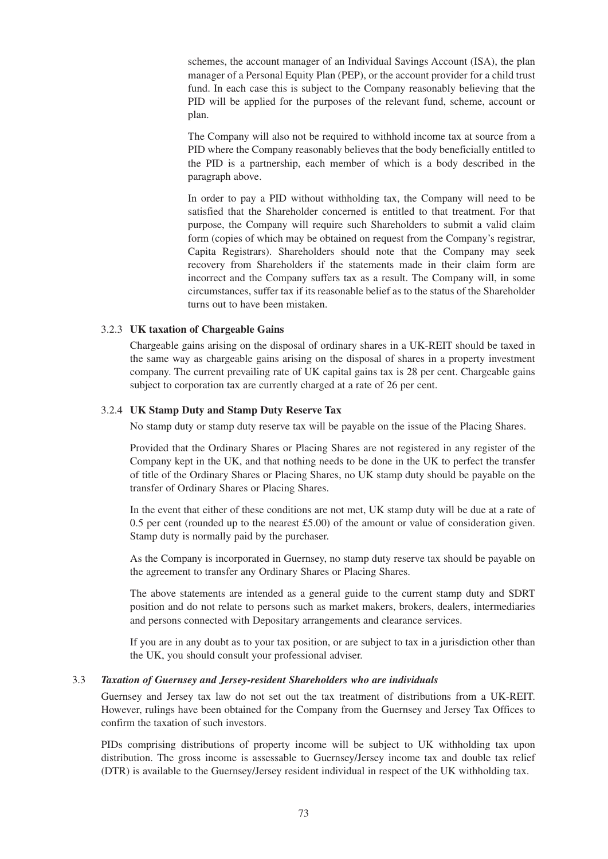schemes, the account manager of an Individual Savings Account (ISA), the plan manager of a Personal Equity Plan (PEP), or the account provider for a child trust fund. In each case this is subject to the Company reasonably believing that the PID will be applied for the purposes of the relevant fund, scheme, account or plan.

The Company will also not be required to withhold income tax at source from a PID where the Company reasonably believes that the body beneficially entitled to the PID is a partnership, each member of which is a body described in the paragraph above.

In order to pay a PID without withholding tax, the Company will need to be satisfied that the Shareholder concerned is entitled to that treatment. For that purpose, the Company will require such Shareholders to submit a valid claim form (copies of which may be obtained on request from the Company's registrar, Capita Registrars). Shareholders should note that the Company may seek recovery from Shareholders if the statements made in their claim form are incorrect and the Company suffers tax as a result. The Company will, in some circumstances, suffer tax if its reasonable belief as to the status of the Shareholder turns out to have been mistaken.

## 3.2.3 **UK taxation of Chargeable Gains**

Chargeable gains arising on the disposal of ordinary shares in a UK-REIT should be taxed in the same way as chargeable gains arising on the disposal of shares in a property investment company. The current prevailing rate of UK capital gains tax is 28 per cent. Chargeable gains subject to corporation tax are currently charged at a rate of 26 per cent.

## 3.2.4 **UK Stamp Duty and Stamp Duty Reserve Tax**

No stamp duty or stamp duty reserve tax will be payable on the issue of the Placing Shares.

Provided that the Ordinary Shares or Placing Shares are not registered in any register of the Company kept in the UK, and that nothing needs to be done in the UK to perfect the transfer of title of the Ordinary Shares or Placing Shares, no UK stamp duty should be payable on the transfer of Ordinary Shares or Placing Shares.

In the event that either of these conditions are not met, UK stamp duty will be due at a rate of 0.5 per cent (rounded up to the nearest £5.00) of the amount or value of consideration given. Stamp duty is normally paid by the purchaser.

As the Company is incorporated in Guernsey, no stamp duty reserve tax should be payable on the agreement to transfer any Ordinary Shares or Placing Shares.

The above statements are intended as a general guide to the current stamp duty and SDRT position and do not relate to persons such as market makers, brokers, dealers, intermediaries and persons connected with Depositary arrangements and clearance services.

If you are in any doubt as to your tax position, or are subject to tax in a jurisdiction other than the UK, you should consult your professional adviser.

#### 3.3 *Taxation of Guernsey and Jersey-resident Shareholders who are individuals*

Guernsey and Jersey tax law do not set out the tax treatment of distributions from a UK-REIT. However, rulings have been obtained for the Company from the Guernsey and Jersey Tax Offices to confirm the taxation of such investors.

PIDs comprising distributions of property income will be subject to UK withholding tax upon distribution. The gross income is assessable to Guernsey/Jersey income tax and double tax relief (DTR) is available to the Guernsey/Jersey resident individual in respect of the UK withholding tax.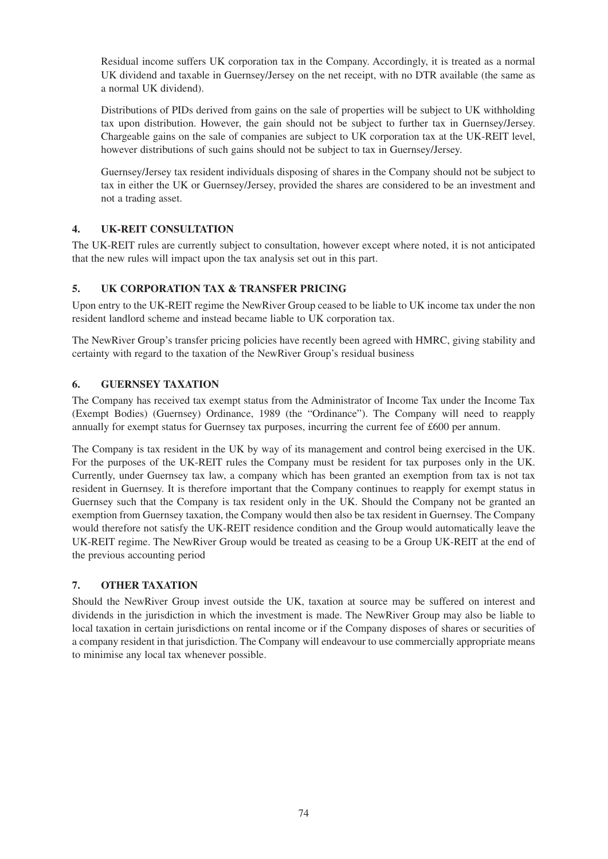Residual income suffers UK corporation tax in the Company. Accordingly, it is treated as a normal UK dividend and taxable in Guernsey/Jersey on the net receipt, with no DTR available (the same as a normal UK dividend).

Distributions of PIDs derived from gains on the sale of properties will be subject to UK withholding tax upon distribution. However, the gain should not be subject to further tax in Guernsey/Jersey. Chargeable gains on the sale of companies are subject to UK corporation tax at the UK-REIT level, however distributions of such gains should not be subject to tax in Guernsey/Jersey.

Guernsey/Jersey tax resident individuals disposing of shares in the Company should not be subject to tax in either the UK or Guernsey/Jersey, provided the shares are considered to be an investment and not a trading asset.

## **4. UK-REIT CONSULTATION**

The UK-REIT rules are currently subject to consultation, however except where noted, it is not anticipated that the new rules will impact upon the tax analysis set out in this part.

## **5. UK CORPORATION TAX & TRANSFER PRICING**

Upon entry to the UK-REIT regime the NewRiver Group ceased to be liable to UK income tax under the non resident landlord scheme and instead became liable to UK corporation tax.

The NewRiver Group's transfer pricing policies have recently been agreed with HMRC, giving stability and certainty with regard to the taxation of the NewRiver Group's residual business

## **6. GUERNSEY TAXATION**

The Company has received tax exempt status from the Administrator of Income Tax under the Income Tax (Exempt Bodies) (Guernsey) Ordinance, 1989 (the "Ordinance"). The Company will need to reapply annually for exempt status for Guernsey tax purposes, incurring the current fee of £600 per annum.

The Company is tax resident in the UK by way of its management and control being exercised in the UK. For the purposes of the UK-REIT rules the Company must be resident for tax purposes only in the UK. Currently, under Guernsey tax law, a company which has been granted an exemption from tax is not tax resident in Guernsey. It is therefore important that the Company continues to reapply for exempt status in Guernsey such that the Company is tax resident only in the UK. Should the Company not be granted an exemption from Guernsey taxation, the Company would then also be tax resident in Guernsey. The Company would therefore not satisfy the UK-REIT residence condition and the Group would automatically leave the UK-REIT regime. The NewRiver Group would be treated as ceasing to be a Group UK-REIT at the end of the previous accounting period

## **7. OTHER TAXATION**

Should the NewRiver Group invest outside the UK, taxation at source may be suffered on interest and dividends in the jurisdiction in which the investment is made. The NewRiver Group may also be liable to local taxation in certain jurisdictions on rental income or if the Company disposes of shares or securities of a company resident in that jurisdiction. The Company will endeavour to use commercially appropriate means to minimise any local tax whenever possible.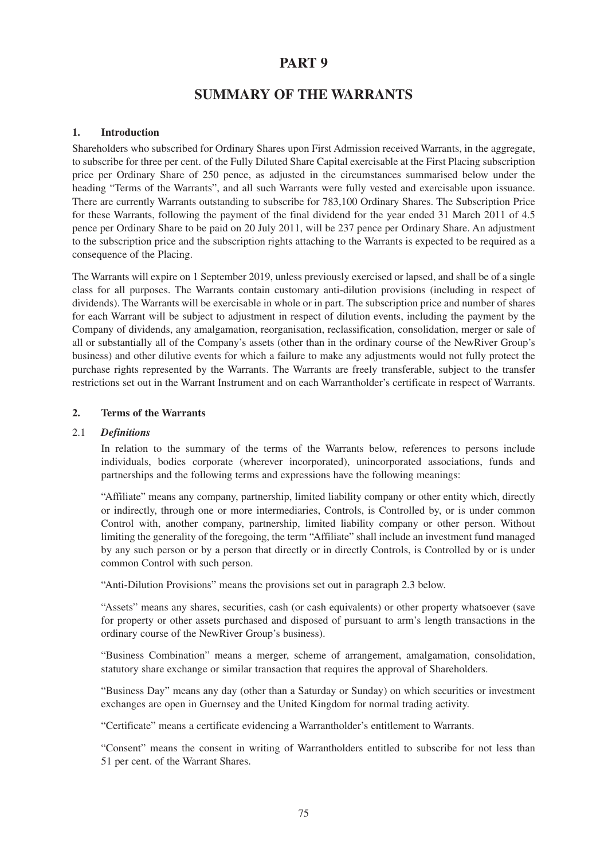## **PART 9**

# **SUMMARY OF THE WARRANTS**

## **1. Introduction**

Shareholders who subscribed for Ordinary Shares upon First Admission received Warrants, in the aggregate, to subscribe for three per cent. of the Fully Diluted Share Capital exercisable at the First Placing subscription price per Ordinary Share of 250 pence, as adjusted in the circumstances summarised below under the heading "Terms of the Warrants", and all such Warrants were fully vested and exercisable upon issuance. There are currently Warrants outstanding to subscribe for 783,100 Ordinary Shares. The Subscription Price for these Warrants, following the payment of the final dividend for the year ended 31 March 2011 of 4.5 pence per Ordinary Share to be paid on 20 July 2011, will be 237 pence per Ordinary Share. An adjustment to the subscription price and the subscription rights attaching to the Warrants is expected to be required as a consequence of the Placing.

The Warrants will expire on 1 September 2019, unless previously exercised or lapsed, and shall be of a single class for all purposes. The Warrants contain customary anti-dilution provisions (including in respect of dividends). The Warrants will be exercisable in whole or in part. The subscription price and number of shares for each Warrant will be subject to adjustment in respect of dilution events, including the payment by the Company of dividends, any amalgamation, reorganisation, reclassification, consolidation, merger or sale of all or substantially all of the Company's assets (other than in the ordinary course of the NewRiver Group's business) and other dilutive events for which a failure to make any adjustments would not fully protect the purchase rights represented by the Warrants. The Warrants are freely transferable, subject to the transfer restrictions set out in the Warrant Instrument and on each Warrantholder's certificate in respect of Warrants.

#### **2. Terms of the Warrants**

#### 2.1 *Definitions*

In relation to the summary of the terms of the Warrants below, references to persons include individuals, bodies corporate (wherever incorporated), unincorporated associations, funds and partnerships and the following terms and expressions have the following meanings:

"Affiliate" means any company, partnership, limited liability company or other entity which, directly or indirectly, through one or more intermediaries, Controls, is Controlled by, or is under common Control with, another company, partnership, limited liability company or other person. Without limiting the generality of the foregoing, the term "Affiliate" shall include an investment fund managed by any such person or by a person that directly or in directly Controls, is Controlled by or is under common Control with such person.

"Anti-Dilution Provisions" means the provisions set out in paragraph 2.3 below.

"Assets" means any shares, securities, cash (or cash equivalents) or other property whatsoever (save for property or other assets purchased and disposed of pursuant to arm's length transactions in the ordinary course of the NewRiver Group's business).

"Business Combination" means a merger, scheme of arrangement, amalgamation, consolidation, statutory share exchange or similar transaction that requires the approval of Shareholders.

"Business Day" means any day (other than a Saturday or Sunday) on which securities or investment exchanges are open in Guernsey and the United Kingdom for normal trading activity.

"Certificate" means a certificate evidencing a Warrantholder's entitlement to Warrants.

"Consent" means the consent in writing of Warrantholders entitled to subscribe for not less than 51 per cent. of the Warrant Shares.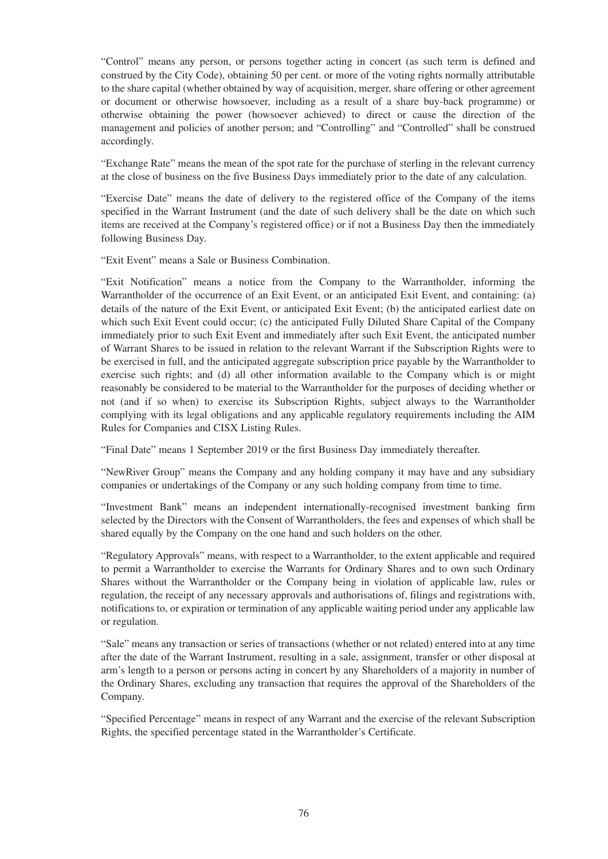"Control" means any person, or persons together acting in concert (as such term is defined and construed by the City Code), obtaining 50 per cent. or more of the voting rights normally attributable to the share capital (whether obtained by way of acquisition, merger, share offering or other agreement or document or otherwise howsoever, including as a result of a share buy-back programme) or otherwise obtaining the power (howsoever achieved) to direct or cause the direction of the management and policies of another person; and "Controlling" and "Controlled" shall be construed accordingly.

"Exchange Rate" means the mean of the spot rate for the purchase of sterling in the relevant currency at the close of business on the five Business Days immediately prior to the date of any calculation.

"Exercise Date" means the date of delivery to the registered office of the Company of the items specified in the Warrant Instrument (and the date of such delivery shall be the date on which such items are received at the Company's registered office) or if not a Business Day then the immediately following Business Day.

"Exit Event" means a Sale or Business Combination.

"Exit Notification" means a notice from the Company to the Warrantholder, informing the Warrantholder of the occurrence of an Exit Event, or an anticipated Exit Event, and containing: (a) details of the nature of the Exit Event, or anticipated Exit Event; (b) the anticipated earliest date on which such Exit Event could occur; (c) the anticipated Fully Diluted Share Capital of the Company immediately prior to such Exit Event and immediately after such Exit Event, the anticipated number of Warrant Shares to be issued in relation to the relevant Warrant if the Subscription Rights were to be exercised in full, and the anticipated aggregate subscription price payable by the Warrantholder to exercise such rights; and (d) all other information available to the Company which is or might reasonably be considered to be material to the Warrantholder for the purposes of deciding whether or not (and if so when) to exercise its Subscription Rights, subject always to the Warrantholder complying with its legal obligations and any applicable regulatory requirements including the AIM Rules for Companies and CISX Listing Rules.

"Final Date" means 1 September 2019 or the first Business Day immediately thereafter.

"NewRiver Group" means the Company and any holding company it may have and any subsidiary companies or undertakings of the Company or any such holding company from time to time.

"Investment Bank" means an independent internationally-recognised investment banking firm selected by the Directors with the Consent of Warrantholders, the fees and expenses of which shall be shared equally by the Company on the one hand and such holders on the other.

"Regulatory Approvals" means, with respect to a Warrantholder, to the extent applicable and required to permit a Warrantholder to exercise the Warrants for Ordinary Shares and to own such Ordinary Shares without the Warrantholder or the Company being in violation of applicable law, rules or regulation, the receipt of any necessary approvals and authorisations of, filings and registrations with, notifications to, or expiration or termination of any applicable waiting period under any applicable law or regulation.

"Sale" means any transaction or series of transactions (whether or not related) entered into at any time after the date of the Warrant Instrument, resulting in a sale, assignment, transfer or other disposal at arm's length to a person or persons acting in concert by any Shareholders of a majority in number of the Ordinary Shares, excluding any transaction that requires the approval of the Shareholders of the Company.

"Specified Percentage" means in respect of any Warrant and the exercise of the relevant Subscription Rights, the specified percentage stated in the Warrantholder's Certificate.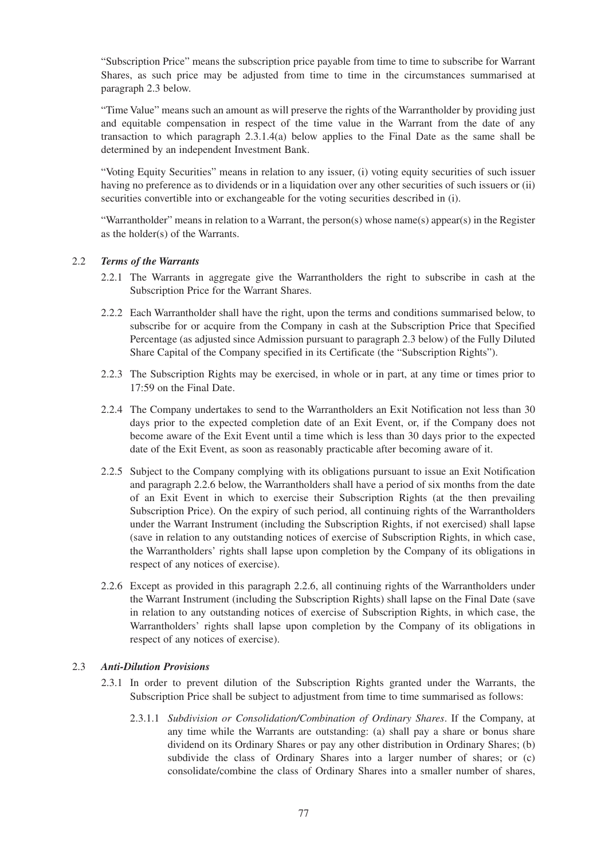"Subscription Price" means the subscription price payable from time to time to subscribe for Warrant Shares, as such price may be adjusted from time to time in the circumstances summarised at paragraph 2.3 below.

"Time Value" means such an amount as will preserve the rights of the Warrantholder by providing just and equitable compensation in respect of the time value in the Warrant from the date of any transaction to which paragraph 2.3.1.4(a) below applies to the Final Date as the same shall be determined by an independent Investment Bank.

"Voting Equity Securities" means in relation to any issuer, (i) voting equity securities of such issuer having no preference as to dividends or in a liquidation over any other securities of such issuers or (ii) securities convertible into or exchangeable for the voting securities described in (i).

"Warrantholder" means in relation to a Warrant, the person(s) whose name(s) appear(s) in the Register as the holder(s) of the Warrants.

## 2.2 *Terms of the Warrants*

- 2.2.1 The Warrants in aggregate give the Warrantholders the right to subscribe in cash at the Subscription Price for the Warrant Shares.
- 2.2.2 Each Warrantholder shall have the right, upon the terms and conditions summarised below, to subscribe for or acquire from the Company in cash at the Subscription Price that Specified Percentage (as adjusted since Admission pursuant to paragraph 2.3 below) of the Fully Diluted Share Capital of the Company specified in its Certificate (the "Subscription Rights").
- 2.2.3 The Subscription Rights may be exercised, in whole or in part, at any time or times prior to 17:59 on the Final Date.
- 2.2.4 The Company undertakes to send to the Warrantholders an Exit Notification not less than 30 days prior to the expected completion date of an Exit Event, or, if the Company does not become aware of the Exit Event until a time which is less than 30 days prior to the expected date of the Exit Event, as soon as reasonably practicable after becoming aware of it.
- 2.2.5 Subject to the Company complying with its obligations pursuant to issue an Exit Notification and paragraph 2.2.6 below, the Warrantholders shall have a period of six months from the date of an Exit Event in which to exercise their Subscription Rights (at the then prevailing Subscription Price). On the expiry of such period, all continuing rights of the Warrantholders under the Warrant Instrument (including the Subscription Rights, if not exercised) shall lapse (save in relation to any outstanding notices of exercise of Subscription Rights, in which case, the Warrantholders' rights shall lapse upon completion by the Company of its obligations in respect of any notices of exercise).
- 2.2.6 Except as provided in this paragraph 2.2.6, all continuing rights of the Warrantholders under the Warrant Instrument (including the Subscription Rights) shall lapse on the Final Date (save in relation to any outstanding notices of exercise of Subscription Rights, in which case, the Warrantholders' rights shall lapse upon completion by the Company of its obligations in respect of any notices of exercise).

#### 2.3 *Anti-Dilution Provisions*

- 2.3.1 In order to prevent dilution of the Subscription Rights granted under the Warrants, the Subscription Price shall be subject to adjustment from time to time summarised as follows:
	- 2.3.1.1 *Subdivision or Consolidation/Combination of Ordinary Shares*. If the Company, at any time while the Warrants are outstanding: (a) shall pay a share or bonus share dividend on its Ordinary Shares or pay any other distribution in Ordinary Shares; (b) subdivide the class of Ordinary Shares into a larger number of shares; or (c) consolidate/combine the class of Ordinary Shares into a smaller number of shares,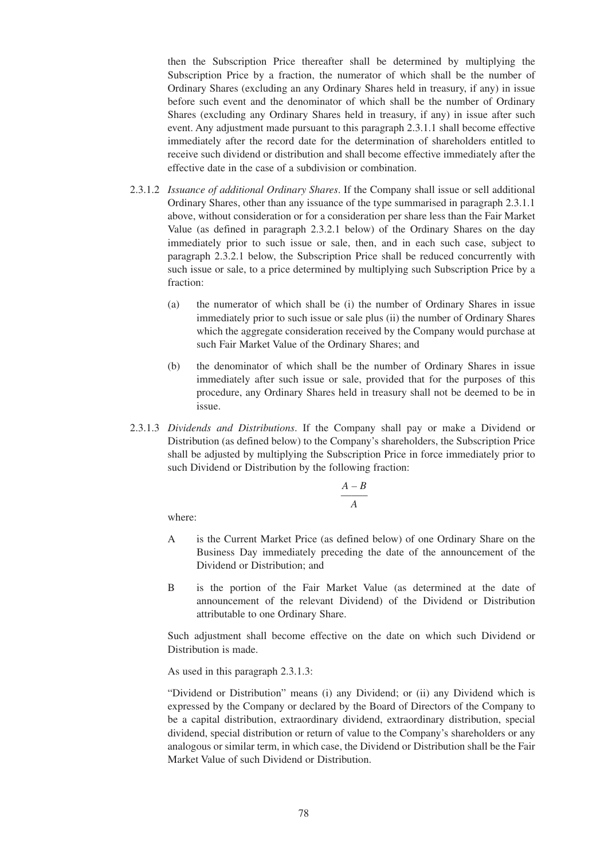then the Subscription Price thereafter shall be determined by multiplying the Subscription Price by a fraction, the numerator of which shall be the number of Ordinary Shares (excluding an any Ordinary Shares held in treasury, if any) in issue before such event and the denominator of which shall be the number of Ordinary Shares (excluding any Ordinary Shares held in treasury, if any) in issue after such event. Any adjustment made pursuant to this paragraph 2.3.1.1 shall become effective immediately after the record date for the determination of shareholders entitled to receive such dividend or distribution and shall become effective immediately after the effective date in the case of a subdivision or combination.

- 2.3.1.2 *Issuance of additional Ordinary Shares*. If the Company shall issue or sell additional Ordinary Shares, other than any issuance of the type summarised in paragraph 2.3.1.1 above, without consideration or for a consideration per share less than the Fair Market Value (as defined in paragraph 2.3.2.1 below) of the Ordinary Shares on the day immediately prior to such issue or sale, then, and in each such case, subject to paragraph 2.3.2.1 below, the Subscription Price shall be reduced concurrently with such issue or sale, to a price determined by multiplying such Subscription Price by a fraction:
	- (a) the numerator of which shall be (i) the number of Ordinary Shares in issue immediately prior to such issue or sale plus (ii) the number of Ordinary Shares which the aggregate consideration received by the Company would purchase at such Fair Market Value of the Ordinary Shares; and
	- (b) the denominator of which shall be the number of Ordinary Shares in issue immediately after such issue or sale, provided that for the purposes of this procedure, any Ordinary Shares held in treasury shall not be deemed to be in issue.
- 2.3.1.3 *Dividends and Distributions*. If the Company shall pay or make a Dividend or Distribution (as defined below) to the Company's shareholders, the Subscription Price shall be adjusted by multiplying the Subscription Price in force immediately prior to such Dividend or Distribution by the following fraction:

$$
\frac{A-B}{A}
$$

where:

- A is the Current Market Price (as defined below) of one Ordinary Share on the Business Day immediately preceding the date of the announcement of the Dividend or Distribution: and
- B is the portion of the Fair Market Value (as determined at the date of announcement of the relevant Dividend) of the Dividend or Distribution attributable to one Ordinary Share.

Such adjustment shall become effective on the date on which such Dividend or Distribution is made.

As used in this paragraph 2.3.1.3:

"Dividend or Distribution" means (i) any Dividend; or (ii) any Dividend which is expressed by the Company or declared by the Board of Directors of the Company to be a capital distribution, extraordinary dividend, extraordinary distribution, special dividend, special distribution or return of value to the Company's shareholders or any analogous or similar term, in which case, the Dividend or Distribution shall be the Fair Market Value of such Dividend or Distribution.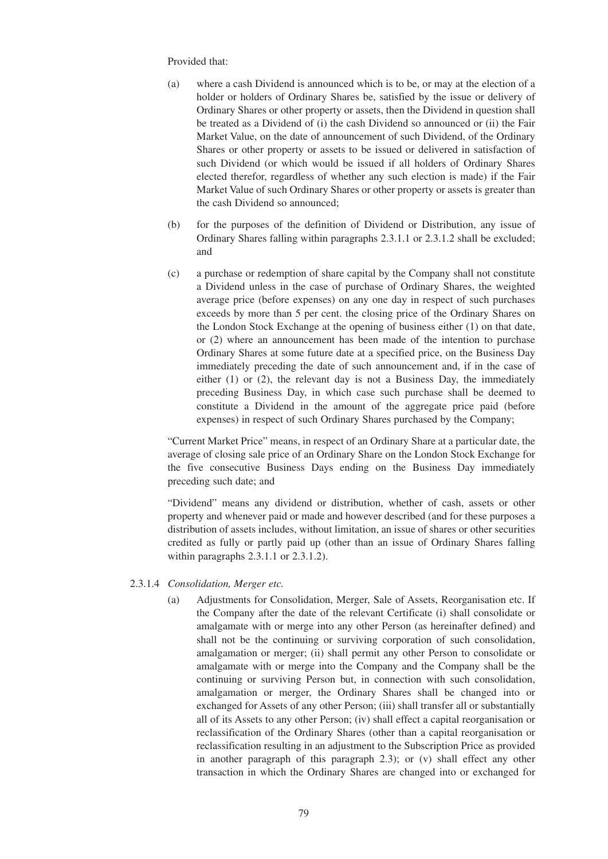#### Provided that:

- (a) where a cash Dividend is announced which is to be, or may at the election of a holder or holders of Ordinary Shares be, satisfied by the issue or delivery of Ordinary Shares or other property or assets, then the Dividend in question shall be treated as a Dividend of (i) the cash Dividend so announced or (ii) the Fair Market Value, on the date of announcement of such Dividend, of the Ordinary Shares or other property or assets to be issued or delivered in satisfaction of such Dividend (or which would be issued if all holders of Ordinary Shares elected therefor, regardless of whether any such election is made) if the Fair Market Value of such Ordinary Shares or other property or assets is greater than the cash Dividend so announced;
- (b) for the purposes of the definition of Dividend or Distribution, any issue of Ordinary Shares falling within paragraphs 2.3.1.1 or 2.3.1.2 shall be excluded; and
- (c) a purchase or redemption of share capital by the Company shall not constitute a Dividend unless in the case of purchase of Ordinary Shares, the weighted average price (before expenses) on any one day in respect of such purchases exceeds by more than 5 per cent. the closing price of the Ordinary Shares on the London Stock Exchange at the opening of business either (1) on that date, or (2) where an announcement has been made of the intention to purchase Ordinary Shares at some future date at a specified price, on the Business Day immediately preceding the date of such announcement and, if in the case of either (1) or (2), the relevant day is not a Business Day, the immediately preceding Business Day, in which case such purchase shall be deemed to constitute a Dividend in the amount of the aggregate price paid (before expenses) in respect of such Ordinary Shares purchased by the Company;

"Current Market Price" means, in respect of an Ordinary Share at a particular date, the average of closing sale price of an Ordinary Share on the London Stock Exchange for the five consecutive Business Days ending on the Business Day immediately preceding such date; and

"Dividend" means any dividend or distribution, whether of cash, assets or other property and whenever paid or made and however described (and for these purposes a distribution of assets includes, without limitation, an issue of shares or other securities credited as fully or partly paid up (other than an issue of Ordinary Shares falling within paragraphs 2.3.1.1 or 2.3.1.2).

#### 2.3.1.4 *Consolidation, Merger etc.*

(a) Adjustments for Consolidation, Merger, Sale of Assets, Reorganisation etc. If the Company after the date of the relevant Certificate (i) shall consolidate or amalgamate with or merge into any other Person (as hereinafter defined) and shall not be the continuing or surviving corporation of such consolidation, amalgamation or merger; (ii) shall permit any other Person to consolidate or amalgamate with or merge into the Company and the Company shall be the continuing or surviving Person but, in connection with such consolidation, amalgamation or merger, the Ordinary Shares shall be changed into or exchanged for Assets of any other Person; (iii) shall transfer all or substantially all of its Assets to any other Person; (iv) shall effect a capital reorganisation or reclassification of the Ordinary Shares (other than a capital reorganisation or reclassification resulting in an adjustment to the Subscription Price as provided in another paragraph of this paragraph 2.3); or (v) shall effect any other transaction in which the Ordinary Shares are changed into or exchanged for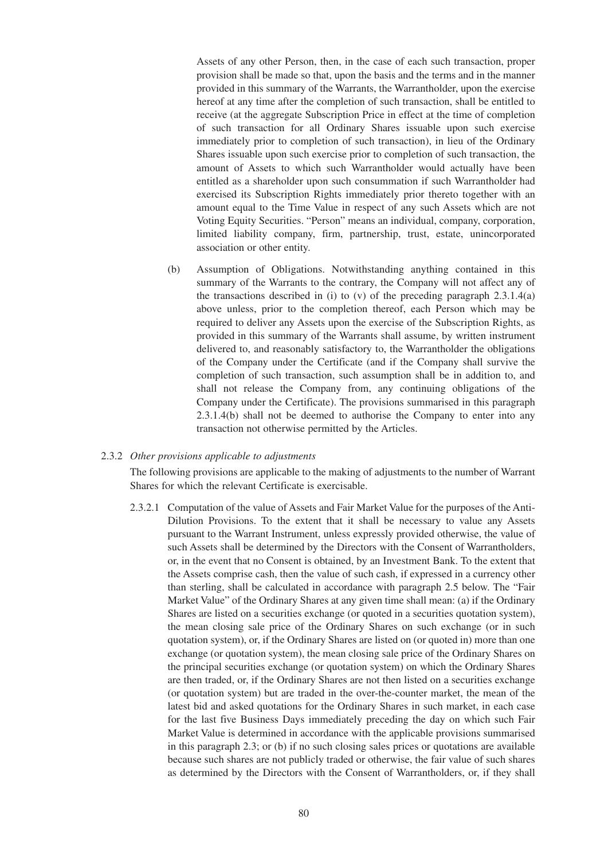Assets of any other Person, then, in the case of each such transaction, proper provision shall be made so that, upon the basis and the terms and in the manner provided in this summary of the Warrants, the Warrantholder, upon the exercise hereof at any time after the completion of such transaction, shall be entitled to receive (at the aggregate Subscription Price in effect at the time of completion of such transaction for all Ordinary Shares issuable upon such exercise immediately prior to completion of such transaction), in lieu of the Ordinary Shares issuable upon such exercise prior to completion of such transaction, the amount of Assets to which such Warrantholder would actually have been entitled as a shareholder upon such consummation if such Warrantholder had exercised its Subscription Rights immediately prior thereto together with an amount equal to the Time Value in respect of any such Assets which are not Voting Equity Securities. "Person" means an individual, company, corporation, limited liability company, firm, partnership, trust, estate, unincorporated association or other entity.

(b) Assumption of Obligations. Notwithstanding anything contained in this summary of the Warrants to the contrary, the Company will not affect any of the transactions described in (i) to (v) of the preceding paragraph  $2.3.1.4(a)$ above unless, prior to the completion thereof, each Person which may be required to deliver any Assets upon the exercise of the Subscription Rights, as provided in this summary of the Warrants shall assume, by written instrument delivered to, and reasonably satisfactory to, the Warrantholder the obligations of the Company under the Certificate (and if the Company shall survive the completion of such transaction, such assumption shall be in addition to, and shall not release the Company from, any continuing obligations of the Company under the Certificate). The provisions summarised in this paragraph 2.3.1.4(b) shall not be deemed to authorise the Company to enter into any transaction not otherwise permitted by the Articles.

#### 2.3.2 *Other provisions applicable to adjustments*

The following provisions are applicable to the making of adjustments to the number of Warrant Shares for which the relevant Certificate is exercisable.

2.3.2.1 Computation of the value of Assets and Fair Market Value for the purposes of the Anti-Dilution Provisions. To the extent that it shall be necessary to value any Assets pursuant to the Warrant Instrument, unless expressly provided otherwise, the value of such Assets shall be determined by the Directors with the Consent of Warrantholders, or, in the event that no Consent is obtained, by an Investment Bank. To the extent that the Assets comprise cash, then the value of such cash, if expressed in a currency other than sterling, shall be calculated in accordance with paragraph 2.5 below. The "Fair Market Value" of the Ordinary Shares at any given time shall mean: (a) if the Ordinary Shares are listed on a securities exchange (or quoted in a securities quotation system), the mean closing sale price of the Ordinary Shares on such exchange (or in such quotation system), or, if the Ordinary Shares are listed on (or quoted in) more than one exchange (or quotation system), the mean closing sale price of the Ordinary Shares on the principal securities exchange (or quotation system) on which the Ordinary Shares are then traded, or, if the Ordinary Shares are not then listed on a securities exchange (or quotation system) but are traded in the over-the-counter market, the mean of the latest bid and asked quotations for the Ordinary Shares in such market, in each case for the last five Business Days immediately preceding the day on which such Fair Market Value is determined in accordance with the applicable provisions summarised in this paragraph 2.3; or (b) if no such closing sales prices or quotations are available because such shares are not publicly traded or otherwise, the fair value of such shares as determined by the Directors with the Consent of Warrantholders, or, if they shall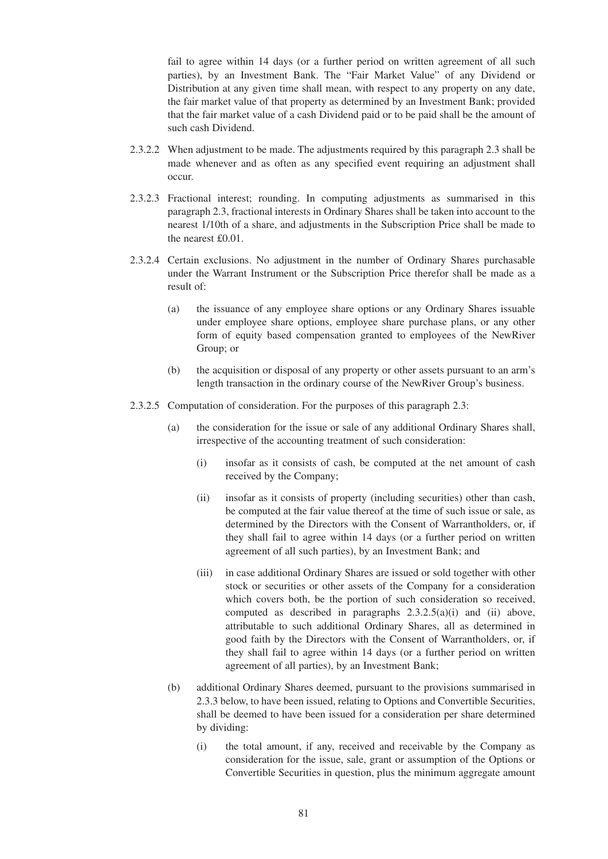fail to agree within 14 days (or a further period on written agreement of all such parties), by an Investment Bank. The "Fair Market Value" of any Dividend or Distribution at any given time shall mean, with respect to any property on any date, the fair market value of that property as determined by an Investment Bank; provided that the fair market value of a cash Dividend paid or to be paid shall be the amount of such cash Dividend.

- 2.3.2.2 When adjustment to be made. The adjustments required by this paragraph 2.3 shall be made whenever and as often as any specified event requiring an adjustment shall occur.
- 2.3.2.3 Fractional interest; rounding. In computing adjustments as summarised in this paragraph 2.3, fractional interests in Ordinary Shares shall be taken into account to the nearest 1/10th of a share, and adjustments in the Subscription Price shall be made to the nearest £0.01.
- 2.3.2.4 Certain exclusions. No adjustment in the number of Ordinary Shares purchasable under the Warrant Instrument or the Subscription Price therefor shall be made as a result of:
	- (a) the issuance of any employee share options or any Ordinary Shares issuable under employee share options, employee share purchase plans, or any other form of equity based compensation granted to employees of the NewRiver Group; or
	- (b) the acquisition or disposal of any property or other assets pursuant to an arm's length transaction in the ordinary course of the NewRiver Group's business.
- 2.3.2.5 Computation of consideration. For the purposes of this paragraph 2.3:
	- (a) the consideration for the issue or sale of any additional Ordinary Shares shall, irrespective of the accounting treatment of such consideration:
		- (i) insofar as it consists of cash, be computed at the net amount of cash received by the Company;
		- (ii) insofar as it consists of property (including securities) other than cash, be computed at the fair value thereof at the time of such issue or sale, as determined by the Directors with the Consent of Warrantholders, or, if they shall fail to agree within 14 days (or a further period on written agreement of all such parties), by an Investment Bank; and
		- (iii) in case additional Ordinary Shares are issued or sold together with other stock or securities or other assets of the Company for a consideration which covers both, be the portion of such consideration so received, computed as described in paragraphs  $2.3.2.5(a)(i)$  and (ii) above, attributable to such additional Ordinary Shares, all as determined in good faith by the Directors with the Consent of Warrantholders, or, if they shall fail to agree within 14 days (or a further period on written agreement of all parties), by an Investment Bank;
	- (b) additional Ordinary Shares deemed, pursuant to the provisions summarised in 2.3.3 below, to have been issued, relating to Options and Convertible Securities, shall be deemed to have been issued for a consideration per share determined by dividing:
		- (i) the total amount, if any, received and receivable by the Company as consideration for the issue, sale, grant or assumption of the Options or Convertible Securities in question, plus the minimum aggregate amount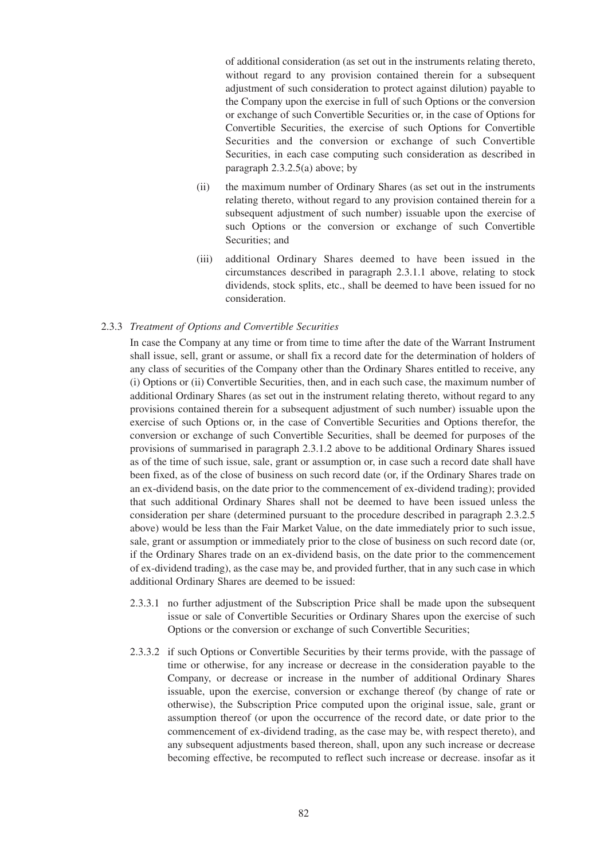of additional consideration (as set out in the instruments relating thereto, without regard to any provision contained therein for a subsequent adjustment of such consideration to protect against dilution) payable to the Company upon the exercise in full of such Options or the conversion or exchange of such Convertible Securities or, in the case of Options for Convertible Securities, the exercise of such Options for Convertible Securities and the conversion or exchange of such Convertible Securities, in each case computing such consideration as described in paragraph 2.3.2.5(a) above; by

- (ii) the maximum number of Ordinary Shares (as set out in the instruments relating thereto, without regard to any provision contained therein for a subsequent adjustment of such number) issuable upon the exercise of such Options or the conversion or exchange of such Convertible Securities; and
- (iii) additional Ordinary Shares deemed to have been issued in the circumstances described in paragraph 2.3.1.1 above, relating to stock dividends, stock splits, etc., shall be deemed to have been issued for no consideration.

#### 2.3.3 *Treatment of Options and Convertible Securities*

In case the Company at any time or from time to time after the date of the Warrant Instrument shall issue, sell, grant or assume, or shall fix a record date for the determination of holders of any class of securities of the Company other than the Ordinary Shares entitled to receive, any (i) Options or (ii) Convertible Securities, then, and in each such case, the maximum number of additional Ordinary Shares (as set out in the instrument relating thereto, without regard to any provisions contained therein for a subsequent adjustment of such number) issuable upon the exercise of such Options or, in the case of Convertible Securities and Options therefor, the conversion or exchange of such Convertible Securities, shall be deemed for purposes of the provisions of summarised in paragraph 2.3.1.2 above to be additional Ordinary Shares issued as of the time of such issue, sale, grant or assumption or, in case such a record date shall have been fixed, as of the close of business on such record date (or, if the Ordinary Shares trade on an ex-dividend basis, on the date prior to the commencement of ex-dividend trading); provided that such additional Ordinary Shares shall not be deemed to have been issued unless the consideration per share (determined pursuant to the procedure described in paragraph 2.3.2.5 above) would be less than the Fair Market Value, on the date immediately prior to such issue, sale, grant or assumption or immediately prior to the close of business on such record date (or, if the Ordinary Shares trade on an ex-dividend basis, on the date prior to the commencement of ex-dividend trading), as the case may be, and provided further, that in any such case in which additional Ordinary Shares are deemed to be issued:

- 2.3.3.1 no further adjustment of the Subscription Price shall be made upon the subsequent issue or sale of Convertible Securities or Ordinary Shares upon the exercise of such Options or the conversion or exchange of such Convertible Securities;
- 2.3.3.2 if such Options or Convertible Securities by their terms provide, with the passage of time or otherwise, for any increase or decrease in the consideration payable to the Company, or decrease or increase in the number of additional Ordinary Shares issuable, upon the exercise, conversion or exchange thereof (by change of rate or otherwise), the Subscription Price computed upon the original issue, sale, grant or assumption thereof (or upon the occurrence of the record date, or date prior to the commencement of ex-dividend trading, as the case may be, with respect thereto), and any subsequent adjustments based thereon, shall, upon any such increase or decrease becoming effective, be recomputed to reflect such increase or decrease. insofar as it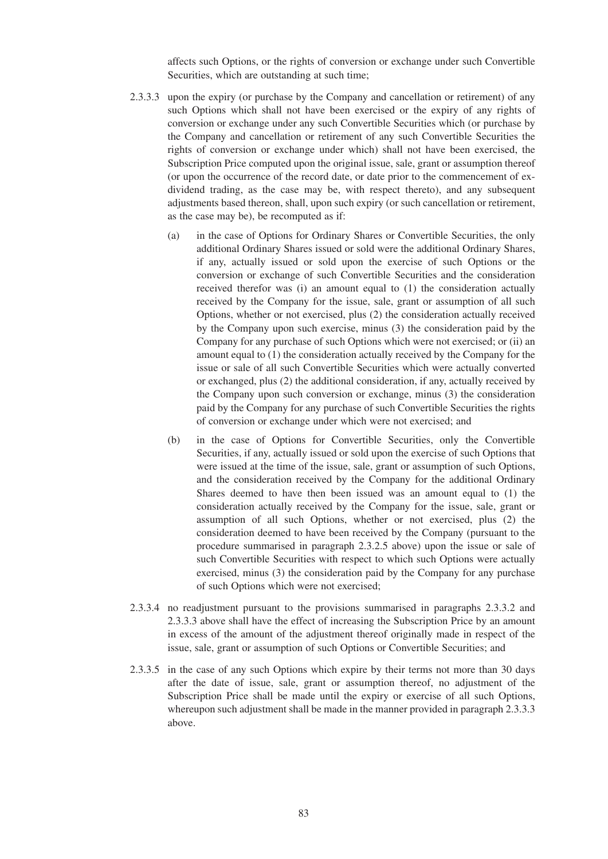affects such Options, or the rights of conversion or exchange under such Convertible Securities, which are outstanding at such time;

- 2.3.3.3 upon the expiry (or purchase by the Company and cancellation or retirement) of any such Options which shall not have been exercised or the expiry of any rights of conversion or exchange under any such Convertible Securities which (or purchase by the Company and cancellation or retirement of any such Convertible Securities the rights of conversion or exchange under which) shall not have been exercised, the Subscription Price computed upon the original issue, sale, grant or assumption thereof (or upon the occurrence of the record date, or date prior to the commencement of exdividend trading, as the case may be, with respect thereto), and any subsequent adjustments based thereon, shall, upon such expiry (or such cancellation or retirement, as the case may be), be recomputed as if:
	- (a) in the case of Options for Ordinary Shares or Convertible Securities, the only additional Ordinary Shares issued or sold were the additional Ordinary Shares, if any, actually issued or sold upon the exercise of such Options or the conversion or exchange of such Convertible Securities and the consideration received therefor was (i) an amount equal to (1) the consideration actually received by the Company for the issue, sale, grant or assumption of all such Options, whether or not exercised, plus (2) the consideration actually received by the Company upon such exercise, minus (3) the consideration paid by the Company for any purchase of such Options which were not exercised; or (ii) an amount equal to (1) the consideration actually received by the Company for the issue or sale of all such Convertible Securities which were actually converted or exchanged, plus (2) the additional consideration, if any, actually received by the Company upon such conversion or exchange, minus (3) the consideration paid by the Company for any purchase of such Convertible Securities the rights of conversion or exchange under which were not exercised; and
	- (b) in the case of Options for Convertible Securities, only the Convertible Securities, if any, actually issued or sold upon the exercise of such Options that were issued at the time of the issue, sale, grant or assumption of such Options, and the consideration received by the Company for the additional Ordinary Shares deemed to have then been issued was an amount equal to (1) the consideration actually received by the Company for the issue, sale, grant or assumption of all such Options, whether or not exercised, plus (2) the consideration deemed to have been received by the Company (pursuant to the procedure summarised in paragraph 2.3.2.5 above) upon the issue or sale of such Convertible Securities with respect to which such Options were actually exercised, minus (3) the consideration paid by the Company for any purchase of such Options which were not exercised;
- 2.3.3.4 no readjustment pursuant to the provisions summarised in paragraphs 2.3.3.2 and 2.3.3.3 above shall have the effect of increasing the Subscription Price by an amount in excess of the amount of the adjustment thereof originally made in respect of the issue, sale, grant or assumption of such Options or Convertible Securities; and
- 2.3.3.5 in the case of any such Options which expire by their terms not more than 30 days after the date of issue, sale, grant or assumption thereof, no adjustment of the Subscription Price shall be made until the expiry or exercise of all such Options, whereupon such adjustment shall be made in the manner provided in paragraph 2.3.3.3 above.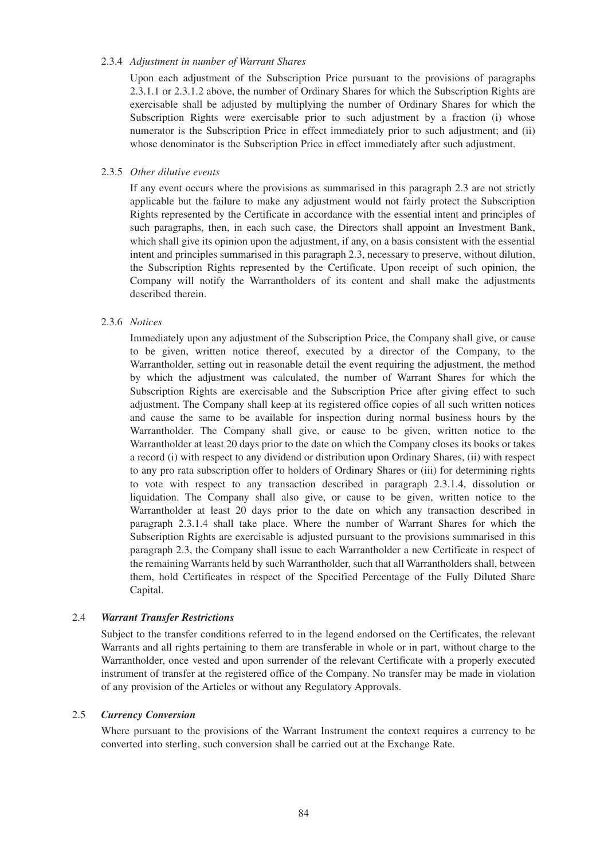#### 2.3.4 *Adjustment in number of Warrant Shares*

Upon each adjustment of the Subscription Price pursuant to the provisions of paragraphs 2.3.1.1 or 2.3.1.2 above, the number of Ordinary Shares for which the Subscription Rights are exercisable shall be adjusted by multiplying the number of Ordinary Shares for which the Subscription Rights were exercisable prior to such adjustment by a fraction (i) whose numerator is the Subscription Price in effect immediately prior to such adjustment; and (ii) whose denominator is the Subscription Price in effect immediately after such adjustment.

## 2.3.5 *Other dilutive events*

If any event occurs where the provisions as summarised in this paragraph 2.3 are not strictly applicable but the failure to make any adjustment would not fairly protect the Subscription Rights represented by the Certificate in accordance with the essential intent and principles of such paragraphs, then, in each such case, the Directors shall appoint an Investment Bank, which shall give its opinion upon the adjustment, if any, on a basis consistent with the essential intent and principles summarised in this paragraph 2.3, necessary to preserve, without dilution, the Subscription Rights represented by the Certificate. Upon receipt of such opinion, the Company will notify the Warrantholders of its content and shall make the adjustments described therein.

## 2.3.6 *Notices*

Immediately upon any adjustment of the Subscription Price, the Company shall give, or cause to be given, written notice thereof, executed by a director of the Company, to the Warrantholder, setting out in reasonable detail the event requiring the adjustment, the method by which the adjustment was calculated, the number of Warrant Shares for which the Subscription Rights are exercisable and the Subscription Price after giving effect to such adjustment. The Company shall keep at its registered office copies of all such written notices and cause the same to be available for inspection during normal business hours by the Warrantholder. The Company shall give, or cause to be given, written notice to the Warrantholder at least 20 days prior to the date on which the Company closes its books or takes a record (i) with respect to any dividend or distribution upon Ordinary Shares, (ii) with respect to any pro rata subscription offer to holders of Ordinary Shares or (iii) for determining rights to vote with respect to any transaction described in paragraph 2.3.1.4, dissolution or liquidation. The Company shall also give, or cause to be given, written notice to the Warrantholder at least 20 days prior to the date on which any transaction described in paragraph 2.3.1.4 shall take place. Where the number of Warrant Shares for which the Subscription Rights are exercisable is adjusted pursuant to the provisions summarised in this paragraph 2.3, the Company shall issue to each Warrantholder a new Certificate in respect of the remaining Warrants held by such Warrantholder, such that all Warrantholders shall, between them, hold Certificates in respect of the Specified Percentage of the Fully Diluted Share Capital.

#### 2.4 *Warrant Transfer Restrictions*

Subject to the transfer conditions referred to in the legend endorsed on the Certificates, the relevant Warrants and all rights pertaining to them are transferable in whole or in part, without charge to the Warrantholder, once vested and upon surrender of the relevant Certificate with a properly executed instrument of transfer at the registered office of the Company. No transfer may be made in violation of any provision of the Articles or without any Regulatory Approvals.

#### 2.5 *Currency Conversion*

Where pursuant to the provisions of the Warrant Instrument the context requires a currency to be converted into sterling, such conversion shall be carried out at the Exchange Rate.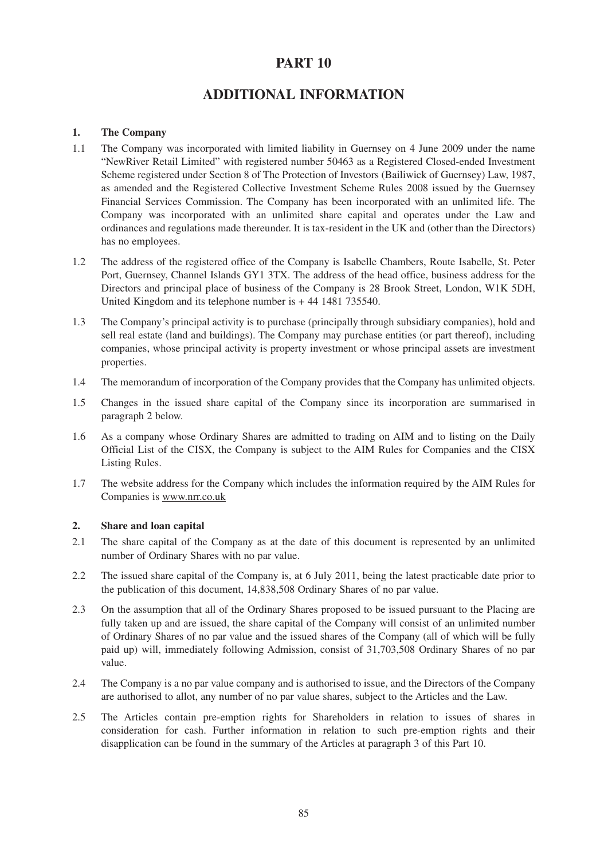# **PART 10**

# **ADDITIONAL INFORMATION**

## **1. The Company**

- 1.1 The Company was incorporated with limited liability in Guernsey on 4 June 2009 under the name "NewRiver Retail Limited" with registered number 50463 as a Registered Closed-ended Investment Scheme registered under Section 8 of The Protection of Investors (Bailiwick of Guernsey) Law, 1987, as amended and the Registered Collective Investment Scheme Rules 2008 issued by the Guernsey Financial Services Commission. The Company has been incorporated with an unlimited life. The Company was incorporated with an unlimited share capital and operates under the Law and ordinances and regulations made thereunder. It is tax-resident in the UK and (other than the Directors) has no employees.
- 1.2 The address of the registered office of the Company is Isabelle Chambers, Route Isabelle, St. Peter Port, Guernsey, Channel Islands GY1 3TX. The address of the head office, business address for the Directors and principal place of business of the Company is 28 Brook Street, London, W1K 5DH, United Kingdom and its telephone number is + 44 1481 735540.
- 1.3 The Company's principal activity is to purchase (principally through subsidiary companies), hold and sell real estate (land and buildings). The Company may purchase entities (or part thereof), including companies, whose principal activity is property investment or whose principal assets are investment properties.
- 1.4 The memorandum of incorporation of the Company provides that the Company has unlimited objects.
- 1.5 Changes in the issued share capital of the Company since its incorporation are summarised in paragraph 2 below.
- 1.6 As a company whose Ordinary Shares are admitted to trading on AIM and to listing on the Daily Official List of the CISX, the Company is subject to the AIM Rules for Companies and the CISX Listing Rules.
- 1.7 The website address for the Company which includes the information required by the AIM Rules for Companies is www.nrr.co.uk

## **2. Share and loan capital**

- 2.1 The share capital of the Company as at the date of this document is represented by an unlimited number of Ordinary Shares with no par value.
- 2.2 The issued share capital of the Company is, at 6 July 2011, being the latest practicable date prior to the publication of this document, 14,838,508 Ordinary Shares of no par value.
- 2.3 On the assumption that all of the Ordinary Shares proposed to be issued pursuant to the Placing are fully taken up and are issued, the share capital of the Company will consist of an unlimited number of Ordinary Shares of no par value and the issued shares of the Company (all of which will be fully paid up) will, immediately following Admission, consist of 31,703,508 Ordinary Shares of no par value.
- 2.4 The Company is a no par value company and is authorised to issue, and the Directors of the Company are authorised to allot, any number of no par value shares, subject to the Articles and the Law.
- 2.5 The Articles contain pre-emption rights for Shareholders in relation to issues of shares in consideration for cash. Further information in relation to such pre-emption rights and their disapplication can be found in the summary of the Articles at paragraph 3 of this Part 10.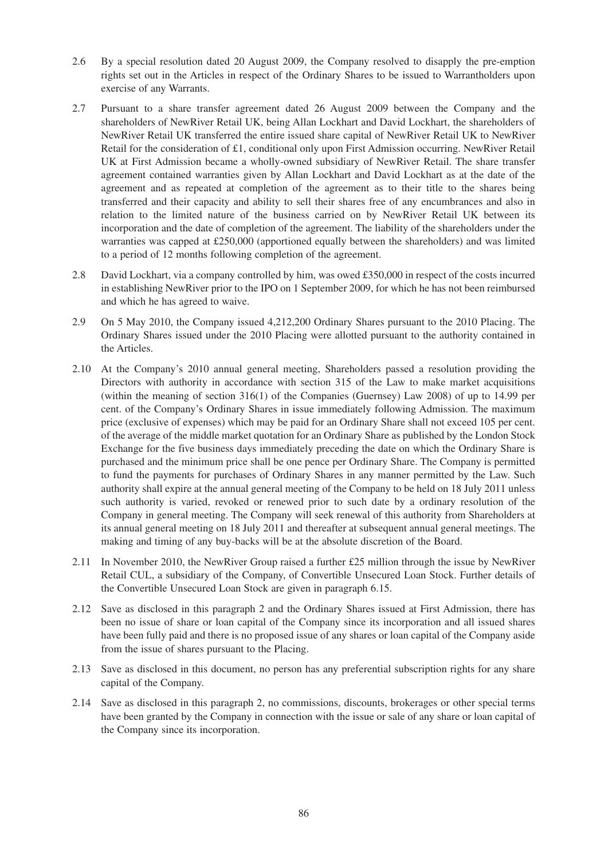- 2.6 By a special resolution dated 20 August 2009, the Company resolved to disapply the pre-emption rights set out in the Articles in respect of the Ordinary Shares to be issued to Warrantholders upon exercise of any Warrants.
- 2.7 Pursuant to a share transfer agreement dated 26 August 2009 between the Company and the shareholders of NewRiver Retail UK, being Allan Lockhart and David Lockhart, the shareholders of NewRiver Retail UK transferred the entire issued share capital of NewRiver Retail UK to NewRiver Retail for the consideration of £1, conditional only upon First Admission occurring. NewRiver Retail UK at First Admission became a wholly-owned subsidiary of NewRiver Retail. The share transfer agreement contained warranties given by Allan Lockhart and David Lockhart as at the date of the agreement and as repeated at completion of the agreement as to their title to the shares being transferred and their capacity and ability to sell their shares free of any encumbrances and also in relation to the limited nature of the business carried on by NewRiver Retail UK between its incorporation and the date of completion of the agreement. The liability of the shareholders under the warranties was capped at £250,000 (apportioned equally between the shareholders) and was limited to a period of 12 months following completion of the agreement.
- 2.8 David Lockhart, via a company controlled by him, was owed £350,000 in respect of the costs incurred in establishing NewRiver prior to the IPO on 1 September 2009, for which he has not been reimbursed and which he has agreed to waive.
- 2.9 On 5 May 2010, the Company issued 4,212,200 Ordinary Shares pursuant to the 2010 Placing. The Ordinary Shares issued under the 2010 Placing were allotted pursuant to the authority contained in the Articles.
- 2.10 At the Company's 2010 annual general meeting, Shareholders passed a resolution providing the Directors with authority in accordance with section 315 of the Law to make market acquisitions (within the meaning of section 316(1) of the Companies (Guernsey) Law 2008) of up to 14.99 per cent. of the Company's Ordinary Shares in issue immediately following Admission. The maximum price (exclusive of expenses) which may be paid for an Ordinary Share shall not exceed 105 per cent. of the average of the middle market quotation for an Ordinary Share as published by the London Stock Exchange for the five business days immediately preceding the date on which the Ordinary Share is purchased and the minimum price shall be one pence per Ordinary Share. The Company is permitted to fund the payments for purchases of Ordinary Shares in any manner permitted by the Law. Such authority shall expire at the annual general meeting of the Company to be held on 18 July 2011 unless such authority is varied, revoked or renewed prior to such date by a ordinary resolution of the Company in general meeting. The Company will seek renewal of this authority from Shareholders at its annual general meeting on 18 July 2011 and thereafter at subsequent annual general meetings. The making and timing of any buy-backs will be at the absolute discretion of the Board.
- 2.11 In November 2010, the NewRiver Group raised a further £25 million through the issue by NewRiver Retail CUL, a subsidiary of the Company, of Convertible Unsecured Loan Stock. Further details of the Convertible Unsecured Loan Stock are given in paragraph 6.15.
- 2.12 Save as disclosed in this paragraph 2 and the Ordinary Shares issued at First Admission, there has been no issue of share or loan capital of the Company since its incorporation and all issued shares have been fully paid and there is no proposed issue of any shares or loan capital of the Company aside from the issue of shares pursuant to the Placing.
- 2.13 Save as disclosed in this document, no person has any preferential subscription rights for any share capital of the Company.
- 2.14 Save as disclosed in this paragraph 2, no commissions, discounts, brokerages or other special terms have been granted by the Company in connection with the issue or sale of any share or loan capital of the Company since its incorporation.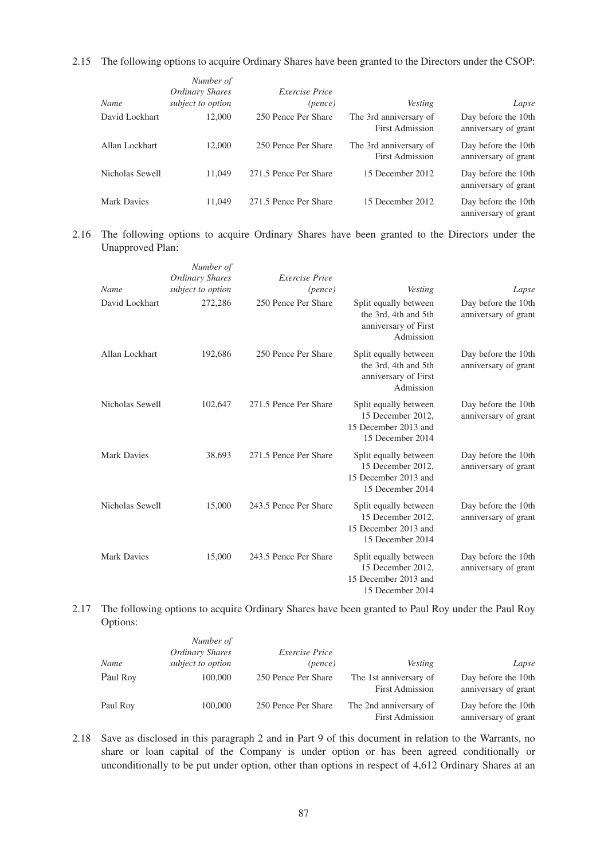2.15 The following options to acquire Ordinary Shares have been granted to the Directors under the CSOP:

| Name            | Number of<br>Ordinary Shares<br>subject to option | <i>Exercise Price</i><br>(pence) | <b>Vesting</b>                                   | Lapse                                       |
|-----------------|---------------------------------------------------|----------------------------------|--------------------------------------------------|---------------------------------------------|
| David Lockhart  | 12,000                                            | 250 Pence Per Share              | The 3rd anniversary of<br><b>First Admission</b> | Day before the 10th<br>anniversary of grant |
| Allan Lockhart  | 12,000                                            | 250 Pence Per Share              | The 3rd anniversary of<br><b>First Admission</b> | Day before the 10th<br>anniversary of grant |
| Nicholas Sewell | 11.049                                            | 271.5 Pence Per Share            | 15 December 2012                                 | Day before the 10th<br>anniversary of grant |
| Mark Davies     | 11.049                                            | 271.5 Pence Per Share            | 15 December 2012                                 | Day before the 10th<br>anniversary of grant |

## 2.16 The following options to acquire Ordinary Shares have been granted to the Directors under the Unapproved Plan:

|                    | Number of<br><b>Ordinary Shares</b> | <b>Exercise Price</b> |                                                                                        |                                             |
|--------------------|-------------------------------------|-----------------------|----------------------------------------------------------------------------------------|---------------------------------------------|
| Name               | subject to option                   | (pence)               | Vesting                                                                                | Lapse                                       |
| David Lockhart     | 272,286                             | 250 Pence Per Share   | Split equally between<br>the 3rd, 4th and 5th<br>anniversary of First<br>Admission     | Day before the 10th<br>anniversary of grant |
| Allan Lockhart     | 192,686                             | 250 Pence Per Share   | Split equally between<br>the 3rd, 4th and 5th<br>anniversary of First<br>Admission     | Day before the 10th<br>anniversary of grant |
| Nicholas Sewell    | 102,647                             | 271.5 Pence Per Share | Split equally between<br>15 December 2012,<br>15 December 2013 and<br>15 December 2014 | Day before the 10th<br>anniversary of grant |
| <b>Mark Davies</b> | 38,693                              | 271.5 Pence Per Share | Split equally between<br>15 December 2012,<br>15 December 2013 and<br>15 December 2014 | Day before the 10th<br>anniversary of grant |
| Nicholas Sewell    | 15,000                              | 243.5 Pence Per Share | Split equally between<br>15 December 2012,<br>15 December 2013 and<br>15 December 2014 | Day before the 10th<br>anniversary of grant |
| Mark Davies        | 15,000                              | 243.5 Pence Per Share | Split equally between<br>15 December 2012.<br>15 December 2013 and<br>15 December 2014 | Day before the 10th<br>anniversary of grant |

## 2.17 The following options to acquire Ordinary Shares have been granted to Paul Roy under the Paul Roy Options:

| Lapse                                       | <b>Vesting</b>                                   | <i>Exercise Price</i><br>(pence) | Number of<br>Ordinary Shares<br>subject to option | Name     |
|---------------------------------------------|--------------------------------------------------|----------------------------------|---------------------------------------------------|----------|
| Day before the 10th<br>anniversary of grant | The 1st anniversary of<br><b>First Admission</b> | 250 Pence Per Share              | 100,000                                           | Paul Roy |
| Day before the 10th<br>anniversary of grant | The 2nd anniversary of<br><b>First Admission</b> | 250 Pence Per Share              | 100,000                                           | Paul Roy |

2.18 Save as disclosed in this paragraph 2 and in Part 9 of this document in relation to the Warrants, no share or loan capital of the Company is under option or has been agreed conditionally or unconditionally to be put under option, other than options in respect of 4,612 Ordinary Shares at an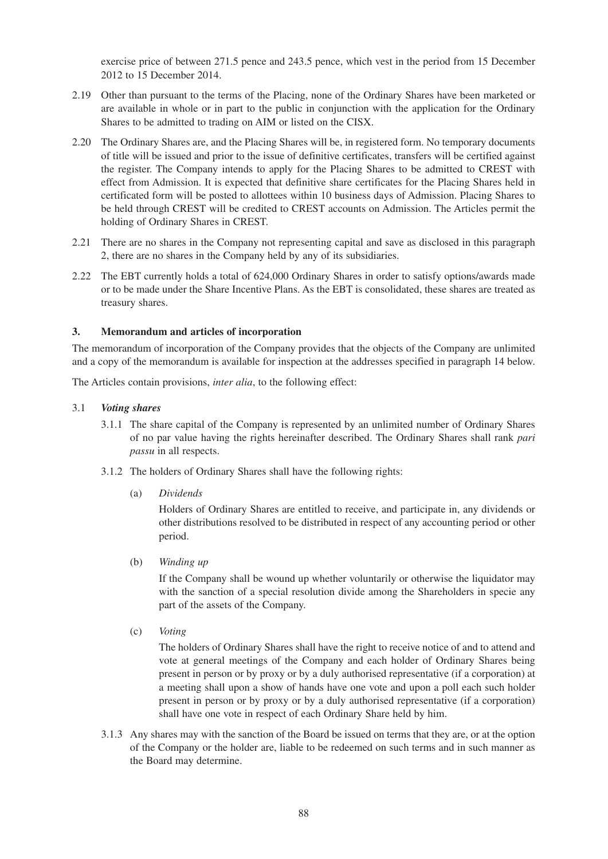exercise price of between 271.5 pence and 243.5 pence, which vest in the period from 15 December 2012 to 15 December 2014.

- 2.19 Other than pursuant to the terms of the Placing, none of the Ordinary Shares have been marketed or are available in whole or in part to the public in conjunction with the application for the Ordinary Shares to be admitted to trading on AIM or listed on the CISX.
- 2.20 The Ordinary Shares are, and the Placing Shares will be, in registered form. No temporary documents of title will be issued and prior to the issue of definitive certificates, transfers will be certified against the register. The Company intends to apply for the Placing Shares to be admitted to CREST with effect from Admission. It is expected that definitive share certificates for the Placing Shares held in certificated form will be posted to allottees within 10 business days of Admission. Placing Shares to be held through CREST will be credited to CREST accounts on Admission. The Articles permit the holding of Ordinary Shares in CREST.
- 2.21 There are no shares in the Company not representing capital and save as disclosed in this paragraph 2, there are no shares in the Company held by any of its subsidiaries.
- 2.22 The EBT currently holds a total of 624,000 Ordinary Shares in order to satisfy options/awards made or to be made under the Share Incentive Plans. As the EBT is consolidated, these shares are treated as treasury shares.

## **3. Memorandum and articles of incorporation**

The memorandum of incorporation of the Company provides that the objects of the Company are unlimited and a copy of the memorandum is available for inspection at the addresses specified in paragraph 14 below.

The Articles contain provisions, *inter alia*, to the following effect:

#### 3.1 *Voting shares*

- 3.1.1 The share capital of the Company is represented by an unlimited number of Ordinary Shares of no par value having the rights hereinafter described. The Ordinary Shares shall rank *pari passu* in all respects.
- 3.1.2 The holders of Ordinary Shares shall have the following rights:
	- (a) *Dividends*

Holders of Ordinary Shares are entitled to receive, and participate in, any dividends or other distributions resolved to be distributed in respect of any accounting period or other period.

(b) *Winding up*

If the Company shall be wound up whether voluntarily or otherwise the liquidator may with the sanction of a special resolution divide among the Shareholders in specie any part of the assets of the Company.

(c) *Voting*

The holders of Ordinary Shares shall have the right to receive notice of and to attend and vote at general meetings of the Company and each holder of Ordinary Shares being present in person or by proxy or by a duly authorised representative (if a corporation) at a meeting shall upon a show of hands have one vote and upon a poll each such holder present in person or by proxy or by a duly authorised representative (if a corporation) shall have one vote in respect of each Ordinary Share held by him.

3.1.3 Any shares may with the sanction of the Board be issued on terms that they are, or at the option of the Company or the holder are, liable to be redeemed on such terms and in such manner as the Board may determine.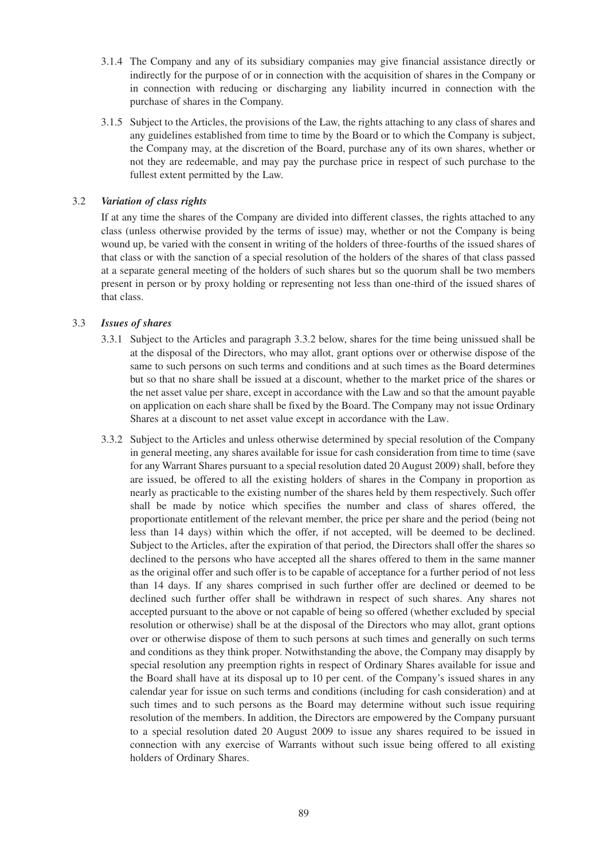- 3.1.4 The Company and any of its subsidiary companies may give financial assistance directly or indirectly for the purpose of or in connection with the acquisition of shares in the Company or in connection with reducing or discharging any liability incurred in connection with the purchase of shares in the Company.
- 3.1.5 Subject to the Articles, the provisions of the Law, the rights attaching to any class of shares and any guidelines established from time to time by the Board or to which the Company is subject, the Company may, at the discretion of the Board, purchase any of its own shares, whether or not they are redeemable, and may pay the purchase price in respect of such purchase to the fullest extent permitted by the Law.

## 3.2 *Variation of class rights*

If at any time the shares of the Company are divided into different classes, the rights attached to any class (unless otherwise provided by the terms of issue) may, whether or not the Company is being wound up, be varied with the consent in writing of the holders of three-fourths of the issued shares of that class or with the sanction of a special resolution of the holders of the shares of that class passed at a separate general meeting of the holders of such shares but so the quorum shall be two members present in person or by proxy holding or representing not less than one-third of the issued shares of that class.

## 3.3 *Issues of shares*

- 3.3.1 Subject to the Articles and paragraph 3.3.2 below, shares for the time being unissued shall be at the disposal of the Directors, who may allot, grant options over or otherwise dispose of the same to such persons on such terms and conditions and at such times as the Board determines but so that no share shall be issued at a discount, whether to the market price of the shares or the net asset value per share, except in accordance with the Law and so that the amount payable on application on each share shall be fixed by the Board. The Company may not issue Ordinary Shares at a discount to net asset value except in accordance with the Law.
- 3.3.2 Subject to the Articles and unless otherwise determined by special resolution of the Company in general meeting, any shares available for issue for cash consideration from time to time (save for any Warrant Shares pursuant to a special resolution dated 20 August 2009) shall, before they are issued, be offered to all the existing holders of shares in the Company in proportion as nearly as practicable to the existing number of the shares held by them respectively. Such offer shall be made by notice which specifies the number and class of shares offered, the proportionate entitlement of the relevant member, the price per share and the period (being not less than 14 days) within which the offer, if not accepted, will be deemed to be declined. Subject to the Articles, after the expiration of that period, the Directors shall offer the shares so declined to the persons who have accepted all the shares offered to them in the same manner as the original offer and such offer is to be capable of acceptance for a further period of not less than 14 days. If any shares comprised in such further offer are declined or deemed to be declined such further offer shall be withdrawn in respect of such shares. Any shares not accepted pursuant to the above or not capable of being so offered (whether excluded by special resolution or otherwise) shall be at the disposal of the Directors who may allot, grant options over or otherwise dispose of them to such persons at such times and generally on such terms and conditions as they think proper. Notwithstanding the above, the Company may disapply by special resolution any preemption rights in respect of Ordinary Shares available for issue and the Board shall have at its disposal up to 10 per cent. of the Company's issued shares in any calendar year for issue on such terms and conditions (including for cash consideration) and at such times and to such persons as the Board may determine without such issue requiring resolution of the members. In addition, the Directors are empowered by the Company pursuant to a special resolution dated 20 August 2009 to issue any shares required to be issued in connection with any exercise of Warrants without such issue being offered to all existing holders of Ordinary Shares.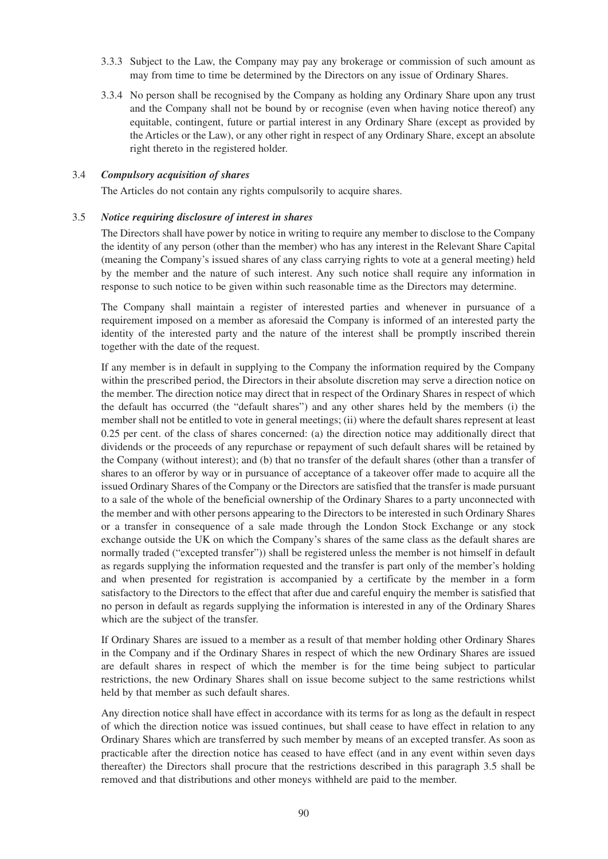- 3.3.3 Subject to the Law, the Company may pay any brokerage or commission of such amount as may from time to time be determined by the Directors on any issue of Ordinary Shares.
- 3.3.4 No person shall be recognised by the Company as holding any Ordinary Share upon any trust and the Company shall not be bound by or recognise (even when having notice thereof) any equitable, contingent, future or partial interest in any Ordinary Share (except as provided by the Articles or the Law), or any other right in respect of any Ordinary Share, except an absolute right thereto in the registered holder.

#### 3.4 *Compulsory acquisition of shares*

The Articles do not contain any rights compulsorily to acquire shares.

#### 3.5 *Notice requiring disclosure of interest in shares*

The Directors shall have power by notice in writing to require any member to disclose to the Company the identity of any person (other than the member) who has any interest in the Relevant Share Capital (meaning the Company's issued shares of any class carrying rights to vote at a general meeting) held by the member and the nature of such interest. Any such notice shall require any information in response to such notice to be given within such reasonable time as the Directors may determine.

The Company shall maintain a register of interested parties and whenever in pursuance of a requirement imposed on a member as aforesaid the Company is informed of an interested party the identity of the interested party and the nature of the interest shall be promptly inscribed therein together with the date of the request.

If any member is in default in supplying to the Company the information required by the Company within the prescribed period, the Directors in their absolute discretion may serve a direction notice on the member. The direction notice may direct that in respect of the Ordinary Shares in respect of which the default has occurred (the "default shares") and any other shares held by the members (i) the member shall not be entitled to vote in general meetings; (ii) where the default shares represent at least 0.25 per cent. of the class of shares concerned: (a) the direction notice may additionally direct that dividends or the proceeds of any repurchase or repayment of such default shares will be retained by the Company (without interest); and (b) that no transfer of the default shares (other than a transfer of shares to an offeror by way or in pursuance of acceptance of a takeover offer made to acquire all the issued Ordinary Shares of the Company or the Directors are satisfied that the transfer is made pursuant to a sale of the whole of the beneficial ownership of the Ordinary Shares to a party unconnected with the member and with other persons appearing to the Directors to be interested in such Ordinary Shares or a transfer in consequence of a sale made through the London Stock Exchange or any stock exchange outside the UK on which the Company's shares of the same class as the default shares are normally traded ("excepted transfer")) shall be registered unless the member is not himself in default as regards supplying the information requested and the transfer is part only of the member's holding and when presented for registration is accompanied by a certificate by the member in a form satisfactory to the Directors to the effect that after due and careful enquiry the member is satisfied that no person in default as regards supplying the information is interested in any of the Ordinary Shares which are the subject of the transfer.

If Ordinary Shares are issued to a member as a result of that member holding other Ordinary Shares in the Company and if the Ordinary Shares in respect of which the new Ordinary Shares are issued are default shares in respect of which the member is for the time being subject to particular restrictions, the new Ordinary Shares shall on issue become subject to the same restrictions whilst held by that member as such default shares.

Any direction notice shall have effect in accordance with its terms for as long as the default in respect of which the direction notice was issued continues, but shall cease to have effect in relation to any Ordinary Shares which are transferred by such member by means of an excepted transfer. As soon as practicable after the direction notice has ceased to have effect (and in any event within seven days thereafter) the Directors shall procure that the restrictions described in this paragraph 3.5 shall be removed and that distributions and other moneys withheld are paid to the member.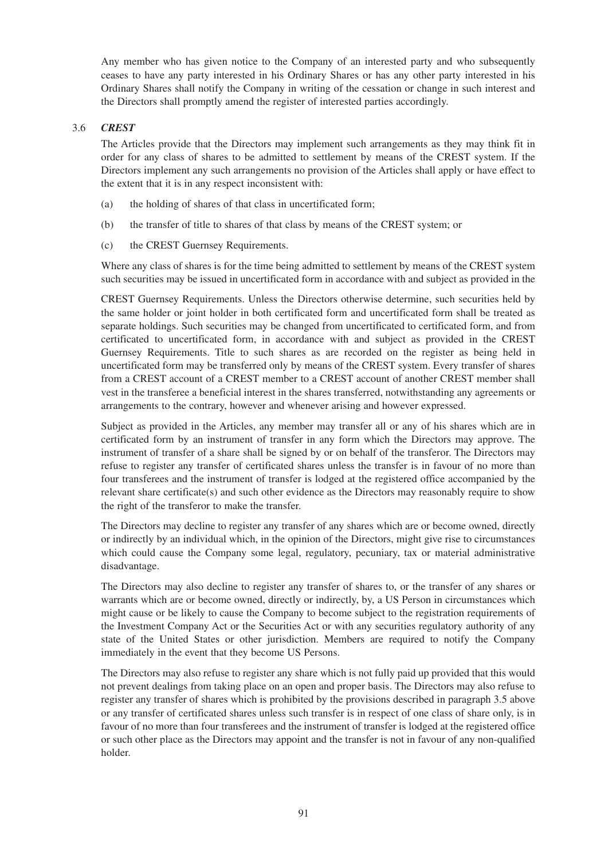Any member who has given notice to the Company of an interested party and who subsequently ceases to have any party interested in his Ordinary Shares or has any other party interested in his Ordinary Shares shall notify the Company in writing of the cessation or change in such interest and the Directors shall promptly amend the register of interested parties accordingly.

## 3.6 *CREST*

The Articles provide that the Directors may implement such arrangements as they may think fit in order for any class of shares to be admitted to settlement by means of the CREST system. If the Directors implement any such arrangements no provision of the Articles shall apply or have effect to the extent that it is in any respect inconsistent with:

- (a) the holding of shares of that class in uncertificated form;
- (b) the transfer of title to shares of that class by means of the CREST system; or
- (c) the CREST Guernsey Requirements.

Where any class of shares is for the time being admitted to settlement by means of the CREST system such securities may be issued in uncertificated form in accordance with and subject as provided in the

CREST Guernsey Requirements. Unless the Directors otherwise determine, such securities held by the same holder or joint holder in both certificated form and uncertificated form shall be treated as separate holdings. Such securities may be changed from uncertificated to certificated form, and from certificated to uncertificated form, in accordance with and subject as provided in the CREST Guernsey Requirements. Title to such shares as are recorded on the register as being held in uncertificated form may be transferred only by means of the CREST system. Every transfer of shares from a CREST account of a CREST member to a CREST account of another CREST member shall vest in the transferee a beneficial interest in the shares transferred, notwithstanding any agreements or arrangements to the contrary, however and whenever arising and however expressed.

Subject as provided in the Articles, any member may transfer all or any of his shares which are in certificated form by an instrument of transfer in any form which the Directors may approve. The instrument of transfer of a share shall be signed by or on behalf of the transferor. The Directors may refuse to register any transfer of certificated shares unless the transfer is in favour of no more than four transferees and the instrument of transfer is lodged at the registered office accompanied by the relevant share certificate(s) and such other evidence as the Directors may reasonably require to show the right of the transferor to make the transfer.

The Directors may decline to register any transfer of any shares which are or become owned, directly or indirectly by an individual which, in the opinion of the Directors, might give rise to circumstances which could cause the Company some legal, regulatory, pecuniary, tax or material administrative disadvantage.

The Directors may also decline to register any transfer of shares to, or the transfer of any shares or warrants which are or become owned, directly or indirectly, by, a US Person in circumstances which might cause or be likely to cause the Company to become subject to the registration requirements of the Investment Company Act or the Securities Act or with any securities regulatory authority of any state of the United States or other jurisdiction. Members are required to notify the Company immediately in the event that they become US Persons.

The Directors may also refuse to register any share which is not fully paid up provided that this would not prevent dealings from taking place on an open and proper basis. The Directors may also refuse to register any transfer of shares which is prohibited by the provisions described in paragraph 3.5 above or any transfer of certificated shares unless such transfer is in respect of one class of share only, is in favour of no more than four transferees and the instrument of transfer is lodged at the registered office or such other place as the Directors may appoint and the transfer is not in favour of any non-qualified holder.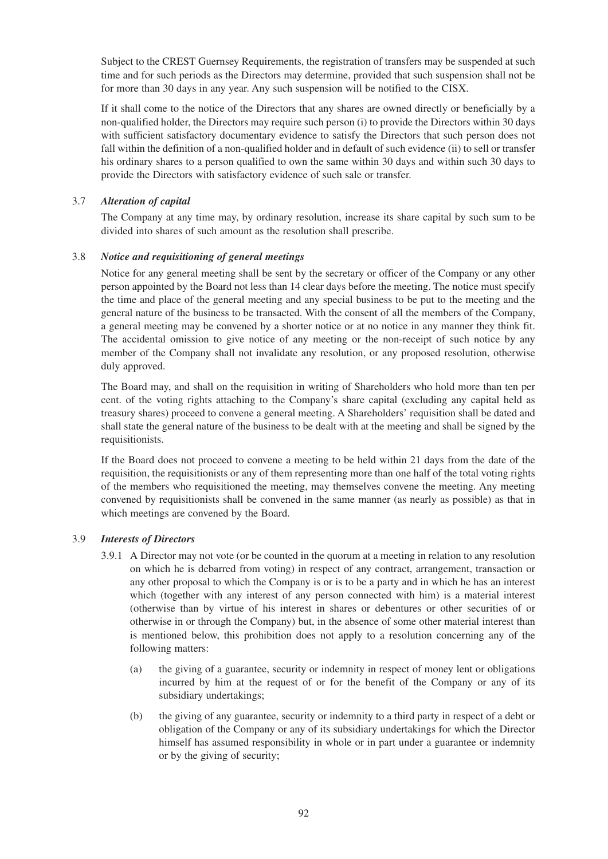Subject to the CREST Guernsey Requirements, the registration of transfers may be suspended at such time and for such periods as the Directors may determine, provided that such suspension shall not be for more than 30 days in any year. Any such suspension will be notified to the CISX.

If it shall come to the notice of the Directors that any shares are owned directly or beneficially by a non-qualified holder, the Directors may require such person (i) to provide the Directors within 30 days with sufficient satisfactory documentary evidence to satisfy the Directors that such person does not fall within the definition of a non-qualified holder and in default of such evidence (ii) to sell or transfer his ordinary shares to a person qualified to own the same within 30 days and within such 30 days to provide the Directors with satisfactory evidence of such sale or transfer.

## 3.7 *Alteration of capital*

The Company at any time may, by ordinary resolution, increase its share capital by such sum to be divided into shares of such amount as the resolution shall prescribe.

## 3.8 *Notice and requisitioning of general meetings*

Notice for any general meeting shall be sent by the secretary or officer of the Company or any other person appointed by the Board not less than 14 clear days before the meeting. The notice must specify the time and place of the general meeting and any special business to be put to the meeting and the general nature of the business to be transacted. With the consent of all the members of the Company, a general meeting may be convened by a shorter notice or at no notice in any manner they think fit. The accidental omission to give notice of any meeting or the non-receipt of such notice by any member of the Company shall not invalidate any resolution, or any proposed resolution, otherwise duly approved.

The Board may, and shall on the requisition in writing of Shareholders who hold more than ten per cent. of the voting rights attaching to the Company's share capital (excluding any capital held as treasury shares) proceed to convene a general meeting. A Shareholders' requisition shall be dated and shall state the general nature of the business to be dealt with at the meeting and shall be signed by the requisitionists.

If the Board does not proceed to convene a meeting to be held within 21 days from the date of the requisition, the requisitionists or any of them representing more than one half of the total voting rights of the members who requisitioned the meeting, may themselves convene the meeting. Any meeting convened by requisitionists shall be convened in the same manner (as nearly as possible) as that in which meetings are convened by the Board.

## 3.9 *Interests of Directors*

- 3.9.1 A Director may not vote (or be counted in the quorum at a meeting in relation to any resolution on which he is debarred from voting) in respect of any contract, arrangement, transaction or any other proposal to which the Company is or is to be a party and in which he has an interest which (together with any interest of any person connected with him) is a material interest (otherwise than by virtue of his interest in shares or debentures or other securities of or otherwise in or through the Company) but, in the absence of some other material interest than is mentioned below, this prohibition does not apply to a resolution concerning any of the following matters:
	- (a) the giving of a guarantee, security or indemnity in respect of money lent or obligations incurred by him at the request of or for the benefit of the Company or any of its subsidiary undertakings;
	- (b) the giving of any guarantee, security or indemnity to a third party in respect of a debt or obligation of the Company or any of its subsidiary undertakings for which the Director himself has assumed responsibility in whole or in part under a guarantee or indemnity or by the giving of security;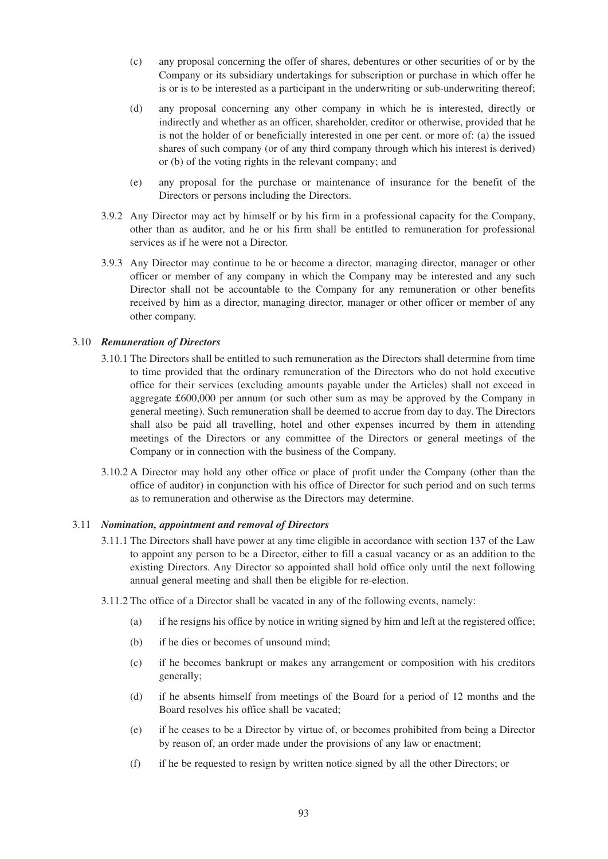- (c) any proposal concerning the offer of shares, debentures or other securities of or by the Company or its subsidiary undertakings for subscription or purchase in which offer he is or is to be interested as a participant in the underwriting or sub-underwriting thereof;
- (d) any proposal concerning any other company in which he is interested, directly or indirectly and whether as an officer, shareholder, creditor or otherwise, provided that he is not the holder of or beneficially interested in one per cent. or more of: (a) the issued shares of such company (or of any third company through which his interest is derived) or (b) of the voting rights in the relevant company; and
- (e) any proposal for the purchase or maintenance of insurance for the benefit of the Directors or persons including the Directors.
- 3.9.2 Any Director may act by himself or by his firm in a professional capacity for the Company, other than as auditor, and he or his firm shall be entitled to remuneration for professional services as if he were not a Director.
- 3.9.3 Any Director may continue to be or become a director, managing director, manager or other officer or member of any company in which the Company may be interested and any such Director shall not be accountable to the Company for any remuneration or other benefits received by him as a director, managing director, manager or other officer or member of any other company.

#### 3.10 *Remuneration of Directors*

- 3.10.1 The Directors shall be entitled to such remuneration as the Directors shall determine from time to time provided that the ordinary remuneration of the Directors who do not hold executive office for their services (excluding amounts payable under the Articles) shall not exceed in aggregate £600,000 per annum (or such other sum as may be approved by the Company in general meeting). Such remuneration shall be deemed to accrue from day to day. The Directors shall also be paid all travelling, hotel and other expenses incurred by them in attending meetings of the Directors or any committee of the Directors or general meetings of the Company or in connection with the business of the Company.
- 3.10.2 A Director may hold any other office or place of profit under the Company (other than the office of auditor) in conjunction with his office of Director for such period and on such terms as to remuneration and otherwise as the Directors may determine.

#### 3.11 *Nomination, appointment and removal of Directors*

- 3.11.1 The Directors shall have power at any time eligible in accordance with section 137 of the Law to appoint any person to be a Director, either to fill a casual vacancy or as an addition to the existing Directors. Any Director so appointed shall hold office only until the next following annual general meeting and shall then be eligible for re-election.
- 3.11.2 The office of a Director shall be vacated in any of the following events, namely:
	- (a) if he resigns his office by notice in writing signed by him and left at the registered office;
	- (b) if he dies or becomes of unsound mind;
	- (c) if he becomes bankrupt or makes any arrangement or composition with his creditors generally;
	- (d) if he absents himself from meetings of the Board for a period of 12 months and the Board resolves his office shall be vacated;
	- (e) if he ceases to be a Director by virtue of, or becomes prohibited from being a Director by reason of, an order made under the provisions of any law or enactment;
	- (f) if he be requested to resign by written notice signed by all the other Directors; or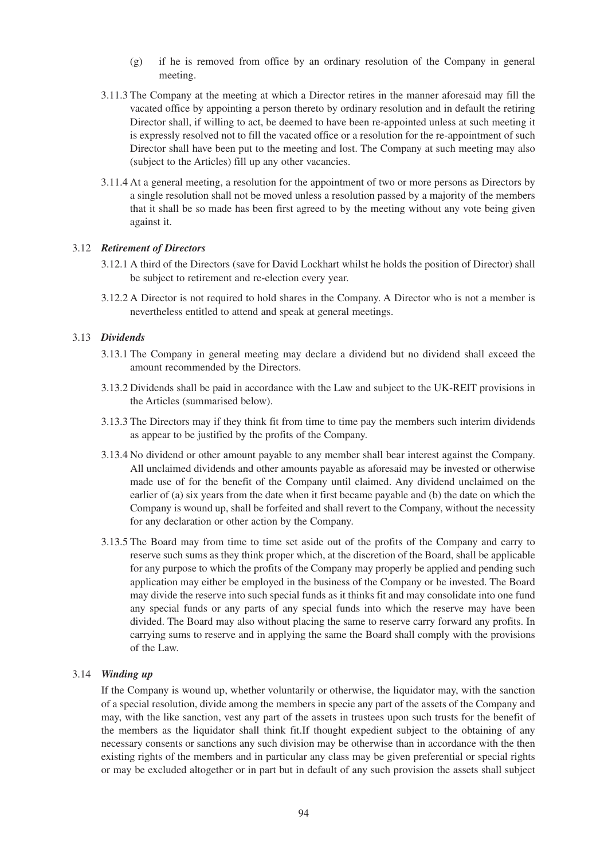- (g) if he is removed from office by an ordinary resolution of the Company in general meeting.
- 3.11.3 The Company at the meeting at which a Director retires in the manner aforesaid may fill the vacated office by appointing a person thereto by ordinary resolution and in default the retiring Director shall, if willing to act, be deemed to have been re-appointed unless at such meeting it is expressly resolved not to fill the vacated office or a resolution for the re-appointment of such Director shall have been put to the meeting and lost. The Company at such meeting may also (subject to the Articles) fill up any other vacancies.
- 3.11.4 At a general meeting, a resolution for the appointment of two or more persons as Directors by a single resolution shall not be moved unless a resolution passed by a majority of the members that it shall be so made has been first agreed to by the meeting without any vote being given against it.

## 3.12 *Retirement of Directors*

- 3.12.1 A third of the Directors (save for David Lockhart whilst he holds the position of Director) shall be subject to retirement and re-election every year.
- 3.12.2 A Director is not required to hold shares in the Company. A Director who is not a member is nevertheless entitled to attend and speak at general meetings.

#### 3.13 *Dividends*

- 3.13.1 The Company in general meeting may declare a dividend but no dividend shall exceed the amount recommended by the Directors.
- 3.13.2 Dividends shall be paid in accordance with the Law and subject to the UK-REIT provisions in the Articles (summarised below).
- 3.13.3 The Directors may if they think fit from time to time pay the members such interim dividends as appear to be justified by the profits of the Company.
- 3.13.4 No dividend or other amount payable to any member shall bear interest against the Company. All unclaimed dividends and other amounts payable as aforesaid may be invested or otherwise made use of for the benefit of the Company until claimed. Any dividend unclaimed on the earlier of (a) six years from the date when it first became payable and (b) the date on which the Company is wound up, shall be forfeited and shall revert to the Company, without the necessity for any declaration or other action by the Company.
- 3.13.5 The Board may from time to time set aside out of the profits of the Company and carry to reserve such sums as they think proper which, at the discretion of the Board, shall be applicable for any purpose to which the profits of the Company may properly be applied and pending such application may either be employed in the business of the Company or be invested. The Board may divide the reserve into such special funds as it thinks fit and may consolidate into one fund any special funds or any parts of any special funds into which the reserve may have been divided. The Board may also without placing the same to reserve carry forward any profits. In carrying sums to reserve and in applying the same the Board shall comply with the provisions of the Law.

#### 3.14 *Winding up*

If the Company is wound up, whether voluntarily or otherwise, the liquidator may, with the sanction of a special resolution, divide among the members in specie any part of the assets of the Company and may, with the like sanction, vest any part of the assets in trustees upon such trusts for the benefit of the members as the liquidator shall think fit.If thought expedient subject to the obtaining of any necessary consents or sanctions any such division may be otherwise than in accordance with the then existing rights of the members and in particular any class may be given preferential or special rights or may be excluded altogether or in part but in default of any such provision the assets shall subject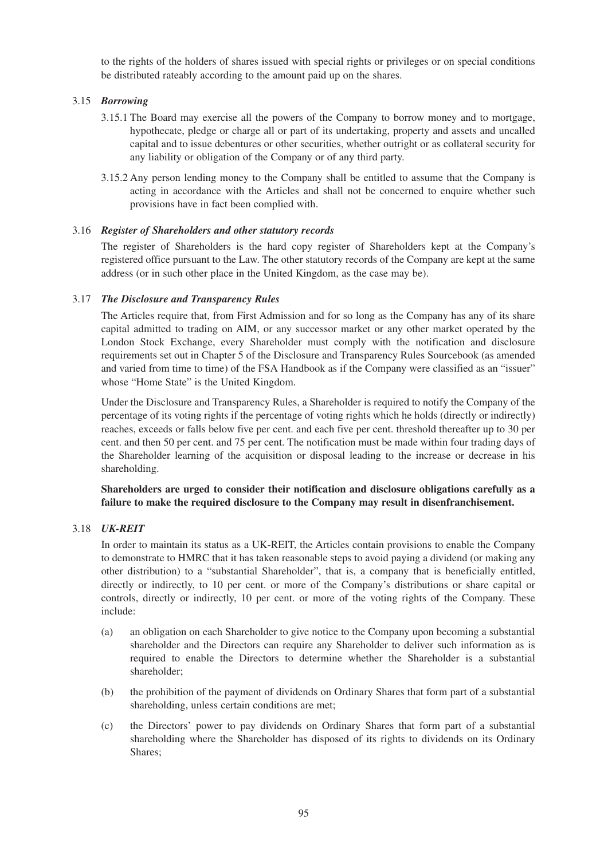to the rights of the holders of shares issued with special rights or privileges or on special conditions be distributed rateably according to the amount paid up on the shares.

## 3.15 *Borrowing*

- 3.15.1 The Board may exercise all the powers of the Company to borrow money and to mortgage, hypothecate, pledge or charge all or part of its undertaking, property and assets and uncalled capital and to issue debentures or other securities, whether outright or as collateral security for any liability or obligation of the Company or of any third party.
- 3.15.2 Any person lending money to the Company shall be entitled to assume that the Company is acting in accordance with the Articles and shall not be concerned to enquire whether such provisions have in fact been complied with.

## 3.16 *Register of Shareholders and other statutory records*

The register of Shareholders is the hard copy register of Shareholders kept at the Company's registered office pursuant to the Law. The other statutory records of the Company are kept at the same address (or in such other place in the United Kingdom, as the case may be).

## 3.17 *The Disclosure and Transparency Rules*

The Articles require that, from First Admission and for so long as the Company has any of its share capital admitted to trading on AIM, or any successor market or any other market operated by the London Stock Exchange, every Shareholder must comply with the notification and disclosure requirements set out in Chapter 5 of the Disclosure and Transparency Rules Sourcebook (as amended and varied from time to time) of the FSA Handbook as if the Company were classified as an "issuer" whose "Home State" is the United Kingdom.

Under the Disclosure and Transparency Rules, a Shareholder is required to notify the Company of the percentage of its voting rights if the percentage of voting rights which he holds (directly or indirectly) reaches, exceeds or falls below five per cent. and each five per cent. threshold thereafter up to 30 per cent. and then 50 per cent. and 75 per cent. The notification must be made within four trading days of the Shareholder learning of the acquisition or disposal leading to the increase or decrease in his shareholding.

## **Shareholders are urged to consider their notification and disclosure obligations carefully as a failure to make the required disclosure to the Company may result in disenfranchisement.**

## 3.18 *UK-REIT*

In order to maintain its status as a UK-REIT, the Articles contain provisions to enable the Company to demonstrate to HMRC that it has taken reasonable steps to avoid paying a dividend (or making any other distribution) to a "substantial Shareholder", that is, a company that is beneficially entitled, directly or indirectly, to 10 per cent. or more of the Company's distributions or share capital or controls, directly or indirectly, 10 per cent. or more of the voting rights of the Company. These include:

- (a) an obligation on each Shareholder to give notice to the Company upon becoming a substantial shareholder and the Directors can require any Shareholder to deliver such information as is required to enable the Directors to determine whether the Shareholder is a substantial shareholder;
- (b) the prohibition of the payment of dividends on Ordinary Shares that form part of a substantial shareholding, unless certain conditions are met;
- (c) the Directors' power to pay dividends on Ordinary Shares that form part of a substantial shareholding where the Shareholder has disposed of its rights to dividends on its Ordinary Shares;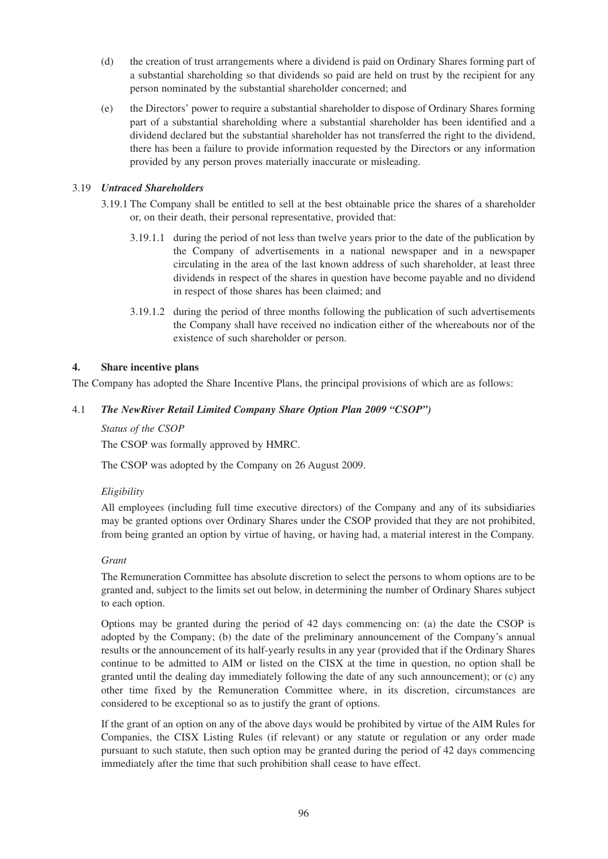- (d) the creation of trust arrangements where a dividend is paid on Ordinary Shares forming part of a substantial shareholding so that dividends so paid are held on trust by the recipient for any person nominated by the substantial shareholder concerned; and
- (e) the Directors' power to require a substantial shareholder to dispose of Ordinary Shares forming part of a substantial shareholding where a substantial shareholder has been identified and a dividend declared but the substantial shareholder has not transferred the right to the dividend, there has been a failure to provide information requested by the Directors or any information provided by any person proves materially inaccurate or misleading.

## 3.19 *Untraced Shareholders*

- 3.19.1 The Company shall be entitled to sell at the best obtainable price the shares of a shareholder or, on their death, their personal representative, provided that:
	- 3.19.1.1 during the period of not less than twelve years prior to the date of the publication by the Company of advertisements in a national newspaper and in a newspaper circulating in the area of the last known address of such shareholder, at least three dividends in respect of the shares in question have become payable and no dividend in respect of those shares has been claimed; and
	- 3.19.1.2 during the period of three months following the publication of such advertisements the Company shall have received no indication either of the whereabouts nor of the existence of such shareholder or person.

## **4. Share incentive plans**

The Company has adopted the Share Incentive Plans, the principal provisions of which are as follows:

## 4.1 *The NewRiver Retail Limited Company Share Option Plan 2009 "CSOP")*

*Status of the CSOP*

The CSOP was formally approved by HMRC.

The CSOP was adopted by the Company on 26 August 2009.

## *Eligibility*

All employees (including full time executive directors) of the Company and any of its subsidiaries may be granted options over Ordinary Shares under the CSOP provided that they are not prohibited, from being granted an option by virtue of having, or having had, a material interest in the Company.

## *Grant*

The Remuneration Committee has absolute discretion to select the persons to whom options are to be granted and, subject to the limits set out below, in determining the number of Ordinary Shares subject to each option.

Options may be granted during the period of 42 days commencing on: (a) the date the CSOP is adopted by the Company; (b) the date of the preliminary announcement of the Company's annual results or the announcement of its half-yearly results in any year (provided that if the Ordinary Shares continue to be admitted to AIM or listed on the CISX at the time in question, no option shall be granted until the dealing day immediately following the date of any such announcement); or (c) any other time fixed by the Remuneration Committee where, in its discretion, circumstances are considered to be exceptional so as to justify the grant of options.

If the grant of an option on any of the above days would be prohibited by virtue of the AIM Rules for Companies, the CISX Listing Rules (if relevant) or any statute or regulation or any order made pursuant to such statute, then such option may be granted during the period of 42 days commencing immediately after the time that such prohibition shall cease to have effect.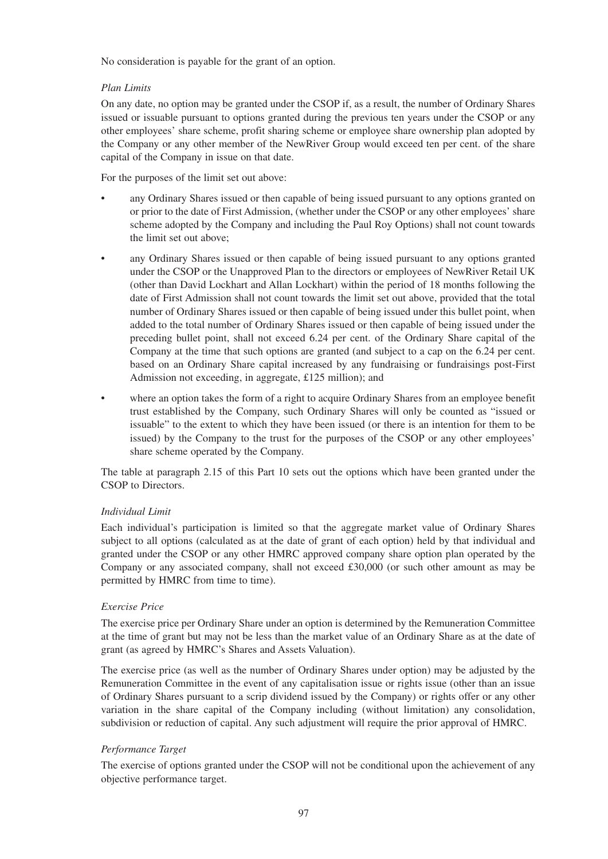No consideration is payable for the grant of an option.

## *Plan Limits*

On any date, no option may be granted under the CSOP if, as a result, the number of Ordinary Shares issued or issuable pursuant to options granted during the previous ten years under the CSOP or any other employees' share scheme, profit sharing scheme or employee share ownership plan adopted by the Company or any other member of the NewRiver Group would exceed ten per cent. of the share capital of the Company in issue on that date.

For the purposes of the limit set out above:

- any Ordinary Shares issued or then capable of being issued pursuant to any options granted on or prior to the date of First Admission, (whether under the CSOP or any other employees' share scheme adopted by the Company and including the Paul Roy Options) shall not count towards the limit set out above;
- any Ordinary Shares issued or then capable of being issued pursuant to any options granted under the CSOP or the Unapproved Plan to the directors or employees of NewRiver Retail UK (other than David Lockhart and Allan Lockhart) within the period of 18 months following the date of First Admission shall not count towards the limit set out above, provided that the total number of Ordinary Shares issued or then capable of being issued under this bullet point, when added to the total number of Ordinary Shares issued or then capable of being issued under the preceding bullet point, shall not exceed 6.24 per cent. of the Ordinary Share capital of the Company at the time that such options are granted (and subject to a cap on the 6.24 per cent. based on an Ordinary Share capital increased by any fundraising or fundraisings post-First Admission not exceeding, in aggregate, £125 million); and
- where an option takes the form of a right to acquire Ordinary Shares from an employee benefit trust established by the Company, such Ordinary Shares will only be counted as "issued or issuable" to the extent to which they have been issued (or there is an intention for them to be issued) by the Company to the trust for the purposes of the CSOP or any other employees' share scheme operated by the Company.

The table at paragraph 2.15 of this Part 10 sets out the options which have been granted under the CSOP to Directors.

## *Individual Limit*

Each individual's participation is limited so that the aggregate market value of Ordinary Shares subject to all options (calculated as at the date of grant of each option) held by that individual and granted under the CSOP or any other HMRC approved company share option plan operated by the Company or any associated company, shall not exceed  $\text{\pounds}30,000$  (or such other amount as may be permitted by HMRC from time to time).

## *Exercise Price*

The exercise price per Ordinary Share under an option is determined by the Remuneration Committee at the time of grant but may not be less than the market value of an Ordinary Share as at the date of grant (as agreed by HMRC's Shares and Assets Valuation).

The exercise price (as well as the number of Ordinary Shares under option) may be adjusted by the Remuneration Committee in the event of any capitalisation issue or rights issue (other than an issue of Ordinary Shares pursuant to a scrip dividend issued by the Company) or rights offer or any other variation in the share capital of the Company including (without limitation) any consolidation, subdivision or reduction of capital. Any such adjustment will require the prior approval of HMRC.

## *Performance Target*

The exercise of options granted under the CSOP will not be conditional upon the achievement of any objective performance target.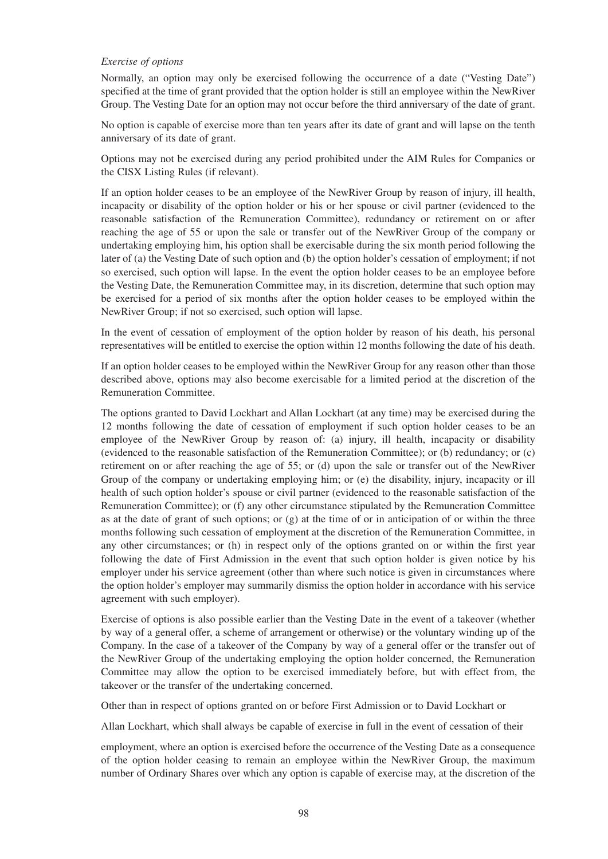#### *Exercise of options*

Normally, an option may only be exercised following the occurrence of a date ("Vesting Date") specified at the time of grant provided that the option holder is still an employee within the NewRiver Group. The Vesting Date for an option may not occur before the third anniversary of the date of grant.

No option is capable of exercise more than ten years after its date of grant and will lapse on the tenth anniversary of its date of grant.

Options may not be exercised during any period prohibited under the AIM Rules for Companies or the CISX Listing Rules (if relevant).

If an option holder ceases to be an employee of the NewRiver Group by reason of injury, ill health, incapacity or disability of the option holder or his or her spouse or civil partner (evidenced to the reasonable satisfaction of the Remuneration Committee), redundancy or retirement on or after reaching the age of 55 or upon the sale or transfer out of the NewRiver Group of the company or undertaking employing him, his option shall be exercisable during the six month period following the later of (a) the Vesting Date of such option and (b) the option holder's cessation of employment; if not so exercised, such option will lapse. In the event the option holder ceases to be an employee before the Vesting Date, the Remuneration Committee may, in its discretion, determine that such option may be exercised for a period of six months after the option holder ceases to be employed within the NewRiver Group; if not so exercised, such option will lapse.

In the event of cessation of employment of the option holder by reason of his death, his personal representatives will be entitled to exercise the option within 12 months following the date of his death.

If an option holder ceases to be employed within the NewRiver Group for any reason other than those described above, options may also become exercisable for a limited period at the discretion of the Remuneration Committee.

The options granted to David Lockhart and Allan Lockhart (at any time) may be exercised during the 12 months following the date of cessation of employment if such option holder ceases to be an employee of the NewRiver Group by reason of: (a) injury, ill health, incapacity or disability (evidenced to the reasonable satisfaction of the Remuneration Committee); or (b) redundancy; or (c) retirement on or after reaching the age of 55; or (d) upon the sale or transfer out of the NewRiver Group of the company or undertaking employing him; or (e) the disability, injury, incapacity or ill health of such option holder's spouse or civil partner (evidenced to the reasonable satisfaction of the Remuneration Committee); or (f) any other circumstance stipulated by the Remuneration Committee as at the date of grant of such options; or  $(g)$  at the time of or in anticipation of or within the three months following such cessation of employment at the discretion of the Remuneration Committee, in any other circumstances; or (h) in respect only of the options granted on or within the first year following the date of First Admission in the event that such option holder is given notice by his employer under his service agreement (other than where such notice is given in circumstances where the option holder's employer may summarily dismiss the option holder in accordance with his service agreement with such employer).

Exercise of options is also possible earlier than the Vesting Date in the event of a takeover (whether by way of a general offer, a scheme of arrangement or otherwise) or the voluntary winding up of the Company. In the case of a takeover of the Company by way of a general offer or the transfer out of the NewRiver Group of the undertaking employing the option holder concerned, the Remuneration Committee may allow the option to be exercised immediately before, but with effect from, the takeover or the transfer of the undertaking concerned.

Other than in respect of options granted on or before First Admission or to David Lockhart or

Allan Lockhart, which shall always be capable of exercise in full in the event of cessation of their

employment, where an option is exercised before the occurrence of the Vesting Date as a consequence of the option holder ceasing to remain an employee within the NewRiver Group, the maximum number of Ordinary Shares over which any option is capable of exercise may, at the discretion of the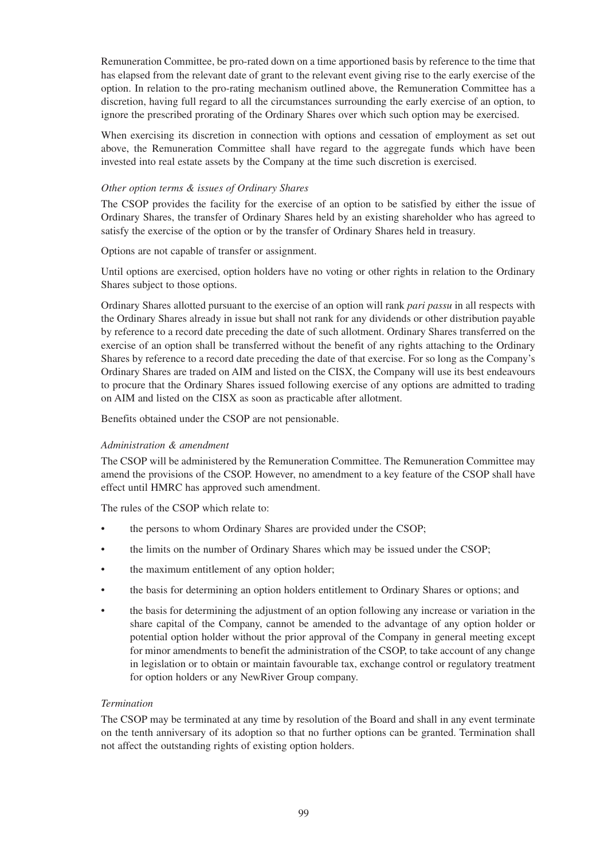Remuneration Committee, be pro-rated down on a time apportioned basis by reference to the time that has elapsed from the relevant date of grant to the relevant event giving rise to the early exercise of the option. In relation to the pro-rating mechanism outlined above, the Remuneration Committee has a discretion, having full regard to all the circumstances surrounding the early exercise of an option, to ignore the prescribed prorating of the Ordinary Shares over which such option may be exercised.

When exercising its discretion in connection with options and cessation of employment as set out above, the Remuneration Committee shall have regard to the aggregate funds which have been invested into real estate assets by the Company at the time such discretion is exercised.

#### *Other option terms & issues of Ordinary Shares*

The CSOP provides the facility for the exercise of an option to be satisfied by either the issue of Ordinary Shares, the transfer of Ordinary Shares held by an existing shareholder who has agreed to satisfy the exercise of the option or by the transfer of Ordinary Shares held in treasury.

Options are not capable of transfer or assignment.

Until options are exercised, option holders have no voting or other rights in relation to the Ordinary Shares subject to those options.

Ordinary Shares allotted pursuant to the exercise of an option will rank *pari passu* in all respects with the Ordinary Shares already in issue but shall not rank for any dividends or other distribution payable by reference to a record date preceding the date of such allotment. Ordinary Shares transferred on the exercise of an option shall be transferred without the benefit of any rights attaching to the Ordinary Shares by reference to a record date preceding the date of that exercise. For so long as the Company's Ordinary Shares are traded on AIM and listed on the CISX, the Company will use its best endeavours to procure that the Ordinary Shares issued following exercise of any options are admitted to trading on AIM and listed on the CISX as soon as practicable after allotment.

Benefits obtained under the CSOP are not pensionable.

## *Administration & amendment*

The CSOP will be administered by the Remuneration Committee. The Remuneration Committee may amend the provisions of the CSOP. However, no amendment to a key feature of the CSOP shall have effect until HMRC has approved such amendment.

The rules of the CSOP which relate to:

- the persons to whom Ordinary Shares are provided under the CSOP;
- the limits on the number of Ordinary Shares which may be issued under the CSOP;
- the maximum entitlement of any option holder;
- the basis for determining an option holders entitlement to Ordinary Shares or options; and
- the basis for determining the adjustment of an option following any increase or variation in the share capital of the Company, cannot be amended to the advantage of any option holder or potential option holder without the prior approval of the Company in general meeting except for minor amendments to benefit the administration of the CSOP, to take account of any change in legislation or to obtain or maintain favourable tax, exchange control or regulatory treatment for option holders or any NewRiver Group company.

## *Termination*

The CSOP may be terminated at any time by resolution of the Board and shall in any event terminate on the tenth anniversary of its adoption so that no further options can be granted. Termination shall not affect the outstanding rights of existing option holders.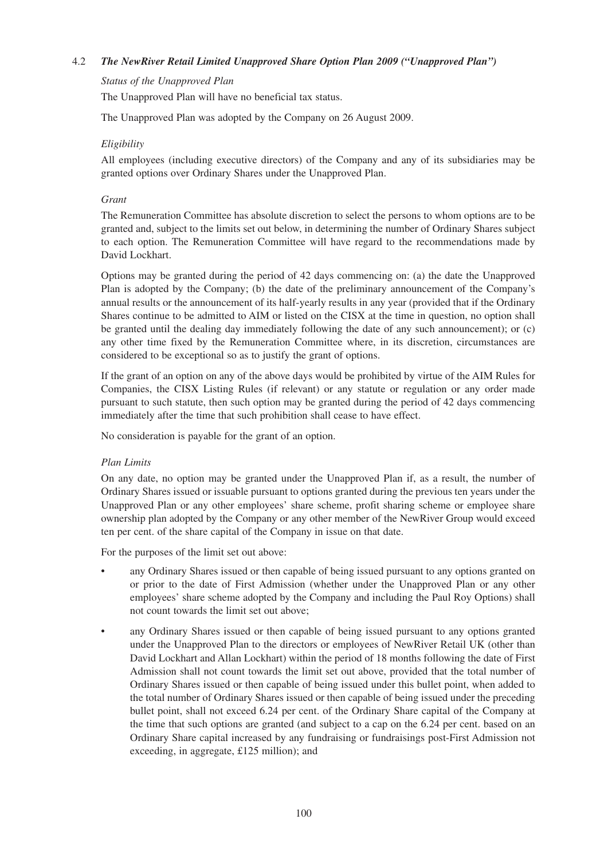## 4.2 *The NewRiver Retail Limited Unapproved Share Option Plan 2009 ("Unapproved Plan")*

#### *Status of the Unapproved Plan*

The Unapproved Plan will have no beneficial tax status.

The Unapproved Plan was adopted by the Company on 26 August 2009.

#### *Eligibility*

All employees (including executive directors) of the Company and any of its subsidiaries may be granted options over Ordinary Shares under the Unapproved Plan.

#### *Grant*

The Remuneration Committee has absolute discretion to select the persons to whom options are to be granted and, subject to the limits set out below, in determining the number of Ordinary Shares subject to each option. The Remuneration Committee will have regard to the recommendations made by David Lockhart.

Options may be granted during the period of 42 days commencing on: (a) the date the Unapproved Plan is adopted by the Company; (b) the date of the preliminary announcement of the Company's annual results or the announcement of its half-yearly results in any year (provided that if the Ordinary Shares continue to be admitted to AIM or listed on the CISX at the time in question, no option shall be granted until the dealing day immediately following the date of any such announcement); or (c) any other time fixed by the Remuneration Committee where, in its discretion, circumstances are considered to be exceptional so as to justify the grant of options.

If the grant of an option on any of the above days would be prohibited by virtue of the AIM Rules for Companies, the CISX Listing Rules (if relevant) or any statute or regulation or any order made pursuant to such statute, then such option may be granted during the period of 42 days commencing immediately after the time that such prohibition shall cease to have effect.

No consideration is payable for the grant of an option.

## *Plan Limits*

On any date, no option may be granted under the Unapproved Plan if, as a result, the number of Ordinary Shares issued or issuable pursuant to options granted during the previous ten years under the Unapproved Plan or any other employees' share scheme, profit sharing scheme or employee share ownership plan adopted by the Company or any other member of the NewRiver Group would exceed ten per cent. of the share capital of the Company in issue on that date.

For the purposes of the limit set out above:

- any Ordinary Shares issued or then capable of being issued pursuant to any options granted on or prior to the date of First Admission (whether under the Unapproved Plan or any other employees' share scheme adopted by the Company and including the Paul Roy Options) shall not count towards the limit set out above;
- any Ordinary Shares issued or then capable of being issued pursuant to any options granted under the Unapproved Plan to the directors or employees of NewRiver Retail UK (other than David Lockhart and Allan Lockhart) within the period of 18 months following the date of First Admission shall not count towards the limit set out above, provided that the total number of Ordinary Shares issued or then capable of being issued under this bullet point, when added to the total number of Ordinary Shares issued or then capable of being issued under the preceding bullet point, shall not exceed 6.24 per cent. of the Ordinary Share capital of the Company at the time that such options are granted (and subject to a cap on the 6.24 per cent. based on an Ordinary Share capital increased by any fundraising or fundraisings post-First Admission not exceeding, in aggregate, £125 million); and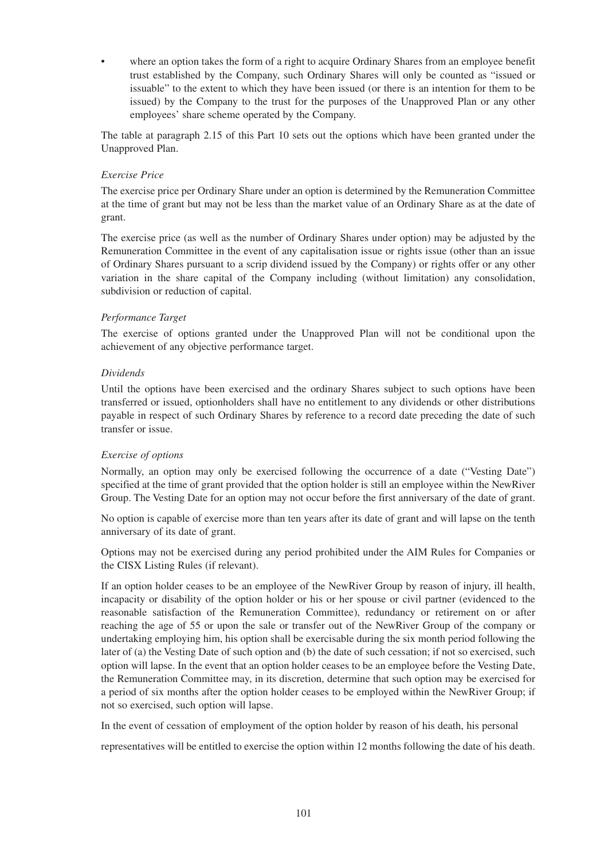where an option takes the form of a right to acquire Ordinary Shares from an employee benefit trust established by the Company, such Ordinary Shares will only be counted as "issued or issuable" to the extent to which they have been issued (or there is an intention for them to be issued) by the Company to the trust for the purposes of the Unapproved Plan or any other employees' share scheme operated by the Company.

The table at paragraph 2.15 of this Part 10 sets out the options which have been granted under the Unapproved Plan.

#### *Exercise Price*

The exercise price per Ordinary Share under an option is determined by the Remuneration Committee at the time of grant but may not be less than the market value of an Ordinary Share as at the date of grant.

The exercise price (as well as the number of Ordinary Shares under option) may be adjusted by the Remuneration Committee in the event of any capitalisation issue or rights issue (other than an issue of Ordinary Shares pursuant to a scrip dividend issued by the Company) or rights offer or any other variation in the share capital of the Company including (without limitation) any consolidation, subdivision or reduction of capital.

#### *Performance Target*

The exercise of options granted under the Unapproved Plan will not be conditional upon the achievement of any objective performance target.

#### *Dividends*

Until the options have been exercised and the ordinary Shares subject to such options have been transferred or issued, optionholders shall have no entitlement to any dividends or other distributions payable in respect of such Ordinary Shares by reference to a record date preceding the date of such transfer or issue.

#### *Exercise of options*

Normally, an option may only be exercised following the occurrence of a date ("Vesting Date") specified at the time of grant provided that the option holder is still an employee within the NewRiver Group. The Vesting Date for an option may not occur before the first anniversary of the date of grant.

No option is capable of exercise more than ten years after its date of grant and will lapse on the tenth anniversary of its date of grant.

Options may not be exercised during any period prohibited under the AIM Rules for Companies or the CISX Listing Rules (if relevant).

If an option holder ceases to be an employee of the NewRiver Group by reason of injury, ill health, incapacity or disability of the option holder or his or her spouse or civil partner (evidenced to the reasonable satisfaction of the Remuneration Committee), redundancy or retirement on or after reaching the age of 55 or upon the sale or transfer out of the NewRiver Group of the company or undertaking employing him, his option shall be exercisable during the six month period following the later of (a) the Vesting Date of such option and (b) the date of such cessation; if not so exercised, such option will lapse. In the event that an option holder ceases to be an employee before the Vesting Date, the Remuneration Committee may, in its discretion, determine that such option may be exercised for a period of six months after the option holder ceases to be employed within the NewRiver Group; if not so exercised, such option will lapse.

In the event of cessation of employment of the option holder by reason of his death, his personal

representatives will be entitled to exercise the option within 12 months following the date of his death.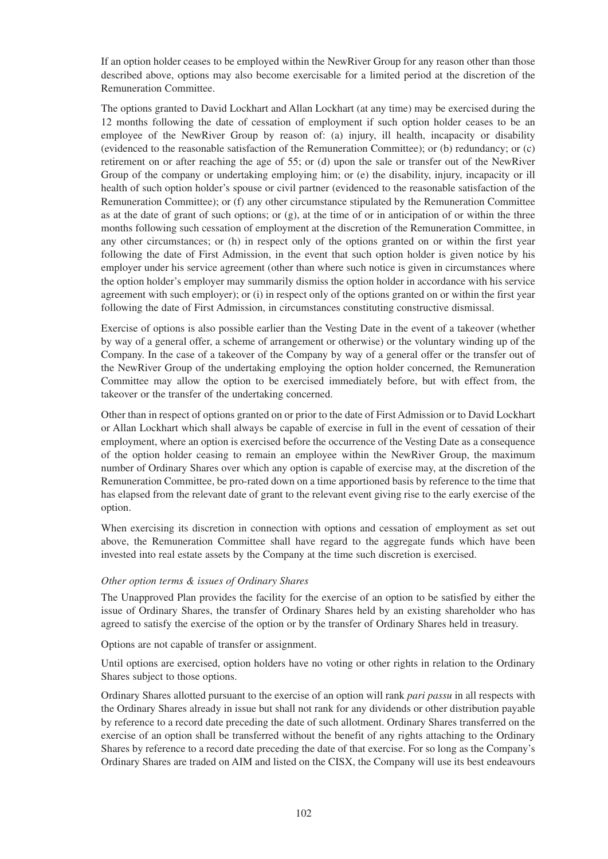If an option holder ceases to be employed within the NewRiver Group for any reason other than those described above, options may also become exercisable for a limited period at the discretion of the Remuneration Committee.

The options granted to David Lockhart and Allan Lockhart (at any time) may be exercised during the 12 months following the date of cessation of employment if such option holder ceases to be an employee of the NewRiver Group by reason of: (a) injury, ill health, incapacity or disability (evidenced to the reasonable satisfaction of the Remuneration Committee); or (b) redundancy; or (c) retirement on or after reaching the age of 55; or (d) upon the sale or transfer out of the NewRiver Group of the company or undertaking employing him; or (e) the disability, injury, incapacity or ill health of such option holder's spouse or civil partner (evidenced to the reasonable satisfaction of the Remuneration Committee); or (f) any other circumstance stipulated by the Remuneration Committee as at the date of grant of such options; or  $(g)$ , at the time of or in anticipation of or within the three months following such cessation of employment at the discretion of the Remuneration Committee, in any other circumstances; or (h) in respect only of the options granted on or within the first year following the date of First Admission, in the event that such option holder is given notice by his employer under his service agreement (other than where such notice is given in circumstances where the option holder's employer may summarily dismiss the option holder in accordance with his service agreement with such employer); or (i) in respect only of the options granted on or within the first year following the date of First Admission, in circumstances constituting constructive dismissal.

Exercise of options is also possible earlier than the Vesting Date in the event of a takeover (whether by way of a general offer, a scheme of arrangement or otherwise) or the voluntary winding up of the Company. In the case of a takeover of the Company by way of a general offer or the transfer out of the NewRiver Group of the undertaking employing the option holder concerned, the Remuneration Committee may allow the option to be exercised immediately before, but with effect from, the takeover or the transfer of the undertaking concerned.

Other than in respect of options granted on or prior to the date of First Admission or to David Lockhart or Allan Lockhart which shall always be capable of exercise in full in the event of cessation of their employment, where an option is exercised before the occurrence of the Vesting Date as a consequence of the option holder ceasing to remain an employee within the NewRiver Group, the maximum number of Ordinary Shares over which any option is capable of exercise may, at the discretion of the Remuneration Committee, be pro-rated down on a time apportioned basis by reference to the time that has elapsed from the relevant date of grant to the relevant event giving rise to the early exercise of the option.

When exercising its discretion in connection with options and cessation of employment as set out above, the Remuneration Committee shall have regard to the aggregate funds which have been invested into real estate assets by the Company at the time such discretion is exercised.

## *Other option terms & issues of Ordinary Shares*

The Unapproved Plan provides the facility for the exercise of an option to be satisfied by either the issue of Ordinary Shares, the transfer of Ordinary Shares held by an existing shareholder who has agreed to satisfy the exercise of the option or by the transfer of Ordinary Shares held in treasury.

Options are not capable of transfer or assignment.

Until options are exercised, option holders have no voting or other rights in relation to the Ordinary Shares subject to those options.

Ordinary Shares allotted pursuant to the exercise of an option will rank *pari passu* in all respects with the Ordinary Shares already in issue but shall not rank for any dividends or other distribution payable by reference to a record date preceding the date of such allotment. Ordinary Shares transferred on the exercise of an option shall be transferred without the benefit of any rights attaching to the Ordinary Shares by reference to a record date preceding the date of that exercise. For so long as the Company's Ordinary Shares are traded on AIM and listed on the CISX, the Company will use its best endeavours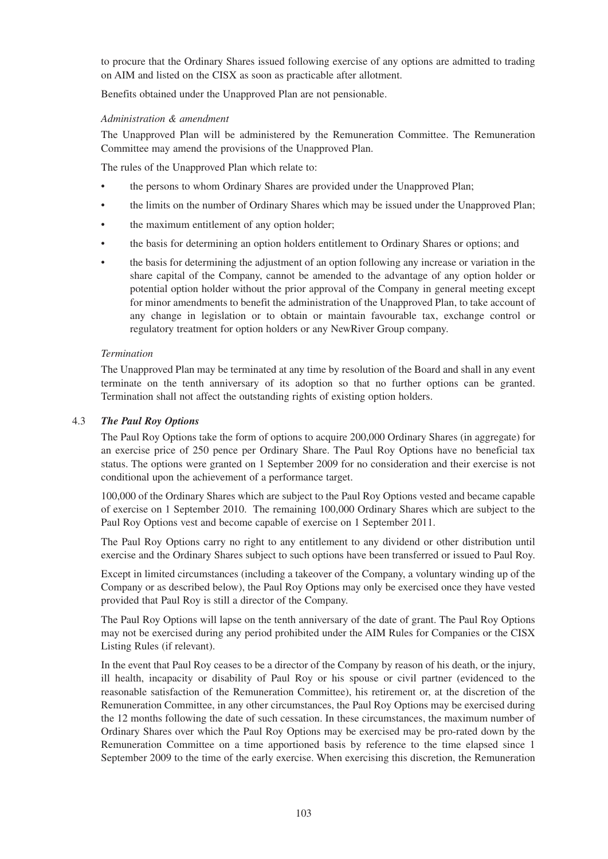to procure that the Ordinary Shares issued following exercise of any options are admitted to trading on AIM and listed on the CISX as soon as practicable after allotment.

Benefits obtained under the Unapproved Plan are not pensionable.

#### *Administration & amendment*

The Unapproved Plan will be administered by the Remuneration Committee. The Remuneration Committee may amend the provisions of the Unapproved Plan.

The rules of the Unapproved Plan which relate to:

- the persons to whom Ordinary Shares are provided under the Unapproved Plan;
- the limits on the number of Ordinary Shares which may be issued under the Unapproved Plan;
- the maximum entitlement of any option holder;
- the basis for determining an option holders entitlement to Ordinary Shares or options; and
- the basis for determining the adjustment of an option following any increase or variation in the share capital of the Company, cannot be amended to the advantage of any option holder or potential option holder without the prior approval of the Company in general meeting except for minor amendments to benefit the administration of the Unapproved Plan, to take account of any change in legislation or to obtain or maintain favourable tax, exchange control or regulatory treatment for option holders or any NewRiver Group company.

#### *Termination*

The Unapproved Plan may be terminated at any time by resolution of the Board and shall in any event terminate on the tenth anniversary of its adoption so that no further options can be granted. Termination shall not affect the outstanding rights of existing option holders.

#### 4.3 *The Paul Roy Options*

The Paul Roy Options take the form of options to acquire 200,000 Ordinary Shares (in aggregate) for an exercise price of 250 pence per Ordinary Share. The Paul Roy Options have no beneficial tax status. The options were granted on 1 September 2009 for no consideration and their exercise is not conditional upon the achievement of a performance target.

100,000 of the Ordinary Shares which are subject to the Paul Roy Options vested and became capable of exercise on 1 September 2010. The remaining 100,000 Ordinary Shares which are subject to the Paul Roy Options vest and become capable of exercise on 1 September 2011.

The Paul Roy Options carry no right to any entitlement to any dividend or other distribution until exercise and the Ordinary Shares subject to such options have been transferred or issued to Paul Roy.

Except in limited circumstances (including a takeover of the Company, a voluntary winding up of the Company or as described below), the Paul Roy Options may only be exercised once they have vested provided that Paul Roy is still a director of the Company.

The Paul Roy Options will lapse on the tenth anniversary of the date of grant. The Paul Roy Options may not be exercised during any period prohibited under the AIM Rules for Companies or the CISX Listing Rules (if relevant).

In the event that Paul Roy ceases to be a director of the Company by reason of his death, or the injury, ill health, incapacity or disability of Paul Roy or his spouse or civil partner (evidenced to the reasonable satisfaction of the Remuneration Committee), his retirement or, at the discretion of the Remuneration Committee, in any other circumstances, the Paul Roy Options may be exercised during the 12 months following the date of such cessation. In these circumstances, the maximum number of Ordinary Shares over which the Paul Roy Options may be exercised may be pro-rated down by the Remuneration Committee on a time apportioned basis by reference to the time elapsed since 1 September 2009 to the time of the early exercise. When exercising this discretion, the Remuneration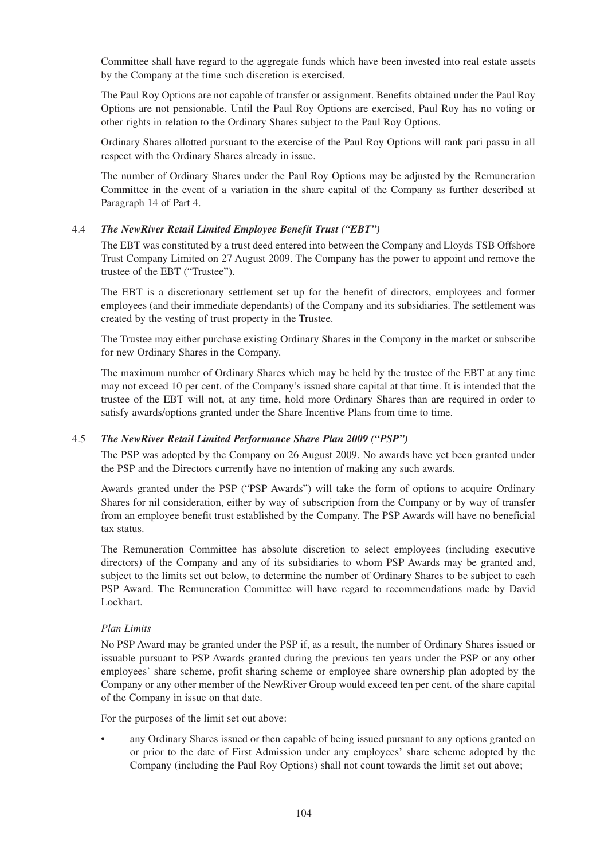Committee shall have regard to the aggregate funds which have been invested into real estate assets by the Company at the time such discretion is exercised.

The Paul Roy Options are not capable of transfer or assignment. Benefits obtained under the Paul Roy Options are not pensionable. Until the Paul Roy Options are exercised, Paul Roy has no voting or other rights in relation to the Ordinary Shares subject to the Paul Roy Options.

Ordinary Shares allotted pursuant to the exercise of the Paul Roy Options will rank pari passu in all respect with the Ordinary Shares already in issue.

The number of Ordinary Shares under the Paul Roy Options may be adjusted by the Remuneration Committee in the event of a variation in the share capital of the Company as further described at Paragraph 14 of Part 4.

## 4.4 *The NewRiver Retail Limited Employee Benefit Trust ("EBT")*

The EBT was constituted by a trust deed entered into between the Company and Lloyds TSB Offshore Trust Company Limited on 27 August 2009. The Company has the power to appoint and remove the trustee of the EBT ("Trustee").

The EBT is a discretionary settlement set up for the benefit of directors, employees and former employees (and their immediate dependants) of the Company and its subsidiaries. The settlement was created by the vesting of trust property in the Trustee.

The Trustee may either purchase existing Ordinary Shares in the Company in the market or subscribe for new Ordinary Shares in the Company.

The maximum number of Ordinary Shares which may be held by the trustee of the EBT at any time may not exceed 10 per cent. of the Company's issued share capital at that time. It is intended that the trustee of the EBT will not, at any time, hold more Ordinary Shares than are required in order to satisfy awards/options granted under the Share Incentive Plans from time to time.

## 4.5 *The NewRiver Retail Limited Performance Share Plan 2009 ("PSP")*

The PSP was adopted by the Company on 26 August 2009. No awards have yet been granted under the PSP and the Directors currently have no intention of making any such awards.

Awards granted under the PSP ("PSP Awards") will take the form of options to acquire Ordinary Shares for nil consideration, either by way of subscription from the Company or by way of transfer from an employee benefit trust established by the Company. The PSP Awards will have no beneficial tax status.

The Remuneration Committee has absolute discretion to select employees (including executive directors) of the Company and any of its subsidiaries to whom PSP Awards may be granted and, subject to the limits set out below, to determine the number of Ordinary Shares to be subject to each PSP Award. The Remuneration Committee will have regard to recommendations made by David Lockhart.

## *Plan Limits*

No PSP Award may be granted under the PSP if, as a result, the number of Ordinary Shares issued or issuable pursuant to PSP Awards granted during the previous ten years under the PSP or any other employees' share scheme, profit sharing scheme or employee share ownership plan adopted by the Company or any other member of the NewRiver Group would exceed ten per cent. of the share capital of the Company in issue on that date.

For the purposes of the limit set out above:

• any Ordinary Shares issued or then capable of being issued pursuant to any options granted on or prior to the date of First Admission under any employees' share scheme adopted by the Company (including the Paul Roy Options) shall not count towards the limit set out above;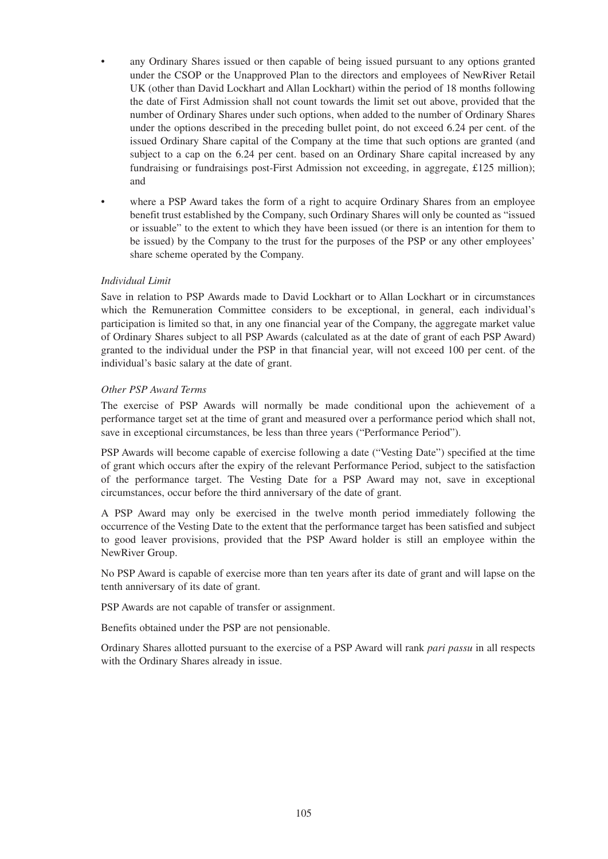- any Ordinary Shares issued or then capable of being issued pursuant to any options granted under the CSOP or the Unapproved Plan to the directors and employees of NewRiver Retail UK (other than David Lockhart and Allan Lockhart) within the period of 18 months following the date of First Admission shall not count towards the limit set out above, provided that the number of Ordinary Shares under such options, when added to the number of Ordinary Shares under the options described in the preceding bullet point, do not exceed 6.24 per cent. of the issued Ordinary Share capital of the Company at the time that such options are granted (and subject to a cap on the 6.24 per cent. based on an Ordinary Share capital increased by any fundraising or fundraisings post-First Admission not exceeding, in aggregate, £125 million); and
- where a PSP Award takes the form of a right to acquire Ordinary Shares from an employee benefit trust established by the Company, such Ordinary Shares will only be counted as "issued or issuable" to the extent to which they have been issued (or there is an intention for them to be issued) by the Company to the trust for the purposes of the PSP or any other employees' share scheme operated by the Company.

## *Individual Limit*

Save in relation to PSP Awards made to David Lockhart or to Allan Lockhart or in circumstances which the Remuneration Committee considers to be exceptional, in general, each individual's participation is limited so that, in any one financial year of the Company, the aggregate market value of Ordinary Shares subject to all PSP Awards (calculated as at the date of grant of each PSP Award) granted to the individual under the PSP in that financial year, will not exceed 100 per cent. of the individual's basic salary at the date of grant.

## *Other PSP Award Terms*

The exercise of PSP Awards will normally be made conditional upon the achievement of a performance target set at the time of grant and measured over a performance period which shall not, save in exceptional circumstances, be less than three years ("Performance Period").

PSP Awards will become capable of exercise following a date ("Vesting Date") specified at the time of grant which occurs after the expiry of the relevant Performance Period, subject to the satisfaction of the performance target. The Vesting Date for a PSP Award may not, save in exceptional circumstances, occur before the third anniversary of the date of grant.

A PSP Award may only be exercised in the twelve month period immediately following the occurrence of the Vesting Date to the extent that the performance target has been satisfied and subject to good leaver provisions, provided that the PSP Award holder is still an employee within the NewRiver Group.

No PSP Award is capable of exercise more than ten years after its date of grant and will lapse on the tenth anniversary of its date of grant.

PSP Awards are not capable of transfer or assignment.

Benefits obtained under the PSP are not pensionable.

Ordinary Shares allotted pursuant to the exercise of a PSP Award will rank *pari passu* in all respects with the Ordinary Shares already in issue.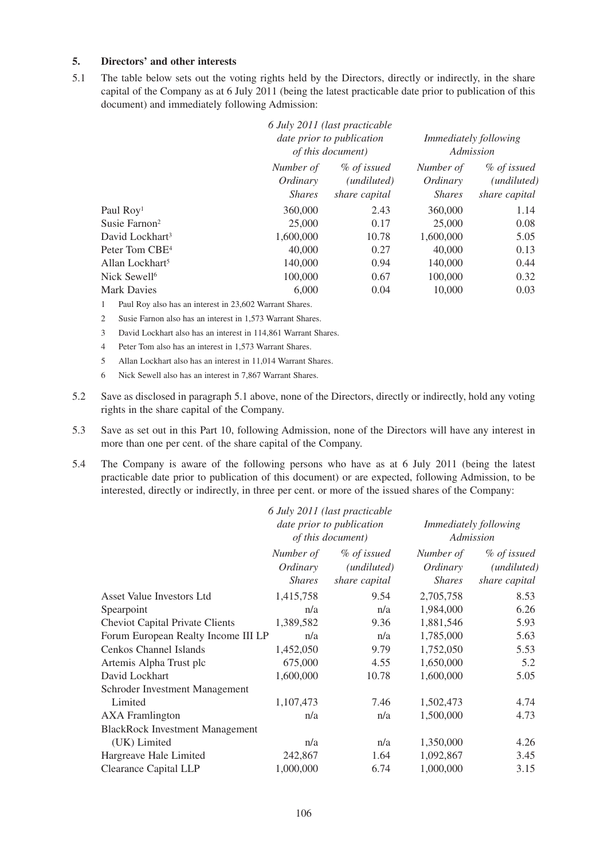## **5. Directors' and other interests**

5.1 The table below sets out the voting rights held by the Directors, directly or indirectly, in the share capital of the Company as at 6 July 2011 (being the latest practicable date prior to publication of this document) and immediately following Admission:

|                             |                                        | 6 July 2011 (last practicable<br>date prior to publication<br><i>of this document</i> ) |                                        | <i>Immediately following</i><br>Admission   |  |
|-----------------------------|----------------------------------------|-----------------------------------------------------------------------------------------|----------------------------------------|---------------------------------------------|--|
|                             | Number of<br>Ordinary<br><i>Shares</i> | % of issued<br>( <i>undiluted</i> )<br>share capital                                    | Number of<br>Ordinary<br><b>Shares</b> | % of issued<br>(undiluted)<br>share capital |  |
| Paul Roy <sup>1</sup>       | 360,000                                | 2.43                                                                                    | 360,000                                | 1.14                                        |  |
| Susie Farnon <sup>2</sup>   | 25,000                                 | 0.17                                                                                    | 25,000                                 | 0.08                                        |  |
| David Lockhart <sup>3</sup> | 1,600,000                              | 10.78                                                                                   | 1,600,000                              | 5.05                                        |  |
| Peter Tom CBE <sup>4</sup>  | 40,000                                 | 0.27                                                                                    | 40,000                                 | 0.13                                        |  |
| Allan Lockhart <sup>5</sup> | 140,000                                | 0.94                                                                                    | 140,000                                | 0.44                                        |  |
| Nick Sewell <sup>6</sup>    | 100,000                                | 0.67                                                                                    | 100,000                                | 0.32                                        |  |
| <b>Mark Davies</b>          | 6,000                                  | 0.04                                                                                    | 10,000                                 | 0.03                                        |  |

1 Paul Roy also has an interest in 23,602 Warrant Shares.

- 2 Susie Farnon also has an interest in 1,573 Warrant Shares.
- 3 David Lockhart also has an interest in 114,861 Warrant Shares.
- 4 Peter Tom also has an interest in 1,573 Warrant Shares.
- 5 Allan Lockhart also has an interest in 11,014 Warrant Shares.
- 6 Nick Sewell also has an interest in 7,867 Warrant Shares.
- 5.2 Save as disclosed in paragraph 5.1 above, none of the Directors, directly or indirectly, hold any voting rights in the share capital of the Company.
- 5.3 Save as set out in this Part 10, following Admission, none of the Directors will have any interest in more than one per cent. of the share capital of the Company.
- 5.4 The Company is aware of the following persons who have as at 6 July 2011 (being the latest practicable date prior to publication of this document) or are expected, following Admission, to be interested, directly or indirectly, in three per cent. or more of the issued shares of the Company:

|                                        |                                                        | 6 July 2011 (last practicable                        |                                        |                                             |
|----------------------------------------|--------------------------------------------------------|------------------------------------------------------|----------------------------------------|---------------------------------------------|
|                                        | date prior to publication<br><i>of this document</i> ) |                                                      | Immediately following<br>Admission     |                                             |
|                                        | Number of<br>Ordinary<br><i>Shares</i>                 | % of issued<br>( <i>undiluted</i> )<br>share capital | Number of<br>Ordinary<br><i>Shares</i> | % of issued<br>(undiluted)<br>share capital |
| Asset Value Investors Ltd              | 1,415,758                                              | 9.54                                                 | 2,705,758                              | 8.53                                        |
| Spearpoint                             | n/a                                                    | n/a                                                  | 1,984,000                              | 6.26                                        |
| <b>Cheviot Capital Private Clients</b> | 1,389,582                                              | 9.36                                                 | 1,881,546                              | 5.93                                        |
| Forum European Realty Income III LP    | n/a                                                    | n/a                                                  | 1,785,000                              | 5.63                                        |
| Cenkos Channel Islands                 | 1,452,050                                              | 9.79                                                 | 1,752,050                              | 5.53                                        |
| Artemis Alpha Trust plc                | 675,000                                                | 4.55                                                 | 1,650,000                              | 5.2                                         |
| David Lockhart                         | 1,600,000                                              | 10.78                                                | 1,600,000                              | 5.05                                        |
| Schroder Investment Management         |                                                        |                                                      |                                        |                                             |
| Limited                                | 1,107,473                                              | 7.46                                                 | 1,502,473                              | 4.74                                        |
| <b>AXA</b> Framlington                 | n/a                                                    | n/a                                                  | 1,500,000                              | 4.73                                        |
| <b>BlackRock Investment Management</b> |                                                        |                                                      |                                        |                                             |
| (UK) Limited                           | n/a                                                    | n/a                                                  | 1,350,000                              | 4.26                                        |
| Hargreave Hale Limited                 | 242,867                                                | 1.64                                                 | 1,092,867                              | 3.45                                        |
| <b>Clearance Capital LLP</b>           | 1,000,000                                              | 6.74                                                 | 1,000,000                              | 3.15                                        |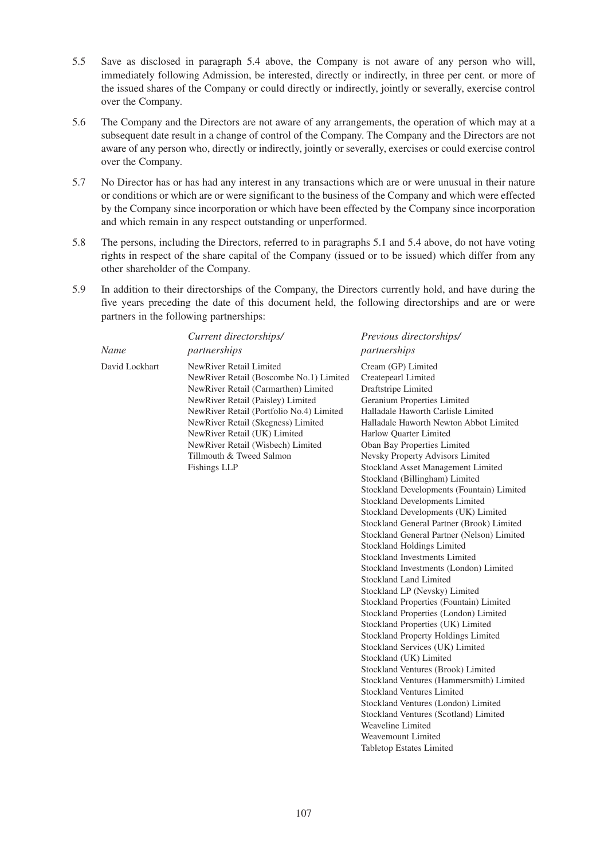- 5.5 Save as disclosed in paragraph 5.4 above, the Company is not aware of any person who will, immediately following Admission, be interested, directly or indirectly, in three per cent. or more of the issued shares of the Company or could directly or indirectly, jointly or severally, exercise control over the Company.
- 5.6 The Company and the Directors are not aware of any arrangements, the operation of which may at a subsequent date result in a change of control of the Company. The Company and the Directors are not aware of any person who, directly or indirectly, jointly or severally, exercises or could exercise control over the Company.
- 5.7 No Director has or has had any interest in any transactions which are or were unusual in their nature or conditions or which are or were significant to the business of the Company and which were effected by the Company since incorporation or which have been effected by the Company since incorporation and which remain in any respect outstanding or unperformed.
- 5.8 The persons, including the Directors, referred to in paragraphs 5.1 and 5.4 above, do not have voting rights in respect of the share capital of the Company (issued or to be issued) which differ from any other shareholder of the Company.
- 5.9 In addition to their directorships of the Company, the Directors currently hold, and have during the five years preceding the date of this document held, the following directorships and are or were partners in the following partnerships:

| Name           | Current directorships/<br>partnerships                                                                                                                                                                                                                                                                                                                    | Previous directorships/<br>partnerships                                                                                                                                                                                                                                                                                                                                                                                                                                                                                                                                                                                                                                                                                                                                                                                                                                                                                                                                                                                                                                                                                                                                                                                                              |
|----------------|-----------------------------------------------------------------------------------------------------------------------------------------------------------------------------------------------------------------------------------------------------------------------------------------------------------------------------------------------------------|------------------------------------------------------------------------------------------------------------------------------------------------------------------------------------------------------------------------------------------------------------------------------------------------------------------------------------------------------------------------------------------------------------------------------------------------------------------------------------------------------------------------------------------------------------------------------------------------------------------------------------------------------------------------------------------------------------------------------------------------------------------------------------------------------------------------------------------------------------------------------------------------------------------------------------------------------------------------------------------------------------------------------------------------------------------------------------------------------------------------------------------------------------------------------------------------------------------------------------------------------|
| David Lockhart | NewRiver Retail Limited<br>NewRiver Retail (Boscombe No.1) Limited<br>NewRiver Retail (Carmarthen) Limited<br>NewRiver Retail (Paisley) Limited<br>NewRiver Retail (Portfolio No.4) Limited<br>NewRiver Retail (Skegness) Limited<br>NewRiver Retail (UK) Limited<br>NewRiver Retail (Wisbech) Limited<br>Tillmouth & Tweed Salmon<br><b>Fishings LLP</b> | Cream (GP) Limited<br>Createpearl Limited<br>Draftstripe Limited<br>Geranium Properties Limited<br>Halladale Haworth Carlisle Limited<br>Halladale Haworth Newton Abbot Limited<br>Harlow Quarter Limited<br>Oban Bay Properties Limited<br>Nevsky Property Advisors Limited<br>Stockland Asset Management Limited<br>Stockland (Billingham) Limited<br>Stockland Developments (Fountain) Limited<br>Stockland Developments Limited<br>Stockland Developments (UK) Limited<br>Stockland General Partner (Brook) Limited<br>Stockland General Partner (Nelson) Limited<br>Stockland Holdings Limited<br>Stockland Investments Limited<br>Stockland Investments (London) Limited<br><b>Stockland Land Limited</b><br>Stockland LP (Nevsky) Limited<br>Stockland Properties (Fountain) Limited<br>Stockland Properties (London) Limited<br>Stockland Properties (UK) Limited<br>Stockland Property Holdings Limited<br>Stockland Services (UK) Limited<br>Stockland (UK) Limited<br>Stockland Ventures (Brook) Limited<br>Stockland Ventures (Hammersmith) Limited<br>Stockland Ventures Limited<br>Stockland Ventures (London) Limited<br>Stockland Ventures (Scotland) Limited<br>Weaveline Limited<br>Weavemount Limited<br>Tabletop Estates Limited |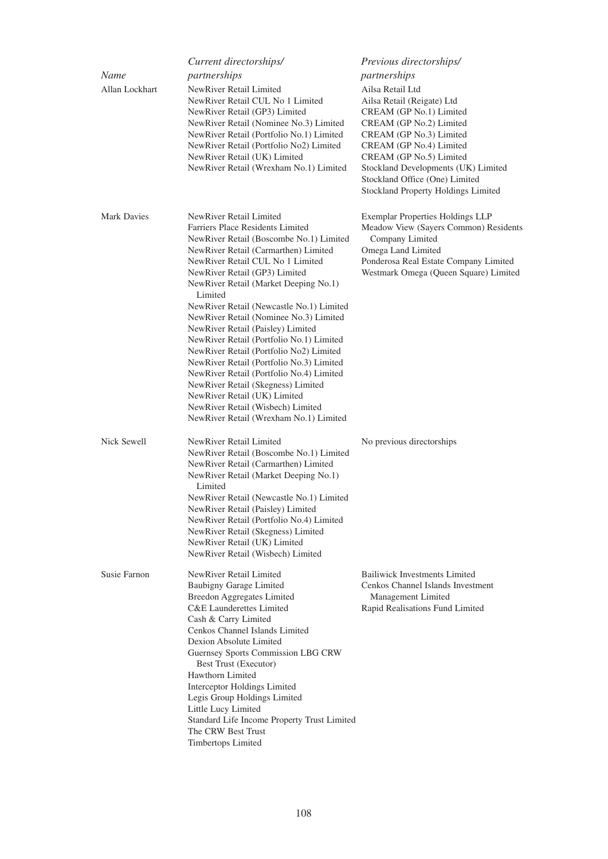| Name<br>Allan Lockhart | Current directorships/<br>partnerships<br>NewRiver Retail Limited<br>NewRiver Retail CUL No 1 Limited<br>NewRiver Retail (GP3) Limited<br>NewRiver Retail (Nominee No.3) Limited<br>NewRiver Retail (Portfolio No.1) Limited<br>NewRiver Retail (Portfolio No2) Limited<br>NewRiver Retail (UK) Limited<br>NewRiver Retail (Wrexham No.1) Limited                                                                                                                                                                                                                                                                                                                                                                                      | Previous directorships/<br>partnerships<br>Ailsa Retail Ltd<br>Ailsa Retail (Reigate) Ltd<br>CREAM (GP No.1) Limited<br>CREAM (GP No.2) Limited<br>CREAM (GP No.3) Limited<br>CREAM (GP No.4) Limited<br>CREAM (GP No.5) Limited<br>Stockland Developments (UK) Limited<br>Stockland Office (One) Limited<br>Stockland Property Holdings Limited |
|------------------------|----------------------------------------------------------------------------------------------------------------------------------------------------------------------------------------------------------------------------------------------------------------------------------------------------------------------------------------------------------------------------------------------------------------------------------------------------------------------------------------------------------------------------------------------------------------------------------------------------------------------------------------------------------------------------------------------------------------------------------------|--------------------------------------------------------------------------------------------------------------------------------------------------------------------------------------------------------------------------------------------------------------------------------------------------------------------------------------------------|
| <b>Mark Davies</b>     | NewRiver Retail Limited<br>Farriers Place Residents Limited<br>NewRiver Retail (Boscombe No.1) Limited<br>NewRiver Retail (Carmarthen) Limited<br>NewRiver Retail CUL No 1 Limited<br>NewRiver Retail (GP3) Limited<br>NewRiver Retail (Market Deeping No.1)<br>Limited<br>NewRiver Retail (Newcastle No.1) Limited<br>NewRiver Retail (Nominee No.3) Limited<br>NewRiver Retail (Paisley) Limited<br>NewRiver Retail (Portfolio No.1) Limited<br>NewRiver Retail (Portfolio No2) Limited<br>NewRiver Retail (Portfolio No.3) Limited<br>NewRiver Retail (Portfolio No.4) Limited<br>NewRiver Retail (Skegness) Limited<br>NewRiver Retail (UK) Limited<br>NewRiver Retail (Wisbech) Limited<br>NewRiver Retail (Wrexham No.1) Limited | Exemplar Properties Holdings LLP<br>Meadow View (Sayers Common) Residents<br>Company Limited<br>Omega Land Limited<br>Ponderosa Real Estate Company Limited<br>Westmark Omega (Queen Square) Limited                                                                                                                                             |
| Nick Sewell            | NewRiver Retail Limited<br>NewRiver Retail (Boscombe No.1) Limited<br>NewRiver Retail (Carmarthen) Limited<br>NewRiver Retail (Market Deeping No.1)<br>Limited<br>NewRiver Retail (Newcastle No.1) Limited<br>NewRiver Retail (Paisley) Limited<br>NewRiver Retail (Portfolio No.4) Limited<br>NewRiver Retail (Skegness) Limited<br>NewRiver Retail (UK) Limited<br>NewRiver Retail (Wisbech) Limited                                                                                                                                                                                                                                                                                                                                 | No previous directorships                                                                                                                                                                                                                                                                                                                        |
| Susie Farnon           | NewRiver Retail Limited<br>Baubigny Garage Limited<br><b>Breedon Aggregates Limited</b><br><b>C&amp;E</b> Launderettes Limited<br>Cash & Carry Limited<br>Cenkos Channel Islands Limited<br>Dexion Absolute Limited<br>Guernsey Sports Commission LBG CRW<br>Best Trust (Executor)<br>Hawthorn Limited<br>Interceptor Holdings Limited<br>Legis Group Holdings Limited<br>Little Lucy Limited<br>Standard Life Income Property Trust Limited<br>The CRW Best Trust<br>Timbertops Limited                                                                                                                                                                                                                                               | <b>Bailiwick Investments Limited</b><br>Cenkos Channel Islands Investment<br>Management Limited<br>Rapid Realisations Fund Limited                                                                                                                                                                                                               |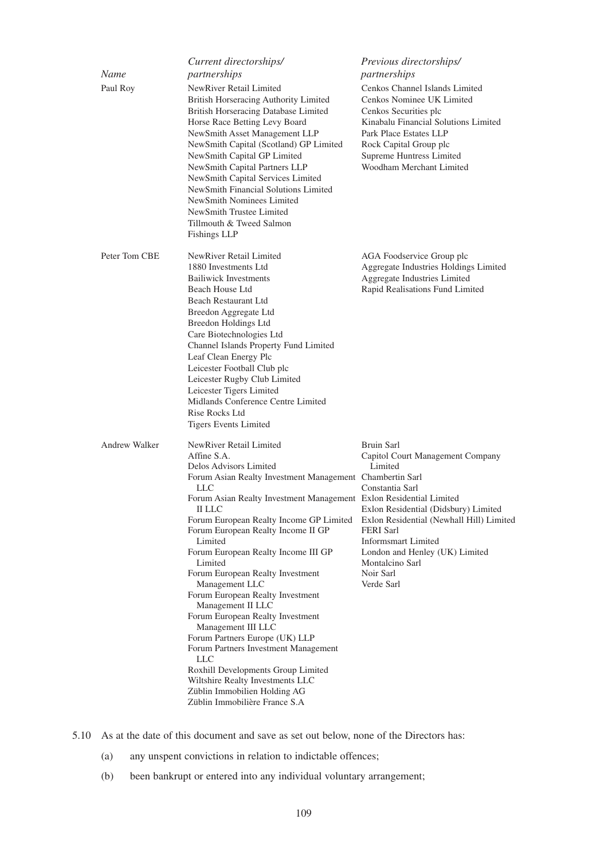|                      | Current directorships/                                                                                                                                                                                                                                                                                                                                                                                                                                                                                                                                                                                                                                                                                                                                                 | Previous directorships/                                                                                                                                                                                                                                                                            |
|----------------------|------------------------------------------------------------------------------------------------------------------------------------------------------------------------------------------------------------------------------------------------------------------------------------------------------------------------------------------------------------------------------------------------------------------------------------------------------------------------------------------------------------------------------------------------------------------------------------------------------------------------------------------------------------------------------------------------------------------------------------------------------------------------|----------------------------------------------------------------------------------------------------------------------------------------------------------------------------------------------------------------------------------------------------------------------------------------------------|
| Name                 | partnerships                                                                                                                                                                                                                                                                                                                                                                                                                                                                                                                                                                                                                                                                                                                                                           | partnerships                                                                                                                                                                                                                                                                                       |
| Paul Roy             | NewRiver Retail Limited<br>British Horseracing Authority Limited<br>British Horseracing Database Limited<br>Horse Race Betting Levy Board<br>NewSmith Asset Management LLP<br>NewSmith Capital (Scotland) GP Limited<br>NewSmith Capital GP Limited<br>NewSmith Capital Partners LLP<br>NewSmith Capital Services Limited<br>NewSmith Financial Solutions Limited<br>NewSmith Nominees Limited<br>NewSmith Trustee Limited<br>Tillmouth & Tweed Salmon<br><b>Fishings LLP</b>                                                                                                                                                                                                                                                                                          | Cenkos Channel Islands Limited<br>Cenkos Nominee UK Limited<br>Cenkos Securities plc<br>Kinabalu Financial Solutions Limited<br>Park Place Estates LLP<br>Rock Capital Group plc<br>Supreme Huntress Limited<br>Woodham Merchant Limited                                                           |
| Peter Tom CBE        | NewRiver Retail Limited<br>1880 Investments Ltd<br><b>Bailiwick Investments</b><br>Beach House Ltd<br>Beach Restaurant Ltd<br>Breedon Aggregate Ltd<br>Breedon Holdings Ltd<br>Care Biotechnologies Ltd<br>Channel Islands Property Fund Limited<br>Leaf Clean Energy Plc<br>Leicester Football Club plc<br>Leicester Rugby Club Limited<br>Leicester Tigers Limited<br>Midlands Conference Centre Limited<br>Rise Rocks Ltd<br><b>Tigers Events Limited</b>                                                                                                                                                                                                                                                                                                           | AGA Foodservice Group plc<br>Aggregate Industries Holdings Limited<br>Aggregate Industries Limited<br>Rapid Realisations Fund Limited                                                                                                                                                              |
| <b>Andrew Walker</b> | NewRiver Retail Limited<br>Affine S.A.<br>Delos Advisors Limited<br>Forum Asian Realty Investment Management Chambertin Sarl<br>LLC<br>Forum Asian Realty Investment Management Exlon Residential Limited<br>II LLC<br>Forum European Realty Income GP Limited<br>Forum European Realty Income II GP<br>Limited<br>Forum European Realty Income III GP<br>Limited<br>Forum European Realty Investment<br>Management LLC<br>Forum European Realty Investment<br>Management II LLC<br>Forum European Realty Investment<br>Management III LLC<br>Forum Partners Europe (UK) LLP<br>Forum Partners Investment Management<br>LLC<br>Roxhill Developments Group Limited<br>Wiltshire Realty Investments LLC<br>Züblin Immobilien Holding AG<br>Züblin Immobilière France S.A | Bruin Sarl<br>Capitol Court Management Company<br>Limited<br>Constantia Sarl<br>Exlon Residential (Didsbury) Limited<br>Exlon Residential (Newhall Hill) Limited<br><b>FERI</b> Sarl<br><b>Informsmart Limited</b><br>London and Henley (UK) Limited<br>Montalcino Sarl<br>Noir Sarl<br>Verde Sarl |

- 5.10 As at the date of this document and save as set out below, none of the Directors has:
	- (a) any unspent convictions in relation to indictable offences;
	- (b) been bankrupt or entered into any individual voluntary arrangement;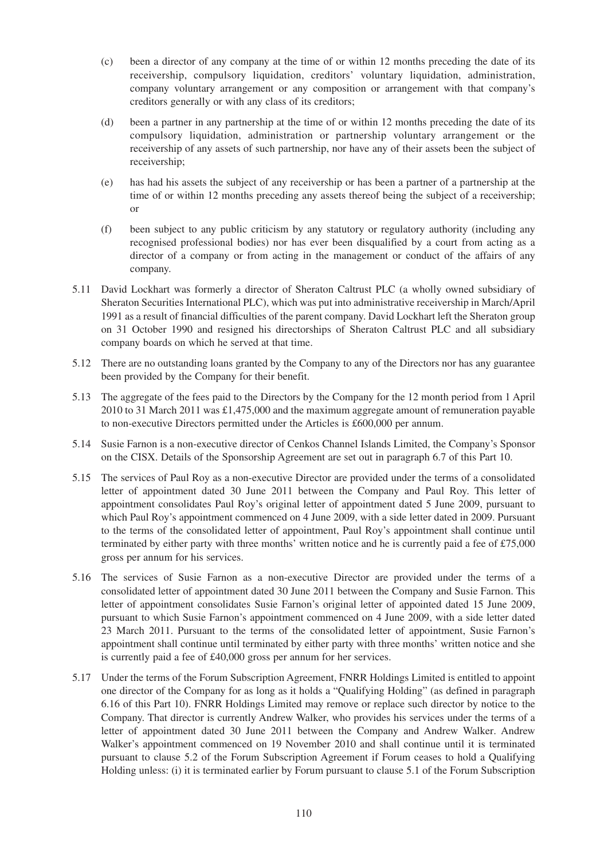- (c) been a director of any company at the time of or within 12 months preceding the date of its receivership, compulsory liquidation, creditors' voluntary liquidation, administration, company voluntary arrangement or any composition or arrangement with that company's creditors generally or with any class of its creditors;
- (d) been a partner in any partnership at the time of or within 12 months preceding the date of its compulsory liquidation, administration or partnership voluntary arrangement or the receivership of any assets of such partnership, nor have any of their assets been the subject of receivership;
- (e) has had his assets the subject of any receivership or has been a partner of a partnership at the time of or within 12 months preceding any assets thereof being the subject of a receivership; or
- (f) been subject to any public criticism by any statutory or regulatory authority (including any recognised professional bodies) nor has ever been disqualified by a court from acting as a director of a company or from acting in the management or conduct of the affairs of any company.
- 5.11 David Lockhart was formerly a director of Sheraton Caltrust PLC (a wholly owned subsidiary of Sheraton Securities International PLC), which was put into administrative receivership in March/April 1991 as a result of financial difficulties of the parent company. David Lockhart left the Sheraton group on 31 October 1990 and resigned his directorships of Sheraton Caltrust PLC and all subsidiary company boards on which he served at that time.
- 5.12 There are no outstanding loans granted by the Company to any of the Directors nor has any guarantee been provided by the Company for their benefit.
- 5.13 The aggregate of the fees paid to the Directors by the Company for the 12 month period from 1 April 2010 to 31 March 2011 was £1,475,000 and the maximum aggregate amount of remuneration payable to non-executive Directors permitted under the Articles is £600,000 per annum.
- 5.14 Susie Farnon is a non-executive director of Cenkos Channel Islands Limited, the Company's Sponsor on the CISX. Details of the Sponsorship Agreement are set out in paragraph 6.7 of this Part 10.
- 5.15 The services of Paul Roy as a non-executive Director are provided under the terms of a consolidated letter of appointment dated 30 June 2011 between the Company and Paul Roy. This letter of appointment consolidates Paul Roy's original letter of appointment dated 5 June 2009, pursuant to which Paul Roy's appointment commenced on 4 June 2009, with a side letter dated in 2009. Pursuant to the terms of the consolidated letter of appointment, Paul Roy's appointment shall continue until terminated by either party with three months' written notice and he is currently paid a fee of £75,000 gross per annum for his services.
- 5.16 The services of Susie Farnon as a non-executive Director are provided under the terms of a consolidated letter of appointment dated 30 June 2011 between the Company and Susie Farnon. This letter of appointment consolidates Susie Farnon's original letter of appointed dated 15 June 2009, pursuant to which Susie Farnon's appointment commenced on 4 June 2009, with a side letter dated 23 March 2011. Pursuant to the terms of the consolidated letter of appointment, Susie Farnon's appointment shall continue until terminated by either party with three months' written notice and she is currently paid a fee of £40,000 gross per annum for her services.
- 5.17 Under the terms of the Forum Subscription Agreement, FNRR Holdings Limited is entitled to appoint one director of the Company for as long as it holds a "Qualifying Holding" (as defined in paragraph 6.16 of this Part 10). FNRR Holdings Limited may remove or replace such director by notice to the Company. That director is currently Andrew Walker, who provides his services under the terms of a letter of appointment dated 30 June 2011 between the Company and Andrew Walker. Andrew Walker's appointment commenced on 19 November 2010 and shall continue until it is terminated pursuant to clause 5.2 of the Forum Subscription Agreement if Forum ceases to hold a Qualifying Holding unless: (i) it is terminated earlier by Forum pursuant to clause 5.1 of the Forum Subscription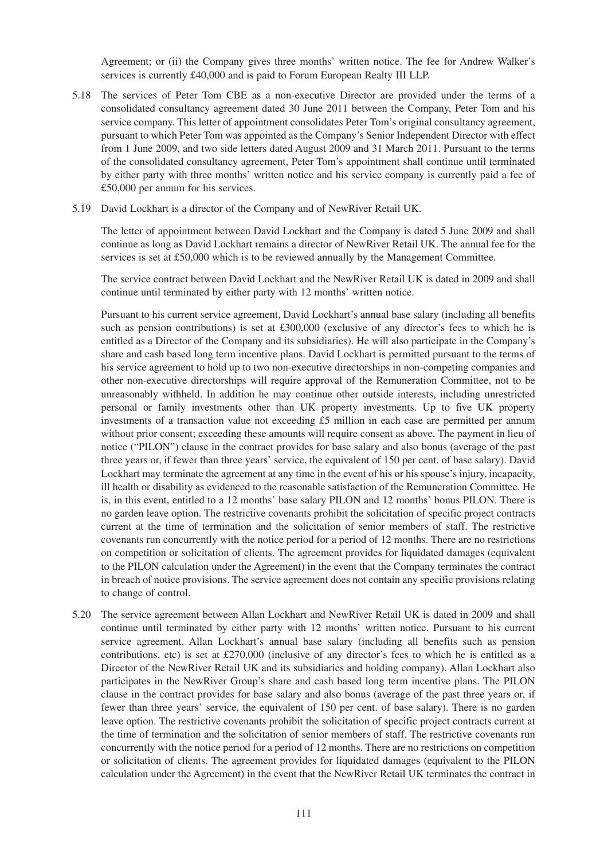Agreement; or (ii) the Company gives three months' written notice. The fee for Andrew Walker's services is currently £40,000 and is paid to Forum European Realty III LLP.

- 5.18 The services of Peter Tom CBE as a non-executive Director are provided under the terms of a consolidated consultancy agreement dated 30 June 2011 between the Company, Peter Tom and his service company. This letter of appointment consolidates Peter Tom's original consultancy agreement, pursuant to which Peter Tom was appointed as the Company's Senior Independent Director with effect from 1 June 2009, and two side letters dated August 2009 and 31 March 2011. Pursuant to the terms of the consolidated consultancy agreement, Peter Tom's appointment shall continue until terminated by either party with three months' written notice and his service company is currently paid a fee of £50,000 per annum for his services.
- 5.19 David Lockhart is a director of the Company and of NewRiver Retail UK.

The letter of appointment between David Lockhart and the Company is dated 5 June 2009 and shall continue as long as David Lockhart remains a director of NewRiver Retail UK. The annual fee for the services is set at £50,000 which is to be reviewed annually by the Management Committee.

The service contract between David Lockhart and the NewRiver Retail UK is dated in 2009 and shall continue until terminated by either party with 12 months' written notice.

Pursuant to his current service agreement, David Lockhart's annual base salary (including all benefits such as pension contributions) is set at £300,000 (exclusive of any director's fees to which he is entitled as a Director of the Company and its subsidiaries). He will also participate in the Company's share and cash based long term incentive plans. David Lockhart is permitted pursuant to the terms of his service agreement to hold up to two non-executive directorships in non-competing companies and other non-executive directorships will require approval of the Remuneration Committee, not to be unreasonably withheld. In addition he may continue other outside interests, including unrestricted personal or family investments other than UK property investments. Up to five UK property investments of a transaction value not exceeding £5 million in each case are permitted per annum without prior consent; exceeding these amounts will require consent as above. The payment in lieu of notice ("PILON") clause in the contract provides for base salary and also bonus (average of the past three years or, if fewer than three years' service, the equivalent of 150 per cent. of base salary). David Lockhart may terminate the agreement at any time in the event of his or his spouse's injury, incapacity, ill health or disability as evidenced to the reasonable satisfaction of the Remuneration Committee. He is, in this event, entitled to a 12 months' base salary PILON and 12 months' bonus PILON. There is no garden leave option. The restrictive covenants prohibit the solicitation of specific project contracts current at the time of termination and the solicitation of senior members of staff. The restrictive covenants run concurrently with the notice period for a period of 12 months. There are no restrictions on competition or solicitation of clients. The agreement provides for liquidated damages (equivalent to the PILON calculation under the Agreement) in the event that the Company terminates the contract in breach of notice provisions. The service agreement does not contain any specific provisions relating to change of control.

5.20 The service agreement between Allan Lockhart and NewRiver Retail UK is dated in 2009 and shall continue until terminated by either party with 12 months' written notice. Pursuant to his current service agreement, Allan Lockhart's annual base salary (including all benefits such as pension contributions, etc) is set at £270,000 (inclusive of any director's fees to which he is entitled as a Director of the NewRiver Retail UK and its subsidiaries and holding company). Allan Lockhart also participates in the NewRiver Group's share and cash based long term incentive plans. The PILON clause in the contract provides for base salary and also bonus (average of the past three years or, if fewer than three years' service, the equivalent of 150 per cent. of base salary). There is no garden leave option. The restrictive covenants prohibit the solicitation of specific project contracts current at the time of termination and the solicitation of senior members of staff. The restrictive covenants run concurrently with the notice period for a period of 12 months. There are no restrictions on competition or solicitation of clients. The agreement provides for liquidated damages (equivalent to the PILON calculation under the Agreement) in the event that the NewRiver Retail UK terminates the contract in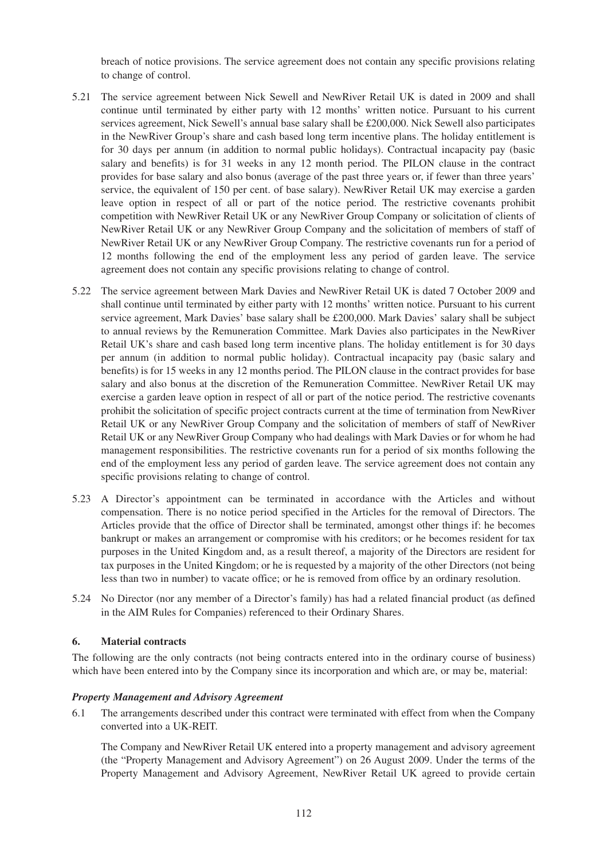breach of notice provisions. The service agreement does not contain any specific provisions relating to change of control.

- 5.21 The service agreement between Nick Sewell and NewRiver Retail UK is dated in 2009 and shall continue until terminated by either party with 12 months' written notice. Pursuant to his current services agreement, Nick Sewell's annual base salary shall be £200,000. Nick Sewell also participates in the NewRiver Group's share and cash based long term incentive plans. The holiday entitlement is for 30 days per annum (in addition to normal public holidays). Contractual incapacity pay (basic salary and benefits) is for 31 weeks in any 12 month period. The PILON clause in the contract provides for base salary and also bonus (average of the past three years or, if fewer than three years' service, the equivalent of 150 per cent. of base salary). NewRiver Retail UK may exercise a garden leave option in respect of all or part of the notice period. The restrictive covenants prohibit competition with NewRiver Retail UK or any NewRiver Group Company or solicitation of clients of NewRiver Retail UK or any NewRiver Group Company and the solicitation of members of staff of NewRiver Retail UK or any NewRiver Group Company. The restrictive covenants run for a period of 12 months following the end of the employment less any period of garden leave. The service agreement does not contain any specific provisions relating to change of control.
- 5.22 The service agreement between Mark Davies and NewRiver Retail UK is dated 7 October 2009 and shall continue until terminated by either party with 12 months' written notice. Pursuant to his current service agreement, Mark Davies' base salary shall be £200,000. Mark Davies' salary shall be subject to annual reviews by the Remuneration Committee. Mark Davies also participates in the NewRiver Retail UK's share and cash based long term incentive plans. The holiday entitlement is for 30 days per annum (in addition to normal public holiday). Contractual incapacity pay (basic salary and benefits) is for 15 weeks in any 12 months period. The PILON clause in the contract provides for base salary and also bonus at the discretion of the Remuneration Committee. NewRiver Retail UK may exercise a garden leave option in respect of all or part of the notice period. The restrictive covenants prohibit the solicitation of specific project contracts current at the time of termination from NewRiver Retail UK or any NewRiver Group Company and the solicitation of members of staff of NewRiver Retail UK or any NewRiver Group Company who had dealings with Mark Davies or for whom he had management responsibilities. The restrictive covenants run for a period of six months following the end of the employment less any period of garden leave. The service agreement does not contain any specific provisions relating to change of control.
- 5.23 A Director's appointment can be terminated in accordance with the Articles and without compensation. There is no notice period specified in the Articles for the removal of Directors. The Articles provide that the office of Director shall be terminated, amongst other things if: he becomes bankrupt or makes an arrangement or compromise with his creditors; or he becomes resident for tax purposes in the United Kingdom and, as a result thereof, a majority of the Directors are resident for tax purposes in the United Kingdom; or he is requested by a majority of the other Directors (not being less than two in number) to vacate office; or he is removed from office by an ordinary resolution.
- 5.24 No Director (nor any member of a Director's family) has had a related financial product (as defined in the AIM Rules for Companies) referenced to their Ordinary Shares.

## **6. Material contracts**

The following are the only contracts (not being contracts entered into in the ordinary course of business) which have been entered into by the Company since its incorporation and which are, or may be, material:

#### *Property Management and Advisory Agreement*

6.1 The arrangements described under this contract were terminated with effect from when the Company converted into a UK-REIT.

The Company and NewRiver Retail UK entered into a property management and advisory agreement (the "Property Management and Advisory Agreement") on 26 August 2009. Under the terms of the Property Management and Advisory Agreement, NewRiver Retail UK agreed to provide certain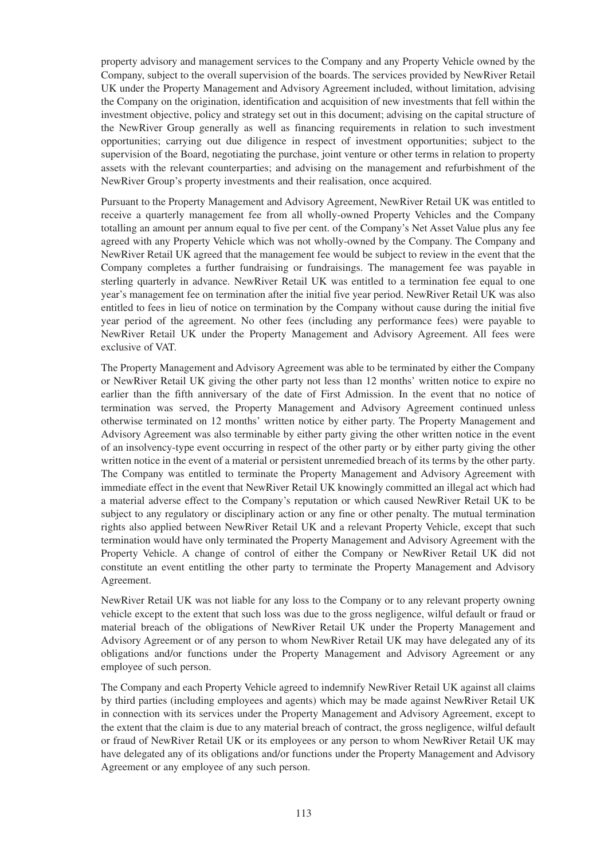property advisory and management services to the Company and any Property Vehicle owned by the Company, subject to the overall supervision of the boards. The services provided by NewRiver Retail UK under the Property Management and Advisory Agreement included, without limitation, advising the Company on the origination, identification and acquisition of new investments that fell within the investment objective, policy and strategy set out in this document; advising on the capital structure of the NewRiver Group generally as well as financing requirements in relation to such investment opportunities; carrying out due diligence in respect of investment opportunities; subject to the supervision of the Board, negotiating the purchase, joint venture or other terms in relation to property assets with the relevant counterparties; and advising on the management and refurbishment of the NewRiver Group's property investments and their realisation, once acquired.

Pursuant to the Property Management and Advisory Agreement, NewRiver Retail UK was entitled to receive a quarterly management fee from all wholly-owned Property Vehicles and the Company totalling an amount per annum equal to five per cent. of the Company's Net Asset Value plus any fee agreed with any Property Vehicle which was not wholly-owned by the Company. The Company and NewRiver Retail UK agreed that the management fee would be subject to review in the event that the Company completes a further fundraising or fundraisings. The management fee was payable in sterling quarterly in advance. NewRiver Retail UK was entitled to a termination fee equal to one year's management fee on termination after the initial five year period. NewRiver Retail UK was also entitled to fees in lieu of notice on termination by the Company without cause during the initial five year period of the agreement. No other fees (including any performance fees) were payable to NewRiver Retail UK under the Property Management and Advisory Agreement. All fees were exclusive of VAT.

The Property Management and Advisory Agreement was able to be terminated by either the Company or NewRiver Retail UK giving the other party not less than 12 months' written notice to expire no earlier than the fifth anniversary of the date of First Admission. In the event that no notice of termination was served, the Property Management and Advisory Agreement continued unless otherwise terminated on 12 months' written notice by either party. The Property Management and Advisory Agreement was also terminable by either party giving the other written notice in the event of an insolvency-type event occurring in respect of the other party or by either party giving the other written notice in the event of a material or persistent unremedied breach of its terms by the other party. The Company was entitled to terminate the Property Management and Advisory Agreement with immediate effect in the event that NewRiver Retail UK knowingly committed an illegal act which had a material adverse effect to the Company's reputation or which caused NewRiver Retail UK to be subject to any regulatory or disciplinary action or any fine or other penalty. The mutual termination rights also applied between NewRiver Retail UK and a relevant Property Vehicle, except that such termination would have only terminated the Property Management and Advisory Agreement with the Property Vehicle. A change of control of either the Company or NewRiver Retail UK did not constitute an event entitling the other party to terminate the Property Management and Advisory Agreement.

NewRiver Retail UK was not liable for any loss to the Company or to any relevant property owning vehicle except to the extent that such loss was due to the gross negligence, wilful default or fraud or material breach of the obligations of NewRiver Retail UK under the Property Management and Advisory Agreement or of any person to whom NewRiver Retail UK may have delegated any of its obligations and/or functions under the Property Management and Advisory Agreement or any employee of such person.

The Company and each Property Vehicle agreed to indemnify NewRiver Retail UK against all claims by third parties (including employees and agents) which may be made against NewRiver Retail UK in connection with its services under the Property Management and Advisory Agreement, except to the extent that the claim is due to any material breach of contract, the gross negligence, wilful default or fraud of NewRiver Retail UK or its employees or any person to whom NewRiver Retail UK may have delegated any of its obligations and/or functions under the Property Management and Advisory Agreement or any employee of any such person.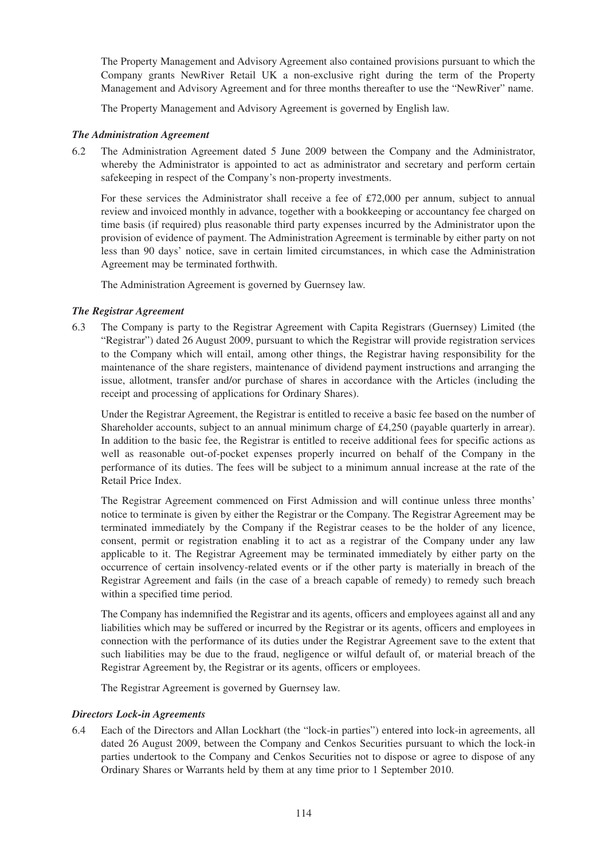The Property Management and Advisory Agreement also contained provisions pursuant to which the Company grants NewRiver Retail UK a non-exclusive right during the term of the Property Management and Advisory Agreement and for three months thereafter to use the "NewRiver" name.

The Property Management and Advisory Agreement is governed by English law.

## *The Administration Agreement*

6.2 The Administration Agreement dated 5 June 2009 between the Company and the Administrator, whereby the Administrator is appointed to act as administrator and secretary and perform certain safekeeping in respect of the Company's non-property investments.

For these services the Administrator shall receive a fee of £72,000 per annum, subject to annual review and invoiced monthly in advance, together with a bookkeeping or accountancy fee charged on time basis (if required) plus reasonable third party expenses incurred by the Administrator upon the provision of evidence of payment. The Administration Agreement is terminable by either party on not less than 90 days' notice, save in certain limited circumstances, in which case the Administration Agreement may be terminated forthwith.

The Administration Agreement is governed by Guernsey law.

## *The Registrar Agreement*

6.3 The Company is party to the Registrar Agreement with Capita Registrars (Guernsey) Limited (the "Registrar") dated 26 August 2009, pursuant to which the Registrar will provide registration services to the Company which will entail, among other things, the Registrar having responsibility for the maintenance of the share registers, maintenance of dividend payment instructions and arranging the issue, allotment, transfer and/or purchase of shares in accordance with the Articles (including the receipt and processing of applications for Ordinary Shares).

Under the Registrar Agreement, the Registrar is entitled to receive a basic fee based on the number of Shareholder accounts, subject to an annual minimum charge of £4,250 (payable quarterly in arrear). In addition to the basic fee, the Registrar is entitled to receive additional fees for specific actions as well as reasonable out-of-pocket expenses properly incurred on behalf of the Company in the performance of its duties. The fees will be subject to a minimum annual increase at the rate of the Retail Price Index.

The Registrar Agreement commenced on First Admission and will continue unless three months' notice to terminate is given by either the Registrar or the Company. The Registrar Agreement may be terminated immediately by the Company if the Registrar ceases to be the holder of any licence, consent, permit or registration enabling it to act as a registrar of the Company under any law applicable to it. The Registrar Agreement may be terminated immediately by either party on the occurrence of certain insolvency-related events or if the other party is materially in breach of the Registrar Agreement and fails (in the case of a breach capable of remedy) to remedy such breach within a specified time period.

The Company has indemnified the Registrar and its agents, officers and employees against all and any liabilities which may be suffered or incurred by the Registrar or its agents, officers and employees in connection with the performance of its duties under the Registrar Agreement save to the extent that such liabilities may be due to the fraud, negligence or wilful default of, or material breach of the Registrar Agreement by, the Registrar or its agents, officers or employees.

The Registrar Agreement is governed by Guernsey law.

## *Directors Lock-in Agreements*

6.4 Each of the Directors and Allan Lockhart (the "lock-in parties") entered into lock-in agreements, all dated 26 August 2009, between the Company and Cenkos Securities pursuant to which the lock-in parties undertook to the Company and Cenkos Securities not to dispose or agree to dispose of any Ordinary Shares or Warrants held by them at any time prior to 1 September 2010.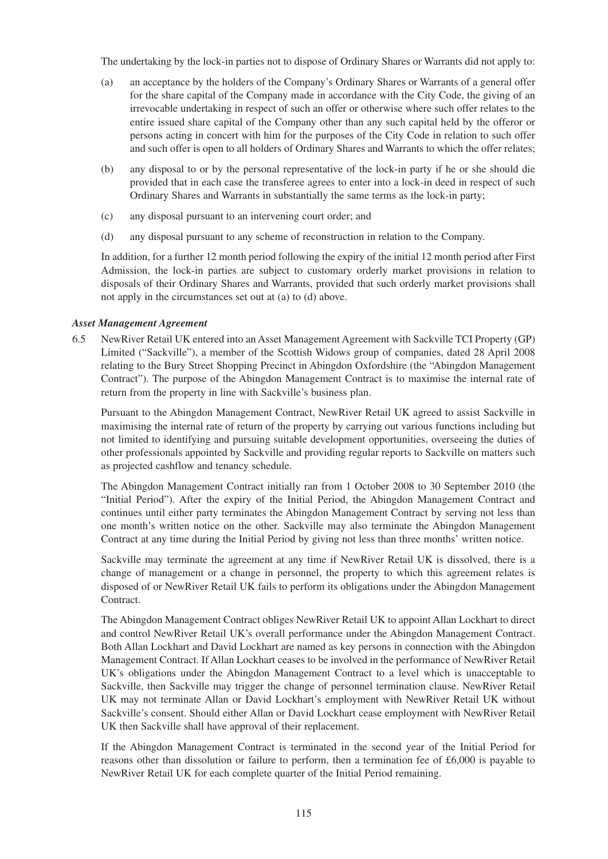The undertaking by the lock-in parties not to dispose of Ordinary Shares or Warrants did not apply to:

- (a) an acceptance by the holders of the Company's Ordinary Shares or Warrants of a general offer for the share capital of the Company made in accordance with the City Code, the giving of an irrevocable undertaking in respect of such an offer or otherwise where such offer relates to the entire issued share capital of the Company other than any such capital held by the offeror or persons acting in concert with him for the purposes of the City Code in relation to such offer and such offer is open to all holders of Ordinary Shares and Warrants to which the offer relates;
- (b) any disposal to or by the personal representative of the lock-in party if he or she should die provided that in each case the transferee agrees to enter into a lock-in deed in respect of such Ordinary Shares and Warrants in substantially the same terms as the lock-in party;
- (c) any disposal pursuant to an intervening court order; and
- (d) any disposal pursuant to any scheme of reconstruction in relation to the Company.

In addition, for a further 12 month period following the expiry of the initial 12 month period after First Admission, the lock-in parties are subject to customary orderly market provisions in relation to disposals of their Ordinary Shares and Warrants, provided that such orderly market provisions shall not apply in the circumstances set out at (a) to (d) above.

## *Asset Management Agreement*

6.5 NewRiver Retail UK entered into an Asset Management Agreement with Sackville TCI Property (GP) Limited ("Sackville"), a member of the Scottish Widows group of companies, dated 28 April 2008 relating to the Bury Street Shopping Precinct in Abingdon Oxfordshire (the "Abingdon Management Contract"). The purpose of the Abingdon Management Contract is to maximise the internal rate of return from the property in line with Sackville's business plan.

Pursuant to the Abingdon Management Contract, NewRiver Retail UK agreed to assist Sackville in maximising the internal rate of return of the property by carrying out various functions including but not limited to identifying and pursuing suitable development opportunities, overseeing the duties of other professionals appointed by Sackville and providing regular reports to Sackville on matters such as projected cashflow and tenancy schedule.

The Abingdon Management Contract initially ran from 1 October 2008 to 30 September 2010 (the "Initial Period"). After the expiry of the Initial Period, the Abingdon Management Contract and continues until either party terminates the Abingdon Management Contract by serving not less than one month's written notice on the other. Sackville may also terminate the Abingdon Management Contract at any time during the Initial Period by giving not less than three months' written notice.

Sackville may terminate the agreement at any time if NewRiver Retail UK is dissolved, there is a change of management or a change in personnel, the property to which this agreement relates is disposed of or NewRiver Retail UK fails to perform its obligations under the Abingdon Management Contract.

The Abingdon Management Contract obliges NewRiver Retail UK to appoint Allan Lockhart to direct and control NewRiver Retail UK's overall performance under the Abingdon Management Contract. Both Allan Lockhart and David Lockhart are named as key persons in connection with the Abingdon Management Contract. If Allan Lockhart ceases to be involved in the performance of NewRiver Retail UK's obligations under the Abingdon Management Contract to a level which is unacceptable to Sackville, then Sackville may trigger the change of personnel termination clause. NewRiver Retail UK may not terminate Allan or David Lockhart's employment with NewRiver Retail UK without Sackville's consent. Should either Allan or David Lockhart cease employment with NewRiver Retail UK then Sackville shall have approval of their replacement.

If the Abingdon Management Contract is terminated in the second year of the Initial Period for reasons other than dissolution or failure to perform, then a termination fee of  $£6,000$  is payable to NewRiver Retail UK for each complete quarter of the Initial Period remaining.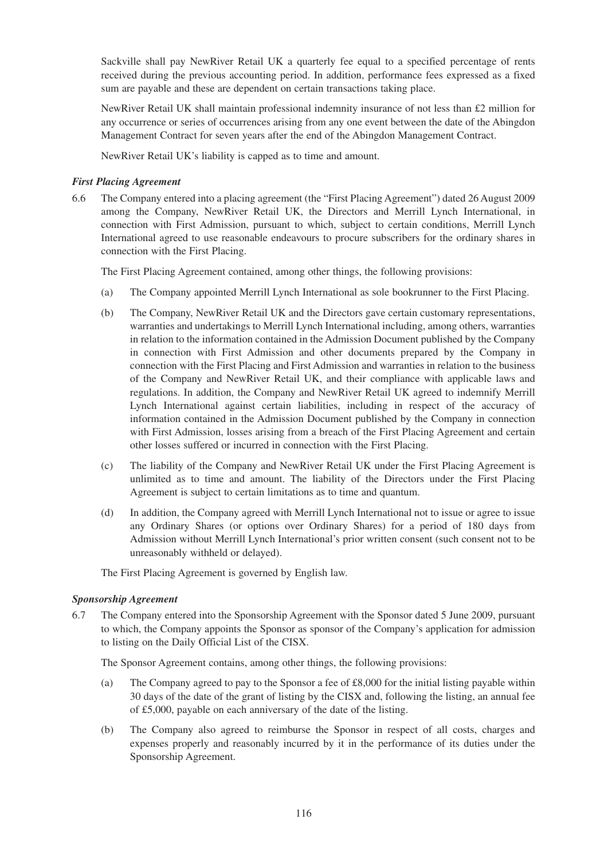Sackville shall pay NewRiver Retail UK a quarterly fee equal to a specified percentage of rents received during the previous accounting period. In addition, performance fees expressed as a fixed sum are payable and these are dependent on certain transactions taking place.

NewRiver Retail UK shall maintain professional indemnity insurance of not less than £2 million for any occurrence or series of occurrences arising from any one event between the date of the Abingdon Management Contract for seven years after the end of the Abingdon Management Contract.

NewRiver Retail UK's liability is capped as to time and amount.

## *First Placing Agreement*

6.6 The Company entered into a placing agreement (the "First Placing Agreement") dated 26 August 2009 among the Company, NewRiver Retail UK, the Directors and Merrill Lynch International, in connection with First Admission, pursuant to which, subject to certain conditions, Merrill Lynch International agreed to use reasonable endeavours to procure subscribers for the ordinary shares in connection with the First Placing.

The First Placing Agreement contained, among other things, the following provisions:

- (a) The Company appointed Merrill Lynch International as sole bookrunner to the First Placing.
- (b) The Company, NewRiver Retail UK and the Directors gave certain customary representations, warranties and undertakings to Merrill Lynch International including, among others, warranties in relation to the information contained in the Admission Document published by the Company in connection with First Admission and other documents prepared by the Company in connection with the First Placing and First Admission and warranties in relation to the business of the Company and NewRiver Retail UK, and their compliance with applicable laws and regulations. In addition, the Company and NewRiver Retail UK agreed to indemnify Merrill Lynch International against certain liabilities, including in respect of the accuracy of information contained in the Admission Document published by the Company in connection with First Admission, losses arising from a breach of the First Placing Agreement and certain other losses suffered or incurred in connection with the First Placing.
- (c) The liability of the Company and NewRiver Retail UK under the First Placing Agreement is unlimited as to time and amount. The liability of the Directors under the First Placing Agreement is subject to certain limitations as to time and quantum.
- (d) In addition, the Company agreed with Merrill Lynch International not to issue or agree to issue any Ordinary Shares (or options over Ordinary Shares) for a period of 180 days from Admission without Merrill Lynch International's prior written consent (such consent not to be unreasonably withheld or delayed).

The First Placing Agreement is governed by English law.

## *Sponsorship Agreement*

6.7 The Company entered into the Sponsorship Agreement with the Sponsor dated 5 June 2009, pursuant to which, the Company appoints the Sponsor as sponsor of the Company's application for admission to listing on the Daily Official List of the CISX.

The Sponsor Agreement contains, among other things, the following provisions:

- (a) The Company agreed to pay to the Sponsor a fee of £8,000 for the initial listing payable within 30 days of the date of the grant of listing by the CISX and, following the listing, an annual fee of £5,000, payable on each anniversary of the date of the listing.
- (b) The Company also agreed to reimburse the Sponsor in respect of all costs, charges and expenses properly and reasonably incurred by it in the performance of its duties under the Sponsorship Agreement.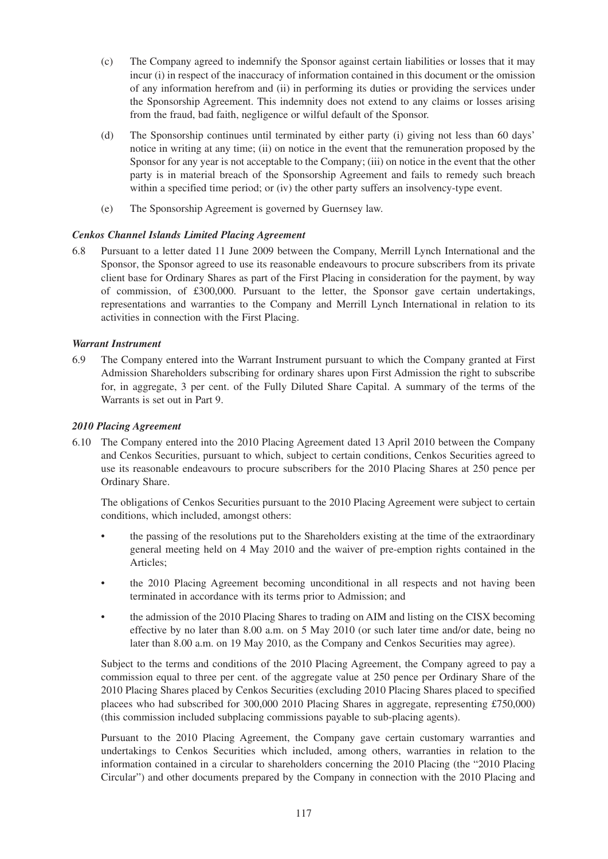- (c) The Company agreed to indemnify the Sponsor against certain liabilities or losses that it may incur (i) in respect of the inaccuracy of information contained in this document or the omission of any information herefrom and (ii) in performing its duties or providing the services under the Sponsorship Agreement. This indemnity does not extend to any claims or losses arising from the fraud, bad faith, negligence or wilful default of the Sponsor.
- (d) The Sponsorship continues until terminated by either party (i) giving not less than 60 days' notice in writing at any time; (ii) on notice in the event that the remuneration proposed by the Sponsor for any year is not acceptable to the Company; (iii) on notice in the event that the other party is in material breach of the Sponsorship Agreement and fails to remedy such breach within a specified time period; or (iv) the other party suffers an insolvency-type event.
- (e) The Sponsorship Agreement is governed by Guernsey law.

## *Cenkos Channel Islands Limited Placing Agreement*

6.8 Pursuant to a letter dated 11 June 2009 between the Company, Merrill Lynch International and the Sponsor, the Sponsor agreed to use its reasonable endeavours to procure subscribers from its private client base for Ordinary Shares as part of the First Placing in consideration for the payment, by way of commission, of £300,000. Pursuant to the letter, the Sponsor gave certain undertakings, representations and warranties to the Company and Merrill Lynch International in relation to its activities in connection with the First Placing.

## *Warrant Instrument*

6.9 The Company entered into the Warrant Instrument pursuant to which the Company granted at First Admission Shareholders subscribing for ordinary shares upon First Admission the right to subscribe for, in aggregate, 3 per cent. of the Fully Diluted Share Capital. A summary of the terms of the Warrants is set out in Part 9.

## *2010 Placing Agreement*

6.10 The Company entered into the 2010 Placing Agreement dated 13 April 2010 between the Company and Cenkos Securities, pursuant to which, subject to certain conditions, Cenkos Securities agreed to use its reasonable endeavours to procure subscribers for the 2010 Placing Shares at 250 pence per Ordinary Share.

The obligations of Cenkos Securities pursuant to the 2010 Placing Agreement were subject to certain conditions, which included, amongst others:

- the passing of the resolutions put to the Shareholders existing at the time of the extraordinary general meeting held on 4 May 2010 and the waiver of pre-emption rights contained in the Articles;
- the 2010 Placing Agreement becoming unconditional in all respects and not having been terminated in accordance with its terms prior to Admission; and
- the admission of the 2010 Placing Shares to trading on AIM and listing on the CISX becoming effective by no later than 8.00 a.m. on 5 May 2010 (or such later time and/or date, being no later than 8.00 a.m. on 19 May 2010, as the Company and Cenkos Securities may agree).

Subject to the terms and conditions of the 2010 Placing Agreement, the Company agreed to pay a commission equal to three per cent. of the aggregate value at 250 pence per Ordinary Share of the 2010 Placing Shares placed by Cenkos Securities (excluding 2010 Placing Shares placed to specified placees who had subscribed for 300,000 2010 Placing Shares in aggregate, representing £750,000) (this commission included subplacing commissions payable to sub-placing agents).

Pursuant to the 2010 Placing Agreement, the Company gave certain customary warranties and undertakings to Cenkos Securities which included, among others, warranties in relation to the information contained in a circular to shareholders concerning the 2010 Placing (the "2010 Placing Circular") and other documents prepared by the Company in connection with the 2010 Placing and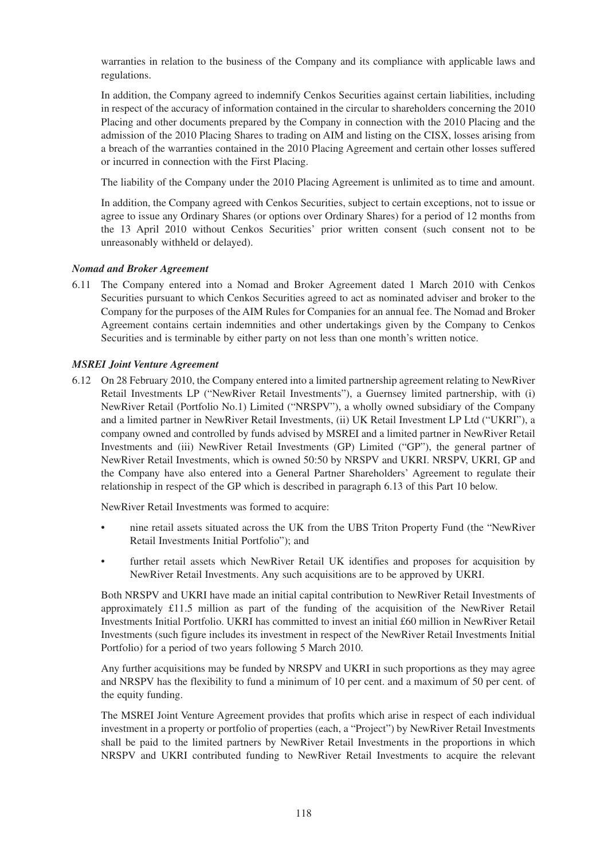warranties in relation to the business of the Company and its compliance with applicable laws and regulations.

In addition, the Company agreed to indemnify Cenkos Securities against certain liabilities, including in respect of the accuracy of information contained in the circular to shareholders concerning the 2010 Placing and other documents prepared by the Company in connection with the 2010 Placing and the admission of the 2010 Placing Shares to trading on AIM and listing on the CISX, losses arising from a breach of the warranties contained in the 2010 Placing Agreement and certain other losses suffered or incurred in connection with the First Placing.

The liability of the Company under the 2010 Placing Agreement is unlimited as to time and amount.

In addition, the Company agreed with Cenkos Securities, subject to certain exceptions, not to issue or agree to issue any Ordinary Shares (or options over Ordinary Shares) for a period of 12 months from the 13 April 2010 without Cenkos Securities' prior written consent (such consent not to be unreasonably withheld or delayed).

## *Nomad and Broker Agreement*

6.11 The Company entered into a Nomad and Broker Agreement dated 1 March 2010 with Cenkos Securities pursuant to which Cenkos Securities agreed to act as nominated adviser and broker to the Company for the purposes of the AIM Rules for Companies for an annual fee. The Nomad and Broker Agreement contains certain indemnities and other undertakings given by the Company to Cenkos Securities and is terminable by either party on not less than one month's written notice.

## *MSREI Joint Venture Agreement*

6.12 On 28 February 2010, the Company entered into a limited partnership agreement relating to NewRiver Retail Investments LP ("NewRiver Retail Investments"), a Guernsey limited partnership, with (i) NewRiver Retail (Portfolio No.1) Limited ("NRSPV"), a wholly owned subsidiary of the Company and a limited partner in NewRiver Retail Investments, (ii) UK Retail Investment LP Ltd ("UKRI"), a company owned and controlled by funds advised by MSREI and a limited partner in NewRiver Retail Investments and (iii) NewRiver Retail Investments (GP) Limited ("GP"), the general partner of NewRiver Retail Investments, which is owned 50:50 by NRSPV and UKRI. NRSPV, UKRI, GP and the Company have also entered into a General Partner Shareholders' Agreement to regulate their relationship in respect of the GP which is described in paragraph 6.13 of this Part 10 below.

NewRiver Retail Investments was formed to acquire:

- nine retail assets situated across the UK from the UBS Triton Property Fund (the "NewRiver Retail Investments Initial Portfolio"); and
- further retail assets which NewRiver Retail UK identifies and proposes for acquisition by NewRiver Retail Investments. Any such acquisitions are to be approved by UKRI.

Both NRSPV and UKRI have made an initial capital contribution to NewRiver Retail Investments of approximately £11.5 million as part of the funding of the acquisition of the NewRiver Retail Investments Initial Portfolio. UKRI has committed to invest an initial £60 million in NewRiver Retail Investments (such figure includes its investment in respect of the NewRiver Retail Investments Initial Portfolio) for a period of two years following 5 March 2010.

Any further acquisitions may be funded by NRSPV and UKRI in such proportions as they may agree and NRSPV has the flexibility to fund a minimum of 10 per cent. and a maximum of 50 per cent. of the equity funding.

The MSREI Joint Venture Agreement provides that profits which arise in respect of each individual investment in a property or portfolio of properties (each, a "Project") by NewRiver Retail Investments shall be paid to the limited partners by NewRiver Retail Investments in the proportions in which NRSPV and UKRI contributed funding to NewRiver Retail Investments to acquire the relevant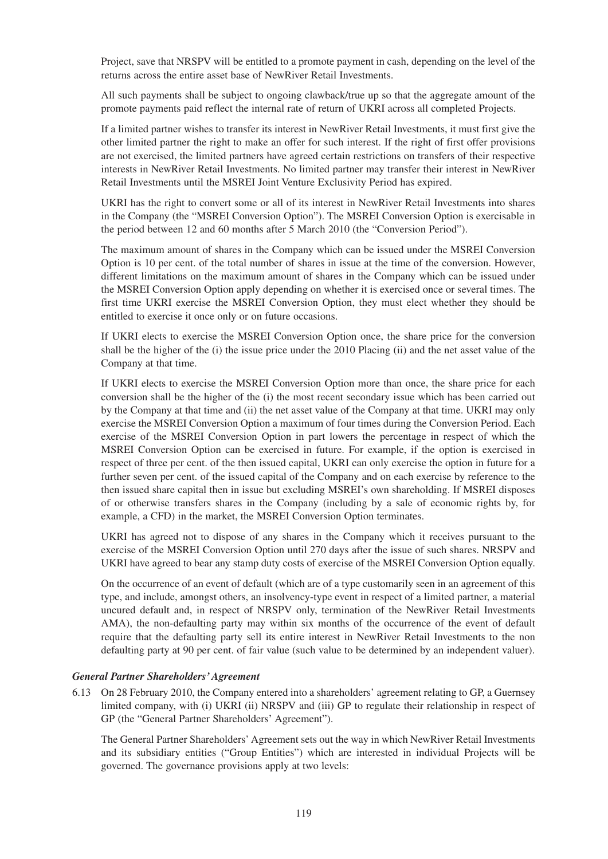Project, save that NRSPV will be entitled to a promote payment in cash, depending on the level of the returns across the entire asset base of NewRiver Retail Investments.

All such payments shall be subject to ongoing clawback/true up so that the aggregate amount of the promote payments paid reflect the internal rate of return of UKRI across all completed Projects.

If a limited partner wishes to transfer its interest in NewRiver Retail Investments, it must first give the other limited partner the right to make an offer for such interest. If the right of first offer provisions are not exercised, the limited partners have agreed certain restrictions on transfers of their respective interests in NewRiver Retail Investments. No limited partner may transfer their interest in NewRiver Retail Investments until the MSREI Joint Venture Exclusivity Period has expired.

UKRI has the right to convert some or all of its interest in NewRiver Retail Investments into shares in the Company (the "MSREI Conversion Option"). The MSREI Conversion Option is exercisable in the period between 12 and 60 months after 5 March 2010 (the "Conversion Period").

The maximum amount of shares in the Company which can be issued under the MSREI Conversion Option is 10 per cent. of the total number of shares in issue at the time of the conversion. However, different limitations on the maximum amount of shares in the Company which can be issued under the MSREI Conversion Option apply depending on whether it is exercised once or several times. The first time UKRI exercise the MSREI Conversion Option, they must elect whether they should be entitled to exercise it once only or on future occasions.

If UKRI elects to exercise the MSREI Conversion Option once, the share price for the conversion shall be the higher of the (i) the issue price under the 2010 Placing (ii) and the net asset value of the Company at that time.

If UKRI elects to exercise the MSREI Conversion Option more than once, the share price for each conversion shall be the higher of the (i) the most recent secondary issue which has been carried out by the Company at that time and (ii) the net asset value of the Company at that time. UKRI may only exercise the MSREI Conversion Option a maximum of four times during the Conversion Period. Each exercise of the MSREI Conversion Option in part lowers the percentage in respect of which the MSREI Conversion Option can be exercised in future. For example, if the option is exercised in respect of three per cent. of the then issued capital, UKRI can only exercise the option in future for a further seven per cent. of the issued capital of the Company and on each exercise by reference to the then issued share capital then in issue but excluding MSREI's own shareholding. If MSREI disposes of or otherwise transfers shares in the Company (including by a sale of economic rights by, for example, a CFD) in the market, the MSREI Conversion Option terminates.

UKRI has agreed not to dispose of any shares in the Company which it receives pursuant to the exercise of the MSREI Conversion Option until 270 days after the issue of such shares. NRSPV and UKRI have agreed to bear any stamp duty costs of exercise of the MSREI Conversion Option equally.

On the occurrence of an event of default (which are of a type customarily seen in an agreement of this type, and include, amongst others, an insolvency-type event in respect of a limited partner, a material uncured default and, in respect of NRSPV only, termination of the NewRiver Retail Investments AMA), the non-defaulting party may within six months of the occurrence of the event of default require that the defaulting party sell its entire interest in NewRiver Retail Investments to the non defaulting party at 90 per cent. of fair value (such value to be determined by an independent valuer).

## *General Partner Shareholders' Agreement*

6.13 On 28 February 2010, the Company entered into a shareholders' agreement relating to GP, a Guernsey limited company, with (i) UKRI (ii) NRSPV and (iii) GP to regulate their relationship in respect of GP (the "General Partner Shareholders' Agreement").

The General Partner Shareholders' Agreement sets out the way in which NewRiver Retail Investments and its subsidiary entities ("Group Entities") which are interested in individual Projects will be governed. The governance provisions apply at two levels: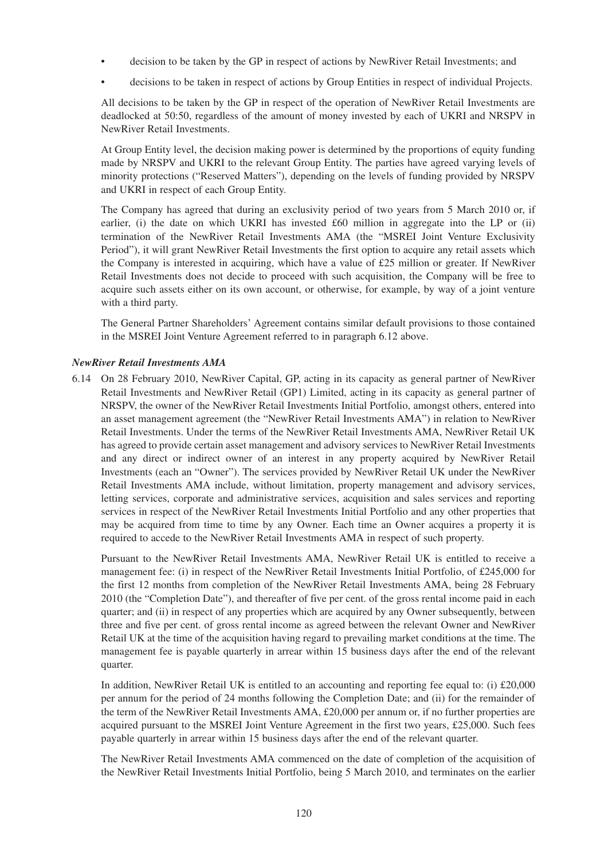- decision to be taken by the GP in respect of actions by NewRiver Retail Investments; and
- decisions to be taken in respect of actions by Group Entities in respect of individual Projects.

All decisions to be taken by the GP in respect of the operation of NewRiver Retail Investments are deadlocked at 50:50, regardless of the amount of money invested by each of UKRI and NRSPV in NewRiver Retail Investments.

At Group Entity level, the decision making power is determined by the proportions of equity funding made by NRSPV and UKRI to the relevant Group Entity. The parties have agreed varying levels of minority protections ("Reserved Matters"), depending on the levels of funding provided by NRSPV and UKRI in respect of each Group Entity.

The Company has agreed that during an exclusivity period of two years from 5 March 2010 or, if earlier, (i) the date on which UKRI has invested £60 million in aggregate into the LP or (ii) termination of the NewRiver Retail Investments AMA (the "MSREI Joint Venture Exclusivity Period"), it will grant NewRiver Retail Investments the first option to acquire any retail assets which the Company is interested in acquiring, which have a value of £25 million or greater. If NewRiver Retail Investments does not decide to proceed with such acquisition, the Company will be free to acquire such assets either on its own account, or otherwise, for example, by way of a joint venture with a third party.

The General Partner Shareholders' Agreement contains similar default provisions to those contained in the MSREI Joint Venture Agreement referred to in paragraph 6.12 above.

#### *NewRiver Retail Investments AMA*

6.14 On 28 February 2010, NewRiver Capital, GP, acting in its capacity as general partner of NewRiver Retail Investments and NewRiver Retail (GP1) Limited, acting in its capacity as general partner of NRSPV, the owner of the NewRiver Retail Investments Initial Portfolio, amongst others, entered into an asset management agreement (the "NewRiver Retail Investments AMA") in relation to NewRiver Retail Investments. Under the terms of the NewRiver Retail Investments AMA, NewRiver Retail UK has agreed to provide certain asset management and advisory services to NewRiver Retail Investments and any direct or indirect owner of an interest in any property acquired by NewRiver Retail Investments (each an "Owner"). The services provided by NewRiver Retail UK under the NewRiver Retail Investments AMA include, without limitation, property management and advisory services, letting services, corporate and administrative services, acquisition and sales services and reporting services in respect of the NewRiver Retail Investments Initial Portfolio and any other properties that may be acquired from time to time by any Owner. Each time an Owner acquires a property it is required to accede to the NewRiver Retail Investments AMA in respect of such property.

Pursuant to the NewRiver Retail Investments AMA, NewRiver Retail UK is entitled to receive a management fee: (i) in respect of the NewRiver Retail Investments Initial Portfolio, of £245,000 for the first 12 months from completion of the NewRiver Retail Investments AMA, being 28 February 2010 (the "Completion Date"), and thereafter of five per cent. of the gross rental income paid in each quarter; and (ii) in respect of any properties which are acquired by any Owner subsequently, between three and five per cent. of gross rental income as agreed between the relevant Owner and NewRiver Retail UK at the time of the acquisition having regard to prevailing market conditions at the time. The management fee is payable quarterly in arrear within 15 business days after the end of the relevant quarter.

In addition, NewRiver Retail UK is entitled to an accounting and reporting fee equal to: (i) £20,000 per annum for the period of 24 months following the Completion Date; and (ii) for the remainder of the term of the NewRiver Retail Investments AMA, £20,000 per annum or, if no further properties are acquired pursuant to the MSREI Joint Venture Agreement in the first two years, £25,000. Such fees payable quarterly in arrear within 15 business days after the end of the relevant quarter.

The NewRiver Retail Investments AMA commenced on the date of completion of the acquisition of the NewRiver Retail Investments Initial Portfolio, being 5 March 2010, and terminates on the earlier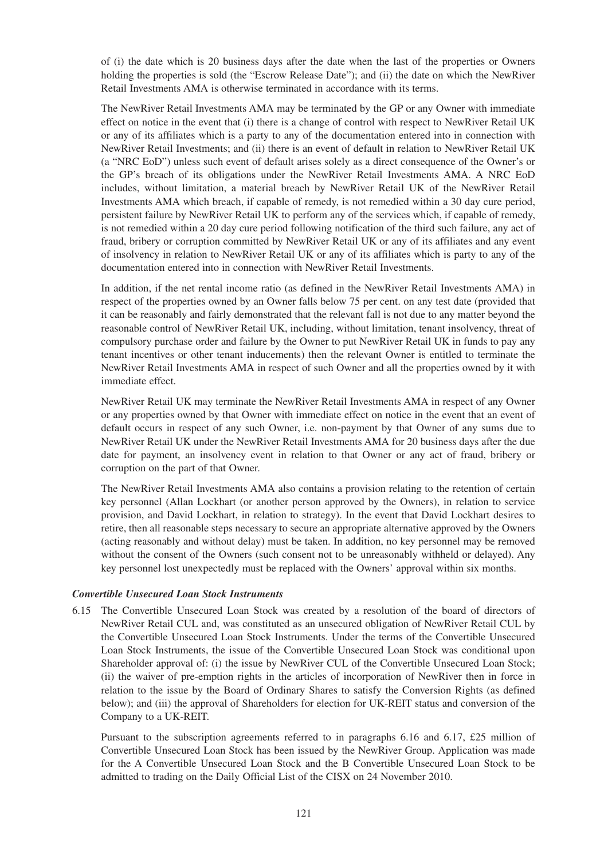of (i) the date which is 20 business days after the date when the last of the properties or Owners holding the properties is sold (the "Escrow Release Date"); and (ii) the date on which the NewRiver Retail Investments AMA is otherwise terminated in accordance with its terms.

The NewRiver Retail Investments AMA may be terminated by the GP or any Owner with immediate effect on notice in the event that (i) there is a change of control with respect to NewRiver Retail UK or any of its affiliates which is a party to any of the documentation entered into in connection with NewRiver Retail Investments; and (ii) there is an event of default in relation to NewRiver Retail UK (a "NRC EoD") unless such event of default arises solely as a direct consequence of the Owner's or the GP's breach of its obligations under the NewRiver Retail Investments AMA. A NRC EoD includes, without limitation, a material breach by NewRiver Retail UK of the NewRiver Retail Investments AMA which breach, if capable of remedy, is not remedied within a 30 day cure period, persistent failure by NewRiver Retail UK to perform any of the services which, if capable of remedy, is not remedied within a 20 day cure period following notification of the third such failure, any act of fraud, bribery or corruption committed by NewRiver Retail UK or any of its affiliates and any event of insolvency in relation to NewRiver Retail UK or any of its affiliates which is party to any of the documentation entered into in connection with NewRiver Retail Investments.

In addition, if the net rental income ratio (as defined in the NewRiver Retail Investments AMA) in respect of the properties owned by an Owner falls below 75 per cent. on any test date (provided that it can be reasonably and fairly demonstrated that the relevant fall is not due to any matter beyond the reasonable control of NewRiver Retail UK, including, without limitation, tenant insolvency, threat of compulsory purchase order and failure by the Owner to put NewRiver Retail UK in funds to pay any tenant incentives or other tenant inducements) then the relevant Owner is entitled to terminate the NewRiver Retail Investments AMA in respect of such Owner and all the properties owned by it with immediate effect.

NewRiver Retail UK may terminate the NewRiver Retail Investments AMA in respect of any Owner or any properties owned by that Owner with immediate effect on notice in the event that an event of default occurs in respect of any such Owner, i.e. non-payment by that Owner of any sums due to NewRiver Retail UK under the NewRiver Retail Investments AMA for 20 business days after the due date for payment, an insolvency event in relation to that Owner or any act of fraud, bribery or corruption on the part of that Owner.

The NewRiver Retail Investments AMA also contains a provision relating to the retention of certain key personnel (Allan Lockhart (or another person approved by the Owners), in relation to service provision, and David Lockhart, in relation to strategy). In the event that David Lockhart desires to retire, then all reasonable steps necessary to secure an appropriate alternative approved by the Owners (acting reasonably and without delay) must be taken. In addition, no key personnel may be removed without the consent of the Owners (such consent not to be unreasonably withheld or delayed). Any key personnel lost unexpectedly must be replaced with the Owners' approval within six months.

#### *Convertible Unsecured Loan Stock Instruments*

6.15 The Convertible Unsecured Loan Stock was created by a resolution of the board of directors of NewRiver Retail CUL and, was constituted as an unsecured obligation of NewRiver Retail CUL by the Convertible Unsecured Loan Stock Instruments. Under the terms of the Convertible Unsecured Loan Stock Instruments, the issue of the Convertible Unsecured Loan Stock was conditional upon Shareholder approval of: (i) the issue by NewRiver CUL of the Convertible Unsecured Loan Stock; (ii) the waiver of pre-emption rights in the articles of incorporation of NewRiver then in force in relation to the issue by the Board of Ordinary Shares to satisfy the Conversion Rights (as defined below); and (iii) the approval of Shareholders for election for UK-REIT status and conversion of the Company to a UK-REIT.

Pursuant to the subscription agreements referred to in paragraphs 6.16 and 6.17, £25 million of Convertible Unsecured Loan Stock has been issued by the NewRiver Group. Application was made for the A Convertible Unsecured Loan Stock and the B Convertible Unsecured Loan Stock to be admitted to trading on the Daily Official List of the CISX on 24 November 2010.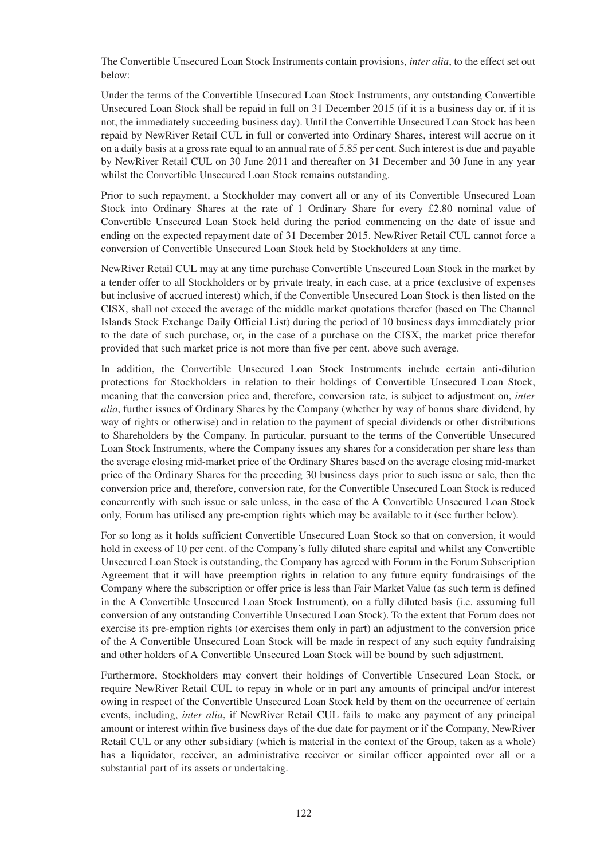The Convertible Unsecured Loan Stock Instruments contain provisions, *inter alia*, to the effect set out below:

Under the terms of the Convertible Unsecured Loan Stock Instruments, any outstanding Convertible Unsecured Loan Stock shall be repaid in full on 31 December 2015 (if it is a business day or, if it is not, the immediately succeeding business day). Until the Convertible Unsecured Loan Stock has been repaid by NewRiver Retail CUL in full or converted into Ordinary Shares, interest will accrue on it on a daily basis at a gross rate equal to an annual rate of 5.85 per cent. Such interest is due and payable by NewRiver Retail CUL on 30 June 2011 and thereafter on 31 December and 30 June in any year whilst the Convertible Unsecured Loan Stock remains outstanding.

Prior to such repayment, a Stockholder may convert all or any of its Convertible Unsecured Loan Stock into Ordinary Shares at the rate of 1 Ordinary Share for every £2.80 nominal value of Convertible Unsecured Loan Stock held during the period commencing on the date of issue and ending on the expected repayment date of 31 December 2015. NewRiver Retail CUL cannot force a conversion of Convertible Unsecured Loan Stock held by Stockholders at any time.

NewRiver Retail CUL may at any time purchase Convertible Unsecured Loan Stock in the market by a tender offer to all Stockholders or by private treaty, in each case, at a price (exclusive of expenses but inclusive of accrued interest) which, if the Convertible Unsecured Loan Stock is then listed on the CISX, shall not exceed the average of the middle market quotations therefor (based on The Channel Islands Stock Exchange Daily Official List) during the period of 10 business days immediately prior to the date of such purchase, or, in the case of a purchase on the CISX, the market price therefor provided that such market price is not more than five per cent. above such average.

In addition, the Convertible Unsecured Loan Stock Instruments include certain anti-dilution protections for Stockholders in relation to their holdings of Convertible Unsecured Loan Stock, meaning that the conversion price and, therefore, conversion rate, is subject to adjustment on, *inter alia*, further issues of Ordinary Shares by the Company (whether by way of bonus share dividend, by way of rights or otherwise) and in relation to the payment of special dividends or other distributions to Shareholders by the Company. In particular, pursuant to the terms of the Convertible Unsecured Loan Stock Instruments, where the Company issues any shares for a consideration per share less than the average closing mid-market price of the Ordinary Shares based on the average closing mid-market price of the Ordinary Shares for the preceding 30 business days prior to such issue or sale, then the conversion price and, therefore, conversion rate, for the Convertible Unsecured Loan Stock is reduced concurrently with such issue or sale unless, in the case of the A Convertible Unsecured Loan Stock only, Forum has utilised any pre-emption rights which may be available to it (see further below).

For so long as it holds sufficient Convertible Unsecured Loan Stock so that on conversion, it would hold in excess of 10 per cent. of the Company's fully diluted share capital and whilst any Convertible Unsecured Loan Stock is outstanding, the Company has agreed with Forum in the Forum Subscription Agreement that it will have preemption rights in relation to any future equity fundraisings of the Company where the subscription or offer price is less than Fair Market Value (as such term is defined in the A Convertible Unsecured Loan Stock Instrument), on a fully diluted basis (i.e. assuming full conversion of any outstanding Convertible Unsecured Loan Stock). To the extent that Forum does not exercise its pre-emption rights (or exercises them only in part) an adjustment to the conversion price of the A Convertible Unsecured Loan Stock will be made in respect of any such equity fundraising and other holders of A Convertible Unsecured Loan Stock will be bound by such adjustment.

Furthermore, Stockholders may convert their holdings of Convertible Unsecured Loan Stock, or require NewRiver Retail CUL to repay in whole or in part any amounts of principal and/or interest owing in respect of the Convertible Unsecured Loan Stock held by them on the occurrence of certain events, including, *inter alia*, if NewRiver Retail CUL fails to make any payment of any principal amount or interest within five business days of the due date for payment or if the Company, NewRiver Retail CUL or any other subsidiary (which is material in the context of the Group, taken as a whole) has a liquidator, receiver, an administrative receiver or similar officer appointed over all or a substantial part of its assets or undertaking.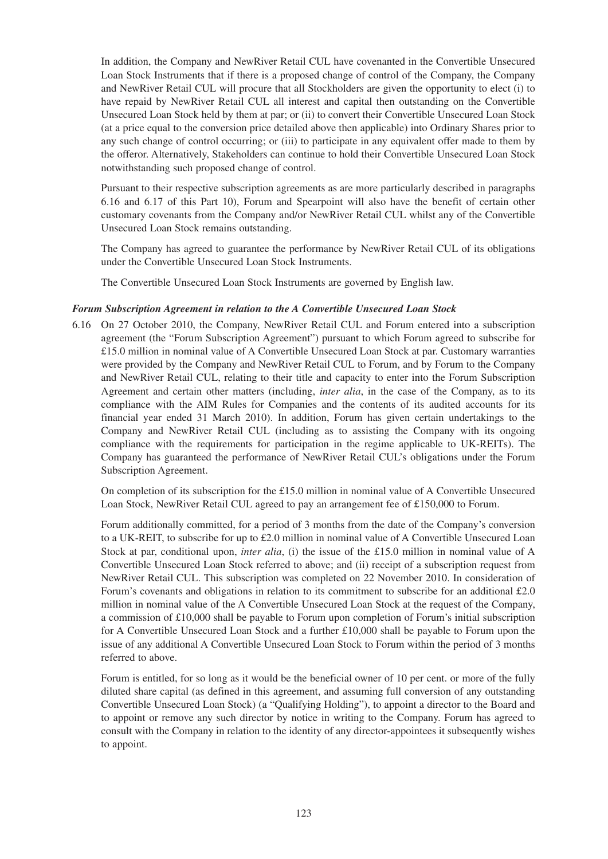In addition, the Company and NewRiver Retail CUL have covenanted in the Convertible Unsecured Loan Stock Instruments that if there is a proposed change of control of the Company, the Company and NewRiver Retail CUL will procure that all Stockholders are given the opportunity to elect (i) to have repaid by NewRiver Retail CUL all interest and capital then outstanding on the Convertible Unsecured Loan Stock held by them at par; or (ii) to convert their Convertible Unsecured Loan Stock (at a price equal to the conversion price detailed above then applicable) into Ordinary Shares prior to any such change of control occurring; or (iii) to participate in any equivalent offer made to them by the offeror. Alternatively, Stakeholders can continue to hold their Convertible Unsecured Loan Stock notwithstanding such proposed change of control.

Pursuant to their respective subscription agreements as are more particularly described in paragraphs 6.16 and 6.17 of this Part 10), Forum and Spearpoint will also have the benefit of certain other customary covenants from the Company and/or NewRiver Retail CUL whilst any of the Convertible Unsecured Loan Stock remains outstanding.

The Company has agreed to guarantee the performance by NewRiver Retail CUL of its obligations under the Convertible Unsecured Loan Stock Instruments.

The Convertible Unsecured Loan Stock Instruments are governed by English law.

### *Forum Subscription Agreement in relation to the A Convertible Unsecured Loan Stock*

6.16 On 27 October 2010, the Company, NewRiver Retail CUL and Forum entered into a subscription agreement (the "Forum Subscription Agreement") pursuant to which Forum agreed to subscribe for £15.0 million in nominal value of A Convertible Unsecured Loan Stock at par. Customary warranties were provided by the Company and NewRiver Retail CUL to Forum, and by Forum to the Company and NewRiver Retail CUL, relating to their title and capacity to enter into the Forum Subscription Agreement and certain other matters (including, *inter alia*, in the case of the Company, as to its compliance with the AIM Rules for Companies and the contents of its audited accounts for its financial year ended 31 March 2010). In addition, Forum has given certain undertakings to the Company and NewRiver Retail CUL (including as to assisting the Company with its ongoing compliance with the requirements for participation in the regime applicable to UK-REITs). The Company has guaranteed the performance of NewRiver Retail CUL's obligations under the Forum Subscription Agreement.

On completion of its subscription for the £15.0 million in nominal value of A Convertible Unsecured Loan Stock, NewRiver Retail CUL agreed to pay an arrangement fee of £150,000 to Forum.

Forum additionally committed, for a period of 3 months from the date of the Company's conversion to a UK-REIT, to subscribe for up to £2.0 million in nominal value of A Convertible Unsecured Loan Stock at par, conditional upon, *inter alia*, (i) the issue of the £15.0 million in nominal value of A Convertible Unsecured Loan Stock referred to above; and (ii) receipt of a subscription request from NewRiver Retail CUL. This subscription was completed on 22 November 2010. In consideration of Forum's covenants and obligations in relation to its commitment to subscribe for an additional £2.0 million in nominal value of the A Convertible Unsecured Loan Stock at the request of the Company, a commission of £10,000 shall be payable to Forum upon completion of Forum's initial subscription for A Convertible Unsecured Loan Stock and a further £10,000 shall be payable to Forum upon the issue of any additional A Convertible Unsecured Loan Stock to Forum within the period of 3 months referred to above.

Forum is entitled, for so long as it would be the beneficial owner of 10 per cent. or more of the fully diluted share capital (as defined in this agreement, and assuming full conversion of any outstanding Convertible Unsecured Loan Stock) (a "Qualifying Holding"), to appoint a director to the Board and to appoint or remove any such director by notice in writing to the Company. Forum has agreed to consult with the Company in relation to the identity of any director-appointees it subsequently wishes to appoint.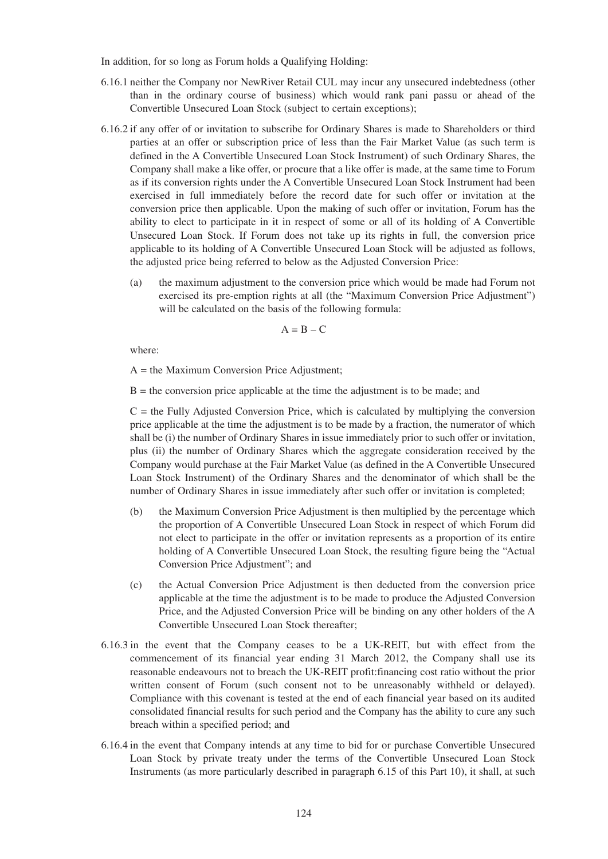In addition, for so long as Forum holds a Qualifying Holding:

- 6.16.1 neither the Company nor NewRiver Retail CUL may incur any unsecured indebtedness (other than in the ordinary course of business) which would rank pani passu or ahead of the Convertible Unsecured Loan Stock (subject to certain exceptions);
- 6.16.2 if any offer of or invitation to subscribe for Ordinary Shares is made to Shareholders or third parties at an offer or subscription price of less than the Fair Market Value (as such term is defined in the A Convertible Unsecured Loan Stock Instrument) of such Ordinary Shares, the Company shall make a like offer, or procure that a like offer is made, at the same time to Forum as if its conversion rights under the A Convertible Unsecured Loan Stock Instrument had been exercised in full immediately before the record date for such offer or invitation at the conversion price then applicable. Upon the making of such offer or invitation, Forum has the ability to elect to participate in it in respect of some or all of its holding of A Convertible Unsecured Loan Stock. If Forum does not take up its rights in full, the conversion price applicable to its holding of A Convertible Unsecured Loan Stock will be adjusted as follows, the adjusted price being referred to below as the Adjusted Conversion Price:
	- (a) the maximum adjustment to the conversion price which would be made had Forum not exercised its pre-emption rights at all (the "Maximum Conversion Price Adjustment") will be calculated on the basis of the following formula:

$$
A = B - C
$$

where:

A = the Maximum Conversion Price Adjustment;

 $B =$  the conversion price applicable at the time the adjustment is to be made; and

 $C =$  the Fully Adjusted Conversion Price, which is calculated by multiplying the conversion price applicable at the time the adjustment is to be made by a fraction, the numerator of which shall be (i) the number of Ordinary Shares in issue immediately prior to such offer or invitation, plus (ii) the number of Ordinary Shares which the aggregate consideration received by the Company would purchase at the Fair Market Value (as defined in the A Convertible Unsecured Loan Stock Instrument) of the Ordinary Shares and the denominator of which shall be the number of Ordinary Shares in issue immediately after such offer or invitation is completed;

- (b) the Maximum Conversion Price Adjustment is then multiplied by the percentage which the proportion of A Convertible Unsecured Loan Stock in respect of which Forum did not elect to participate in the offer or invitation represents as a proportion of its entire holding of A Convertible Unsecured Loan Stock, the resulting figure being the "Actual Conversion Price Adjustment"; and
- (c) the Actual Conversion Price Adjustment is then deducted from the conversion price applicable at the time the adjustment is to be made to produce the Adjusted Conversion Price, and the Adjusted Conversion Price will be binding on any other holders of the A Convertible Unsecured Loan Stock thereafter;
- 6.16.3 in the event that the Company ceases to be a UK-REIT, but with effect from the commencement of its financial year ending 31 March 2012, the Company shall use its reasonable endeavours not to breach the UK-REIT profit:financing cost ratio without the prior written consent of Forum (such consent not to be unreasonably withheld or delayed). Compliance with this covenant is tested at the end of each financial year based on its audited consolidated financial results for such period and the Company has the ability to cure any such breach within a specified period; and
- 6.16.4 in the event that Company intends at any time to bid for or purchase Convertible Unsecured Loan Stock by private treaty under the terms of the Convertible Unsecured Loan Stock Instruments (as more particularly described in paragraph 6.15 of this Part 10), it shall, at such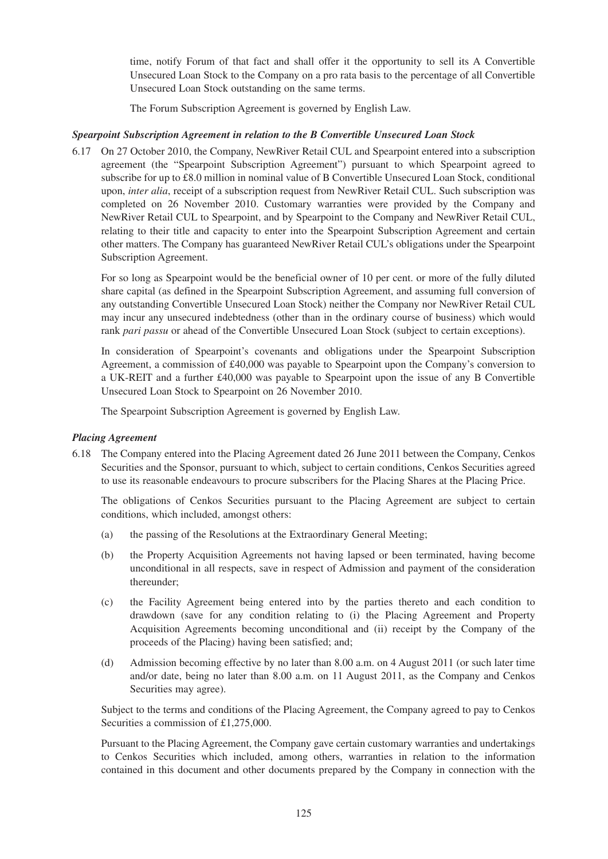time, notify Forum of that fact and shall offer it the opportunity to sell its A Convertible Unsecured Loan Stock to the Company on a pro rata basis to the percentage of all Convertible Unsecured Loan Stock outstanding on the same terms.

The Forum Subscription Agreement is governed by English Law.

## *Spearpoint Subscription Agreement in relation to the B Convertible Unsecured Loan Stock*

6.17 On 27 October 2010, the Company, NewRiver Retail CUL and Spearpoint entered into a subscription agreement (the "Spearpoint Subscription Agreement") pursuant to which Spearpoint agreed to subscribe for up to £8.0 million in nominal value of B Convertible Unsecured Loan Stock, conditional upon, *inter alia*, receipt of a subscription request from NewRiver Retail CUL. Such subscription was completed on 26 November 2010. Customary warranties were provided by the Company and NewRiver Retail CUL to Spearpoint, and by Spearpoint to the Company and NewRiver Retail CUL, relating to their title and capacity to enter into the Spearpoint Subscription Agreement and certain other matters. The Company has guaranteed NewRiver Retail CUL's obligations under the Spearpoint Subscription Agreement.

For so long as Spearpoint would be the beneficial owner of 10 per cent. or more of the fully diluted share capital (as defined in the Spearpoint Subscription Agreement, and assuming full conversion of any outstanding Convertible Unsecured Loan Stock) neither the Company nor NewRiver Retail CUL may incur any unsecured indebtedness (other than in the ordinary course of business) which would rank *pari passu* or ahead of the Convertible Unsecured Loan Stock (subject to certain exceptions).

In consideration of Spearpoint's covenants and obligations under the Spearpoint Subscription Agreement, a commission of £40,000 was payable to Spearpoint upon the Company's conversion to a UK-REIT and a further £40,000 was payable to Spearpoint upon the issue of any B Convertible Unsecured Loan Stock to Spearpoint on 26 November 2010.

The Spearpoint Subscription Agreement is governed by English Law.

## *Placing Agreement*

6.18 The Company entered into the Placing Agreement dated 26 June 2011 between the Company, Cenkos Securities and the Sponsor, pursuant to which, subject to certain conditions, Cenkos Securities agreed to use its reasonable endeavours to procure subscribers for the Placing Shares at the Placing Price.

The obligations of Cenkos Securities pursuant to the Placing Agreement are subject to certain conditions, which included, amongst others:

- (a) the passing of the Resolutions at the Extraordinary General Meeting;
- (b) the Property Acquisition Agreements not having lapsed or been terminated, having become unconditional in all respects, save in respect of Admission and payment of the consideration thereunder;
- (c) the Facility Agreement being entered into by the parties thereto and each condition to drawdown (save for any condition relating to (i) the Placing Agreement and Property Acquisition Agreements becoming unconditional and (ii) receipt by the Company of the proceeds of the Placing) having been satisfied; and;
- (d) Admission becoming effective by no later than 8.00 a.m. on 4 August 2011 (or such later time and/or date, being no later than 8.00 a.m. on 11 August 2011, as the Company and Cenkos Securities may agree).

Subject to the terms and conditions of the Placing Agreement, the Company agreed to pay to Cenkos Securities a commission of £1,275,000.

Pursuant to the Placing Agreement, the Company gave certain customary warranties and undertakings to Cenkos Securities which included, among others, warranties in relation to the information contained in this document and other documents prepared by the Company in connection with the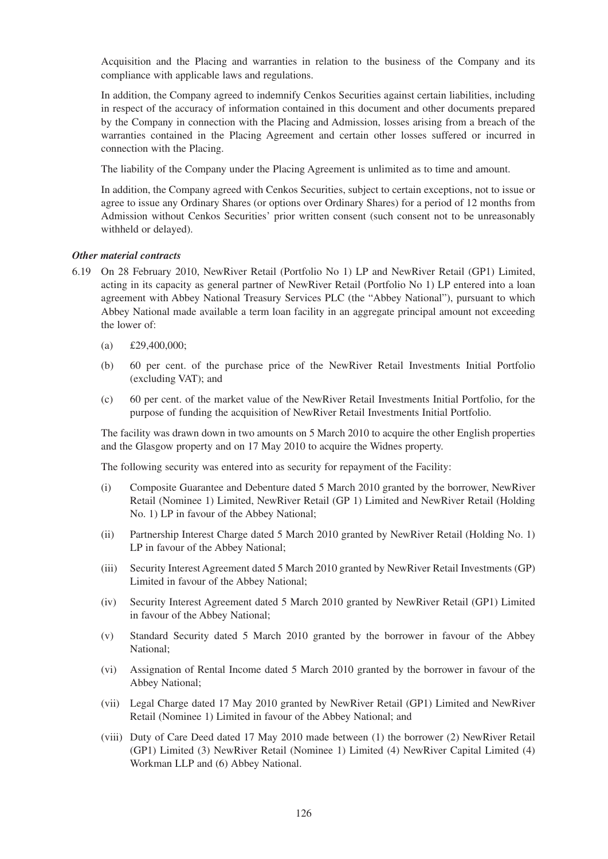Acquisition and the Placing and warranties in relation to the business of the Company and its compliance with applicable laws and regulations.

In addition, the Company agreed to indemnify Cenkos Securities against certain liabilities, including in respect of the accuracy of information contained in this document and other documents prepared by the Company in connection with the Placing and Admission, losses arising from a breach of the warranties contained in the Placing Agreement and certain other losses suffered or incurred in connection with the Placing.

The liability of the Company under the Placing Agreement is unlimited as to time and amount.

In addition, the Company agreed with Cenkos Securities, subject to certain exceptions, not to issue or agree to issue any Ordinary Shares (or options over Ordinary Shares) for a period of 12 months from Admission without Cenkos Securities' prior written consent (such consent not to be unreasonably withheld or delayed).

### *Other material contracts*

- 6.19 On 28 February 2010, NewRiver Retail (Portfolio No 1) LP and NewRiver Retail (GP1) Limited, acting in its capacity as general partner of NewRiver Retail (Portfolio No 1) LP entered into a loan agreement with Abbey National Treasury Services PLC (the "Abbey National"), pursuant to which Abbey National made available a term loan facility in an aggregate principal amount not exceeding the lower of:
	- (a) £29,400,000;
	- (b) 60 per cent. of the purchase price of the NewRiver Retail Investments Initial Portfolio (excluding VAT); and
	- (c) 60 per cent. of the market value of the NewRiver Retail Investments Initial Portfolio, for the purpose of funding the acquisition of NewRiver Retail Investments Initial Portfolio.

The facility was drawn down in two amounts on 5 March 2010 to acquire the other English properties and the Glasgow property and on 17 May 2010 to acquire the Widnes property.

The following security was entered into as security for repayment of the Facility:

- (i) Composite Guarantee and Debenture dated 5 March 2010 granted by the borrower, NewRiver Retail (Nominee 1) Limited, NewRiver Retail (GP 1) Limited and NewRiver Retail (Holding No. 1) LP in favour of the Abbey National;
- (ii) Partnership Interest Charge dated 5 March 2010 granted by NewRiver Retail (Holding No. 1) LP in favour of the Abbey National;
- (iii) Security Interest Agreement dated 5 March 2010 granted by NewRiver Retail Investments (GP) Limited in favour of the Abbey National;
- (iv) Security Interest Agreement dated 5 March 2010 granted by NewRiver Retail (GP1) Limited in favour of the Abbey National;
- (v) Standard Security dated 5 March 2010 granted by the borrower in favour of the Abbey National;
- (vi) Assignation of Rental Income dated 5 March 2010 granted by the borrower in favour of the Abbey National;
- (vii) Legal Charge dated 17 May 2010 granted by NewRiver Retail (GP1) Limited and NewRiver Retail (Nominee 1) Limited in favour of the Abbey National; and
- (viii) Duty of Care Deed dated 17 May 2010 made between (1) the borrower (2) NewRiver Retail (GP1) Limited (3) NewRiver Retail (Nominee 1) Limited (4) NewRiver Capital Limited (4) Workman LLP and (6) Abbey National.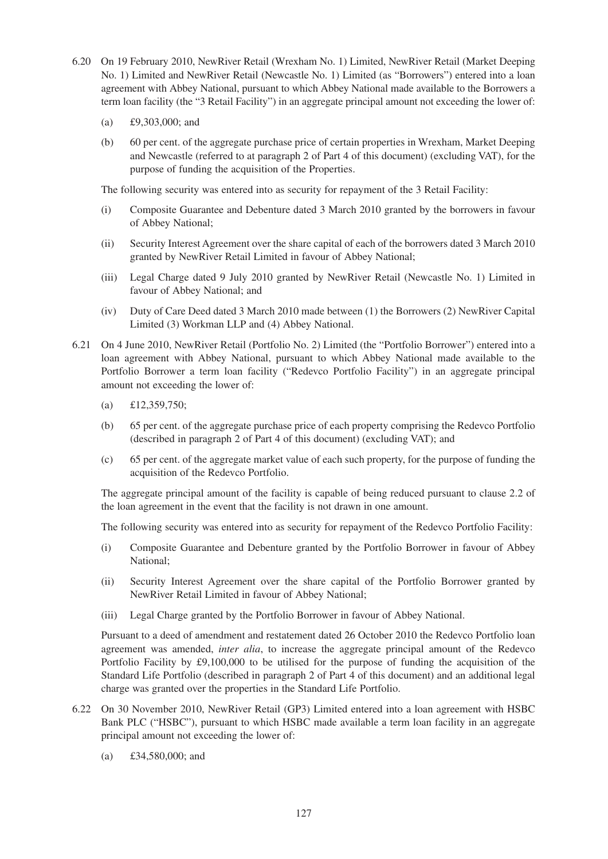- 6.20 On 19 February 2010, NewRiver Retail (Wrexham No. 1) Limited, NewRiver Retail (Market Deeping No. 1) Limited and NewRiver Retail (Newcastle No. 1) Limited (as "Borrowers") entered into a loan agreement with Abbey National, pursuant to which Abbey National made available to the Borrowers a term loan facility (the "3 Retail Facility") in an aggregate principal amount not exceeding the lower of:
	- (a) £9,303,000; and
	- (b) 60 per cent. of the aggregate purchase price of certain properties in Wrexham, Market Deeping and Newcastle (referred to at paragraph 2 of Part 4 of this document) (excluding VAT), for the purpose of funding the acquisition of the Properties.

The following security was entered into as security for repayment of the 3 Retail Facility:

- (i) Composite Guarantee and Debenture dated 3 March 2010 granted by the borrowers in favour of Abbey National;
- (ii) Security Interest Agreement over the share capital of each of the borrowers dated 3 March 2010 granted by NewRiver Retail Limited in favour of Abbey National;
- (iii) Legal Charge dated 9 July 2010 granted by NewRiver Retail (Newcastle No. 1) Limited in favour of Abbey National; and
- (iv) Duty of Care Deed dated 3 March 2010 made between (1) the Borrowers (2) NewRiver Capital Limited (3) Workman LLP and (4) Abbey National.
- 6.21 On 4 June 2010, NewRiver Retail (Portfolio No. 2) Limited (the "Portfolio Borrower") entered into a loan agreement with Abbey National, pursuant to which Abbey National made available to the Portfolio Borrower a term loan facility ("Redevco Portfolio Facility") in an aggregate principal amount not exceeding the lower of:
	- (a) £12,359,750;
	- (b) 65 per cent. of the aggregate purchase price of each property comprising the Redevco Portfolio (described in paragraph 2 of Part 4 of this document) (excluding VAT); and
	- (c) 65 per cent. of the aggregate market value of each such property, for the purpose of funding the acquisition of the Redevco Portfolio.

The aggregate principal amount of the facility is capable of being reduced pursuant to clause 2.2 of the loan agreement in the event that the facility is not drawn in one amount.

The following security was entered into as security for repayment of the Redevco Portfolio Facility:

- (i) Composite Guarantee and Debenture granted by the Portfolio Borrower in favour of Abbey National;
- (ii) Security Interest Agreement over the share capital of the Portfolio Borrower granted by NewRiver Retail Limited in favour of Abbey National;
- (iii) Legal Charge granted by the Portfolio Borrower in favour of Abbey National.

Pursuant to a deed of amendment and restatement dated 26 October 2010 the Redevco Portfolio loan agreement was amended, *inter alia*, to increase the aggregate principal amount of the Redevco Portfolio Facility by £9,100,000 to be utilised for the purpose of funding the acquisition of the Standard Life Portfolio (described in paragraph 2 of Part 4 of this document) and an additional legal charge was granted over the properties in the Standard Life Portfolio.

- 6.22 On 30 November 2010, NewRiver Retail (GP3) Limited entered into a loan agreement with HSBC Bank PLC ("HSBC"), pursuant to which HSBC made available a term loan facility in an aggregate principal amount not exceeding the lower of:
	- (a) £34,580,000; and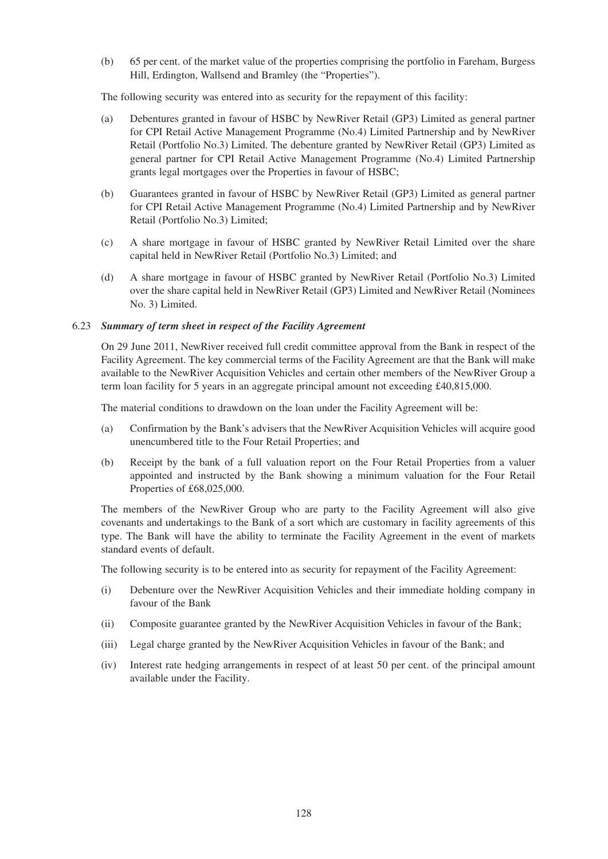(b) 65 per cent. of the market value of the properties comprising the portfolio in Fareham, Burgess Hill, Erdington, Wallsend and Bramley (the "Properties").

The following security was entered into as security for the repayment of this facility:

- (a) Debentures granted in favour of HSBC by NewRiver Retail (GP3) Limited as general partner for CPI Retail Active Management Programme (No.4) Limited Partnership and by NewRiver Retail (Portfolio No.3) Limited. The debenture granted by NewRiver Retail (GP3) Limited as general partner for CPI Retail Active Management Programme (No.4) Limited Partnership grants legal mortgages over the Properties in favour of HSBC;
- (b) Guarantees granted in favour of HSBC by NewRiver Retail (GP3) Limited as general partner for CPI Retail Active Management Programme (No.4) Limited Partnership and by NewRiver Retail (Portfolio No.3) Limited;
- (c) A share mortgage in favour of HSBC granted by NewRiver Retail Limited over the share capital held in NewRiver Retail (Portfolio No.3) Limited; and
- (d) A share mortgage in favour of HSBC granted by NewRiver Retail (Portfolio No.3) Limited over the share capital held in NewRiver Retail (GP3) Limited and NewRiver Retail (Nominees No. 3) Limited.

#### 6.23 *Summary of term sheet in respect of the Facility Agreement*

On 29 June 2011, NewRiver received full credit committee approval from the Bank in respect of the Facility Agreement. The key commercial terms of the Facility Agreement are that the Bank will make available to the NewRiver Acquisition Vehicles and certain other members of the NewRiver Group a term loan facility for 5 years in an aggregate principal amount not exceeding £40,815,000.

The material conditions to drawdown on the loan under the Facility Agreement will be:

- (a) Confirmation by the Bank's advisers that the NewRiver Acquisition Vehicles will acquire good unencumbered title to the Four Retail Properties; and
- (b) Receipt by the bank of a full valuation report on the Four Retail Properties from a valuer appointed and instructed by the Bank showing a minimum valuation for the Four Retail Properties of £68,025,000.

The members of the NewRiver Group who are party to the Facility Agreement will also give covenants and undertakings to the Bank of a sort which are customary in facility agreements of this type. The Bank will have the ability to terminate the Facility Agreement in the event of markets standard events of default.

The following security is to be entered into as security for repayment of the Facility Agreement:

- (i) Debenture over the NewRiver Acquisition Vehicles and their immediate holding company in favour of the Bank
- (ii) Composite guarantee granted by the NewRiver Acquisition Vehicles in favour of the Bank;
- (iii) Legal charge granted by the NewRiver Acquisition Vehicles in favour of the Bank; and
- (iv) Interest rate hedging arrangements in respect of at least 50 per cent. of the principal amount available under the Facility.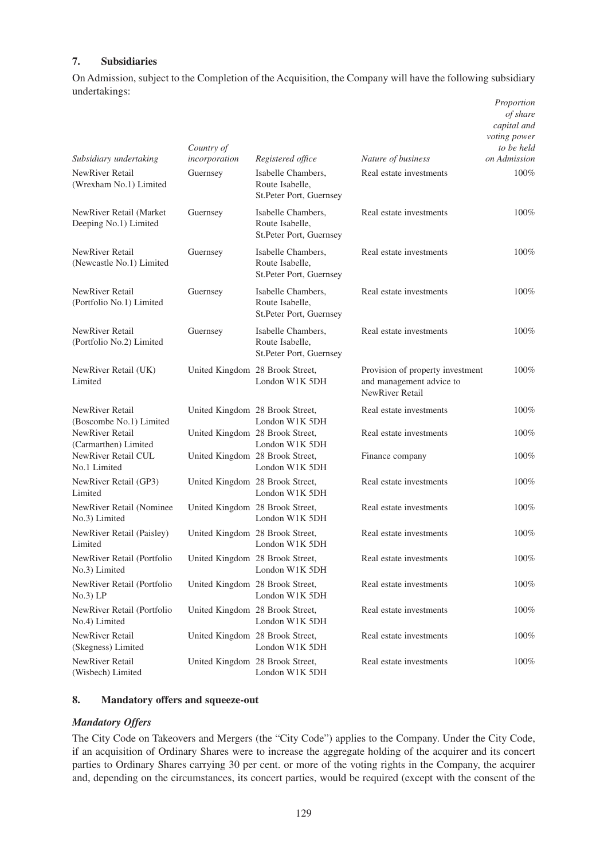## **7. Subsidiaries**

On Admission, subject to the Completion of the Acquisition, the Company will have the following subsidiary undertakings: *Proportion*

| Subsidiary undertaking                           | Country of<br>incorporation     | Registered office                                                | Nature of business                                                                     | of share<br>capital and<br>voting power<br>to be held<br>on Admission |
|--------------------------------------------------|---------------------------------|------------------------------------------------------------------|----------------------------------------------------------------------------------------|-----------------------------------------------------------------------|
| NewRiver Retail<br>(Wrexham No.1) Limited        | Guernsey                        | Isabelle Chambers,<br>Route Isabelle.<br>St.Peter Port, Guernsey | Real estate investments                                                                | 100%                                                                  |
| NewRiver Retail (Market<br>Deeping No.1) Limited | Guernsey                        | Isabelle Chambers,<br>Route Isabelle,<br>St.Peter Port, Guernsey | Real estate investments                                                                | 100%                                                                  |
| NewRiver Retail<br>(Newcastle No.1) Limited      | Guernsey                        | Isabelle Chambers,<br>Route Isabelle,<br>St.Peter Port, Guernsey | Real estate investments                                                                | 100%                                                                  |
| NewRiver Retail<br>(Portfolio No.1) Limited      | Guernsey                        | Isabelle Chambers,<br>Route Isabelle,<br>St.Peter Port, Guernsey | Real estate investments                                                                | 100%                                                                  |
| NewRiver Retail<br>(Portfolio No.2) Limited      | Guernsey                        | Isabelle Chambers,<br>Route Isabelle,<br>St.Peter Port, Guernsey | Real estate investments                                                                | 100%                                                                  |
| NewRiver Retail (UK)<br>Limited                  | United Kingdom 28 Brook Street, | London W1K 5DH                                                   | Provision of property investment<br>and management advice to<br><b>NewRiver Retail</b> | 100%                                                                  |
| NewRiver Retail<br>(Boscombe No.1) Limited       | United Kingdom 28 Brook Street, | London W1K 5DH                                                   | Real estate investments                                                                | 100%                                                                  |
| NewRiver Retail<br>(Carmarthen) Limited          | United Kingdom 28 Brook Street, | London W1K 5DH                                                   | Real estate investments                                                                | $100\%$                                                               |
| NewRiver Retail CUL<br>No.1 Limited              | United Kingdom 28 Brook Street, | London W1K 5DH                                                   | Finance company                                                                        | $100\%$                                                               |
| NewRiver Retail (GP3)<br>Limited                 | United Kingdom 28 Brook Street, | London W1K 5DH                                                   | Real estate investments                                                                | $100\%$                                                               |
| NewRiver Retail (Nominee<br>No.3) Limited        | United Kingdom 28 Brook Street, | London W1K 5DH                                                   | Real estate investments                                                                | 100%                                                                  |
| NewRiver Retail (Paisley)<br>Limited             | United Kingdom 28 Brook Street, | London W1K 5DH                                                   | Real estate investments                                                                | $100\%$                                                               |
| NewRiver Retail (Portfolio<br>No.3) Limited      | United Kingdom 28 Brook Street, | London W1K 5DH                                                   | Real estate investments                                                                | 100%                                                                  |
| NewRiver Retail (Portfolio<br>No.3) LP           | United Kingdom 28 Brook Street, | London W1K 5DH                                                   | Real estate investments                                                                | 100%                                                                  |
| NewRiver Retail (Portfolio<br>No.4) Limited      | United Kingdom 28 Brook Street, | London W1K 5DH                                                   | Real estate investments                                                                | 100%                                                                  |
| NewRiver Retail<br>(Skegness) Limited            | United Kingdom 28 Brook Street, | London W1K 5DH                                                   | Real estate investments                                                                | 100%                                                                  |
| NewRiver Retail<br>(Wisbech) Limited             |                                 | United Kingdom 28 Brook Street,<br>London W1K 5DH                | Real estate investments                                                                | 100%                                                                  |

## **8. Mandatory offers and squeeze-out**

## *Mandatory Offers*

The City Code on Takeovers and Mergers (the "City Code") applies to the Company. Under the City Code, if an acquisition of Ordinary Shares were to increase the aggregate holding of the acquirer and its concert parties to Ordinary Shares carrying 30 per cent. or more of the voting rights in the Company, the acquirer and, depending on the circumstances, its concert parties, would be required (except with the consent of the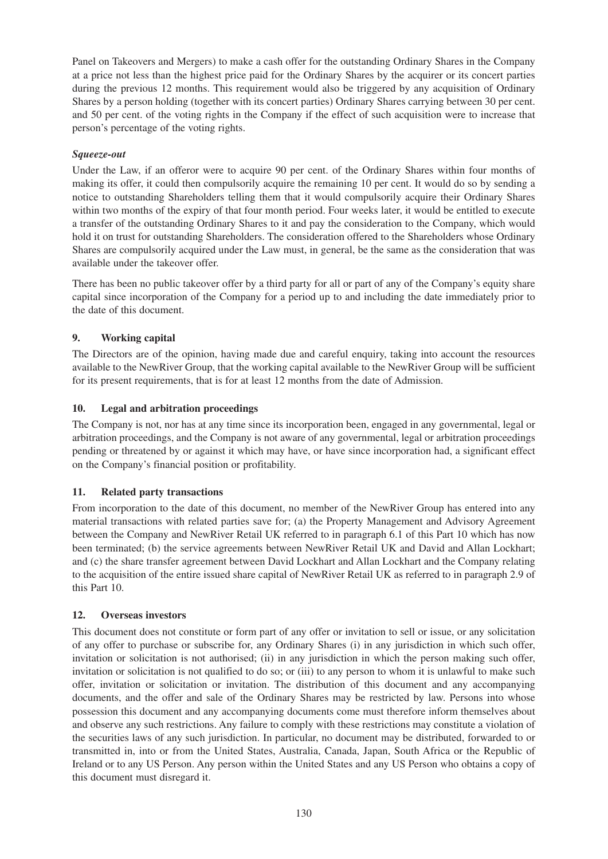Panel on Takeovers and Mergers) to make a cash offer for the outstanding Ordinary Shares in the Company at a price not less than the highest price paid for the Ordinary Shares by the acquirer or its concert parties during the previous 12 months. This requirement would also be triggered by any acquisition of Ordinary Shares by a person holding (together with its concert parties) Ordinary Shares carrying between 30 per cent. and 50 per cent. of the voting rights in the Company if the effect of such acquisition were to increase that person's percentage of the voting rights.

## *Squeeze-out*

Under the Law, if an offeror were to acquire 90 per cent. of the Ordinary Shares within four months of making its offer, it could then compulsorily acquire the remaining 10 per cent. It would do so by sending a notice to outstanding Shareholders telling them that it would compulsorily acquire their Ordinary Shares within two months of the expiry of that four month period. Four weeks later, it would be entitled to execute a transfer of the outstanding Ordinary Shares to it and pay the consideration to the Company, which would hold it on trust for outstanding Shareholders. The consideration offered to the Shareholders whose Ordinary Shares are compulsorily acquired under the Law must, in general, be the same as the consideration that was available under the takeover offer.

There has been no public takeover offer by a third party for all or part of any of the Company's equity share capital since incorporation of the Company for a period up to and including the date immediately prior to the date of this document.

## **9. Working capital**

The Directors are of the opinion, having made due and careful enquiry, taking into account the resources available to the NewRiver Group, that the working capital available to the NewRiver Group will be sufficient for its present requirements, that is for at least 12 months from the date of Admission.

## **10. Legal and arbitration proceedings**

The Company is not, nor has at any time since its incorporation been, engaged in any governmental, legal or arbitration proceedings, and the Company is not aware of any governmental, legal or arbitration proceedings pending or threatened by or against it which may have, or have since incorporation had, a significant effect on the Company's financial position or profitability.

## **11. Related party transactions**

From incorporation to the date of this document, no member of the NewRiver Group has entered into any material transactions with related parties save for; (a) the Property Management and Advisory Agreement between the Company and NewRiver Retail UK referred to in paragraph 6.1 of this Part 10 which has now been terminated; (b) the service agreements between NewRiver Retail UK and David and Allan Lockhart; and (c) the share transfer agreement between David Lockhart and Allan Lockhart and the Company relating to the acquisition of the entire issued share capital of NewRiver Retail UK as referred to in paragraph 2.9 of this Part 10.

## **12. Overseas investors**

This document does not constitute or form part of any offer or invitation to sell or issue, or any solicitation of any offer to purchase or subscribe for, any Ordinary Shares (i) in any jurisdiction in which such offer, invitation or solicitation is not authorised; (ii) in any jurisdiction in which the person making such offer, invitation or solicitation is not qualified to do so; or (iii) to any person to whom it is unlawful to make such offer, invitation or solicitation or invitation. The distribution of this document and any accompanying documents, and the offer and sale of the Ordinary Shares may be restricted by law. Persons into whose possession this document and any accompanying documents come must therefore inform themselves about and observe any such restrictions. Any failure to comply with these restrictions may constitute a violation of the securities laws of any such jurisdiction. In particular, no document may be distributed, forwarded to or transmitted in, into or from the United States, Australia, Canada, Japan, South Africa or the Republic of Ireland or to any US Person. Any person within the United States and any US Person who obtains a copy of this document must disregard it.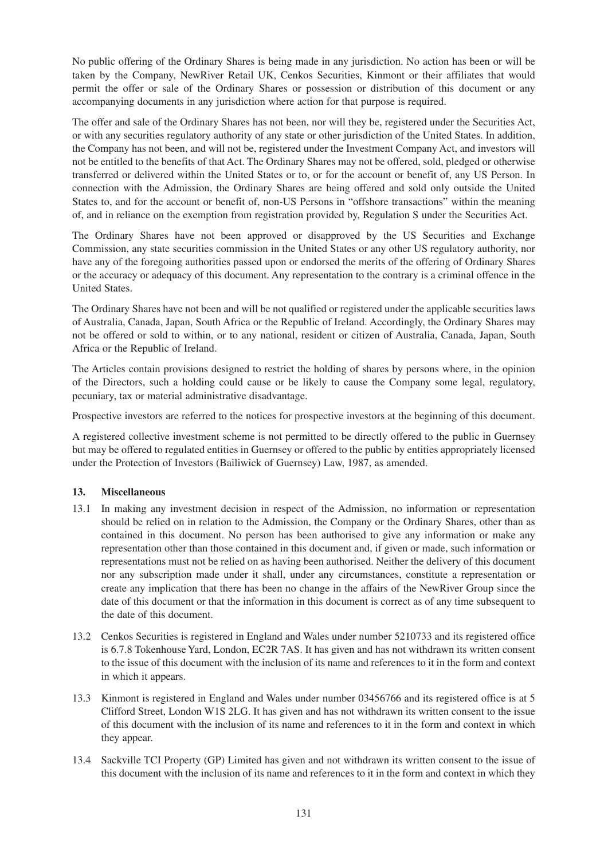No public offering of the Ordinary Shares is being made in any jurisdiction. No action has been or will be taken by the Company, NewRiver Retail UK, Cenkos Securities, Kinmont or their affiliates that would permit the offer or sale of the Ordinary Shares or possession or distribution of this document or any accompanying documents in any jurisdiction where action for that purpose is required.

The offer and sale of the Ordinary Shares has not been, nor will they be, registered under the Securities Act, or with any securities regulatory authority of any state or other jurisdiction of the United States. In addition, the Company has not been, and will not be, registered under the Investment Company Act, and investors will not be entitled to the benefits of that Act. The Ordinary Shares may not be offered, sold, pledged or otherwise transferred or delivered within the United States or to, or for the account or benefit of, any US Person. In connection with the Admission, the Ordinary Shares are being offered and sold only outside the United States to, and for the account or benefit of, non-US Persons in "offshore transactions" within the meaning of, and in reliance on the exemption from registration provided by, Regulation S under the Securities Act.

The Ordinary Shares have not been approved or disapproved by the US Securities and Exchange Commission, any state securities commission in the United States or any other US regulatory authority, nor have any of the foregoing authorities passed upon or endorsed the merits of the offering of Ordinary Shares or the accuracy or adequacy of this document. Any representation to the contrary is a criminal offence in the United States.

The Ordinary Shares have not been and will be not qualified or registered under the applicable securities laws of Australia, Canada, Japan, South Africa or the Republic of Ireland. Accordingly, the Ordinary Shares may not be offered or sold to within, or to any national, resident or citizen of Australia, Canada, Japan, South Africa or the Republic of Ireland.

The Articles contain provisions designed to restrict the holding of shares by persons where, in the opinion of the Directors, such a holding could cause or be likely to cause the Company some legal, regulatory, pecuniary, tax or material administrative disadvantage.

Prospective investors are referred to the notices for prospective investors at the beginning of this document.

A registered collective investment scheme is not permitted to be directly offered to the public in Guernsey but may be offered to regulated entities in Guernsey or offered to the public by entities appropriately licensed under the Protection of Investors (Bailiwick of Guernsey) Law, 1987, as amended.

## **13. Miscellaneous**

- 13.1 In making any investment decision in respect of the Admission, no information or representation should be relied on in relation to the Admission, the Company or the Ordinary Shares, other than as contained in this document. No person has been authorised to give any information or make any representation other than those contained in this document and, if given or made, such information or representations must not be relied on as having been authorised. Neither the delivery of this document nor any subscription made under it shall, under any circumstances, constitute a representation or create any implication that there has been no change in the affairs of the NewRiver Group since the date of this document or that the information in this document is correct as of any time subsequent to the date of this document.
- 13.2 Cenkos Securities is registered in England and Wales under number 5210733 and its registered office is 6.7.8 Tokenhouse Yard, London, EC2R 7AS. It has given and has not withdrawn its written consent to the issue of this document with the inclusion of its name and references to it in the form and context in which it appears.
- 13.3 Kinmont is registered in England and Wales under number 03456766 and its registered office is at 5 Clifford Street, London W1S 2LG. It has given and has not withdrawn its written consent to the issue of this document with the inclusion of its name and references to it in the form and context in which they appear.
- 13.4 Sackville TCI Property (GP) Limited has given and not withdrawn its written consent to the issue of this document with the inclusion of its name and references to it in the form and context in which they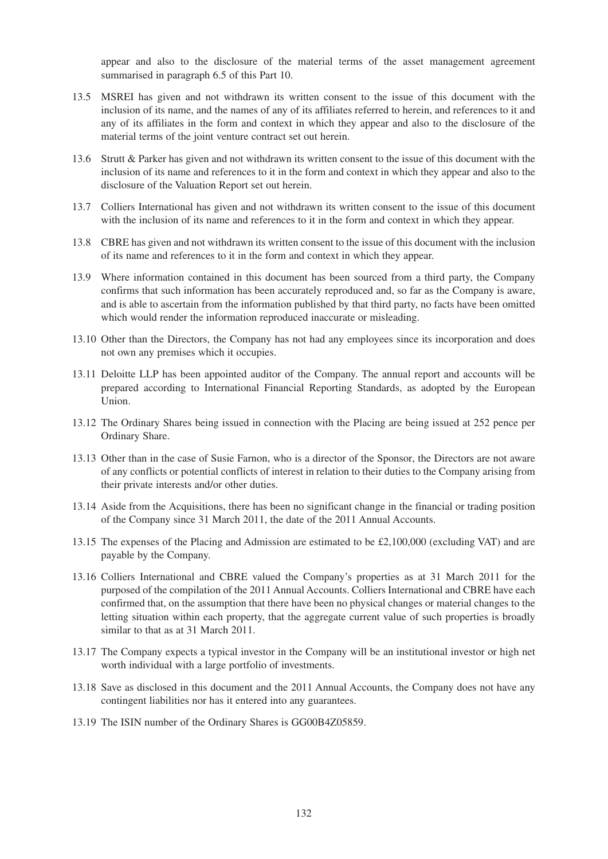appear and also to the disclosure of the material terms of the asset management agreement summarised in paragraph 6.5 of this Part 10.

- 13.5 MSREI has given and not withdrawn its written consent to the issue of this document with the inclusion of its name, and the names of any of its affiliates referred to herein, and references to it and any of its affiliates in the form and context in which they appear and also to the disclosure of the material terms of the joint venture contract set out herein.
- 13.6 Strutt & Parker has given and not withdrawn its written consent to the issue of this document with the inclusion of its name and references to it in the form and context in which they appear and also to the disclosure of the Valuation Report set out herein.
- 13.7 Colliers International has given and not withdrawn its written consent to the issue of this document with the inclusion of its name and references to it in the form and context in which they appear.
- 13.8 CBRE has given and not withdrawn its written consent to the issue of this document with the inclusion of its name and references to it in the form and context in which they appear.
- 13.9 Where information contained in this document has been sourced from a third party, the Company confirms that such information has been accurately reproduced and, so far as the Company is aware, and is able to ascertain from the information published by that third party, no facts have been omitted which would render the information reproduced inaccurate or misleading.
- 13.10 Other than the Directors, the Company has not had any employees since its incorporation and does not own any premises which it occupies.
- 13.11 Deloitte LLP has been appointed auditor of the Company. The annual report and accounts will be prepared according to International Financial Reporting Standards, as adopted by the European Union.
- 13.12 The Ordinary Shares being issued in connection with the Placing are being issued at 252 pence per Ordinary Share.
- 13.13 Other than in the case of Susie Farnon, who is a director of the Sponsor, the Directors are not aware of any conflicts or potential conflicts of interest in relation to their duties to the Company arising from their private interests and/or other duties.
- 13.14 Aside from the Acquisitions, there has been no significant change in the financial or trading position of the Company since 31 March 2011, the date of the 2011 Annual Accounts.
- 13.15 The expenses of the Placing and Admission are estimated to be £2,100,000 (excluding VAT) and are payable by the Company.
- 13.16 Colliers International and CBRE valued the Company's properties as at 31 March 2011 for the purposed of the compilation of the 2011 Annual Accounts. Colliers International and CBRE have each confirmed that, on the assumption that there have been no physical changes or material changes to the letting situation within each property, that the aggregate current value of such properties is broadly similar to that as at 31 March 2011.
- 13.17 The Company expects a typical investor in the Company will be an institutional investor or high net worth individual with a large portfolio of investments.
- 13.18 Save as disclosed in this document and the 2011 Annual Accounts, the Company does not have any contingent liabilities nor has it entered into any guarantees.
- 13.19 The ISIN number of the Ordinary Shares is GG00B4Z05859.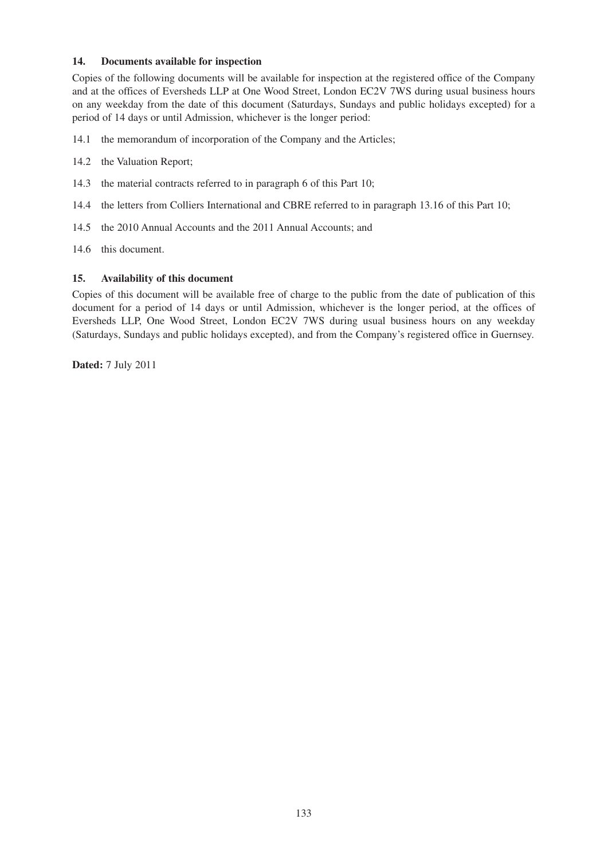## **14. Documents available for inspection**

Copies of the following documents will be available for inspection at the registered office of the Company and at the offices of Eversheds LLP at One Wood Street, London EC2V 7WS during usual business hours on any weekday from the date of this document (Saturdays, Sundays and public holidays excepted) for a period of 14 days or until Admission, whichever is the longer period:

- 14.1 the memorandum of incorporation of the Company and the Articles;
- 14.2 the Valuation Report;
- 14.3 the material contracts referred to in paragraph 6 of this Part 10;
- 14.4 the letters from Colliers International and CBRE referred to in paragraph 13.16 of this Part 10;
- 14.5 the 2010 Annual Accounts and the 2011 Annual Accounts; and
- 14.6 this document.

## **15. Availability of this document**

Copies of this document will be available free of charge to the public from the date of publication of this document for a period of 14 days or until Admission, whichever is the longer period, at the offices of Eversheds LLP, One Wood Street, London EC2V 7WS during usual business hours on any weekday (Saturdays, Sundays and public holidays excepted), and from the Company's registered office in Guernsey.

**Dated:** 7 July 2011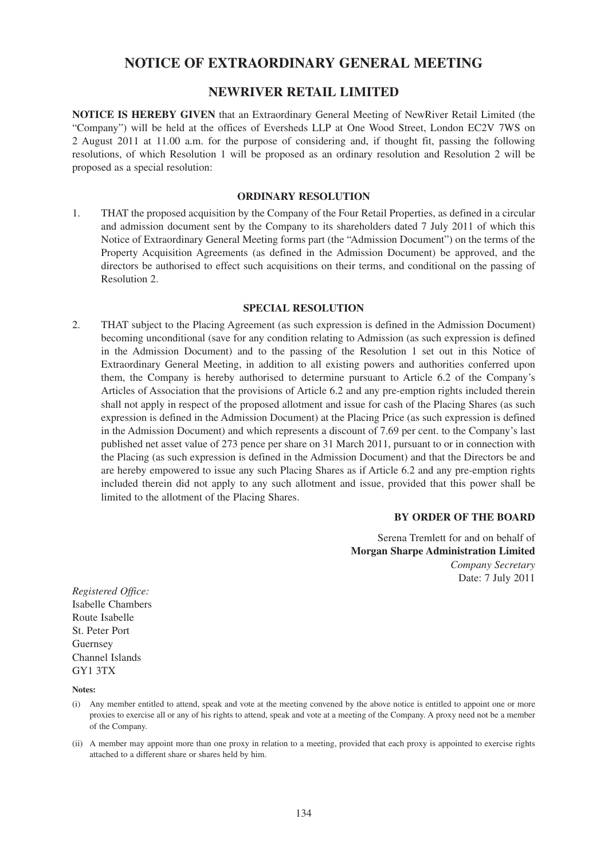# **NOTICE OF EXTRAORDINARY GENERAL MEETING**

## **NEWRIVER RETAIL LIMITED**

**NOTICE IS HEREBY GIVEN** that an Extraordinary General Meeting of NewRiver Retail Limited (the "Company") will be held at the offices of Eversheds LLP at One Wood Street, London EC2V 7WS on 2 August 2011 at 11.00 a.m. for the purpose of considering and, if thought fit, passing the following resolutions, of which Resolution 1 will be proposed as an ordinary resolution and Resolution 2 will be proposed as a special resolution:

### **ORDINARY RESOLUTION**

1. THAT the proposed acquisition by the Company of the Four Retail Properties, as defined in a circular and admission document sent by the Company to its shareholders dated 7 July 2011 of which this Notice of Extraordinary General Meeting forms part (the "Admission Document") on the terms of the Property Acquisition Agreements (as defined in the Admission Document) be approved, and the directors be authorised to effect such acquisitions on their terms, and conditional on the passing of Resolution 2.

### **SPECIAL RESOLUTION**

2. THAT subject to the Placing Agreement (as such expression is defined in the Admission Document) becoming unconditional (save for any condition relating to Admission (as such expression is defined in the Admission Document) and to the passing of the Resolution 1 set out in this Notice of Extraordinary General Meeting, in addition to all existing powers and authorities conferred upon them, the Company is hereby authorised to determine pursuant to Article 6.2 of the Company's Articles of Association that the provisions of Article 6.2 and any pre-emption rights included therein shall not apply in respect of the proposed allotment and issue for cash of the Placing Shares (as such expression is defined in the Admission Document) at the Placing Price (as such expression is defined in the Admission Document) and which represents a discount of 7.69 per cent. to the Company's last published net asset value of 273 pence per share on 31 March 2011, pursuant to or in connection with the Placing (as such expression is defined in the Admission Document) and that the Directors be and are hereby empowered to issue any such Placing Shares as if Article 6.2 and any pre-emption rights included therein did not apply to any such allotment and issue, provided that this power shall be limited to the allotment of the Placing Shares.

### **BY ORDER OF THE BOARD**

Serena Tremlett for and on behalf of **Morgan Sharpe Administration Limited** *Company Secretary* Date: 7 July 2011

*Registered Office:* Isabelle Chambers Route Isabelle St. Peter Port Guernsey Channel Islands GY1 3TX

**Notes:**

- (i) Any member entitled to attend, speak and vote at the meeting convened by the above notice is entitled to appoint one or more proxies to exercise all or any of his rights to attend, speak and vote at a meeting of the Company. A proxy need not be a member of the Company.
- (ii) A member may appoint more than one proxy in relation to a meeting, provided that each proxy is appointed to exercise rights attached to a different share or shares held by him.